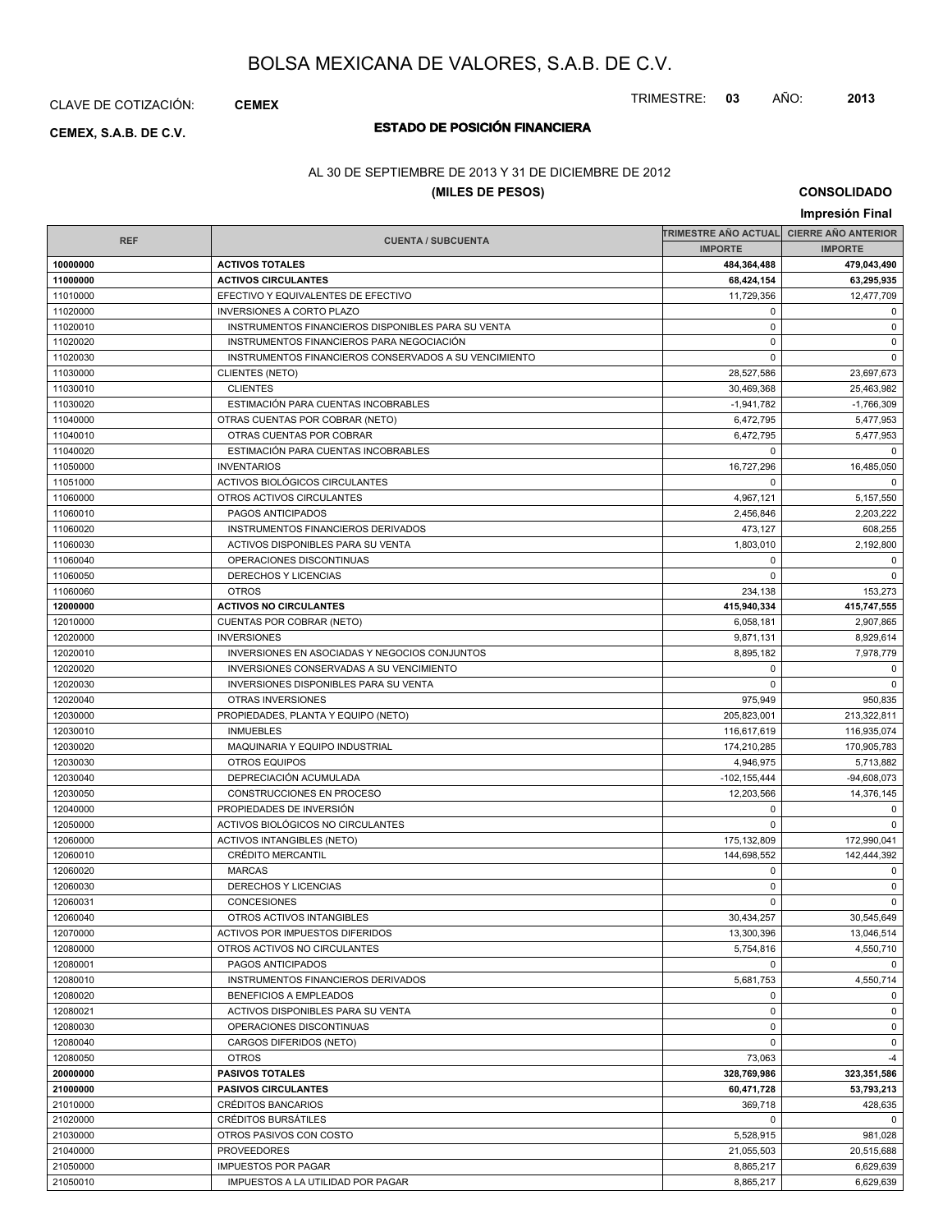CLAVE DE COTIZACIÓN: **CEMEX**

# **ESTADO DE POSICIÓN FINANCIERA CEMEX, S.A.B. DE C.V.**

### AL 30 DE SEPTIEMBRE DE 2013 Y 31 DE DICIEMBRE DE 2012

### **(MILES DE PESOS)**

**CONSOLIDADO Impresión Final**

TRIMESTRE: **03** AÑO: **2013**

|            |                                                       | TRIMESTRE AÑO ACTUAL CIERRE AÑO ANTERIOR |               |  |
|------------|-------------------------------------------------------|------------------------------------------|---------------|--|
| <b>REF</b> | <b>CUENTA / SUBCUENTA</b>                             | <b>IMPORTE</b>                           |               |  |
| 10000000   | <b>ACTIVOS TOTALES</b>                                | 484,364,488                              | 479,043,490   |  |
| 11000000   | <b>ACTIVOS CIRCULANTES</b>                            | 68,424,154                               | 63,295,935    |  |
| 11010000   | EFECTIVO Y EQUIVALENTES DE EFECTIVO                   | 11,729,356                               | 12,477,709    |  |
| 11020000   | <b>INVERSIONES A CORTO PLAZO</b>                      | $\mathbf 0$                              | 0             |  |
| 11020010   | INSTRUMENTOS FINANCIEROS DISPONIBLES PARA SU VENTA    | $\mathbf 0$                              | $\mathbf 0$   |  |
| 11020020   | INSTRUMENTOS FINANCIEROS PARA NEGOCIACIÓN             | $\mathbf 0$                              | $\mathsf 0$   |  |
| 11020030   | INSTRUMENTOS FINANCIEROS CONSERVADOS A SU VENCIMIENTO | $\mathbf 0$                              | $\mathbf 0$   |  |
| 11030000   | CLIENTES (NETO)                                       | 28,527,586                               | 23,697,673    |  |
| 11030010   | <b>CLIENTES</b>                                       | 30,469,368                               | 25,463,982    |  |
| 11030020   | ESTIMACIÓN PARA CUENTAS INCOBRABLES                   | $-1,941,782$                             | $-1,766,309$  |  |
| 11040000   | OTRAS CUENTAS POR COBRAR (NETO)                       | 6,472,795                                | 5,477,953     |  |
| 11040010   | OTRAS CUENTAS POR COBRAR                              | 6,472,795                                | 5.477.953     |  |
| 11040020   | ESTIMACIÓN PARA CUENTAS INCOBRABLES                   | $\mathbf 0$                              | 0             |  |
| 11050000   | <b>INVENTARIOS</b>                                    | 16,727,296                               | 16,485,050    |  |
| 11051000   | ACTIVOS BIOLÓGICOS CIRCULANTES                        | $\mathbf 0$                              | $\mathbf 0$   |  |
| 11060000   | OTROS ACTIVOS CIRCULANTES                             | 4,967,121                                | 5,157,550     |  |
| 11060010   | PAGOS ANTICIPADOS                                     | 2,456,846                                | 2,203,222     |  |
| 11060020   | INSTRUMENTOS FINANCIEROS DERIVADOS                    | 473,127                                  | 608,255       |  |
| 11060030   | ACTIVOS DISPONIBLES PARA SU VENTA                     | 1,803,010                                | 2,192,800     |  |
|            |                                                       |                                          |               |  |
| 11060040   | OPERACIONES DISCONTINUAS                              | 0                                        | $\mathbf 0$   |  |
| 11060050   | DERECHOS Y LICENCIAS                                  | $\mathbf 0$                              | $\mathbf 0$   |  |
| 11060060   | <b>OTROS</b>                                          | 234,138                                  | 153,273       |  |
| 12000000   | <b>ACTIVOS NO CIRCULANTES</b>                         | 415,940,334                              | 415,747,555   |  |
| 12010000   | CUENTAS POR COBRAR (NETO)                             | 6,058,181                                | 2,907,865     |  |
| 12020000   | <b>INVERSIONES</b>                                    | 9,871,131                                | 8,929,614     |  |
| 12020010   | INVERSIONES EN ASOCIADAS Y NEGOCIOS CONJUNTOS         | 8,895,182                                | 7,978,779     |  |
| 12020020   | INVERSIONES CONSERVADAS A SU VENCIMIENTO              | $\mathbf 0$                              | $\mathbf 0$   |  |
| 12020030   | INVERSIONES DISPONIBLES PARA SU VENTA                 | $\mathbf 0$                              | 0             |  |
| 12020040   | OTRAS INVERSIONES                                     | 975,949                                  | 950,835       |  |
| 12030000   | PROPIEDADES, PLANTA Y EQUIPO (NETO)                   | 205,823,001                              | 213,322,811   |  |
| 12030010   | <b>INMUEBLES</b>                                      | 116,617,619                              | 116,935,074   |  |
| 12030020   | MAQUINARIA Y EQUIPO INDUSTRIAL                        | 174,210,285                              | 170,905,783   |  |
| 12030030   | OTROS EQUIPOS                                         | 4,946,975                                | 5,713,882     |  |
| 12030040   | DEPRECIACIÓN ACUMULADA                                | $-102, 155, 444$                         | $-94,608,073$ |  |
| 12030050   | CONSTRUCCIONES EN PROCESO                             | 12,203,566                               | 14,376,145    |  |
| 12040000   | PROPIEDADES DE INVERSIÓN                              | $\mathbf 0$                              | $\mathbf 0$   |  |
| 12050000   | ACTIVOS BIOLÓGICOS NO CIRCULANTES                     | $\mathbf 0$                              | 0             |  |
| 12060000   | <b>ACTIVOS INTANGIBLES (NETO)</b>                     | 175,132,809                              | 172,990,041   |  |
| 12060010   | <b>CRÉDITO MERCANTIL</b>                              | 144.698.552                              | 142,444,392   |  |
| 12060020   | <b>MARCAS</b>                                         | 0                                        | 0             |  |
| 12060030   | <b>DERECHOS Y LICENCIAS</b>                           | 0                                        | $\mathbf 0$   |  |
| 12060031   | <b>CONCESIONES</b>                                    | $\mathbf 0$                              | $\mathbf 0$   |  |
| 12060040   | OTROS ACTIVOS INTANGIBLES                             | 30,434,257                               | 30,545,649    |  |
| 12070000   | ACTIVOS POR IMPUESTOS DIFERIDOS                       | 13,300,396                               | 13,046,514    |  |
| 12080000   | OTROS ACTIVOS NO CIRCULANTES                          | 5,754,816                                | 4,550,710     |  |
| 12080001   | PAGOS ANTICIPADOS                                     | $\mathbf 0$                              | $\mathbf 0$   |  |
| 12080010   | <b>INSTRUMENTOS FINANCIEROS DERIVADOS</b>             | 5,681,753                                | 4,550,714     |  |
| 12080020   | BENEFICIOS A EMPLEADOS                                | $\mathbf 0$                              | $\mathbf 0$   |  |
| 12080021   | ACTIVOS DISPONIBLES PARA SU VENTA                     | $\mathbf 0$                              | 0             |  |
| 12080030   | OPERACIONES DISCONTINUAS                              | $\mathbf 0$                              | $\mathbf 0$   |  |
| 12080040   | CARGOS DIFERIDOS (NETO)                               | $\mathbf 0$                              | $\mathsf 0$   |  |
| 12080050   | <b>OTROS</b>                                          | 73,063                                   | $-4$          |  |
| 20000000   | <b>PASIVOS TOTALES</b>                                | 328,769,986                              | 323,351,586   |  |
| 21000000   | <b>PASIVOS CIRCULANTES</b>                            | 60,471,728                               | 53,793,213    |  |
| 21010000   | <b>CRÉDITOS BANCARIOS</b>                             | 369,718                                  | 428,635       |  |
| 21020000   | <b>CRÉDITOS BURSATILES</b>                            | $\mathbf 0$                              | $\Omega$      |  |
| 21030000   | OTROS PASIVOS CON COSTO                               | 5,528,915                                | 981,028       |  |
| 21040000   | <b>PROVEEDORES</b>                                    | 21,055,503                               | 20,515,688    |  |
| 21050000   | <b>IMPUESTOS POR PAGAR</b>                            | 8,865,217                                | 6,629,639     |  |
| 21050010   | IMPUESTOS A LA UTILIDAD POR PAGAR                     | 8,865,217                                | 6,629,639     |  |
|            |                                                       |                                          |               |  |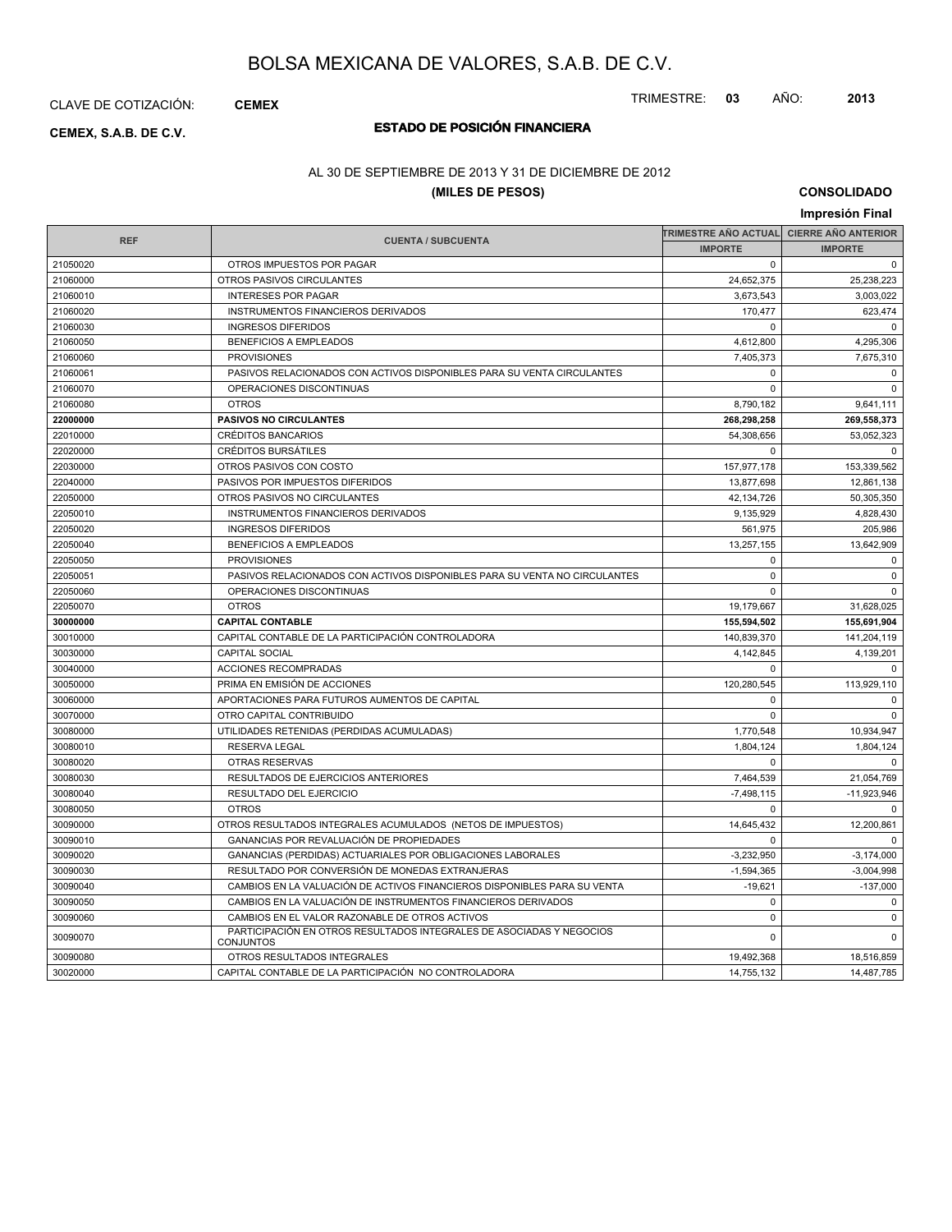CLAVE DE COTIZACIÓN: **CEMEX**

# **ESTADO DE POSICIÓN FINANCIERA CEMEX, S.A.B. DE C.V.**

### AL 30 DE SEPTIEMBRE DE 2013 Y 31 DE DICIEMBRE DE 2012

### **(MILES DE PESOS)**

**CONSOLIDADO**

|            |                                                                                          |                             | Impresión Final            |
|------------|------------------------------------------------------------------------------------------|-----------------------------|----------------------------|
|            |                                                                                          | <b>TRIMESTRE AÑO ACTUAL</b> | <b>CIERRE AÑO ANTERIOR</b> |
| <b>REF</b> | <b>CUENTA / SUBCUENTA</b>                                                                |                             | <b>IMPORTE</b>             |
| 21050020   | OTROS IMPUESTOS POR PAGAR                                                                | $\Omega$                    | $\mathbf 0$                |
| 21060000   | OTROS PASIVOS CIRCULANTES                                                                | 24,652,375                  | 25,238,223                 |
| 21060010   | <b>INTERESES POR PAGAR</b>                                                               | 3,673,543                   | 3,003,022                  |
| 21060020   | <b>INSTRUMENTOS FINANCIEROS DERIVADOS</b>                                                | 170,477                     | 623,474                    |
| 21060030   | <b>INGRESOS DIFERIDOS</b>                                                                | $\Omega$                    | $\Omega$                   |
| 21060050   | <b>BENEFICIOS A EMPLEADOS</b>                                                            | 4,612,800                   | 4,295,306                  |
| 21060060   | <b>PROVISIONES</b>                                                                       | 7,405,373                   | 7,675,310                  |
| 21060061   | PASIVOS RELACIONADOS CON ACTIVOS DISPONIBLES PARA SU VENTA CIRCULANTES                   | $\mathbf 0$                 | $\mathbf 0$                |
| 21060070   | OPERACIONES DISCONTINUAS                                                                 | $\Omega$                    | $\mathbf 0$                |
| 21060080   | <b>OTROS</b>                                                                             | 8,790,182                   | 9,641,111                  |
| 22000000   | <b>PASIVOS NO CIRCULANTES</b>                                                            | 268,298,258                 | 269,558,373                |
| 22010000   | <b>CRÉDITOS BANCARIOS</b>                                                                | 54,308,656                  | 53,052,323                 |
| 22020000   | <b>CRÉDITOS BURSÁTILES</b>                                                               | $\Omega$                    | $\mathbf 0$                |
| 22030000   | OTROS PASIVOS CON COSTO                                                                  | 157,977,178                 | 153,339,562                |
| 22040000   | PASIVOS POR IMPUESTOS DIFERIDOS                                                          | 13,877,698                  | 12,861,138                 |
| 22050000   | OTROS PASIVOS NO CIRCULANTES                                                             | 42,134,726                  | 50,305,350                 |
| 22050010   | INSTRUMENTOS FINANCIEROS DERIVADOS                                                       | 9,135,929                   | 4,828,430                  |
| 22050020   | <b>INGRESOS DIFERIDOS</b>                                                                | 561,975                     | 205,986                    |
| 22050040   | <b>BENEFICIOS A EMPLEADOS</b>                                                            | 13,257,155                  | 13,642,909                 |
| 22050050   | <b>PROVISIONES</b>                                                                       | $\mathbf 0$                 | 0                          |
| 22050051   | PASIVOS RELACIONADOS CON ACTIVOS DISPONIBLES PARA SU VENTA NO CIRCULANTES                | $\mathbf 0$                 | $\mathbf 0$                |
| 22050060   | OPERACIONES DISCONTINUAS                                                                 | $\Omega$                    | $\mathbf 0$                |
| 22050070   | <b>OTROS</b>                                                                             | 19,179,667                  | 31,628,025                 |
| 30000000   | <b>CAPITAL CONTABLE</b>                                                                  | 155,594,502                 | 155,691,904                |
| 30010000   | CAPITAL CONTABLE DE LA PARTICIPACIÓN CONTROLADORA                                        | 140,839,370                 | 141,204,119                |
| 30030000   | <b>CAPITAL SOCIAL</b>                                                                    | 4,142,845                   | 4,139,201                  |
| 30040000   | ACCIONES RECOMPRADAS                                                                     | $\mathbf 0$                 | $\mathbf 0$                |
| 30050000   | PRIMA EN EMISIÓN DE ACCIONES                                                             | 120,280,545                 | 113,929,110                |
| 30060000   | APORTACIONES PARA FUTUROS AUMENTOS DE CAPITAL                                            | $\mathbf 0$                 | $\mathbf 0$                |
| 30070000   | OTRO CAPITAL CONTRIBUIDO                                                                 | $\Omega$                    | $\pmb{0}$                  |
| 30080000   | UTILIDADES RETENIDAS (PERDIDAS ACUMULADAS)                                               | 1,770,548                   | 10,934,947                 |
| 30080010   | <b>RESERVA LEGAL</b>                                                                     | 1,804,124                   | 1,804,124                  |
| 30080020   | <b>OTRAS RESERVAS</b>                                                                    | $\Omega$                    | $\mathbf 0$                |
| 30080030   | RESULTADOS DE EJERCICIOS ANTERIORES                                                      | 7,464,539                   | 21,054,769                 |
| 30080040   | RESULTADO DEL EJERCICIO                                                                  | $-7,498,115$                | $-11,923,946$              |
| 30080050   | <b>OTROS</b>                                                                             | $\mathbf 0$                 | $\mathbf 0$                |
| 30090000   | OTROS RESULTADOS INTEGRALES ACUMULADOS (NETOS DE IMPUESTOS)                              | 14,645,432                  | 12,200,861                 |
| 30090010   | GANANCIAS POR REVALUACIÓN DE PROPIEDADES                                                 | $\Omega$                    | $\Omega$                   |
| 30090020   | GANANCIAS (PERDIDAS) ACTUARIALES POR OBLIGACIONES LABORALES                              | $-3,232,950$                | $-3,174,000$               |
| 30090030   | RESULTADO POR CONVERSIÓN DE MONEDAS EXTRANJERAS                                          | $-1,594,365$                | $-3,004,998$               |
| 30090040   | CAMBIOS EN LA VALUACIÓN DE ACTIVOS FINANCIEROS DISPONIBLES PARA SU VENTA                 | $-19,621$                   | $-137,000$                 |
| 30090050   | CAMBIOS EN LA VALUACIÓN DE INSTRUMENTOS FINANCIEROS DERIVADOS                            | $\mathbf 0$                 | $\mathbf 0$                |
| 30090060   | CAMBIOS EN EL VALOR RAZONABLE DE OTROS ACTIVOS                                           | $\mathsf 0$                 | $\pmb{0}$                  |
| 30090070   | PARTICIPACIÓN EN OTROS RESULTADOS INTEGRALES DE ASOCIADAS Y NEGOCIOS<br><b>CONJUNTOS</b> | $\Omega$                    | $\mathbf 0$                |
| 30090080   | OTROS RESULTADOS INTEGRALES                                                              | 19,492,368                  | 18,516,859                 |
| 30020000   | CAPITAL CONTABLE DE LA PARTICIPACIÓN NO CONTROLADORA                                     | 14,755,132                  | 14,487,785                 |

TRIMESTRE: **03** AÑO: **2013**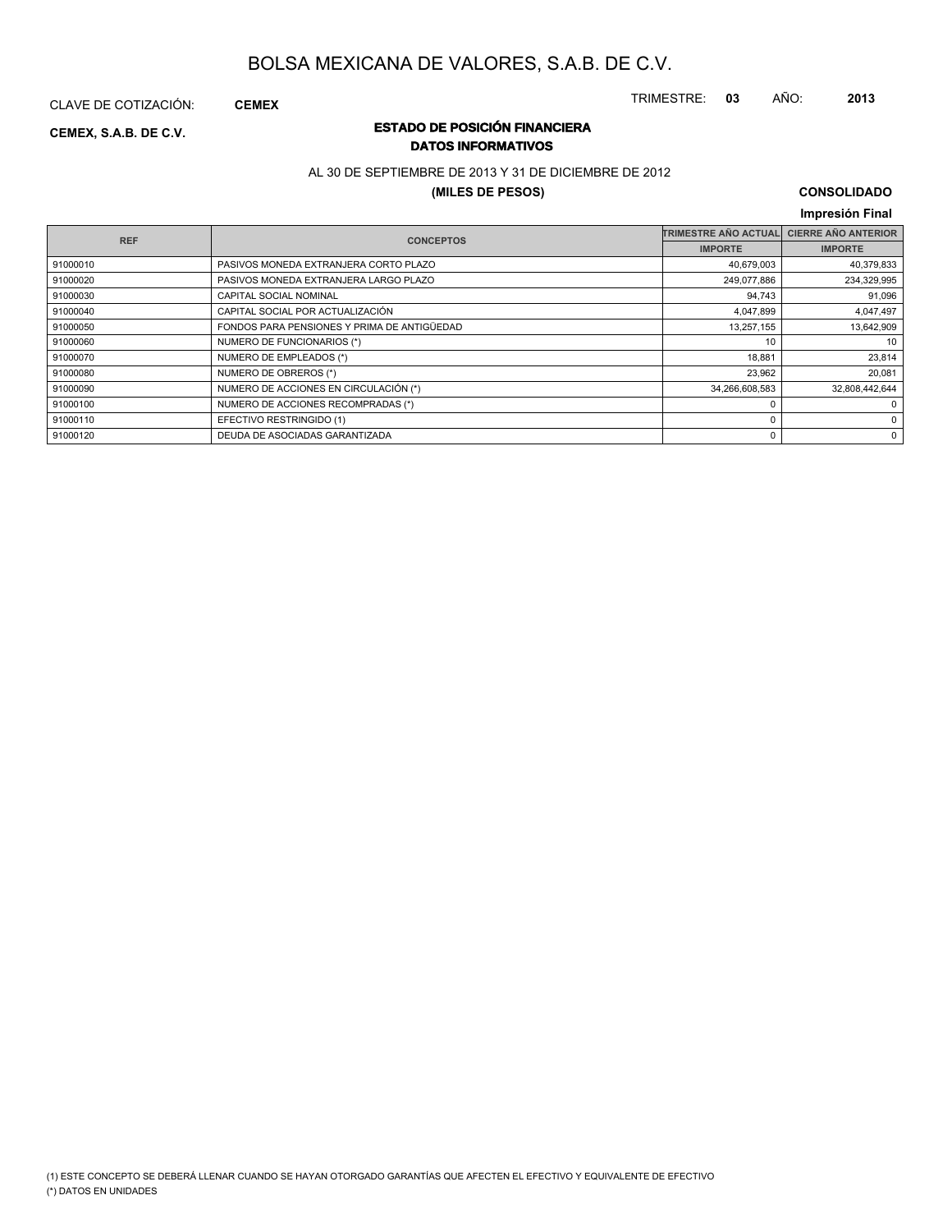CLAVE DE COTIZACIÓN: **CEMEX**

### **ESTADO DE POSICIÓN FINANCIERA CEMEX, S.A.B. DE C.V. DATOS INFORMATIVOS**

### AL 30 DE SEPTIEMBRE DE 2013 Y 31 DE DICIEMBRE DE 2012

#### **(MILES DE PESOS)**

### **CONSOLIDADO**

TRIMESTRE: **03** AÑO: **2013**

#### **Impresión Final IMPORTE TRIMESTRE AÑO ACTUAL CIERRE AÑO ANTERIOR IMPORTE REF CUENTA / SUBCUENTA CONCEPTOS** 91000010 PASIVOS MONEDA EXTRANJERA CORTO PLAZO 40,679,003 40,379,833 91000020 PASIVOS MONEDA EXTRANJERA LARGO PLAZO 249,077,886 234,329,995 91000030 CAPITAL SOCIAL NOMINAL external service of the control of the control of the control of the control of the control of the control of the control of the control of the control of the control of the control of the c 91000040 CAPITAL SOCIAL POR ACTUALIZACIÓN 4,047,899 4,047,899 4,047,899 4,047,899 4,047,899 4,047,899 4,047,99 91000050 FONDOS PARA PENSIONES Y PRIMA DE ANTIGÜEDAD 13,257,155 13,642,909 91000060 NUMERO DE FUNCIONARIOS (\*) 10 10 91000070 NUMERO DE EMPLEADOS (\*) 18,881 23,814 23,814 91000080 NUMERO DE OBREROS (\*) 23,962 20,081 91000090 NUMERO DE ACCIONES EN CIRCULACIÓN (\*) 34,266,608,583 34,266,608,583 32,808,442,644 91000100 NUMERO DE ACCIONES RECOMPRADAS (\*) 0 0 91000110 EFECTIVO RESTRINGIDO (1) 0 0 91000120 DEUDA DE ASOCIADAS GARANTIZADA 0 0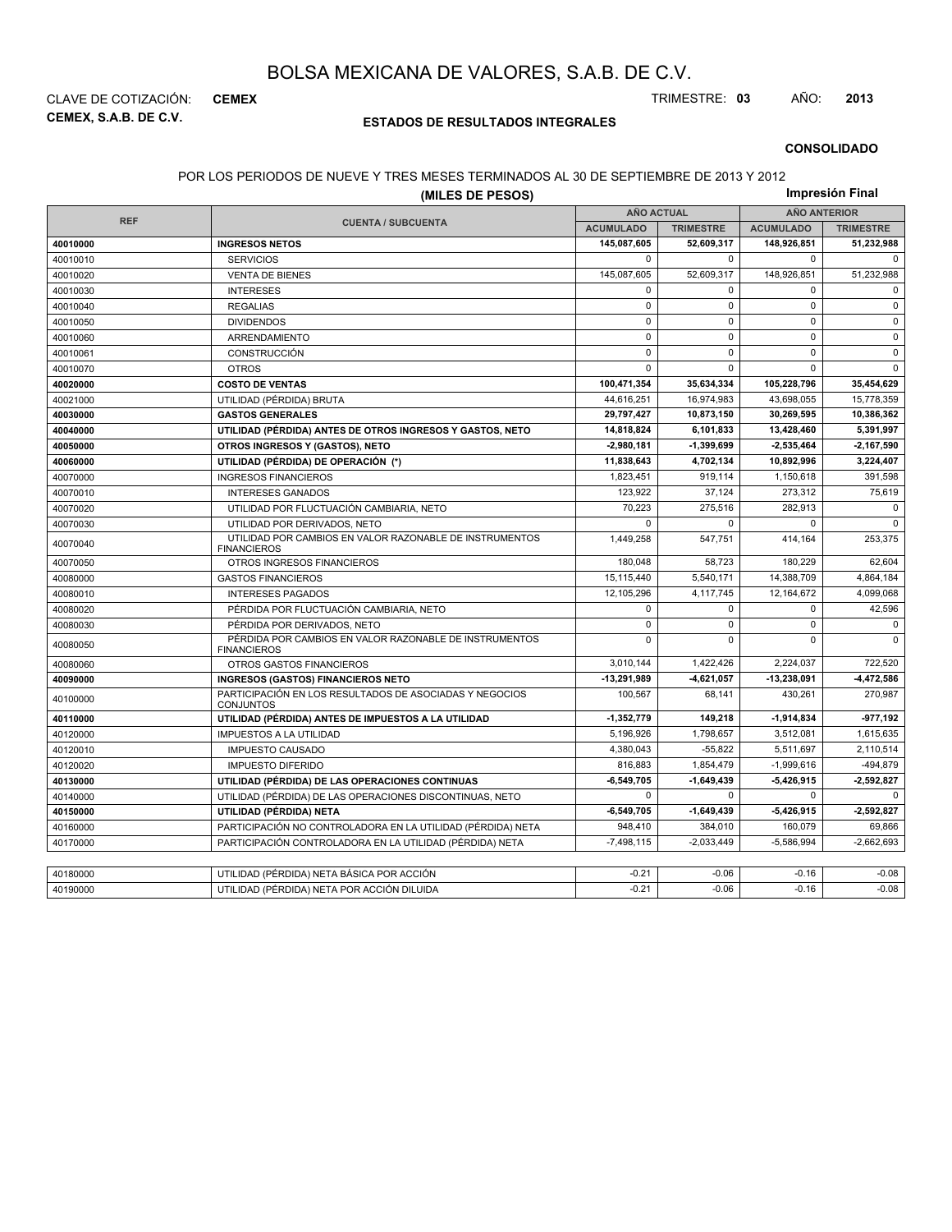**CEMEX, S.A.B. DE C.V.** CLAVE DE COTIZACIÓN: **CEMEX** TRIMESTRE: **03** AÑO: **2013**

### **ESTADOS DE RESULTADOS INTEGRALES**

**CONSOLIDADO**

#### POR LOS PERIODOS DE NUEVE Y TRES MESES TERMINADOS AL 30 DE SEPTIEMBRE DE 2013 Y 2012

|            | (MILES DE PESOS)                                                              |                   |                  |                     | Impresión Final  |  |
|------------|-------------------------------------------------------------------------------|-------------------|------------------|---------------------|------------------|--|
|            |                                                                               | <b>AÑO ACTUAL</b> |                  | <b>AÑO ANTERIOR</b> |                  |  |
| <b>REF</b> | <b>CUENTA / SUBCUENTA</b>                                                     | <b>ACUMULADO</b>  | <b>TRIMESTRE</b> | <b>ACUMULADO</b>    | <b>TRIMESTRE</b> |  |
| 40010000   | <b>INGRESOS NETOS</b>                                                         | 145,087,605       | 52,609,317       | 148,926,851         | 51,232,988       |  |
| 40010010   | <b>SERVICIOS</b>                                                              | $\mathbf{0}$      | $\mathbf 0$      | $\mathbf 0$         | $\mathbf 0$      |  |
| 40010020   | <b>VENTA DE BIENES</b>                                                        | 145,087,605       | 52,609,317       | 148,926,851         | 51,232,988       |  |
| 40010030   | <b>INTERESES</b>                                                              | $\mathbf 0$       | $\mathbf 0$      | 0                   | $\mathbf 0$      |  |
| 40010040   | <b>REGALIAS</b>                                                               | $\mathbf 0$       | $\mathbf 0$      | 0                   | $\mathbf 0$      |  |
| 40010050   | <b>DIVIDENDOS</b>                                                             | $\mathsf 0$       | $\mathbf 0$      | 0                   | $\mathbf 0$      |  |
| 40010060   | ARRENDAMIENTO                                                                 | $\mathbf 0$       | $\mathbf 0$      | 0                   | $\mathbf 0$      |  |
| 40010061   | <b>CONSTRUCCIÓN</b>                                                           | $\mathbf 0$       | $\mathbf 0$      | $\mathbf 0$         | $\mathbf 0$      |  |
| 40010070   | <b>OTROS</b>                                                                  | $\Omega$          | $\Omega$         | $\Omega$            | $\Omega$         |  |
| 40020000   | <b>COSTO DE VENTAS</b>                                                        | 100,471,354       | 35,634,334       | 105,228,796         | 35,454,629       |  |
| 40021000   | UTILIDAD (PÉRDIDA) BRUTA                                                      | 44,616,251        | 16,974,983       | 43,698,055          | 15,778,359       |  |
| 40030000   | <b>GASTOS GENERALES</b>                                                       | 29,797,427        | 10,873,150       | 30,269,595          | 10,386,362       |  |
| 40040000   | UTILIDAD (PÉRDIDA) ANTES DE OTROS INGRESOS Y GASTOS, NETO                     | 14,818,824        | 6,101,833        | 13,428,460          | 5,391,997        |  |
| 40050000   | OTROS INGRESOS Y (GASTOS), NETO                                               | 2,980,181         | $-1,399,699$     | -2,535,464          | $-2,167,590$     |  |
| 40060000   | UTILIDAD (PÉRDIDA) DE OPERACIÓN (*)                                           | 11,838,643        | 4,702,134        | 10,892,996          | 3,224,407        |  |
| 40070000   | <b>INGRESOS FINANCIEROS</b>                                                   | 1,823,451         | 919,114          | 1,150,618           | 391,598          |  |
| 40070010   | <b>INTERESES GANADOS</b>                                                      | 123,922           | 37,124           | 273,312             | 75,619           |  |
| 40070020   | UTILIDAD POR FLUCTUACIÓN CAMBIARIA, NETO                                      | 70.223            | 275.516          | 282.913             | $\Omega$         |  |
| 40070030   | UTILIDAD POR DERIVADOS, NETO                                                  | 0                 | $\Omega$         | 0                   | $\mathbf 0$      |  |
| 40070040   | UTILIDAD POR CAMBIOS EN VALOR RAZONABLE DE INSTRUMENTOS<br><b>FINANCIEROS</b> | 1,449,258         | 547,751          | 414,164             | 253,375          |  |
| 40070050   | OTROS INGRESOS FINANCIEROS                                                    | 180,048           | 58,723           | 180,229             | 62,604           |  |
| 40080000   | <b>GASTOS FINANCIEROS</b>                                                     | 15,115,440        | 5,540,171        | 14,388,709          | 4,864,184        |  |
| 40080010   | <b>INTERESES PAGADOS</b>                                                      | 12,105,296        | 4,117,745        | 12,164,672          | 4,099,068        |  |
| 40080020   | PÉRDIDA POR FLUCTUACIÓN CAMBIARIA, NETO                                       | 0                 | $\mathbf 0$      | 0                   | 42,596           |  |
| 40080030   | PÉRDIDA POR DERIVADOS. NETO                                                   | $\mathbf{0}$      | $\mathbf 0$      | 0                   | $\mathbf 0$      |  |
| 40080050   | PÉRDIDA POR CAMBIOS EN VALOR RAZONABLE DE INSTRUMENTOS<br><b>FINANCIEROS</b>  | $\mathbf 0$       | $\mathbf 0$      | $\mathbf 0$         | $\mathbf 0$      |  |
| 40080060   | OTROS GASTOS FINANCIEROS                                                      | 3,010,144         | 1,422,426        | 2,224,037           | 722,520          |  |
| 40090000   | <b>INGRESOS (GASTOS) FINANCIEROS NETO</b>                                     | -13,291,989       | $-4,621,057$     | $-13,238,091$       | -4,472,586       |  |
| 40100000   | PARTICIPACIÓN EN LOS RESULTADOS DE ASOCIADAS Y NEGOCIOS<br>CONJUNTOS          | 100,567           | 68.141           | 430,261             | 270,987          |  |
| 40110000   | UTILIDAD (PÉRDIDA) ANTES DE IMPUESTOS A LA UTILIDAD                           | -1,352,779        | 149,218          | -1,914,834          | $-977,192$       |  |
| 40120000   | <b>IMPUESTOS A LA UTILIDAD</b>                                                | 5,196,926         | 1,798,657        | 3,512,081           | 1,615,635        |  |
| 40120010   | <b>IMPUESTO CAUSADO</b>                                                       | 4,380,043         | $-55,822$        | 5,511,697           | 2,110,514        |  |
| 40120020   | <b>IMPUESTO DIFERIDO</b>                                                      | 816,883           | 1,854,479        | $-1,999,616$        | $-494,879$       |  |
| 40130000   | UTILIDAD (PÉRDIDA) DE LAS OPERACIONES CONTINUAS                               | $-6,549,705$      | $-1,649,439$     | $-5,426,915$        | 2,592,827        |  |
| 40140000   | UTILIDAD (PÉRDIDA) DE LAS OPERACIONES DISCONTINUAS, NETO                      | $\mathbf{0}$      | $\Omega$         | 0                   | $\Omega$         |  |
| 40150000   | UTILIDAD (PÉRDIDA) NETA                                                       | $-6,549,705$      | $-1,649,439$     | 5,426,915           | 2,592,827        |  |
| 40160000   | PARTICIPACIÓN NO CONTROLADORA EN LA UTILIDAD (PÉRDIDA) NETA                   | 948,410           | 384,010          | 160,079             | 69,866           |  |
| 40170000   | PARTICIPACIÓN CONTROLADORA EN LA UTILIDAD (PÉRDIDA) NETA                      | $-7,498,115$      | $-2,033,449$     | $-5,586,994$        | $-2,662,693$     |  |
|            |                                                                               |                   |                  |                     |                  |  |
| 40180000   | UTILIDAD (PÉRDIDA) NETA BÁSICA POR ACCIÓN                                     | $-0.21$           | $-0.06$          | $-0.16$             | $-0.08$          |  |
| 40190000   | UTILIDAD (PÉRDIDA) NETA POR ACCIÓN DILUIDA                                    | $-0.21$           | $-0.06$          | $-0.16$             | $-0.08$          |  |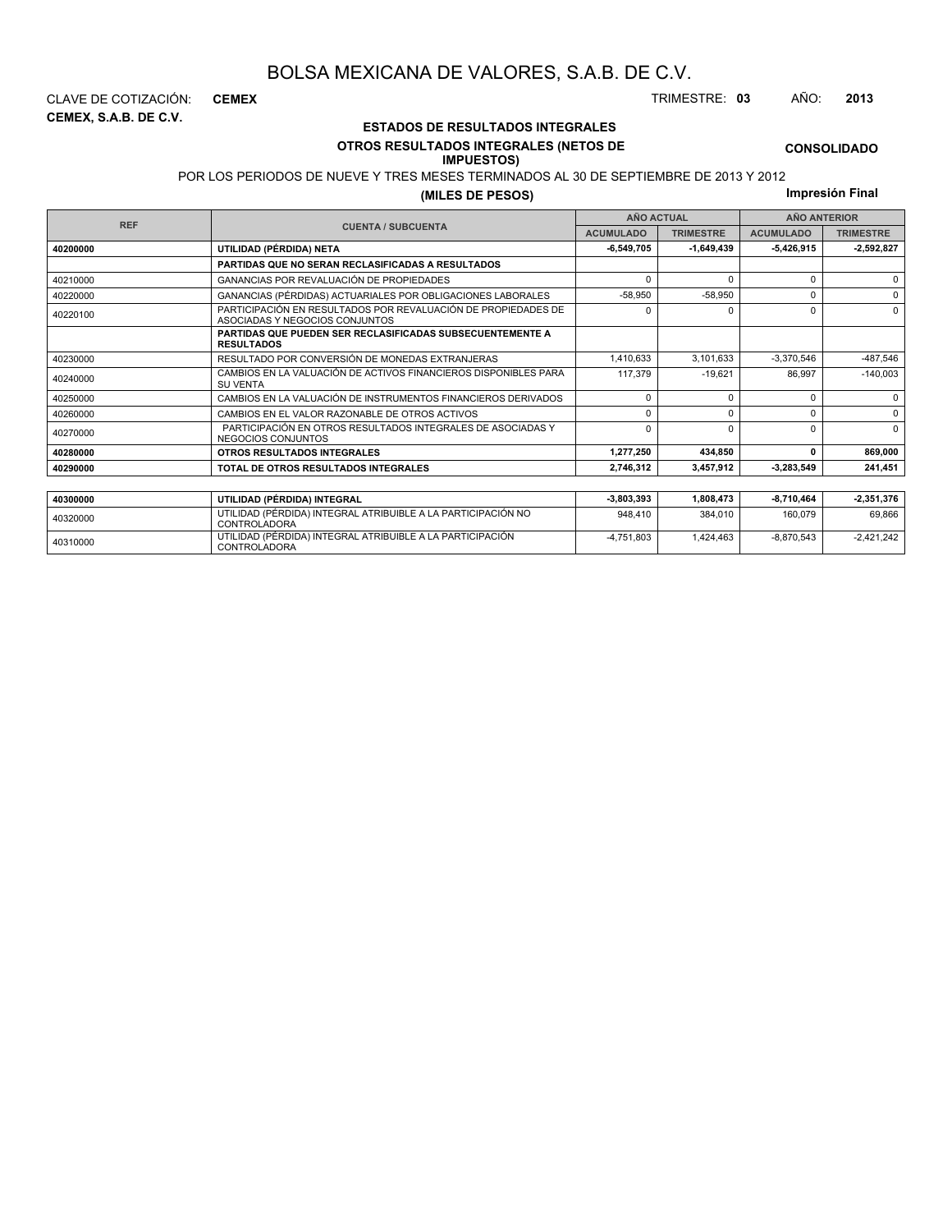**CEMEX, S.A.B. DE C.V.**

### **ESTADOS DE RESULTADOS INTEGRALES**

#### **OTROS RESULTADOS INTEGRALES (NETOS DE IMPUESTOS)**

POR LOS PERIODOS DE NUEVE Y TRES MESES TERMINADOS AL 30 DE SEPTIEMBRE DE 2013 Y 2012

**(MILES DE PESOS)**

**Impresión Final**

-4,751,803 1,424,463 -8,870,543 -2,421,242

**CONSOLIDADO**

|            |                                                                                                 |                  | <b>AÑO ACTUAL</b> | <b>AÑO ANTERIOR</b> |                  |  |
|------------|-------------------------------------------------------------------------------------------------|------------------|-------------------|---------------------|------------------|--|
| <b>REF</b> | <b>CUENTA / SUBCUENTA</b>                                                                       | <b>ACUMULADO</b> | <b>TRIMESTRE</b>  | <b>ACUMULADO</b>    | <b>TRIMESTRE</b> |  |
| 40200000   | UTILIDAD (PÉRDIDA) NETA                                                                         | $-6,549,705$     | $-1,649,439$      | 5,426,915           | $-2,592,827$     |  |
|            | PARTIDAS QUE NO SERAN RECLASIFICADAS A RESULTADOS                                               |                  |                   |                     |                  |  |
| 40210000   | <b>GANANCIAS POR REVALUACIÓN DE PROPIEDADES</b>                                                 | $\Omega$         |                   | 0                   | $\Omega$         |  |
| 40220000   | GANANCIAS (PÉRDIDAS) ACTUARIALES POR OBLIGACIONES LABORALES                                     | $-58,950$        | $-58,950$         | 0                   | $\Omega$         |  |
| 40220100   | PARTICIPACIÓN EN RESULTADOS POR REVALUACIÓN DE PROPIEDADES DE<br>ASOCIADAS Y NEGOCIOS CONJUNTOS | n                |                   | 0                   | $\Omega$         |  |
|            | PARTIDAS QUE PUEDEN SER RECLASIFICADAS SUBSECUENTEMENTE A<br><b>RESULTADOS</b>                  |                  |                   |                     |                  |  |
| 40230000   | RESULTADO POR CONVERSIÓN DE MONEDAS EXTRANJERAS                                                 | 1,410,633        | 3,101,633         | $-3,370,546$        | -487,546         |  |
| 40240000   | CAMBIOS EN LA VALUACIÓN DE ACTIVOS FINANCIEROS DISPONIBLES PARA<br><b>SU VENTA</b>              | 117,379          | $-19.621$         | 86,997              | $-140,003$       |  |
| 40250000   | CAMBIOS EN LA VALUACIÓN DE INSTRUMENTOS FINANCIEROS DERIVADOS                                   | $\Omega$         | $\Omega$          | 0                   | $\Omega$         |  |
| 40260000   | CAMBIOS EN EL VALOR RAZONABLE DE OTROS ACTIVOS                                                  | $\Omega$         | $\Omega$          | 0                   | $\Omega$         |  |
| 40270000   | PARTICIPACIÓN EN OTROS RESULTADOS INTEGRALES DE ASOCIADAS Y<br>NEGOCIOS CONJUNTOS               | $\Omega$         | $\Omega$          | O.                  | $\Omega$         |  |
| 40280000   | OTROS RESULTADOS INTEGRALES                                                                     | 1,277,250        | 434,850           | 0                   | 869,000          |  |
| 40290000   | TOTAL DE OTROS RESULTADOS INTEGRALES                                                            | 2.746.312        | 3,457,912         | 3,283,549           | 241,451          |  |
|            |                                                                                                 |                  |                   |                     |                  |  |
| 40300000   | UTILIDAD (PÉRDIDA) INTEGRAL                                                                     | $-3,803,393$     | 1,808,473         | -8,710,464          | $-2,351,376$     |  |
| 40320000   | UTILIDAD (PÉRDIDA) INTEGRAL ATRIBUIBLE A LA PARTICIPACIÓN NO<br>CONTROLADORA                    | 948.410          | 384,010           | 160,079             | 69,866           |  |

CLAVE DE COTIZACIÓN: **CEMEX** TRIMESTRE: **03** AÑO: **2013**

<sup>40310000</sup> UTILIDAD (PÉRDIDA) INTEGRAL ATRIBUIBLE A LA PARTICIPACIÓN CONTROLADORA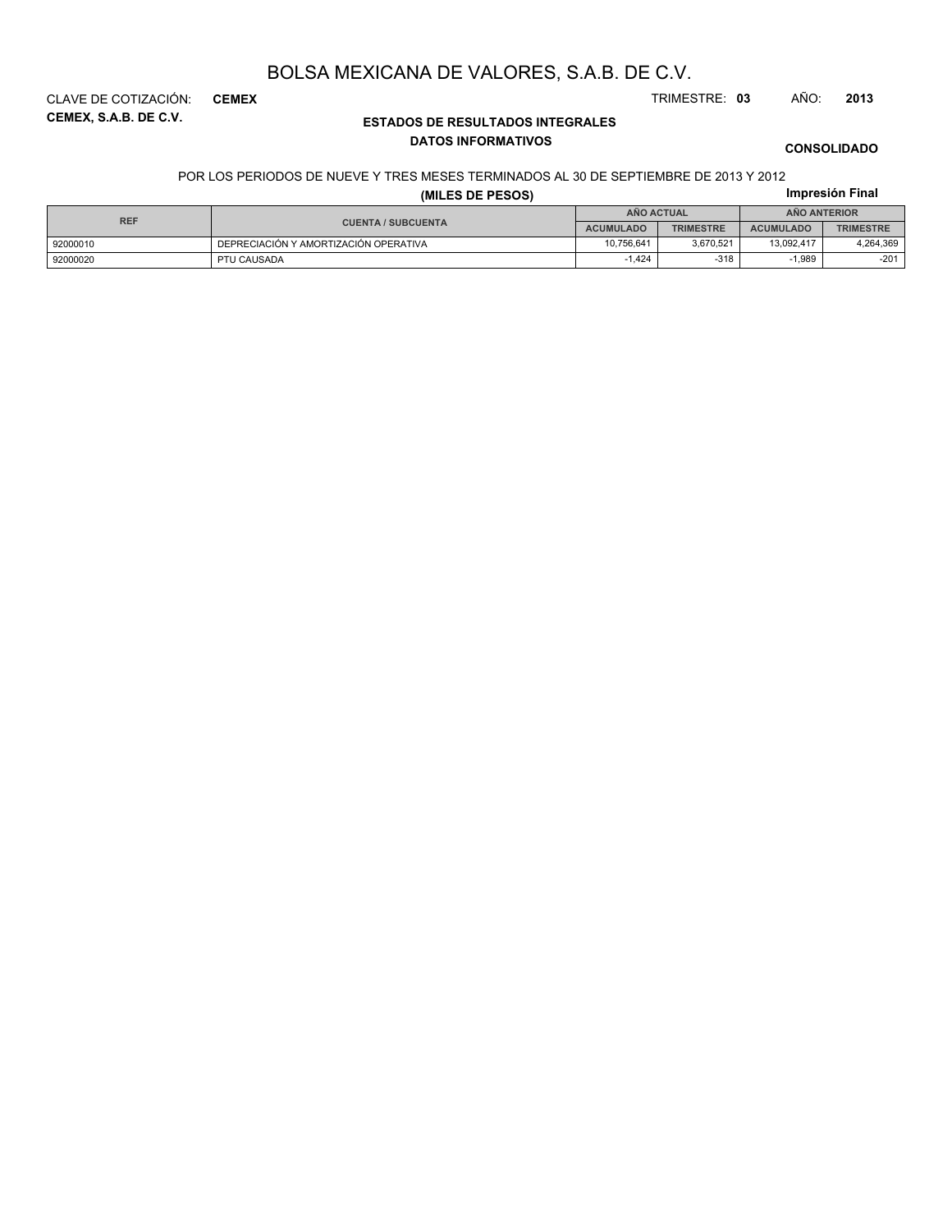**CEMEX, S.A.B. DE C.V.** CLAVE DE COTIZACIÓN: **CEMEX** TRIMESTRE: **03** AÑO: **2013**

### **ESTADOS DE RESULTADOS INTEGRALES DATOS INFORMATIVOS**

**CONSOLIDADO**

**Impresión Final**

### POR LOS PERIODOS DE NUEVE Y TRES MESES TERMINADOS AL 30 DE SEPTIEMBRE DE 2013 Y 2012

### **(MILES DE PESOS)**

| <b>REF</b> |                                       | ANO ACTUAL       |                  | <b>ANO ANTERIOR</b> |                  |  |
|------------|---------------------------------------|------------------|------------------|---------------------|------------------|--|
|            | <b>CUENTA / SUBCUENTA</b>             | <b>ACUMULADO</b> | <b>TRIMESTRE</b> | <b>ACUMULADO</b>    | <b>TRIMESTRE</b> |  |
| 92000010   | DEPRECIACIÓN Y AMORTIZACIÓN OPERATIVA | 10.756.641       | 3.670.521        | 13.092.417          | 4,264,369        |  |
| 92000020   | PTU CAUSADA                           | .424             | $-318$           | 1.989               | $-201$           |  |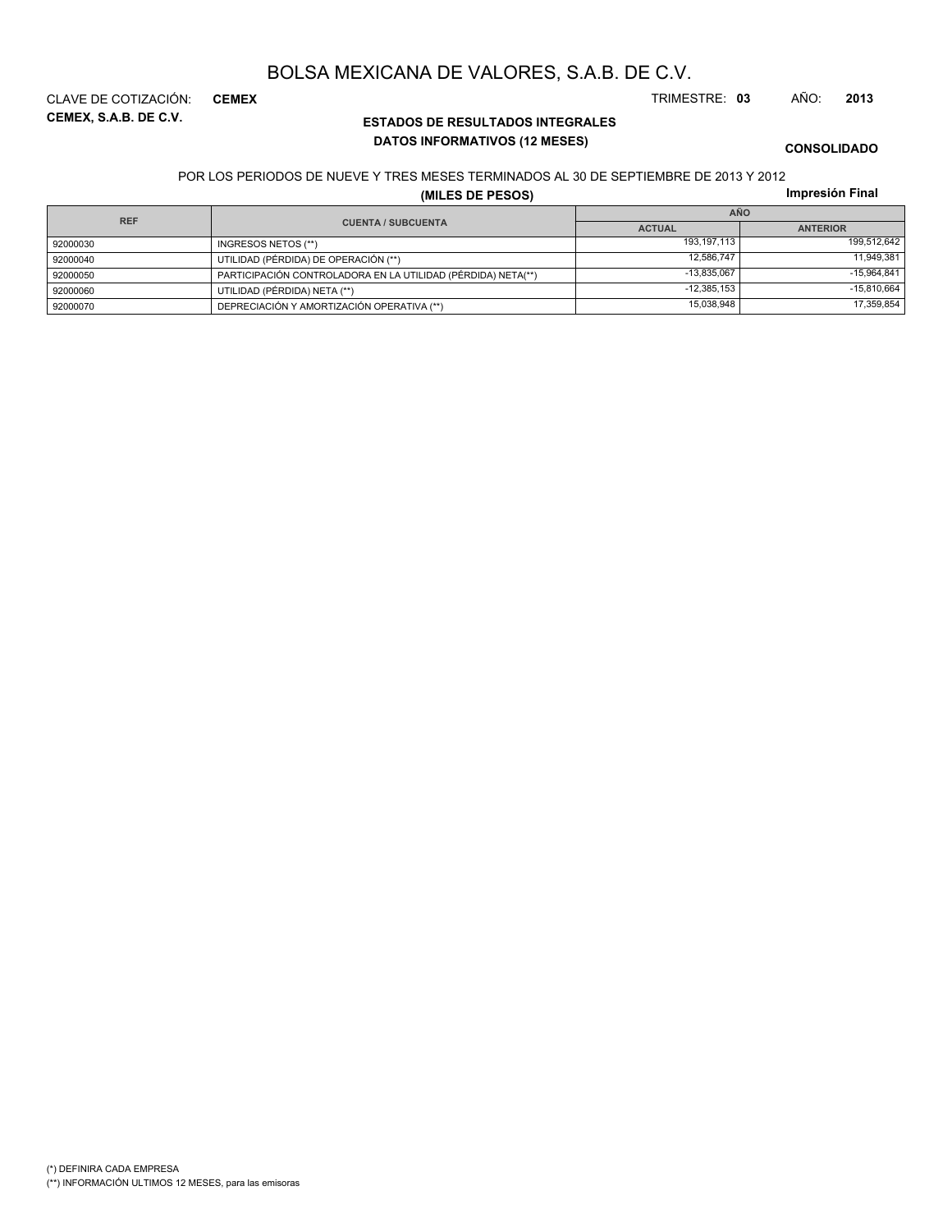**CEMEX, S.A.B. DE C.V.** CLAVE DE COTIZACIÓN: **CEMEX** TRIMESTRE: **03** AÑO: **2013**

### **ESTADOS DE RESULTADOS INTEGRALES DATOS INFORMATIVOS (12 MESES)**

**CONSOLIDADO**

#### POR LOS PERIODOS DE NUEVE Y TRES MESES TERMINADOS AL 30 DE SEPTIEMBRE DE 2013 Y 2012

**(MILES DE PESOS)**

| <b>REF</b> |                                                              | <b>AÑO</b>    |                 |  |  |
|------------|--------------------------------------------------------------|---------------|-----------------|--|--|
|            | <b>CUENTA / SUBCUENTA</b>                                    | <b>ACTUAL</b> | <b>ANTERIOR</b> |  |  |
| 92000030   | INGRESOS NETOS (**)                                          | 193.197.113   | 199,512,642     |  |  |
| 92000040   | UTILIDAD (PÉRDIDA) DE OPERACIÓN (**)                         | 12,586,747    | 11,949,381      |  |  |
| 92000050   | PARTICIPACIÓN CONTROLADORA EN LA UTILIDAD (PÉRDIDA) NETA(**) | $-13.835.067$ | $-15,964,841$   |  |  |
| 92000060   | UTILIDAD (PÉRDIDA) NETA (**)                                 | $-12,385,153$ | $-15,810,664$   |  |  |
| 92000070   | DEPRECIACIÓN Y AMORTIZACIÓN OPERATIVA (**)                   | 15,038,948    | 17,359,854      |  |  |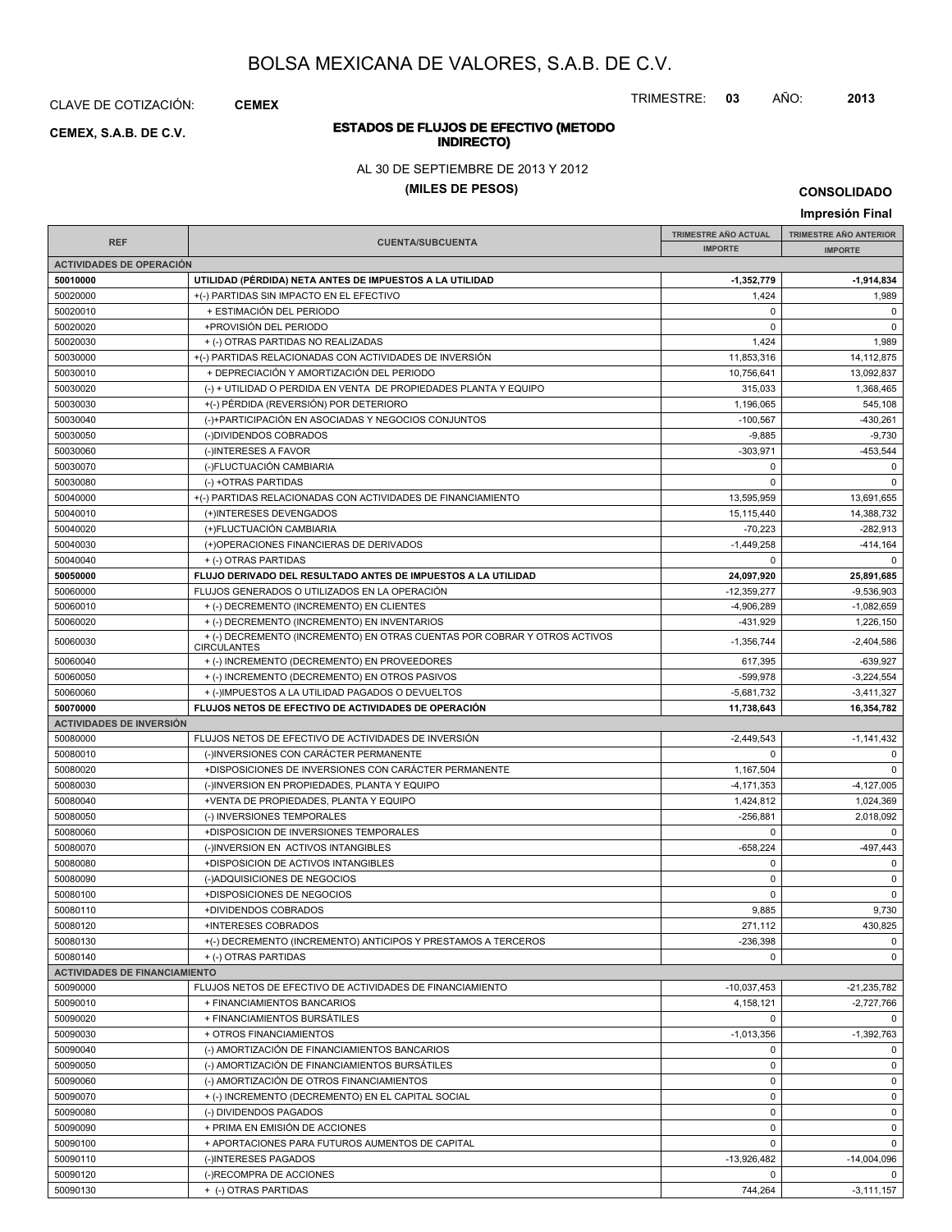**INDIRECTO) CEMEX, S.A.B. DE C.V.**

CLAVE DE COTIZACIÓN: **CEMEX**

TRIMESTRE: **03** AÑO: **2013**

# **ESTADOS DE FLUJOS DE EFECTIVO (METODO**

AL 30 DE SEPTIEMBRE DE 2013 Y 2012

### **(MILES DE PESOS)**

**CONSOLIDADO**

|                                      |                                                                           |                             | Impresión Final               |
|--------------------------------------|---------------------------------------------------------------------------|-----------------------------|-------------------------------|
|                                      |                                                                           | <b>TRIMESTRE AÑO ACTUAL</b> | <b>TRIMESTRE AÑO ANTERIOR</b> |
| <b>REF</b>                           | <b>CUENTA/SUBCUENTA</b>                                                   | <b>IMPORTE</b>              | <b>IMPORTE</b>                |
| <b>ACTIVIDADES DE OPERACIÓN</b>      |                                                                           |                             |                               |
| 50010000                             | UTILIDAD (PÉRDIDA) NETA ANTES DE IMPUESTOS A LA UTILIDAD                  | $-1,352,779$                | $-1,914,834$                  |
| 50020000                             | +(-) PARTIDAS SIN IMPACTO EN EL EFECTIVO                                  | 1,424                       | 1,989                         |
| 50020010                             | + ESTIMACIÓN DEL PERIODO                                                  | $\pmb{0}$                   | 0                             |
| 50020020                             | +PROVISIÓN DEL PERIODO                                                    | $\Omega$                    | $\mathbf 0$                   |
| 50020030                             | + (-) OTRAS PARTIDAS NO REALIZADAS                                        | 1,424                       | 1,989                         |
| 50030000                             | +(-) PARTIDAS RELACIONADAS CON ACTIVIDADES DE INVERSIÓN                   | 11,853,316                  | 14,112,875                    |
| 50030010                             | + DEPRECIACIÓN Y AMORTIZACIÓN DEL PERIODO                                 | 10,756,641                  | 13.092.837                    |
| 50030020                             | (-) + UTILIDAD O PERDIDA EN VENTA DE PROPIEDADES PLANTA Y EQUIPO          | 315,033                     | 1,368,465                     |
| 50030030                             | +(-) PÉRDIDA (REVERSIÓN) POR DETERIORO                                    | 1,196,065                   | 545,108                       |
| 50030040                             | (-)+PARTICIPACIÓN EN ASOCIADAS Y NEGOCIOS CONJUNTOS                       | $-100.567$                  | $-430,261$                    |
| 50030050                             | (-)DIVIDENDOS COBRADOS                                                    | $-9,885$                    | $-9,730$                      |
| 50030060                             | (-)INTERESES A FAVOR                                                      | $-303,971$                  | $-453,544$                    |
| 50030070                             | (-)FLUCTUACIÓN CAMBIARIA                                                  | 0                           | $\mathbf 0$                   |
| 50030080                             | (-) +OTRAS PARTIDAS                                                       | $\Omega$                    | $\mathbf 0$                   |
| 50040000                             | +(-) PARTIDAS RELACIONADAS CON ACTIVIDADES DE FINANCIAMIENTO              | 13,595,959                  | 13,691,655                    |
| 50040010                             | (+)INTERESES DEVENGADOS                                                   | 15,115,440                  | 14,388,732                    |
| 50040020                             | (+)FLUCTUACIÓN CAMBIARIA                                                  | $-70,223$                   | $-282,913$                    |
| 50040030                             | (+)OPERACIONES FINANCIERAS DE DERIVADOS                                   | $-1,449,258$                | -414,164                      |
| 50040040                             | + (-) OTRAS PARTIDAS                                                      | $\Omega$                    | $\Omega$                      |
| 50050000                             | FLUJO DERIVADO DEL RESULTADO ANTES DE IMPUESTOS A LA UTILIDAD             | 24,097,920                  | 25,891,685                    |
| 50060000                             | FLUJOS GENERADOS O UTILIZADOS EN LA OPERACIÓN                             | $-12,359,277$               | $-9,536,903$                  |
| 50060010                             | + (-) DECREMENTO (INCREMENTO) EN CLIENTES                                 | $-4,906,289$                | $-1,082,659$                  |
| 50060020                             | + (-) DECREMENTO (INCREMENTO) EN INVENTARIOS                              | -431,929                    | 1,226,150                     |
|                                      | + (-) DECREMENTO (INCREMENTO) EN OTRAS CUENTAS POR COBRAR Y OTROS ACTIVOS |                             |                               |
| 50060030                             | <b>CIRCULANTES</b>                                                        | $-1,356,744$                | $-2,404,586$                  |
| 50060040                             | + (-) INCREMENTO (DECREMENTO) EN PROVEEDORES                              | 617,395                     | $-639.927$                    |
| 50060050                             | + (-) INCREMENTO (DECREMENTO) EN OTROS PASIVOS                            | -599,978                    | $-3,224,554$                  |
| 50060060                             | + (-)IMPUESTOS A LA UTILIDAD PAGADOS O DEVUELTOS                          | $-5,681,732$                | $-3,411,327$                  |
|                                      |                                                                           |                             |                               |
| 50070000                             | FLUJOS NETOS DE EFECTIVO DE ACTIVIDADES DE OPERACIÓN                      | 11,738,643                  | 16,354,782                    |
| <b>ACTIVIDADES DE INVERSIÓN</b>      |                                                                           |                             |                               |
| 50080000                             | FLUJOS NETOS DE EFECTIVO DE ACTIVIDADES DE INVERSIÓN                      | $-2,449,543$                | $-1,141,432$                  |
| 50080010                             | (-)INVERSIONES CON CARÁCTER PERMANENTE                                    | $\Omega$                    | 0                             |
| 50080020                             | +DISPOSICIONES DE INVERSIONES CON CARÁCTER PERMANENTE                     | 1,167,504                   | $\mathbf 0$                   |
| 50080030                             | (-)INVERSION EN PROPIEDADES, PLANTA Y EQUIPO                              | $-4, 171, 353$              | $-4, 127, 005$                |
| 50080040                             | +VENTA DE PROPIEDADES, PLANTA Y EQUIPO                                    | 1,424,812                   | 1,024,369                     |
| 50080050                             | (-) INVERSIONES TEMPORALES                                                | $-256,881$                  | 2,018,092                     |
| 50080060                             | +DISPOSICION DE INVERSIONES TEMPORALES                                    | $\mathbf 0$                 | $\mathbf 0$                   |
| 50080070                             | (-)INVERSION EN ACTIVOS INTANGIBLES                                       | $-658,224$                  | $-497,443$                    |
| 50080080                             | +DISPOSICION DE ACTIVOS INTANGIBLES                                       | $\pmb{0}$                   | $\mathbf 0$                   |
| 50080090                             | (-)ADQUISICIONES DE NEGOCIOS                                              | $\Omega$                    | $\mathbf 0$                   |
| 50080100                             | +DISPOSICIONES DE NEGOCIOS                                                | 0                           | $\mathbf 0$                   |
| 50080110                             | +DIVIDENDOS COBRADOS                                                      | 9,885                       | 9,730                         |
| 50080120                             | +INTERESES COBRADOS                                                       | 271,112                     | 430,825                       |
| 50080130                             | +(-) DECREMENTO (INCREMENTO) ANTICIPOS Y PRESTAMOS A TERCEROS             | $-236,398$                  | $\mathbf 0$                   |
| 50080140                             | + (-) OTRAS PARTIDAS                                                      | $\mathbf 0$                 | $\mathbf 0$                   |
| <b>ACTIVIDADES DE FINANCIAMIENTO</b> |                                                                           |                             |                               |
| 50090000                             | FLUJOS NETOS DE EFECTIVO DE ACTIVIDADES DE FINANCIAMIENTO                 | $-10,037,453$               | $-21,235,782$                 |
| 50090010                             | + FINANCIAMIENTOS BANCARIOS                                               | 4,158,121                   | $-2,727,766$                  |
| 50090020                             | + FINANCIAMIENTOS BURSÁTILES                                              | 0                           | $\mathbf 0$                   |
| 50090030                             | + OTROS FINANCIAMIENTOS                                                   | $-1,013,356$                | $-1,392,763$                  |
| 50090040                             | (-) AMORTIZACIÓN DE FINANCIAMIENTOS BANCARIOS                             | 0                           | $\mathbf 0$                   |
| 50090050                             | (-) AMORTIZACIÓN DE FINANCIAMIENTOS BURSÁTILES                            | 0                           | $\mathbf 0$                   |
| 50090060                             | (-) AMORTIZACIÓN DE OTROS FINANCIAMIENTOS                                 | 0                           | $\mathbf 0$                   |
| 50090070                             | + (-) INCREMENTO (DECREMENTO) EN EL CAPITAL SOCIAL                        | 0                           | $\mathbf 0$                   |
| 50090080                             | (-) DIVIDENDOS PAGADOS                                                    | $\mathbf 0$                 | $\mathbf 0$                   |
| 50090090                             | + PRIMA EN EMISIÓN DE ACCIONES                                            | 0                           | $\mathbf 0$                   |
| 50090100                             | + APORTACIONES PARA FUTUROS AUMENTOS DE CAPITAL                           | $\mathbf 0$                 | $\mathbf 0$                   |
| 50090110                             | (-)INTERESES PAGADOS                                                      | $-13,926,482$               | $-14,004,096$                 |
| 50090120                             | (-)RECOMPRA DE ACCIONES                                                   | 0                           | 0                             |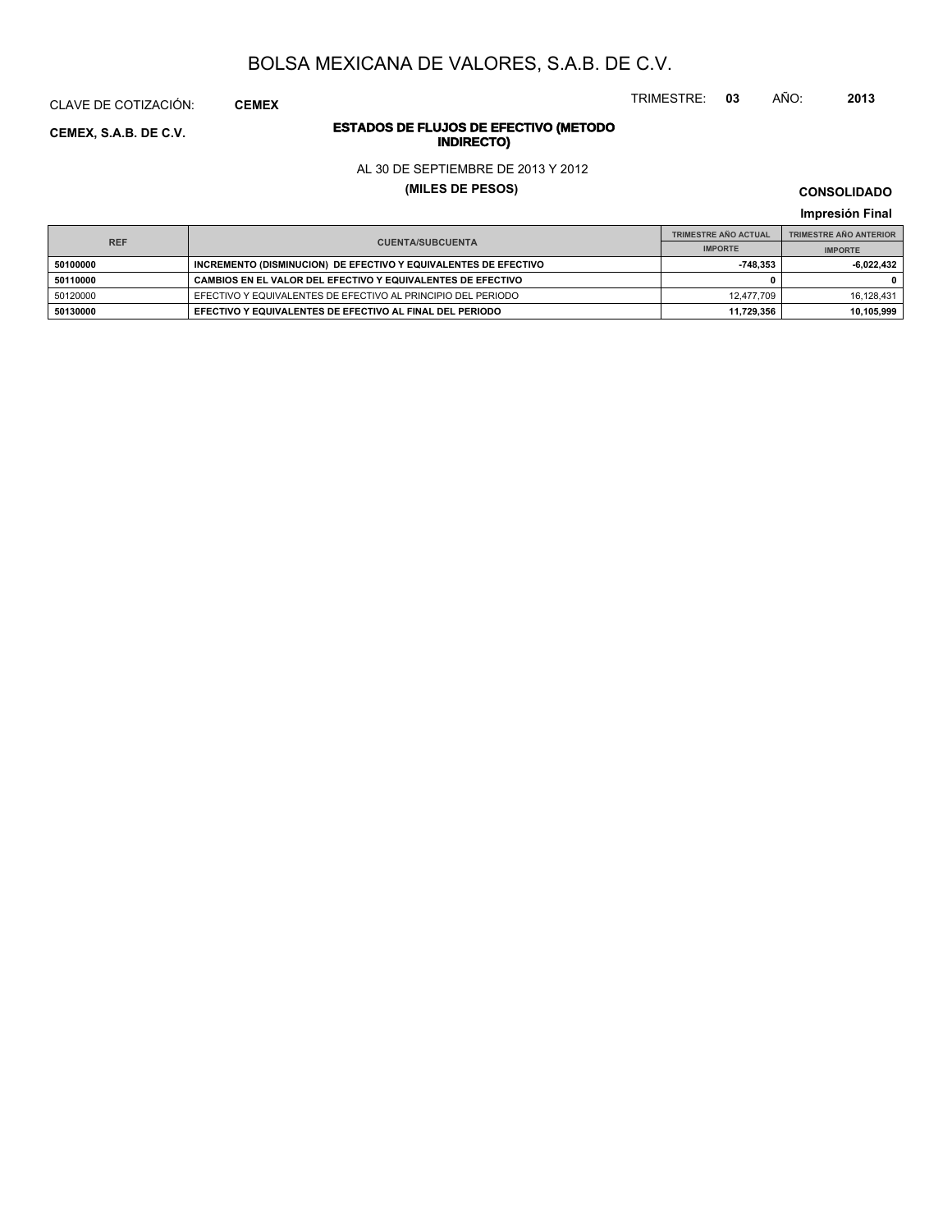TRIMESTRE: **03** AÑO: **2013**

# **ESTADOS DE FLUJOS DE EFECTIVO (METODO**

AL 30 DE SEPTIEMBRE DE 2013 Y 2012

**(MILES DE PESOS)**

**CONSOLIDADO Impresión Final**

|          | <b>REF</b><br><b>CUENTA/SUBCUENTA</b>                           |            | <b>TRIMESTRE AÑO ANTERIOR</b> |
|----------|-----------------------------------------------------------------|------------|-------------------------------|
|          |                                                                 |            | <b>IMPORTE</b>                |
| 50100000 | INCREMENTO (DISMINUCION) DE EFECTIVO Y EQUIVALENTES DE EFECTIVO | 748.353    | -6.022.432                    |
| 50110000 | CAMBIOS EN EL VALOR DEL EFECTIVO Y EQUIVALENTES DE EFECTIVO     |            | 0                             |
| 50120000 | EFECTIVO Y EQUIVALENTES DE EFECTIVO AL PRINCIPIO DEL PERIODO    | 12.477.709 | 16.128.431                    |
| 50130000 | EFECTIVO Y EQUIVALENTES DE EFECTIVO AL FINAL DEL PERIODO        | 11.729.356 | 10.105.999                    |

**INDIRECTO) CEMEX, S.A.B. DE C.V.**

CLAVE DE COTIZACIÓN: **CEMEX**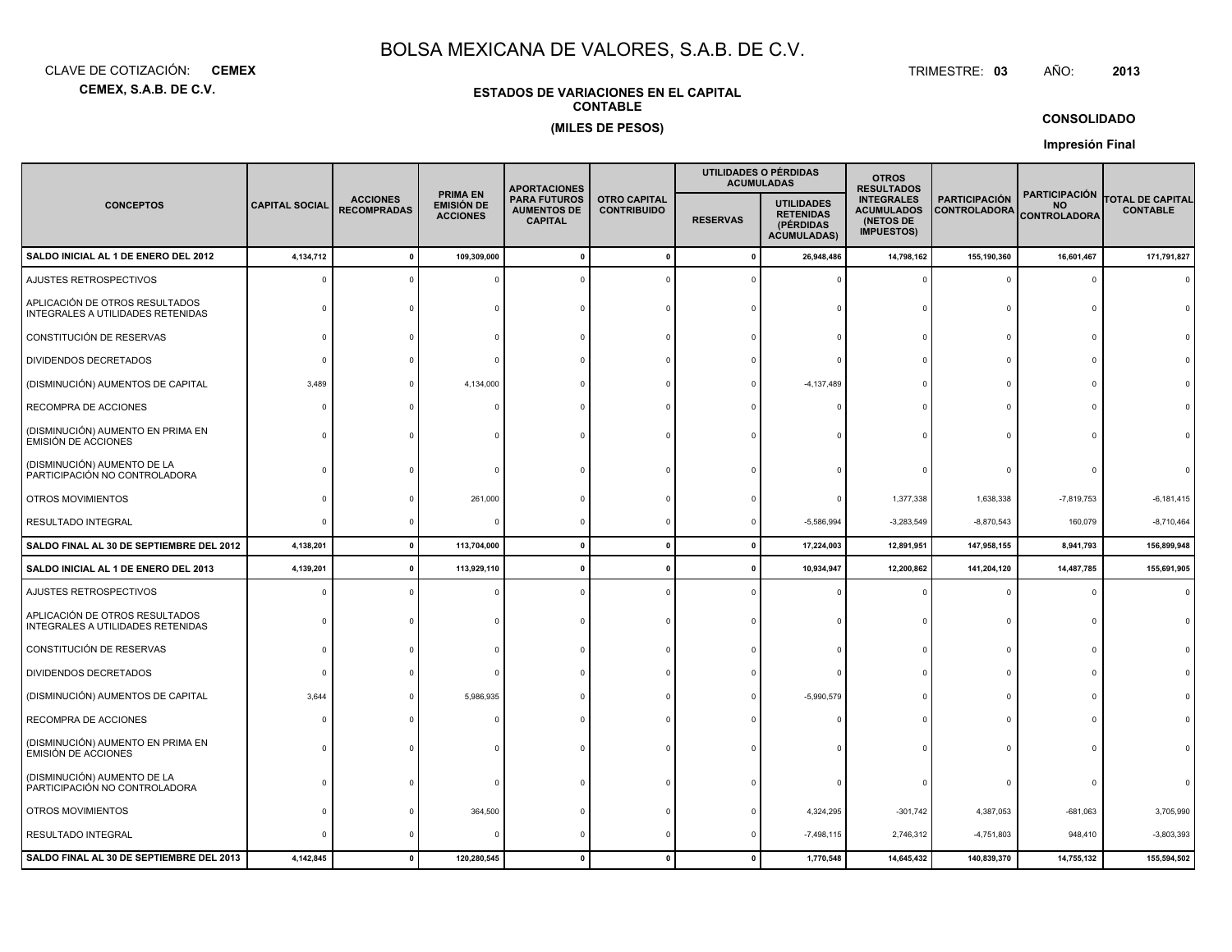**CEMEX, S.A.B. DE C.V.**CLAVE DE COTIZACIÓN:**CEMEX**: **CEMEX** TRIMESTRE:

#### TRIMESTRE: 03 AÑO: **<sup>2013</sup>**

### **ESTADOS DE VARIACIONES EN EL CAPITALCONTABLE(MILES DE PESOS)**

### **CONSOLIDADO**

**Impresión Final**

|                                                                     |                       |                                       |                                                  | <b>APORTACIONES</b>                                         |                                           |                 | UTILIDADES O PÉRDIDAS<br><b>ACUMULADAS</b>                               | <b>OTROS</b><br><b>RESULTADOS</b>                                        |                                             |                                                          |                                            |
|---------------------------------------------------------------------|-----------------------|---------------------------------------|--------------------------------------------------|-------------------------------------------------------------|-------------------------------------------|-----------------|--------------------------------------------------------------------------|--------------------------------------------------------------------------|---------------------------------------------|----------------------------------------------------------|--------------------------------------------|
| <b>CONCEPTOS</b>                                                    | <b>CAPITAL SOCIAL</b> | <b>ACCIONES</b><br><b>RECOMPRADAS</b> | <b>PRIMA EN</b><br>EMISIÓN DE<br><b>ACCIONES</b> | <b>PARA FUTUROS</b><br><b>AUMENTOS DE</b><br><b>CAPITAL</b> | <b>OTRO CAPITAL</b><br><b>CONTRIBUIDO</b> | <b>RESERVAS</b> | <b>UTILIDADES</b><br><b>RETENIDAS</b><br>(PÉRDIDAS<br><b>ACUMULADAS)</b> | <b>INTEGRALES</b><br><b>ACUMULADOS</b><br>(NETOS DE<br><b>IMPUESTOS)</b> | <b>PARTICIPACIÓN</b><br><b>CONTROLADORA</b> | <b>PARTICIPACIÓN</b><br><b>NO</b><br><b>CONTROLADORA</b> | <b>TOTAL DE CAPITAL</b><br><b>CONTABLE</b> |
| SALDO INICIAL AL 1 DE ENERO DEL 2012                                | 4,134,712             |                                       | 109,309,000                                      |                                                             | $\mathbf 0$                               | 0               | 26,948,486                                                               | 14,798,162                                                               | 155,190,360                                 | 16,601,467                                               | 171,791,827                                |
| AJUSTES RETROSPECTIVOS                                              | ſ                     |                                       |                                                  |                                                             |                                           |                 |                                                                          |                                                                          | $\mathbf 0$                                 | $\Omega$                                                 |                                            |
| APLICACIÓN DE OTROS RESULTADOS<br>INTEGRALES A UTILIDADES RETENIDAS |                       |                                       |                                                  |                                                             |                                           |                 |                                                                          |                                                                          | 0                                           |                                                          |                                            |
| CONSTITUCIÓN DE RESERVAS                                            |                       |                                       |                                                  |                                                             |                                           |                 |                                                                          |                                                                          | $\Omega$                                    |                                                          |                                            |
| <b>DIVIDENDOS DECRETADOS</b>                                        |                       |                                       |                                                  |                                                             |                                           |                 |                                                                          |                                                                          | $\Omega$                                    |                                                          |                                            |
| (DISMINUCIÓN) AUMENTOS DE CAPITAL                                   | 3,489                 |                                       | 4,134,000                                        |                                                             |                                           |                 | $-4, 137, 489$                                                           |                                                                          | $\Omega$                                    |                                                          |                                            |
| RECOMPRA DE ACCIONES                                                |                       |                                       |                                                  |                                                             |                                           |                 |                                                                          |                                                                          | $\Omega$                                    |                                                          |                                            |
| (DISMINUCIÓN) AUMENTO EN PRIMA EN<br>EMISIÓN DE ACCIONES            |                       |                                       |                                                  |                                                             |                                           |                 |                                                                          |                                                                          | $\Omega$                                    |                                                          |                                            |
| (DISMINUCIÓN) AUMENTO DE LA<br>PARTICIPACIÓN NO CONTROLADORA        |                       |                                       |                                                  |                                                             |                                           |                 |                                                                          |                                                                          |                                             |                                                          |                                            |
| OTROS MOVIMIENTOS                                                   |                       |                                       | 261,000                                          |                                                             |                                           |                 |                                                                          | 1,377,338                                                                | 1,638,338                                   | $-7,819,753$                                             | $-6, 181, 415$                             |
| RESULTADO INTEGRAL                                                  | $\Omega$              |                                       |                                                  |                                                             |                                           |                 | $-5,586,994$                                                             | $-3,283,549$                                                             | $-8,870,543$                                | 160,079                                                  | $-8,710,464$                               |
| SALDO FINAL AL 30 DE SEPTIEMBRE DEL 2012                            | 4,138,201             | 0                                     | 113,704,000                                      | $\sqrt{2}$                                                  | $\mathbf 0$                               | $\mathbf{0}$    | 17,224,003                                                               | 12,891,951                                                               | 147,958,155                                 | 8,941,793                                                | 156,899,948                                |
| SALDO INICIAL AL 1 DE ENERO DEL 2013                                | 4,139,201             |                                       | 113,929,110                                      |                                                             | $\mathbf{0}$                              |                 | 10,934,947                                                               | 12,200,862                                                               | 141,204,120                                 | 14,487,785                                               | 155,691,905                                |
| AJUSTES RETROSPECTIVOS                                              |                       |                                       |                                                  |                                                             |                                           |                 |                                                                          |                                                                          | $\Omega$                                    | $\Omega$                                                 |                                            |
| APLICACIÓN DE OTROS RESULTADOS<br>INTEGRALES A UTILIDADES RETENIDAS |                       |                                       |                                                  |                                                             |                                           |                 |                                                                          |                                                                          | $\Omega$                                    | n                                                        |                                            |
| CONSTITUCIÓN DE RESERVAS                                            |                       |                                       |                                                  |                                                             |                                           |                 |                                                                          |                                                                          | $\Omega$                                    |                                                          |                                            |
| DIVIDENDOS DECRETADOS                                               |                       |                                       |                                                  |                                                             |                                           |                 |                                                                          |                                                                          | $\Omega$                                    |                                                          |                                            |
| (DISMINUCIÓN) AUMENTOS DE CAPITAL                                   | 3,644                 |                                       | 5,986,935                                        |                                                             |                                           |                 | $-5,990,579$                                                             |                                                                          | $\Omega$                                    |                                                          |                                            |
| RECOMPRA DE ACCIONES                                                |                       |                                       |                                                  |                                                             |                                           |                 |                                                                          |                                                                          | $\Omega$                                    |                                                          |                                            |
| (DISMINUCIÓN) AUMENTO EN PRIMA EN<br><b>EMISIÓN DE ACCIONES</b>     |                       |                                       |                                                  |                                                             |                                           |                 |                                                                          |                                                                          |                                             |                                                          |                                            |
| (DISMINUCIÓN) AUMENTO DE LA<br>PARTICIPACIÓN NO CONTROLADORA        |                       |                                       |                                                  |                                                             |                                           |                 |                                                                          |                                                                          | $\Omega$                                    |                                                          |                                            |
| OTROS MOVIMIENTOS                                                   |                       |                                       | 364,500                                          |                                                             |                                           |                 | 4,324,295                                                                | $-301,742$                                                               | 4,387,053                                   | $-681,063$                                               | 3,705,990                                  |
| <b>RESULTADO INTEGRAL</b>                                           |                       |                                       |                                                  |                                                             |                                           |                 | $-7,498,115$                                                             | 2,746,312                                                                | $-4,751,803$                                | 948,410                                                  | $-3,803,393$                               |
| SALDO FINAL AL 30 DE SEPTIEMBRE DEL 2013                            | 4,142,845             |                                       | 120,280,545                                      |                                                             | $\Omega$                                  |                 | 1,770,548                                                                | 14,645,432                                                               | 140,839,370                                 | 14,755,132                                               | 155,594,502                                |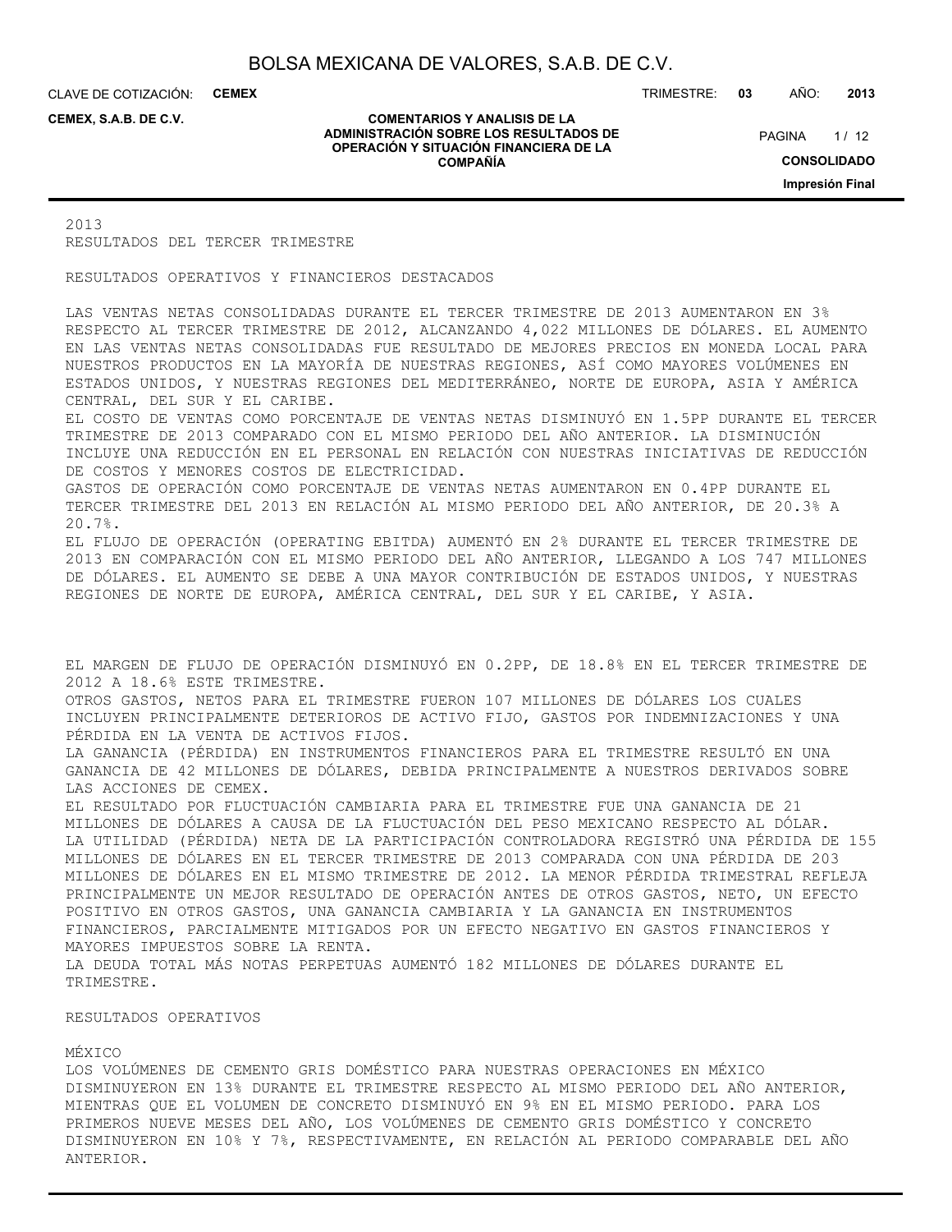CLAVE DE COTIZACIÓN: **CEMEX**

**CEMEX, S.A.B. DE C.V.**

#### **COMENTARIOS Y ANALISIS DE LA ADMINISTRACIÓN SOBRE LOS RESULTADOS DE OPERACIÓN Y SITUACIÓN FINANCIERA DE LA COMPAÑÍA**

TRIMESTRE: **03** AÑO: **2013**

 $1/12$ **CONSOLIDADO Impresión Final PAGINA** 

2013 RESULTADOS DEL TERCER TRIMESTRE

RESULTADOS OPERATIVOS Y FINANCIEROS DESTACADOS

LAS VENTAS NETAS CONSOLIDADAS DURANTE EL TERCER TRIMESTRE DE 2013 AUMENTARON EN 3% RESPECTO AL TERCER TRIMESTRE DE 2012, ALCANZANDO 4,022 MILLONES DE DÓLARES. EL AUMENTO EN LAS VENTAS NETAS CONSOLIDADAS FUE RESULTADO DE MEJORES PRECIOS EN MONEDA LOCAL PARA NUESTROS PRODUCTOS EN LA MAYORÍA DE NUESTRAS REGIONES, ASÍ COMO MAYORES VOLÚMENES EN ESTADOS UNIDOS, Y NUESTRAS REGIONES DEL MEDITERRÁNEO, NORTE DE EUROPA, ASIA Y AMÉRICA CENTRAL, DEL SUR Y EL CARIBE.

EL COSTO DE VENTAS COMO PORCENTAJE DE VENTAS NETAS DISMINUYÓ EN 1.5PP DURANTE EL TERCER TRIMESTRE DE 2013 COMPARADO CON EL MISMO PERIODO DEL AÑO ANTERIOR. LA DISMINUCIÓN INCLUYE UNA REDUCCIÓN EN EL PERSONAL EN RELACIÓN CON NUESTRAS INICIATIVAS DE REDUCCIÓN DE COSTOS Y MENORES COSTOS DE ELECTRICIDAD.

GASTOS DE OPERACIÓN COMO PORCENTAJE DE VENTAS NETAS AUMENTARON EN 0.4PP DURANTE EL TERCER TRIMESTRE DEL 2013 EN RELACIÓN AL MISMO PERIODO DEL AÑO ANTERIOR, DE 20.3% A 20.7%.

EL FLUJO DE OPERACIÓN (OPERATING EBITDA) AUMENTÓ EN 2% DURANTE EL TERCER TRIMESTRE DE 2013 EN COMPARACIÓN CON EL MISMO PERIODO DEL AÑO ANTERIOR, LLEGANDO A LOS 747 MILLONES DE DÓLARES. EL AUMENTO SE DEBE A UNA MAYOR CONTRIBUCIÓN DE ESTADOS UNIDOS, Y NUESTRAS REGIONES DE NORTE DE EUROPA, AMÉRICA CENTRAL, DEL SUR Y EL CARIBE, Y ASIA.

EL MARGEN DE FLUJO DE OPERACIÓN DISMINUYÓ EN 0.2PP, DE 18.8% EN EL TERCER TRIMESTRE DE 2012 A 18.6% ESTE TRIMESTRE.

OTROS GASTOS, NETOS PARA EL TRIMESTRE FUERON 107 MILLONES DE DÓLARES LOS CUALES INCLUYEN PRINCIPALMENTE DETERIOROS DE ACTIVO FIJO, GASTOS POR INDEMNIZACIONES Y UNA PÉRDIDA EN LA VENTA DE ACTIVOS FIJOS.

LA GANANCIA (PÉRDIDA) EN INSTRUMENTOS FINANCIEROS PARA EL TRIMESTRE RESULTÓ EN UNA GANANCIA DE 42 MILLONES DE DÓLARES, DEBIDA PRINCIPALMENTE A NUESTROS DERIVADOS SOBRE LAS ACCIONES DE CEMEX.

EL RESULTADO POR FLUCTUACIÓN CAMBIARIA PARA EL TRIMESTRE FUE UNA GANANCIA DE 21 MILLONES DE DÓLARES A CAUSA DE LA FLUCTUACIÓN DEL PESO MEXICANO RESPECTO AL DÓLAR. LA UTILIDAD (PÉRDIDA) NETA DE LA PARTICIPACIÓN CONTROLADORA REGISTRÓ UNA PÉRDIDA DE 155 MILLONES DE DÓLARES EN EL TERCER TRIMESTRE DE 2013 COMPARADA CON UNA PÉRDIDA DE 203 MILLONES DE DÓLARES EN EL MISMO TRIMESTRE DE 2012. LA MENOR PÉRDIDA TRIMESTRAL REFLEJA PRINCIPALMENTE UN MEJOR RESULTADO DE OPERACIÓN ANTES DE OTROS GASTOS, NETO, UN EFECTO POSITIVO EN OTROS GASTOS, UNA GANANCIA CAMBIARIA Y LA GANANCIA EN INSTRUMENTOS FINANCIEROS, PARCIALMENTE MITIGADOS POR UN EFECTO NEGATIVO EN GASTOS FINANCIEROS Y MAYORES IMPUESTOS SOBRE LA RENTA. LA DEUDA TOTAL MÁS NOTAS PERPETUAS AUMENTÓ 182 MILLONES DE DÓLARES DURANTE EL

#### RESULTADOS OPERATIVOS

#### MÉXICO

TRIMESTRE.

LOS VOLÚMENES DE CEMENTO GRIS DOMÉSTICO PARA NUESTRAS OPERACIONES EN MÉXICO DISMINUYERON EN 13% DURANTE EL TRIMESTRE RESPECTO AL MISMO PERIODO DEL AÑO ANTERIOR, MIENTRAS QUE EL VOLUMEN DE CONCRETO DISMINUYÓ EN 9% EN EL MISMO PERIODO. PARA LOS PRIMEROS NUEVE MESES DEL AÑO, LOS VOLÚMENES DE CEMENTO GRIS DOMÉSTICO Y CONCRETO DISMINUYERON EN 10% Y 7%, RESPECTIVAMENTE, EN RELACIÓN AL PERIODO COMPARABLE DEL AÑO ANTERIOR.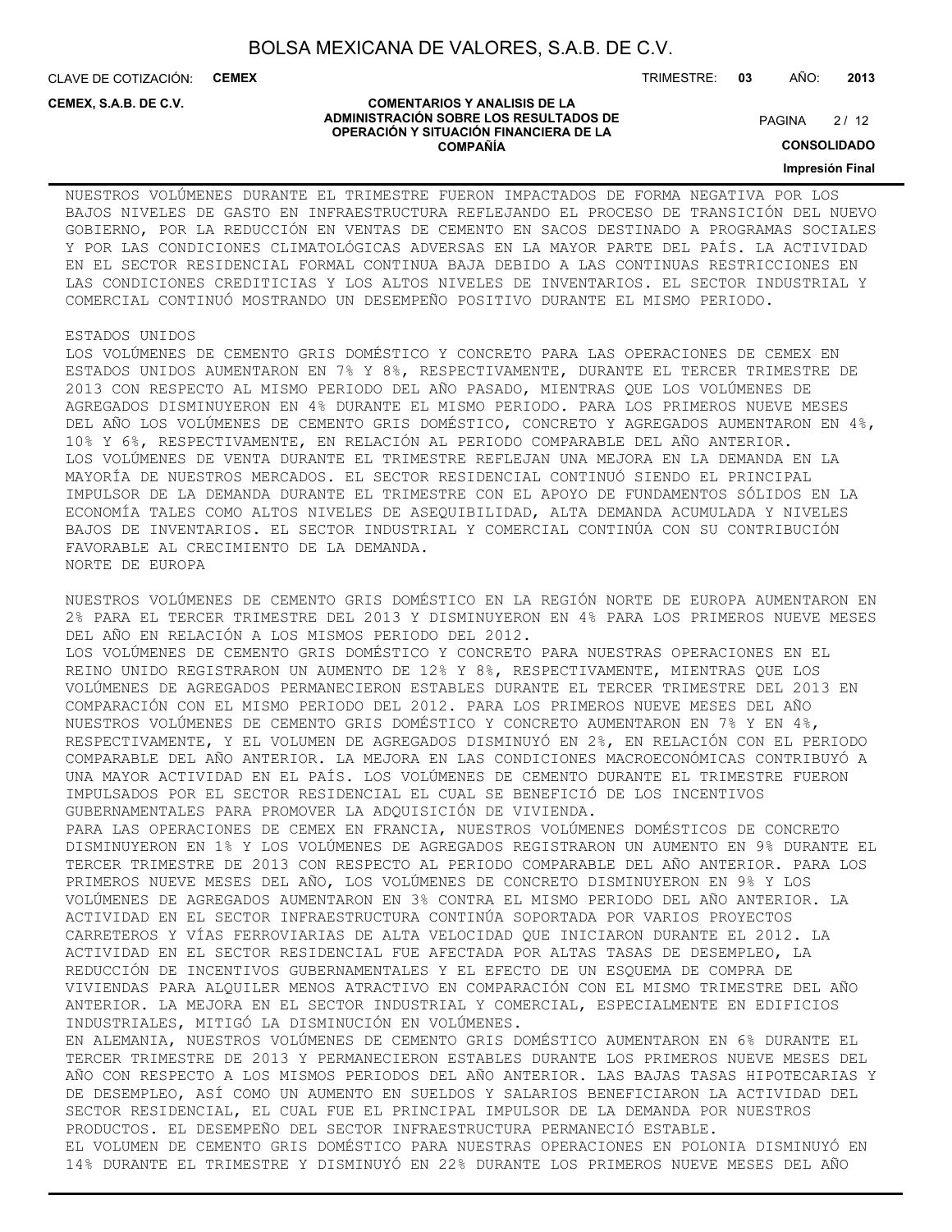CLAVE DE COTIZACIÓN: **CEMEX** TRIMESTRE: **03** AÑO: **2013**

**CEMEX, S.A.B. DE C.V.**

#### **COMENTARIOS Y ANALISIS DE LA ADMINISTRACIÓN SOBRE LOS RESULTADOS DE OPERACIÓN Y SITUACIÓN FINANCIERA DE LA COMPAÑÍA**

 $2/12$ **PAGINA** 

**CONSOLIDADO**

**Impresión Final**

NUESTROS VOLÚMENES DURANTE EL TRIMESTRE FUERON IMPACTADOS DE FORMA NEGATIVA POR LOS BAJOS NIVELES DE GASTO EN INFRAESTRUCTURA REFLEJANDO EL PROCESO DE TRANSICIÓN DEL NUEVO GOBIERNO, POR LA REDUCCIÓN EN VENTAS DE CEMENTO EN SACOS DESTINADO A PROGRAMAS SOCIALES Y POR LAS CONDICIONES CLIMATOLÓGICAS ADVERSAS EN LA MAYOR PARTE DEL PAÍS. LA ACTIVIDAD EN EL SECTOR RESIDENCIAL FORMAL CONTINUA BAJA DEBIDO A LAS CONTINUAS RESTRICCIONES EN LAS CONDICIONES CREDITICIAS Y LOS ALTOS NIVELES DE INVENTARIOS. EL SECTOR INDUSTRIAL Y COMERCIAL CONTINUÓ MOSTRANDO UN DESEMPEÑO POSITIVO DURANTE EL MISMO PERIODO.

#### ESTADOS UNIDOS

LOS VOLÚMENES DE CEMENTO GRIS DOMÉSTICO Y CONCRETO PARA LAS OPERACIONES DE CEMEX EN ESTADOS UNIDOS AUMENTARON EN 7% Y 8%, RESPECTIVAMENTE, DURANTE EL TERCER TRIMESTRE DE 2013 CON RESPECTO AL MISMO PERIODO DEL AÑO PASADO, MIENTRAS QUE LOS VOLÚMENES DE AGREGADOS DISMINUYERON EN 4% DURANTE EL MISMO PERIODO. PARA LOS PRIMEROS NUEVE MESES DEL AÑO LOS VOLÚMENES DE CEMENTO GRIS DOMÉSTICO, CONCRETO Y AGREGADOS AUMENTARON EN 4%, 10% Y 6%, RESPECTIVAMENTE, EN RELACIÓN AL PERIODO COMPARABLE DEL AÑO ANTERIOR. LOS VOLÚMENES DE VENTA DURANTE EL TRIMESTRE REFLEJAN UNA MEJORA EN LA DEMANDA EN LA MAYORÍA DE NUESTROS MERCADOS. EL SECTOR RESIDENCIAL CONTINUÓ SIENDO EL PRINCIPAL IMPULSOR DE LA DEMANDA DURANTE EL TRIMESTRE CON EL APOYO DE FUNDAMENTOS SÓLIDOS EN LA ECONOMÍA TALES COMO ALTOS NIVELES DE ASEQUIBILIDAD, ALTA DEMANDA ACUMULADA Y NIVELES BAJOS DE INVENTARIOS. EL SECTOR INDUSTRIAL Y COMERCIAL CONTINÚA CON SU CONTRIBUCIÓN FAVORABLE AL CRECIMIENTO DE LA DEMANDA. NORTE DE EUROPA

NUESTROS VOLÚMENES DE CEMENTO GRIS DOMÉSTICO EN LA REGIÓN NORTE DE EUROPA AUMENTARON EN 2% PARA EL TERCER TRIMESTRE DEL 2013 Y DISMINUYERON EN 4% PARA LOS PRIMEROS NUEVE MESES DEL AÑO EN RELACIÓN A LOS MISMOS PERIODO DEL 2012. LOS VOLÚMENES DE CEMENTO GRIS DOMÉSTICO Y CONCRETO PARA NUESTRAS OPERACIONES EN EL REINO UNIDO REGISTRARON UN AUMENTO DE 12% Y 8%, RESPECTIVAMENTE, MIENTRAS QUE LOS VOLÚMENES DE AGREGADOS PERMANECIERON ESTABLES DURANTE EL TERCER TRIMESTRE DEL 2013 EN COMPARACIÓN CON EL MISMO PERIODO DEL 2012. PARA LOS PRIMEROS NUEVE MESES DEL AÑO NUESTROS VOLÚMENES DE CEMENTO GRIS DOMÉSTICO Y CONCRETO AUMENTARON EN 7% Y EN 4%, RESPECTIVAMENTE, Y EL VOLUMEN DE AGREGADOS DISMINUYÓ EN 2%, EN RELACIÓN CON EL PERIODO COMPARABLE DEL AÑO ANTERIOR. LA MEJORA EN LAS CONDICIONES MACROECONÓMICAS CONTRIBUYÓ A UNA MAYOR ACTIVIDAD EN EL PAÍS. LOS VOLÚMENES DE CEMENTO DURANTE EL TRIMESTRE FUERON IMPULSADOS POR EL SECTOR RESIDENCIAL EL CUAL SE BENEFICIÓ DE LOS INCENTIVOS GUBERNAMENTALES PARA PROMOVER LA ADQUISICIÓN DE VIVIENDA. PARA LAS OPERACIONES DE CEMEX EN FRANCIA, NUESTROS VOLÚMENES DOMÉSTICOS DE CONCRETO DISMINUYERON EN 1% Y LOS VOLÚMENES DE AGREGADOS REGISTRARON UN AUMENTO EN 9% DURANTE EL TERCER TRIMESTRE DE 2013 CON RESPECTO AL PERIODO COMPARABLE DEL AÑO ANTERIOR. PARA LOS PRIMEROS NUEVE MESES DEL AÑO, LOS VOLÚMENES DE CONCRETO DISMINUYERON EN 9% Y LOS VOLÚMENES DE AGREGADOS AUMENTARON EN 3% CONTRA EL MISMO PERIODO DEL AÑO ANTERIOR. LA ACTIVIDAD EN EL SECTOR INFRAESTRUCTURA CONTINÚA SOPORTADA POR VARIOS PROYECTOS CARRETEROS Y VÍAS FERROVIARIAS DE ALTA VELOCIDAD QUE INICIARON DURANTE EL 2012. LA ACTIVIDAD EN EL SECTOR RESIDENCIAL FUE AFECTADA POR ALTAS TASAS DE DESEMPLEO, LA REDUCCIÓN DE INCENTIVOS GUBERNAMENTALES Y EL EFECTO DE UN ESQUEMA DE COMPRA DE VIVIENDAS PARA ALQUILER MENOS ATRACTIVO EN COMPARACIÓN CON EL MISMO TRIMESTRE DEL AÑO ANTERIOR. LA MEJORA EN EL SECTOR INDUSTRIAL Y COMERCIAL, ESPECIALMENTE EN EDIFICIOS INDUSTRIALES, MITIGÓ LA DISMINUCIÓN EN VOLÚMENES. EN ALEMANIA, NUESTROS VOLÚMENES DE CEMENTO GRIS DOMÉSTICO AUMENTARON EN 6% DURANTE EL TERCER TRIMESTRE DE 2013 Y PERMANECIERON ESTABLES DURANTE LOS PRIMEROS NUEVE MESES DEL AÑO CON RESPECTO A LOS MISMOS PERIODOS DEL AÑO ANTERIOR. LAS BAJAS TASAS HIPOTECARIAS Y DE DESEMPLEO, ASÍ COMO UN AUMENTO EN SUELDOS Y SALARIOS BENEFICIARON LA ACTIVIDAD DEL SECTOR RESIDENCIAL, EL CUAL FUE EL PRINCIPAL IMPULSOR DE LA DEMANDA POR NUESTROS PRODUCTOS. EL DESEMPEÑO DEL SECTOR INFRAESTRUCTURA PERMANECIÓ ESTABLE. EL VOLUMEN DE CEMENTO GRIS DOMÉSTICO PARA NUESTRAS OPERACIONES EN POLONIA DISMINUYÓ EN 14% DURANTE EL TRIMESTRE Y DISMINUYÓ EN 22% DURANTE LOS PRIMEROS NUEVE MESES DEL AÑO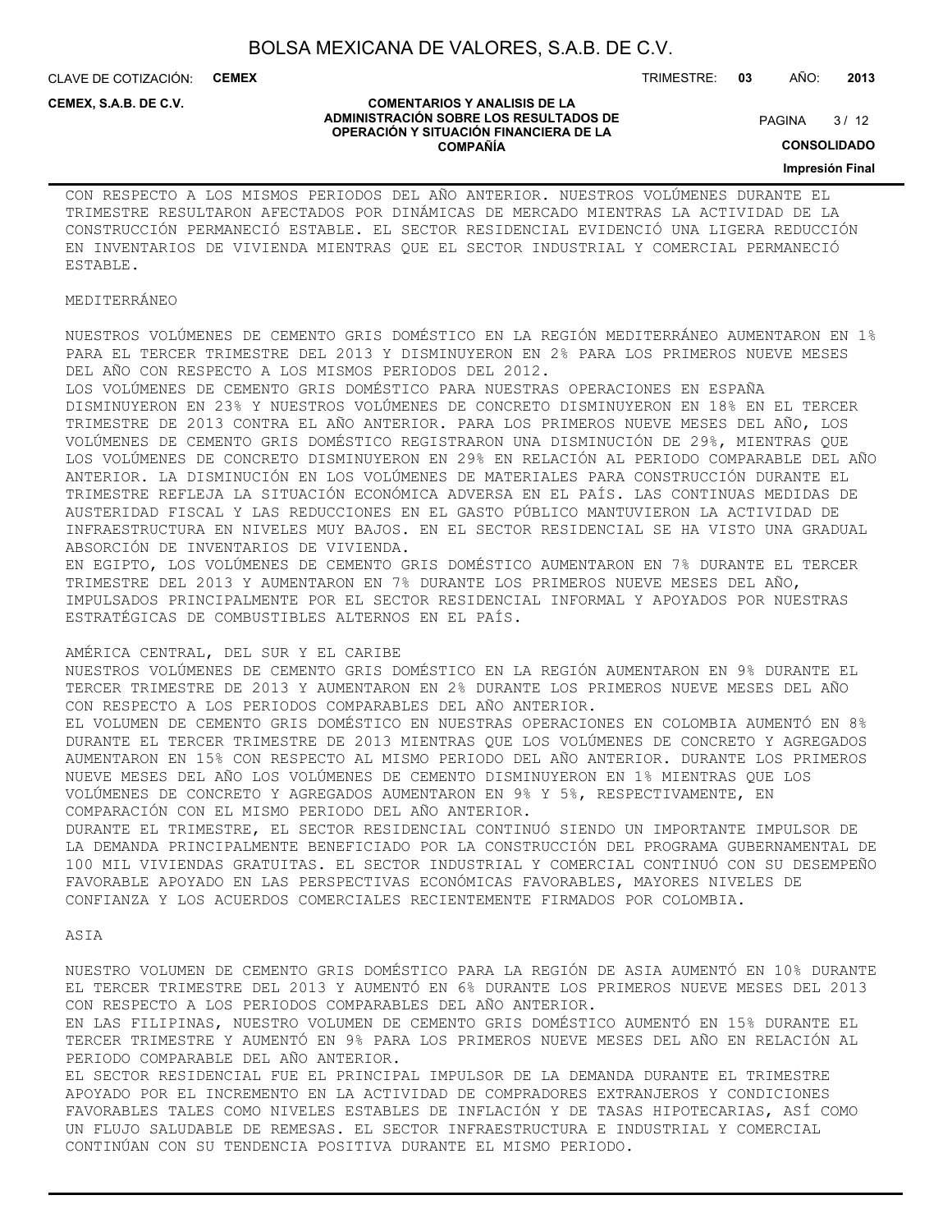**COMENTARIOS Y ANALISIS DE LA ADMINISTRACIÓN SOBRE LOS RESULTADOS DE OPERACIÓN Y SITUACIÓN FINANCIERA DE LA COMPAÑÍA**

CLAVE DE COTIZACIÓN: **CEMEX**

**CEMEX, S.A.B. DE C.V.**

#### TRIMESTRE: **03** AÑO: **2013**

 $3/12$ **PAGINA** 

#### **CONSOLIDADO**

**Impresión Final**

CON RESPECTO A LOS MISMOS PERIODOS DEL AÑO ANTERIOR. NUESTROS VOLÚMENES DURANTE EL TRIMESTRE RESULTARON AFECTADOS POR DINÁMICAS DE MERCADO MIENTRAS LA ACTIVIDAD DE LA CONSTRUCCIÓN PERMANECIÓ ESTABLE. EL SECTOR RESIDENCIAL EVIDENCIÓ UNA LIGERA REDUCCIÓN EN INVENTARIOS DE VIVIENDA MIENTRAS QUE EL SECTOR INDUSTRIAL Y COMERCIAL PERMANECIÓ ESTABLE.

#### MEDITERRÁNEO

NUESTROS VOLÚMENES DE CEMENTO GRIS DOMÉSTICO EN LA REGIÓN MEDITERRÁNEO AUMENTARON EN 1% PARA EL TERCER TRIMESTRE DEL 2013 Y DISMINUYERON EN 2% PARA LOS PRIMEROS NUEVE MESES DEL AÑO CON RESPECTO A LOS MISMOS PERIODOS DEL 2012.

LOS VOLÚMENES DE CEMENTO GRIS DOMÉSTICO PARA NUESTRAS OPERACIONES EN ESPAÑA DISMINUYERON EN 23% Y NUESTROS VOLÚMENES DE CONCRETO DISMINUYERON EN 18% EN EL TERCER TRIMESTRE DE 2013 CONTRA EL AÑO ANTERIOR. PARA LOS PRIMEROS NUEVE MESES DEL AÑO, LOS VOLÚMENES DE CEMENTO GRIS DOMÉSTICO REGISTRARON UNA DISMINUCIÓN DE 29%, MIENTRAS QUE LOS VOLÚMENES DE CONCRETO DISMINUYERON EN 29% EN RELACIÓN AL PERIODO COMPARABLE DEL AÑO ANTERIOR. LA DISMINUCIÓN EN LOS VOLÚMENES DE MATERIALES PARA CONSTRUCCIÓN DURANTE EL TRIMESTRE REFLEJA LA SITUACIÓN ECONÓMICA ADVERSA EN EL PAÍS. LAS CONTINUAS MEDIDAS DE AUSTERIDAD FISCAL Y LAS REDUCCIONES EN EL GASTO PÚBLICO MANTUVIERON LA ACTIVIDAD DE INFRAESTRUCTURA EN NIVELES MUY BAJOS. EN EL SECTOR RESIDENCIAL SE HA VISTO UNA GRADUAL ABSORCIÓN DE INVENTARIOS DE VIVIENDA.

EN EGIPTO, LOS VOLÚMENES DE CEMENTO GRIS DOMÉSTICO AUMENTARON EN 7% DURANTE EL TERCER TRIMESTRE DEL 2013 Y AUMENTARON EN 7% DURANTE LOS PRIMEROS NUEVE MESES DEL AÑO, IMPULSADOS PRINCIPALMENTE POR EL SECTOR RESIDENCIAL INFORMAL Y APOYADOS POR NUESTRAS ESTRATÉGICAS DE COMBUSTIBLES ALTERNOS EN EL PAÍS.

#### AMÉRICA CENTRAL, DEL SUR Y EL CARIBE

NUESTROS VOLÚMENES DE CEMENTO GRIS DOMÉSTICO EN LA REGIÓN AUMENTARON EN 9% DURANTE EL TERCER TRIMESTRE DE 2013 Y AUMENTARON EN 2% DURANTE LOS PRIMEROS NUEVE MESES DEL AÑO CON RESPECTO A LOS PERIODOS COMPARABLES DEL AÑO ANTERIOR.

EL VOLUMEN DE CEMENTO GRIS DOMÉSTICO EN NUESTRAS OPERACIONES EN COLOMBIA AUMENTÓ EN 8% DURANTE EL TERCER TRIMESTRE DE 2013 MIENTRAS QUE LOS VOLÚMENES DE CONCRETO Y AGREGADOS AUMENTARON EN 15% CON RESPECTO AL MISMO PERIODO DEL AÑO ANTERIOR. DURANTE LOS PRIMEROS NUEVE MESES DEL AÑO LOS VOLÚMENES DE CEMENTO DISMINUYERON EN 1% MIENTRAS QUE LOS VOLÚMENES DE CONCRETO Y AGREGADOS AUMENTARON EN 9% Y 5%, RESPECTIVAMENTE, EN COMPARACIÓN CON EL MISMO PERIODO DEL AÑO ANTERIOR.

DURANTE EL TRIMESTRE, EL SECTOR RESIDENCIAL CONTINUÓ SIENDO UN IMPORTANTE IMPULSOR DE LA DEMANDA PRINCIPALMENTE BENEFICIADO POR LA CONSTRUCCIÓN DEL PROGRAMA GUBERNAMENTAL DE 100 MIL VIVIENDAS GRATUITAS. EL SECTOR INDUSTRIAL Y COMERCIAL CONTINUÓ CON SU DESEMPEÑO FAVORABLE APOYADO EN LAS PERSPECTIVAS ECONÓMICAS FAVORABLES, MAYORES NIVELES DE CONFIANZA Y LOS ACUERDOS COMERCIALES RECIENTEMENTE FIRMADOS POR COLOMBIA.

ASIA

NUESTRO VOLUMEN DE CEMENTO GRIS DOMÉSTICO PARA LA REGIÓN DE ASIA AUMENTÓ EN 10% DURANTE EL TERCER TRIMESTRE DEL 2013 Y AUMENTÓ EN 6% DURANTE LOS PRIMEROS NUEVE MESES DEL 2013 CON RESPECTO A LOS PERIODOS COMPARABLES DEL AÑO ANTERIOR.

EN LAS FILIPINAS, NUESTRO VOLUMEN DE CEMENTO GRIS DOMÉSTICO AUMENTÓ EN 15% DURANTE EL TERCER TRIMESTRE Y AUMENTÓ EN 9% PARA LOS PRIMEROS NUEVE MESES DEL AÑO EN RELACIÓN AL PERIODO COMPARABLE DEL AÑO ANTERIOR.

EL SECTOR RESIDENCIAL FUE EL PRINCIPAL IMPULSOR DE LA DEMANDA DURANTE EL TRIMESTRE APOYADO POR EL INCREMENTO EN LA ACTIVIDAD DE COMPRADORES EXTRANJEROS Y CONDICIONES FAVORABLES TALES COMO NIVELES ESTABLES DE INFLACIÓN Y DE TASAS HIPOTECARIAS, ASÍ COMO UN FLUJO SALUDABLE DE REMESAS. EL SECTOR INFRAESTRUCTURA E INDUSTRIAL Y COMERCIAL CONTINÚAN CON SU TENDENCIA POSITIVA DURANTE EL MISMO PERIODO.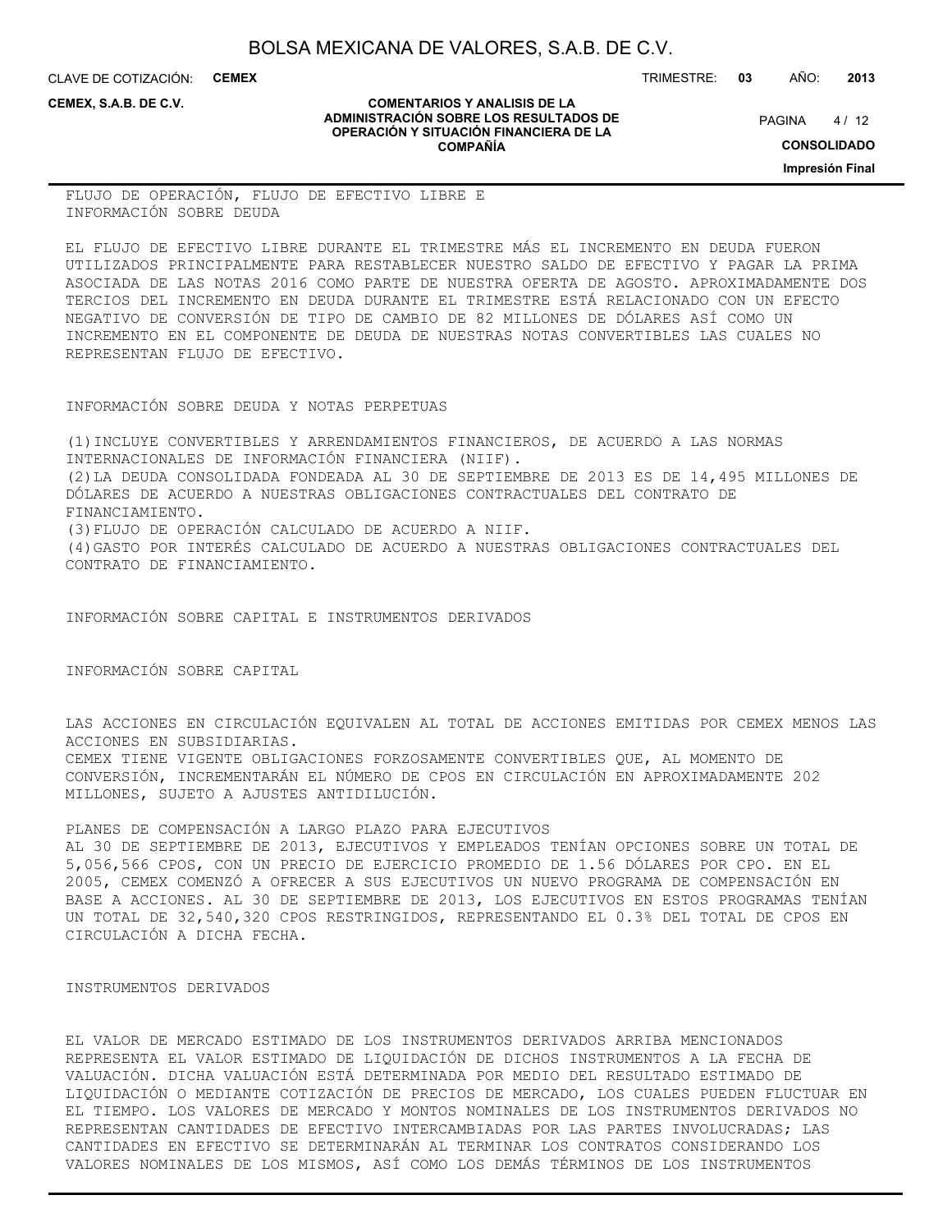**COMENTARIOS Y ANALISIS DE LA ADMINISTRACIÓN SOBRE LOS RESULTADOS DE OPERACIÓN Y SITUACIÓN FINANCIERA DE LA COMPAÑÍA**

CLAVE DE COTIZACIÓN: **CEMEX**

**CEMEX, S.A.B. DE C.V.**

TRIMESTRE: **03** AÑO: **2013**

 $4/12$ **PAGINA** 

**CONSOLIDADO**

**Impresión Final**

FLUJO DE OPERACIÓN, FLUJO DE EFECTIVO LIBRE E INFORMACIÓN SOBRE DEUDA

EL FLUJO DE EFECTIVO LIBRE DURANTE EL TRIMESTRE MÁS EL INCREMENTO EN DEUDA FUERON UTILIZADOS PRINCIPALMENTE PARA RESTABLECER NUESTRO SALDO DE EFECTIVO Y PAGAR LA PRIMA ASOCIADA DE LAS NOTAS 2016 COMO PARTE DE NUESTRA OFERTA DE AGOSTO. APROXIMADAMENTE DOS TERCIOS DEL INCREMENTO EN DEUDA DURANTE EL TRIMESTRE ESTÁ RELACIONADO CON UN EFECTO NEGATIVO DE CONVERSIÓN DE TIPO DE CAMBIO DE 82 MILLONES DE DÓLARES ASÍ COMO UN INCREMENTO EN EL COMPONENTE DE DEUDA DE NUESTRAS NOTAS CONVERTIBLES LAS CUALES NO REPRESENTAN FLUJO DE EFECTIVO.

INFORMACIÓN SOBRE DEUDA Y NOTAS PERPETUAS

(1)INCLUYE CONVERTIBLES Y ARRENDAMIENTOS FINANCIEROS, DE ACUERDO A LAS NORMAS INTERNACIONALES DE INFORMACIÓN FINANCIERA (NIIF). (2)LA DEUDA CONSOLIDADA FONDEADA AL 30 DE SEPTIEMBRE DE 2013 ES DE 14,495 MILLONES DE DÓLARES DE ACUERDO A NUESTRAS OBLIGACIONES CONTRACTUALES DEL CONTRATO DE FINANCIAMIENTO. (3)FLUJO DE OPERACIÓN CALCULADO DE ACUERDO A NIIF. (4)GASTO POR INTERÉS CALCULADO DE ACUERDO A NUESTRAS OBLIGACIONES CONTRACTUALES DEL CONTRATO DE FINANCIAMIENTO.

INFORMACIÓN SOBRE CAPITAL E INSTRUMENTOS DERIVADOS

INFORMACIÓN SOBRE CAPITAL

LAS ACCIONES EN CIRCULACIÓN EQUIVALEN AL TOTAL DE ACCIONES EMITIDAS POR CEMEX MENOS LAS ACCIONES EN SUBSIDIARIAS. CEMEX TIENE VIGENTE OBLIGACIONES FORZOSAMENTE CONVERTIBLES QUE, AL MOMENTO DE CONVERSIÓN, INCREMENTARÁN EL NÚMERO DE CPOS EN CIRCULACIÓN EN APROXIMADAMENTE 202 MILLONES, SUJETO A AJUSTES ANTIDILUCIÓN.

PLANES DE COMPENSACIÓN A LARGO PLAZO PARA EJECUTIVOS AL 30 DE SEPTIEMBRE DE 2013, EJECUTIVOS Y EMPLEADOS TENÍAN OPCIONES SOBRE UN TOTAL DE 5,056,566 CPOS, CON UN PRECIO DE EJERCICIO PROMEDIO DE 1.56 DÓLARES POR CPO. EN EL 2005, CEMEX COMENZÓ A OFRECER A SUS EJECUTIVOS UN NUEVO PROGRAMA DE COMPENSACIÓN EN BASE A ACCIONES. AL 30 DE SEPTIEMBRE DE 2013, LOS EJECUTIVOS EN ESTOS PROGRAMAS TENÍAN UN TOTAL DE 32,540,320 CPOS RESTRINGIDOS, REPRESENTANDO EL 0.3% DEL TOTAL DE CPOS EN CIRCULACIÓN A DICHA FECHA.

#### INSTRUMENTOS DERIVADOS

EL VALOR DE MERCADO ESTIMADO DE LOS INSTRUMENTOS DERIVADOS ARRIBA MENCIONADOS REPRESENTA EL VALOR ESTIMADO DE LIQUIDACIÓN DE DICHOS INSTRUMENTOS A LA FECHA DE VALUACIÓN. DICHA VALUACIÓN ESTÁ DETERMINADA POR MEDIO DEL RESULTADO ESTIMADO DE LIQUIDACIÓN O MEDIANTE COTIZACIÓN DE PRECIOS DE MERCADO, LOS CUALES PUEDEN FLUCTUAR EN EL TIEMPO. LOS VALORES DE MERCADO Y MONTOS NOMINALES DE LOS INSTRUMENTOS DERIVADOS NO REPRESENTAN CANTIDADES DE EFECTIVO INTERCAMBIADAS POR LAS PARTES INVOLUCRADAS; LAS CANTIDADES EN EFECTIVO SE DETERMINARÁN AL TERMINAR LOS CONTRATOS CONSIDERANDO LOS VALORES NOMINALES DE LOS MISMOS, ASÍ COMO LOS DEMÁS TÉRMINOS DE LOS INSTRUMENTOS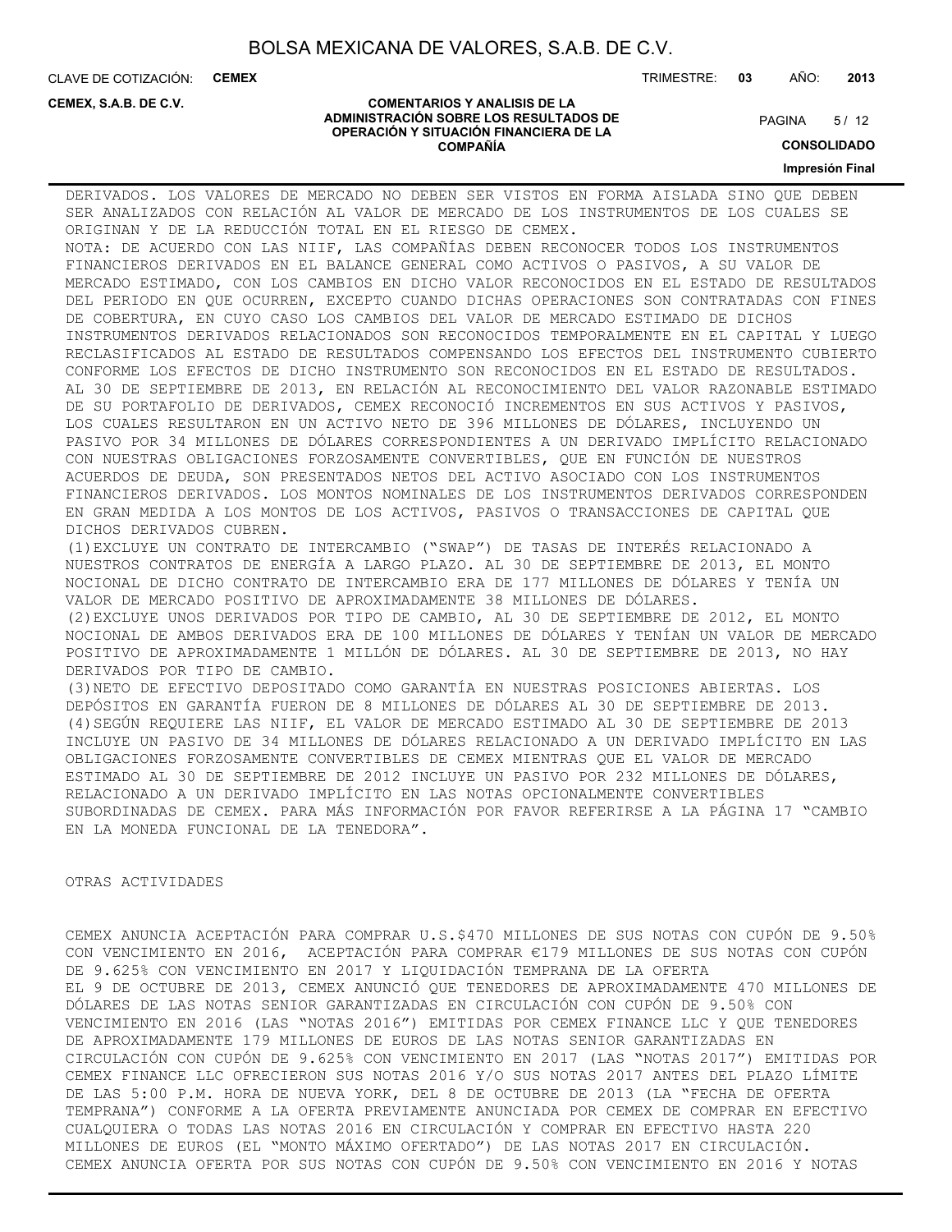**COMENTARIOS Y ANALISIS DE LA ADMINISTRACIÓN SOBRE LOS RESULTADOS DE OPERACIÓN Y SITUACIÓN FINANCIERA DE LA COMPAÑÍA**

CLAVE DE COTIZACIÓN: **CEMEX**

**CEMEX, S.A.B. DE C.V.**

#### TRIMESTRE: **03** AÑO: **2013**

 $5/12$ **PAGINA** 

**CONSOLIDADO**

**Impresión Final**

DERIVADOS. LOS VALORES DE MERCADO NO DEBEN SER VISTOS EN FORMA AISLADA SINO QUE DEBEN SER ANALIZADOS CON RELACIÓN AL VALOR DE MERCADO DE LOS INSTRUMENTOS DE LOS CUALES SE ORIGINAN Y DE LA REDUCCIÓN TOTAL EN EL RIESGO DE CEMEX. NOTA: DE ACUERDO CON LAS NIIF, LAS COMPAÑÍAS DEBEN RECONOCER TODOS LOS INSTRUMENTOS FINANCIEROS DERIVADOS EN EL BALANCE GENERAL COMO ACTIVOS O PASIVOS, A SU VALOR DE MERCADO ESTIMADO, CON LOS CAMBIOS EN DICHO VALOR RECONOCIDOS EN EL ESTADO DE RESULTADOS DEL PERIODO EN QUE OCURREN, EXCEPTO CUANDO DICHAS OPERACIONES SON CONTRATADAS CON FINES DE COBERTURA, EN CUYO CASO LOS CAMBIOS DEL VALOR DE MERCADO ESTIMADO DE DICHOS INSTRUMENTOS DERIVADOS RELACIONADOS SON RECONOCIDOS TEMPORALMENTE EN EL CAPITAL Y LUEGO RECLASIFICADOS AL ESTADO DE RESULTADOS COMPENSANDO LOS EFECTOS DEL INSTRUMENTO CUBIERTO CONFORME LOS EFECTOS DE DICHO INSTRUMENTO SON RECONOCIDOS EN EL ESTADO DE RESULTADOS. AL 30 DE SEPTIEMBRE DE 2013, EN RELACIÓN AL RECONOCIMIENTO DEL VALOR RAZONABLE ESTIMADO DE SU PORTAFOLIO DE DERIVADOS, CEMEX RECONOCIÓ INCREMENTOS EN SUS ACTIVOS Y PASIVOS, LOS CUALES RESULTARON EN UN ACTIVO NETO DE 396 MILLONES DE DÓLARES, INCLUYENDO UN PASIVO POR 34 MILLONES DE DÓLARES CORRESPONDIENTES A UN DERIVADO IMPLÍCITO RELACIONADO CON NUESTRAS OBLIGACIONES FORZOSAMENTE CONVERTIBLES, QUE EN FUNCIÓN DE NUESTROS ACUERDOS DE DEUDA, SON PRESENTADOS NETOS DEL ACTIVO ASOCIADO CON LOS INSTRUMENTOS FINANCIEROS DERIVADOS. LOS MONTOS NOMINALES DE LOS INSTRUMENTOS DERIVADOS CORRESPONDEN EN GRAN MEDIDA A LOS MONTOS DE LOS ACTIVOS, PASIVOS O TRANSACCIONES DE CAPITAL QUE DICHOS DERIVADOS CUBREN. (1)EXCLUYE UN CONTRATO DE INTERCAMBIO ("SWAP") DE TASAS DE INTERÉS RELACIONADO A NUESTROS CONTRATOS DE ENERGÍA A LARGO PLAZO. AL 30 DE SEPTIEMBRE DE 2013, EL MONTO NOCIONAL DE DICHO CONTRATO DE INTERCAMBIO ERA DE 177 MILLONES DE DÓLARES Y TENÍA UN VALOR DE MERCADO POSITIVO DE APROXIMADAMENTE 38 MILLONES DE DÓLARES. (2)EXCLUYE UNOS DERIVADOS POR TIPO DE CAMBIO, AL 30 DE SEPTIEMBRE DE 2012, EL MONTO NOCIONAL DE AMBOS DERIVADOS ERA DE 100 MILLONES DE DÓLARES Y TENÍAN UN VALOR DE MERCADO POSITIVO DE APROXIMADAMENTE 1 MILLÓN DE DÓLARES. AL 30 DE SEPTIEMBRE DE 2013, NO HAY DERIVADOS POR TIPO DE CAMBIO. (3)NETO DE EFECTIVO DEPOSITADO COMO GARANTÍA EN NUESTRAS POSICIONES ABIERTAS. LOS DEPÓSITOS EN GARANTÍA FUERON DE 8 MILLONES DE DÓLARES AL 30 DE SEPTIEMBRE DE 2013. (4)SEGÚN REQUIERE LAS NIIF, EL VALOR DE MERCADO ESTIMADO AL 30 DE SEPTIEMBRE DE 2013 INCLUYE UN PASIVO DE 34 MILLONES DE DÓLARES RELACIONADO A UN DERIVADO IMPLÍCITO EN LAS OBLIGACIONES FORZOSAMENTE CONVERTIBLES DE CEMEX MIENTRAS QUE EL VALOR DE MERCADO ESTIMADO AL 30 DE SEPTIEMBRE DE 2012 INCLUYE UN PASIVO POR 232 MILLONES DE DÓLARES, RELACIONADO A UN DERIVADO IMPLÍCITO EN LAS NOTAS OPCIONALMENTE CONVERTIBLES SUBORDINADAS DE CEMEX. PARA MÁS INFORMACIÓN POR FAVOR REFERIRSE A LA PÁGINA 17 "CAMBIO EN LA MONEDA FUNCIONAL DE LA TENEDORA".

#### OTRAS ACTIVIDADES

CEMEX ANUNCIA ACEPTACIÓN PARA COMPRAR U.S.\$470 MILLONES DE SUS NOTAS CON CUPÓN DE 9.50% CON VENCIMIENTO EN 2016, ACEPTACIÓN PARA COMPRAR €179 MILLONES DE SUS NOTAS CON CUPÓN DE 9.625% CON VENCIMIENTO EN 2017 Y LIQUIDACIÓN TEMPRANA DE LA OFERTA EL 9 DE OCTUBRE DE 2013, CEMEX ANUNCIÓ QUE TENEDORES DE APROXIMADAMENTE 470 MILLONES DE DÓLARES DE LAS NOTAS SENIOR GARANTIZADAS EN CIRCULACIÓN CON CUPÓN DE 9.50% CON VENCIMIENTO EN 2016 (LAS "NOTAS 2016") EMITIDAS POR CEMEX FINANCE LLC Y QUE TENEDORES DE APROXIMADAMENTE 179 MILLONES DE EUROS DE LAS NOTAS SENIOR GARANTIZADAS EN CIRCULACIÓN CON CUPÓN DE 9.625% CON VENCIMIENTO EN 2017 (LAS "NOTAS 2017") EMITIDAS POR CEMEX FINANCE LLC OFRECIERON SUS NOTAS 2016 Y/O SUS NOTAS 2017 ANTES DEL PLAZO LÍMITE DE LAS 5:00 P.M. HORA DE NUEVA YORK, DEL 8 DE OCTUBRE DE 2013 (LA "FECHA DE OFERTA TEMPRANA") CONFORME A LA OFERTA PREVIAMENTE ANUNCIADA POR CEMEX DE COMPRAR EN EFECTIVO CUALQUIERA O TODAS LAS NOTAS 2016 EN CIRCULACIÓN Y COMPRAR EN EFECTIVO HASTA 220 MILLONES DE EUROS (EL "MONTO MÁXIMO OFERTADO") DE LAS NOTAS 2017 EN CIRCULACIÓN. CEMEX ANUNCIA OFERTA POR SUS NOTAS CON CUPÓN DE 9.50% CON VENCIMIENTO EN 2016 Y NOTAS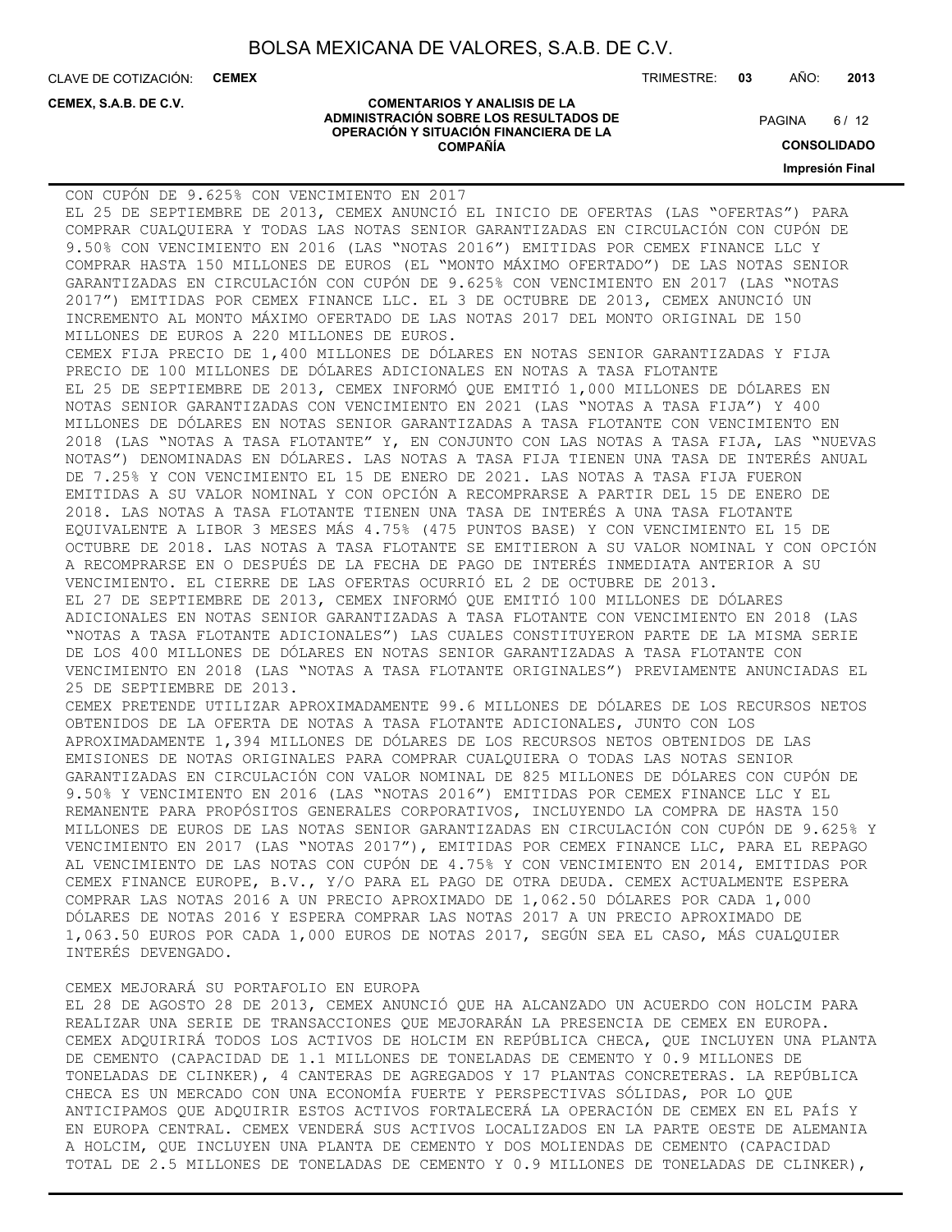**COMENTARIOS Y ANALISIS DE LA ADMINISTRACIÓN SOBRE LOS RESULTADOS DE OPERACIÓN Y SITUACIÓN FINANCIERA DE LA COMPAÑÍA**

CLAVE DE COTIZACIÓN: **CEMEX** TRIMESTRE: **03** AÑO: **2013**

#### **CEMEX, S.A.B. DE C.V.**

 $6/12$ **PAGINA** 

**CONSOLIDADO**

**Impresión Final**

| CON CUPÓN DE 9.625% CON VENCIMIENTO EN 2017                                             |
|-----------------------------------------------------------------------------------------|
| EL 25 DE SEPTIEMBRE DE 2013, CEMEX ANUNCIÓ EL INICIO DE OFERTAS (LAS "OFERTAS") PARA    |
| COMPRAR CUALQUIERA Y TODAS LAS NOTAS SENIOR GARANTIZADAS EN CIRCULACIÓN CON CUPÓN DE    |
| 9.50% CON VENCIMIENTO EN 2016 (LAS "NOTAS 2016") EMITIDAS POR CEMEX FINANCE LLC Y       |
| COMPRAR HASTA 150 MILLONES DE EUROS (EL "MONTO MÁXIMO OFERTADO") DE LAS NOTAS SENIOR    |
| GARANTIZADAS EN CIRCULACIÓN CON CUPÓN DE 9.625% CON VENCIMIENTO EN 2017 (LAS "NOTAS     |
| 2017") EMITIDAS POR CEMEX FINANCE LLC. EL 3 DE OCTUBRE DE 2013, CEMEX ANUNCIÓ UN        |
| INCREMENTO AL MONTO MÁXIMO OFERTADO DE LAS NOTAS 2017 DEL MONTO ORIGINAL DE 150         |
| MILLONES DE EUROS A 220 MILLONES DE EUROS.                                              |
| CEMEX FIJA PRECIO DE 1,400 MILLONES DE DÓLARES EN NOTAS SENIOR GARANTIZADAS Y FIJA      |
| PRECIO DE 100 MILLONES DE DÓLARES ADICIONALES EN NOTAS A TASA FLOTANTE                  |
| EL 25 DE SEPTIEMBRE DE 2013, CEMEX INFORMÓ QUE EMITIÓ 1,000 MILLONES DE DÓLARES EN      |
| NOTAS SENIOR GARANTIZADAS CON VENCIMIENTO EN 2021 (LAS "NOTAS A TASA FIJA") Y 400       |
| MILLONES DE DÓLARES EN NOTAS SENIOR GARANTIZADAS A TASA FLOTANTE CON VENCIMIENTO EN     |
| 2018 (LAS "NOTAS A TASA FLOTANTE" Y, EN CONJUNTO CON LAS NOTAS A TASA FIJA, LAS "NUEVAS |
| NOTAS") DENOMINADAS EN DÓLARES. LAS NOTAS A TASA FIJA TIENEN UNA TASA DE INTERÉS ANUAL  |
| DE 7.25% Y CON VENCIMIENTO EL 15 DE ENERO DE 2021. LAS NOTAS A TASA FIJA FUERON         |
| EMITIDAS A SU VALOR NOMINAL Y CON OPCIÓN A RECOMPRARSE A PARTIR DEL 15 DE ENERO DE      |
| 2018. LAS NOTAS A TASA FLOTANTE TIENEN UNA TASA DE INTERÉS A UNA TASA FLOTANTE          |
| EQUIVALENTE A LIBOR 3 MESES MÁS 4.75% (475 PUNTOS BASE) Y CON VENCIMIENTO EL 15 DE      |
| OCTUBRE DE 2018. LAS NOTAS A TASA FLOTANTE SE EMITIERON A SU VALOR NOMINAL Y CON OPCIÓN |
| A RECOMPRARSE EN O DESPUÉS DE LA FECHA DE PAGO DE INTERÉS INMEDIATA ANTERIOR A SU       |
| VENCIMIENTO. EL CIERRE DE LAS OFERTAS OCURRIÓ EL 2 DE OCTUBRE DE 2013.                  |
| EL 27 DE SEPTIEMBRE DE 2013, CEMEX INFORMÓ QUE EMITIÓ 100 MILLONES DE DÓLARES           |
| ADICIONALES EN NOTAS SENIOR GARANTIZADAS A TASA FLOTANTE CON VENCIMIENTO EN 2018 (LAS   |
| "NOTAS A TASA FLOTANTE ADICIONALES") LAS CUALES CONSTITUYERON PARTE DE LA MISMA SERIE   |
| DE LOS 400 MILLONES DE DÓLARES EN NOTAS SENIOR GARANTIZADAS A TASA FLOTANTE CON         |
| VENCIMIENTO EN 2018 (LAS "NOTAS A TASA FLOTANTE ORIGINALES") PREVIAMENTE ANUNCIADAS EL  |
| 25 DE SEPTIEMBRE DE 2013.                                                               |
| CEMEX PRETENDE UTILIZAR APROXIMADAMENTE 99.6 MILLONES DE DÓLARES DE LOS RECURSOS NETOS  |
| OBTENIDOS DE LA OFERTA DE NOTAS A TASA FLOTANTE ADICIONALES, JUNTO CON LOS              |
| APROXIMADAMENTE 1,394 MILLONES DE DÓLARES DE LOS RECURSOS NETOS OBTENIDOS DE LAS        |
| EMISIONES DE NOTAS ORIGINALES PARA COMPRAR CUALQUIERA O TODAS LAS NOTAS SENIOR          |
| GARANTIZADAS EN CIRCULACIÓN CON VALOR NOMINAL DE 825 MILLONES DE DÓLARES CON CUPÓN DE   |
| 9.50% Y VENCIMIENTO EN 2016 (LAS "NOTAS 2016") EMITIDAS POR CEMEX FINANCE LLC Y EL      |
| REMANENTE PARA PROPÓSITOS GENERALES CORPORATIVOS, INCLUYENDO LA COMPRA DE HASTA 150     |
| MILLONES DE EUROS DE LAS NOTAS SENIOR GARANTIZADAS EN CIRCULACIÓN CON CUPÓN DE 9.625% Y |
| VENCIMIENTO EN 2017 (LAS "NOTAS 2017"), EMITIDAS POR CEMEX FINANCE LLC, PARA EL REPAGO  |
| AL VENCIMIENTO DE LAS NOTAS CON CUPÓN DE 4.75% Y CON VENCIMIENTO EN 2014, EMITIDAS POR  |
| CEMEX FINANCE EUROPE, B.V., Y/O PARA EL PAGO DE OTRA DEUDA. CEMEX ACTUALMENTE ESPERA    |
| COMPRAR LAS NOTAS 2016 A UN PRECIO APROXIMADO DE 1,062.50 DÓLARES POR CADA 1,000        |
| DÓLARES DE NOTAS 2016 Y ESPERA COMPRAR LAS NOTAS 2017 A UN PRECIO APROXIMADO DE         |
| 1,063.50 EUROS POR CADA 1,000 EUROS DE NOTAS 2017, SEGÚN SEA EL CASO, MÁS CUALQUIER     |
| INTERÉS DEVENGADO.                                                                      |
|                                                                                         |

#### CEMEX MEJORARÁ SU PORTAFOLIO EN EUROPA

EL 28 DE AGOSTO 28 DE 2013, CEMEX ANUNCIÓ QUE HA ALCANZADO UN ACUERDO CON HOLCIM PARA REALIZAR UNA SERIE DE TRANSACCIONES QUE MEJORARÁN LA PRESENCIA DE CEMEX EN EUROPA. CEMEX ADQUIRIRÁ TODOS LOS ACTIVOS DE HOLCIM EN REPÚBLICA CHECA, QUE INCLUYEN UNA PLANTA DE CEMENTO (CAPACIDAD DE 1.1 MILLONES DE TONELADAS DE CEMENTO Y 0.9 MILLONES DE TONELADAS DE CLINKER), 4 CANTERAS DE AGREGADOS Y 17 PLANTAS CONCRETERAS. LA REPÚBLICA CHECA ES UN MERCADO CON UNA ECONOMÍA FUERTE Y PERSPECTIVAS SÓLIDAS, POR LO QUE ANTICIPAMOS QUE ADQUIRIR ESTOS ACTIVOS FORTALECERÁ LA OPERACIÓN DE CEMEX EN EL PAÍS Y EN EUROPA CENTRAL. CEMEX VENDERÁ SUS ACTIVOS LOCALIZADOS EN LA PARTE OESTE DE ALEMANIA A HOLCIM, QUE INCLUYEN UNA PLANTA DE CEMENTO Y DOS MOLIENDAS DE CEMENTO (CAPACIDAD TOTAL DE 2.5 MILLONES DE TONELADAS DE CEMENTO Y 0.9 MILLONES DE TONELADAS DE CLINKER),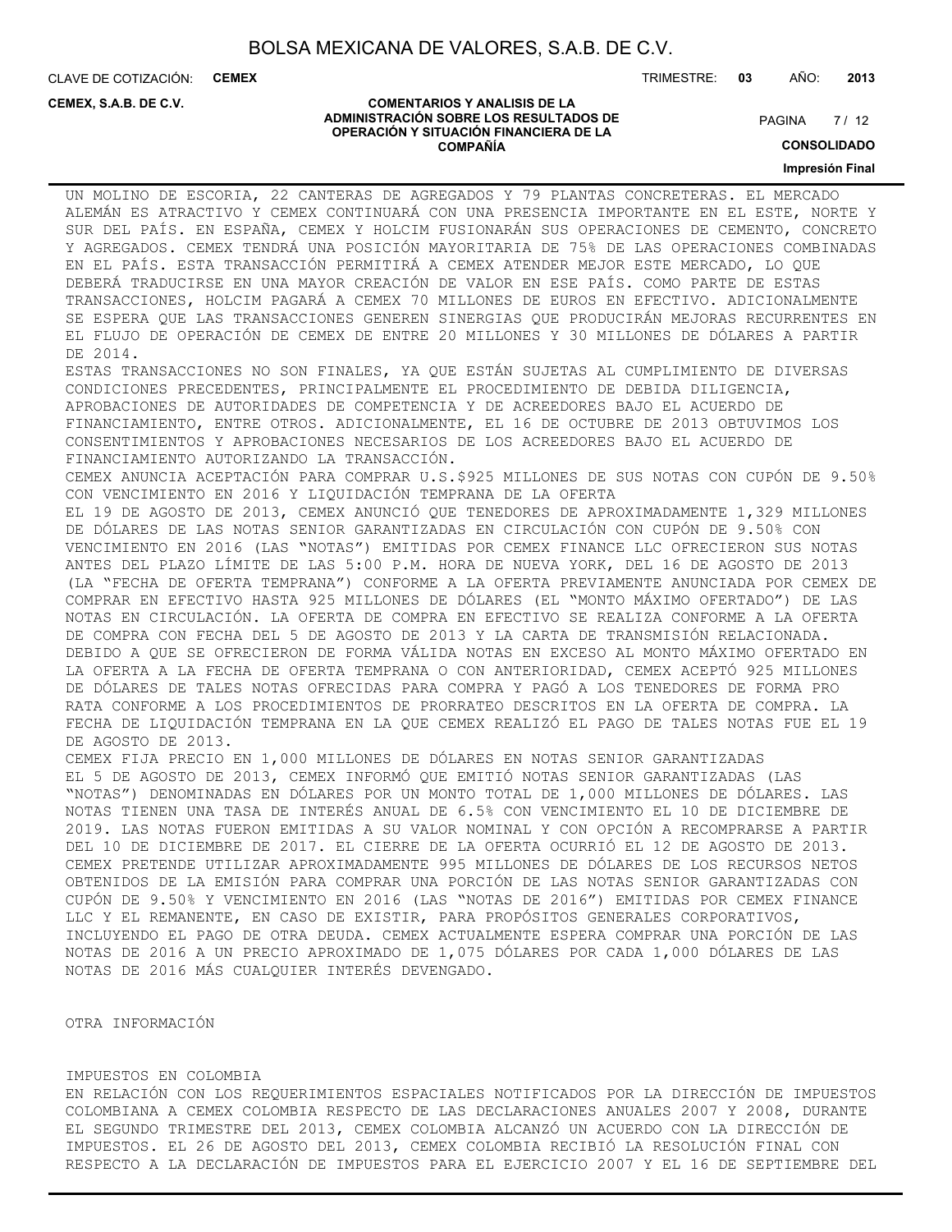**COMENTARIOS Y ANALISIS DE LA ADMINISTRACIÓN SOBRE LOS RESULTADOS DE OPERACIÓN Y SITUACIÓN FINANCIERA DE LA COMPAÑÍA**

CLAVE DE COTIZACIÓN: **CEMEX**

**CEMEX, S.A.B. DE C.V.**

TRIMESTRE: **03** AÑO: **2013**

 $7/12$ **PAGINA** 

### **CONSOLIDADO**

**Impresión Final**

UN MOLINO DE ESCORIA, 22 CANTERAS DE AGREGADOS Y 79 PLANTAS CONCRETERAS. EL MERCADO ALEMÁN ES ATRACTIVO Y CEMEX CONTINUARÁ CON UNA PRESENCIA IMPORTANTE EN EL ESTE, NORTE Y SUR DEL PAÍS. EN ESPAÑA, CEMEX Y HOLCIM FUSIONARÁN SUS OPERACIONES DE CEMENTO, CONCRETO Y AGREGADOS. CEMEX TENDRÁ UNA POSICIÓN MAYORITARIA DE 75% DE LAS OPERACIONES COMBINADAS EN EL PAÍS. ESTA TRANSACCIÓN PERMITIRÁ A CEMEX ATENDER MEJOR ESTE MERCADO, LO QUE DEBERÁ TRADUCIRSE EN UNA MAYOR CREACIÓN DE VALOR EN ESE PAÍS. COMO PARTE DE ESTAS TRANSACCIONES, HOLCIM PAGARÁ A CEMEX 70 MILLONES DE EUROS EN EFECTIVO. ADICIONALMENTE SE ESPERA QUE LAS TRANSACCIONES GENEREN SINERGIAS QUE PRODUCIRÁN MEJORAS RECURRENTES EN EL FLUJO DE OPERACIÓN DE CEMEX DE ENTRE 20 MILLONES Y 30 MILLONES DE DÓLARES A PARTIR DE 2014. ESTAS TRANSACCIONES NO SON FINALES, YA QUE ESTÁN SUJETAS AL CUMPLIMIENTO DE DIVERSAS CONDICIONES PRECEDENTES, PRINCIPALMENTE EL PROCEDIMIENTO DE DEBIDA DILIGENCIA, APROBACIONES DE AUTORIDADES DE COMPETENCIA Y DE ACREEDORES BAJO EL ACUERDO DE FINANCIAMIENTO, ENTRE OTROS. ADICIONALMENTE, EL 16 DE OCTUBRE DE 2013 OBTUVIMOS LOS CONSENTIMIENTOS Y APROBACIONES NECESARIOS DE LOS ACREEDORES BAJO EL ACUERDO DE FINANCIAMIENTO AUTORIZANDO LA TRANSACCIÓN. CEMEX ANUNCIA ACEPTACIÓN PARA COMPRAR U.S.\$925 MILLONES DE SUS NOTAS CON CUPÓN DE 9.50% CON VENCIMIENTO EN 2016 Y LIQUIDACIÓN TEMPRANA DE LA OFERTA EL 19 DE AGOSTO DE 2013, CEMEX ANUNCIÓ QUE TENEDORES DE APROXIMADAMENTE 1,329 MILLONES DE DÓLARES DE LAS NOTAS SENIOR GARANTIZADAS EN CIRCULACIÓN CON CUPÓN DE 9.50% CON VENCIMIENTO EN 2016 (LAS "NOTAS") EMITIDAS POR CEMEX FINANCE LLC OFRECIERON SUS NOTAS ANTES DEL PLAZO LÍMITE DE LAS 5:00 P.M. HORA DE NUEVA YORK, DEL 16 DE AGOSTO DE 2013 (LA "FECHA DE OFERTA TEMPRANA") CONFORME A LA OFERTA PREVIAMENTE ANUNCIADA POR CEMEX DE COMPRAR EN EFECTIVO HASTA 925 MILLONES DE DÓLARES (EL "MONTO MÁXIMO OFERTADO") DE LAS NOTAS EN CIRCULACIÓN. LA OFERTA DE COMPRA EN EFECTIVO SE REALIZA CONFORME A LA OFERTA DE COMPRA CON FECHA DEL 5 DE AGOSTO DE 2013 Y LA CARTA DE TRANSMISIÓN RELACIONADA. DEBIDO A QUE SE OFRECIERON DE FORMA VÁLIDA NOTAS EN EXCESO AL MONTO MÁXIMO OFERTADO EN LA OFERTA A LA FECHA DE OFERTA TEMPRANA O CON ANTERIORIDAD, CEMEX ACEPTÓ 925 MILLONES DE DÓLARES DE TALES NOTAS OFRECIDAS PARA COMPRA Y PAGÓ A LOS TENEDORES DE FORMA PRO RATA CONFORME A LOS PROCEDIMIENTOS DE PRORRATEO DESCRITOS EN LA OFERTA DE COMPRA. LA FECHA DE LIQUIDACIÓN TEMPRANA EN LA QUE CEMEX REALIZÓ EL PAGO DE TALES NOTAS FUE EL 19 DE AGOSTO DE 2013. CEMEX FIJA PRECIO EN 1,000 MILLONES DE DÓLARES EN NOTAS SENIOR GARANTIZADAS EL 5 DE AGOSTO DE 2013, CEMEX INFORMÓ QUE EMITIÓ NOTAS SENIOR GARANTIZADAS (LAS "NOTAS") DENOMINADAS EN DÓLARES POR UN MONTO TOTAL DE 1,000 MILLONES DE DÓLARES. LAS NOTAS TIENEN UNA TASA DE INTERÉS ANUAL DE 6.5% CON VENCIMIENTO EL 10 DE DICIEMBRE DE 2019. LAS NOTAS FUERON EMITIDAS A SU VALOR NOMINAL Y CON OPCIÓN A RECOMPRARSE A PARTIR DEL 10 DE DICIEMBRE DE 2017. EL CIERRE DE LA OFERTA OCURRIÓ EL 12 DE AGOSTO DE 2013. CEMEX PRETENDE UTILIZAR APROXIMADAMENTE 995 MILLONES DE DÓLARES DE LOS RECURSOS NETOS OBTENIDOS DE LA EMISIÓN PARA COMPRAR UNA PORCIÓN DE LAS NOTAS SENIOR GARANTIZADAS CON CUPÓN DE 9.50% Y VENCIMIENTO EN 2016 (LAS "NOTAS DE 2016") EMITIDAS POR CEMEX FINANCE LLC Y EL REMANENTE, EN CASO DE EXISTIR, PARA PROPÓSITOS GENERALES CORPORATIVOS, INCLUYENDO EL PAGO DE OTRA DEUDA. CEMEX ACTUALMENTE ESPERA COMPRAR UNA PORCIÓN DE LAS NOTAS DE 2016 A UN PRECIO APROXIMADO DE 1,075 DÓLARES POR CADA 1,000 DÓLARES DE LAS NOTAS DE 2016 MÁS CUALQUIER INTERÉS DEVENGADO.

OTRA INFORMACIÓN

#### IMPUESTOS EN COLOMBIA

EN RELACIÓN CON LOS REQUERIMIENTOS ESPACIALES NOTIFICADOS POR LA DIRECCIÓN DE IMPUESTOS COLOMBIANA A CEMEX COLOMBIA RESPECTO DE LAS DECLARACIONES ANUALES 2007 Y 2008, DURANTE EL SEGUNDO TRIMESTRE DEL 2013, CEMEX COLOMBIA ALCANZÓ UN ACUERDO CON LA DIRECCIÓN DE IMPUESTOS. EL 26 DE AGOSTO DEL 2013, CEMEX COLOMBIA RECIBIÓ LA RESOLUCIÓN FINAL CON RESPECTO A LA DECLARACIÓN DE IMPUESTOS PARA EL EJERCICIO 2007 Y EL 16 DE SEPTIEMBRE DEL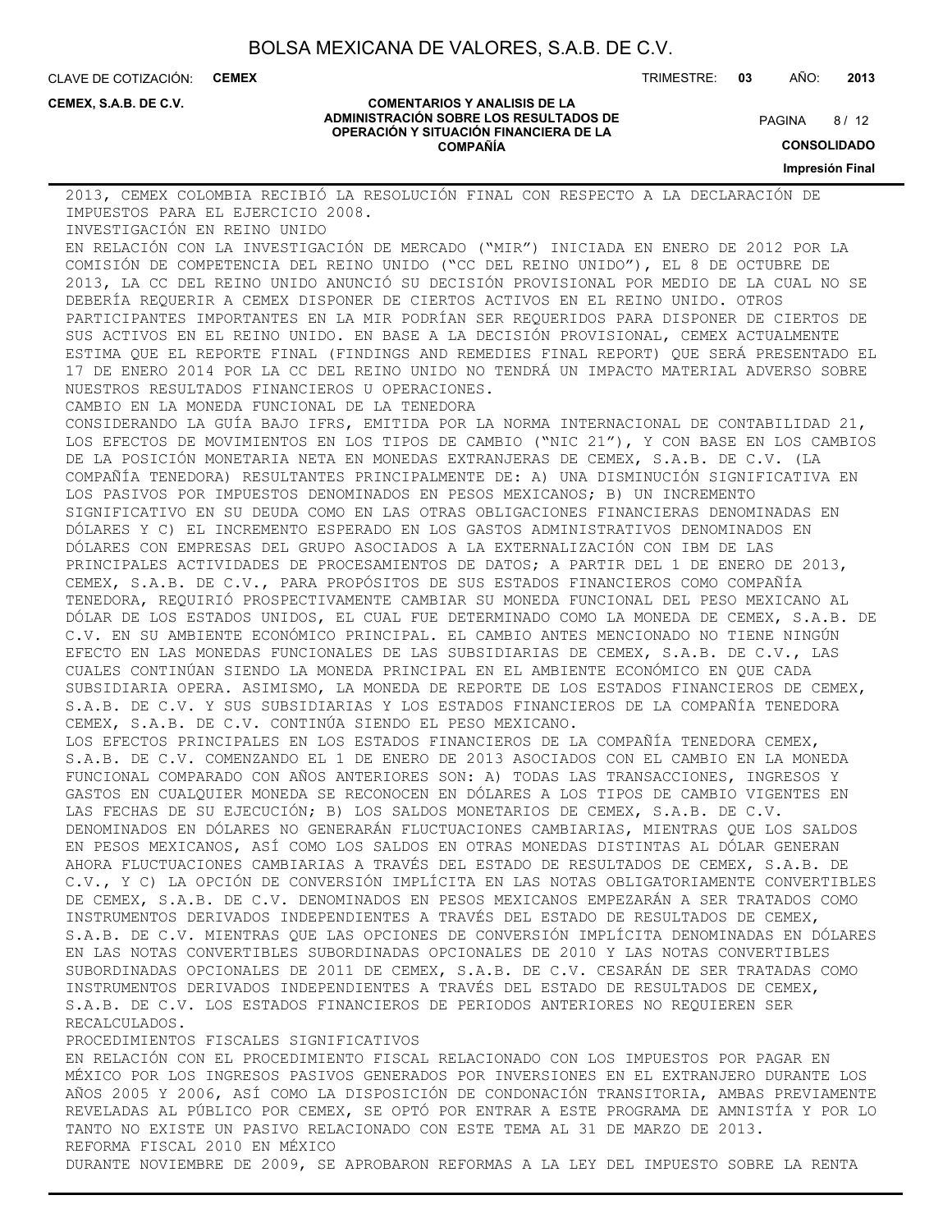CLAVE DE COTIZACIÓN: **CEMEX** TRIMESTRE: **03** AÑO: **2013**

**CEMEX, S.A.B. DE C.V.**

#### **COMENTARIOS Y ANALISIS DE LA ADMINISTRACIÓN SOBRE LOS RESULTADOS DE OPERACIÓN Y SITUACIÓN FINANCIERA DE LA COMPAÑÍA**

 $8/12$ **PAGINA** 

**CONSOLIDADO**

**Impresión Final**

2013, CEMEX COLOMBIA RECIBIÓ LA RESOLUCIÓN FINAL CON RESPECTO A LA DECLARACIÓN DE IMPUESTOS PARA EL EJERCICIO 2008.

INVESTIGACIÓN EN REINO UNIDO

EN RELACIÓN CON LA INVESTIGACIÓN DE MERCADO ("MIR") INICIADA EN ENERO DE 2012 POR LA COMISIÓN DE COMPETENCIA DEL REINO UNIDO ("CC DEL REINO UNIDO"), EL 8 DE OCTUBRE DE 2013, LA CC DEL REINO UNIDO ANUNCIÓ SU DECISIÓN PROVISIONAL POR MEDIO DE LA CUAL NO SE DEBERÍA REQUERIR A CEMEX DISPONER DE CIERTOS ACTIVOS EN EL REINO UNIDO. OTROS PARTICIPANTES IMPORTANTES EN LA MIR PODRÍAN SER REQUERIDOS PARA DISPONER DE CIERTOS DE SUS ACTIVOS EN EL REINO UNIDO. EN BASE A LA DECISIÓN PROVISIONAL, CEMEX ACTUALMENTE ESTIMA QUE EL REPORTE FINAL (FINDINGS AND REMEDIES FINAL REPORT) QUE SERÁ PRESENTADO EL 17 DE ENERO 2014 POR LA CC DEL REINO UNIDO NO TENDRÁ UN IMPACTO MATERIAL ADVERSO SOBRE NUESTROS RESULTADOS FINANCIEROS U OPERACIONES.

CAMBIO EN LA MONEDA FUNCIONAL DE LA TENEDORA

CONSIDERANDO LA GUÍA BAJO IFRS, EMITIDA POR LA NORMA INTERNACIONAL DE CONTABILIDAD 21, LOS EFECTOS DE MOVIMIENTOS EN LOS TIPOS DE CAMBIO ("NIC 21"), Y CON BASE EN LOS CAMBIOS DE LA POSICIÓN MONETARIA NETA EN MONEDAS EXTRANJERAS DE CEMEX, S.A.B. DE C.V. (LA COMPAÑÍA TENEDORA) RESULTANTES PRINCIPALMENTE DE: A) UNA DISMINUCIÓN SIGNIFICATIVA EN LOS PASIVOS POR IMPUESTOS DENOMINADOS EN PESOS MEXICANOS; B) UN INCREMENTO SIGNIFICATIVO EN SU DEUDA COMO EN LAS OTRAS OBLIGACIONES FINANCIERAS DENOMINADAS EN DÓLARES Y C) EL INCREMENTO ESPERADO EN LOS GASTOS ADMINISTRATIVOS DENOMINADOS EN DÓLARES CON EMPRESAS DEL GRUPO ASOCIADOS A LA EXTERNALIZACIÓN CON IBM DE LAS PRINCIPALES ACTIVIDADES DE PROCESAMIENTOS DE DATOS; A PARTIR DEL 1 DE ENERO DE 2013, CEMEX, S.A.B. DE C.V., PARA PROPÓSITOS DE SUS ESTADOS FINANCIEROS COMO COMPAÑÍA TENEDORA, REQUIRIÓ PROSPECTIVAMENTE CAMBIAR SU MONEDA FUNCIONAL DEL PESO MEXICANO AL DÓLAR DE LOS ESTADOS UNIDOS, EL CUAL FUE DETERMINADO COMO LA MONEDA DE CEMEX, S.A.B. DE C.V. EN SU AMBIENTE ECONÓMICO PRINCIPAL. EL CAMBIO ANTES MENCIONADO NO TIENE NINGÚN EFECTO EN LAS MONEDAS FUNCIONALES DE LAS SUBSIDIARIAS DE CEMEX, S.A.B. DE C.V., LAS CUALES CONTINÚAN SIENDO LA MONEDA PRINCIPAL EN EL AMBIENTE ECONÓMICO EN QUE CADA SUBSIDIARIA OPERA. ASIMISMO, LA MONEDA DE REPORTE DE LOS ESTADOS FINANCIEROS DE CEMEX, S.A.B. DE C.V. Y SUS SUBSIDIARIAS Y LOS ESTADOS FINANCIEROS DE LA COMPAÑÍA TENEDORA CEMEX, S.A.B. DE C.V. CONTINÚA SIENDO EL PESO MEXICANO.

LOS EFECTOS PRINCIPALES EN LOS ESTADOS FINANCIEROS DE LA COMPAÑÍA TENEDORA CEMEX, S.A.B. DE C.V. COMENZANDO EL 1 DE ENERO DE 2013 ASOCIADOS CON EL CAMBIO EN LA MONEDA FUNCIONAL COMPARADO CON AÑOS ANTERIORES SON: A) TODAS LAS TRANSACCIONES, INGRESOS Y GASTOS EN CUALQUIER MONEDA SE RECONOCEN EN DÓLARES A LOS TIPOS DE CAMBIO VIGENTES EN LAS FECHAS DE SU EJECUCIÓN; B) LOS SALDOS MONETARIOS DE CEMEX, S.A.B. DE C.V. DENOMINADOS EN DÓLARES NO GENERARÁN FLUCTUACIONES CAMBIARIAS, MIENTRAS QUE LOS SALDOS EN PESOS MEXICANOS, ASÍ COMO LOS SALDOS EN OTRAS MONEDAS DISTINTAS AL DÓLAR GENERAN AHORA FLUCTUACIONES CAMBIARIAS A TRAVÉS DEL ESTADO DE RESULTADOS DE CEMEX, S.A.B. DE C.V., Y C) LA OPCIÓN DE CONVERSIÓN IMPLÍCITA EN LAS NOTAS OBLIGATORIAMENTE CONVERTIBLES DE CEMEX, S.A.B. DE C.V. DENOMINADOS EN PESOS MEXICANOS EMPEZARÁN A SER TRATADOS COMO INSTRUMENTOS DERIVADOS INDEPENDIENTES A TRAVÉS DEL ESTADO DE RESULTADOS DE CEMEX, S.A.B. DE C.V. MIENTRAS QUE LAS OPCIONES DE CONVERSIÓN IMPLÍCITA DENOMINADAS EN DÓLARES EN LAS NOTAS CONVERTIBLES SUBORDINADAS OPCIONALES DE 2010 Y LAS NOTAS CONVERTIBLES SUBORDINADAS OPCIONALES DE 2011 DE CEMEX, S.A.B. DE C.V. CESARÁN DE SER TRATADAS COMO INSTRUMENTOS DERIVADOS INDEPENDIENTES A TRAVÉS DEL ESTADO DE RESULTADOS DE CEMEX, S.A.B. DE C.V. LOS ESTADOS FINANCIEROS DE PERIODOS ANTERIORES NO REQUIEREN SER RECALCULADOS.

PROCEDIMIENTOS FISCALES SIGNIFICATIVOS

EN RELACIÓN CON EL PROCEDIMIENTO FISCAL RELACIONADO CON LOS IMPUESTOS POR PAGAR EN MÉXICO POR LOS INGRESOS PASIVOS GENERADOS POR INVERSIONES EN EL EXTRANJERO DURANTE LOS AÑOS 2005 Y 2006, ASÍ COMO LA DISPOSICIÓN DE CONDONACIÓN TRANSITORIA, AMBAS PREVIAMENTE REVELADAS AL PÚBLICO POR CEMEX, SE OPTÓ POR ENTRAR A ESTE PROGRAMA DE AMNISTÍA Y POR LO TANTO NO EXISTE UN PASIVO RELACIONADO CON ESTE TEMA AL 31 DE MARZO DE 2013. REFORMA FISCAL 2010 EN MÉXICO

DURANTE NOVIEMBRE DE 2009, SE APROBARON REFORMAS A LA LEY DEL IMPUESTO SOBRE LA RENTA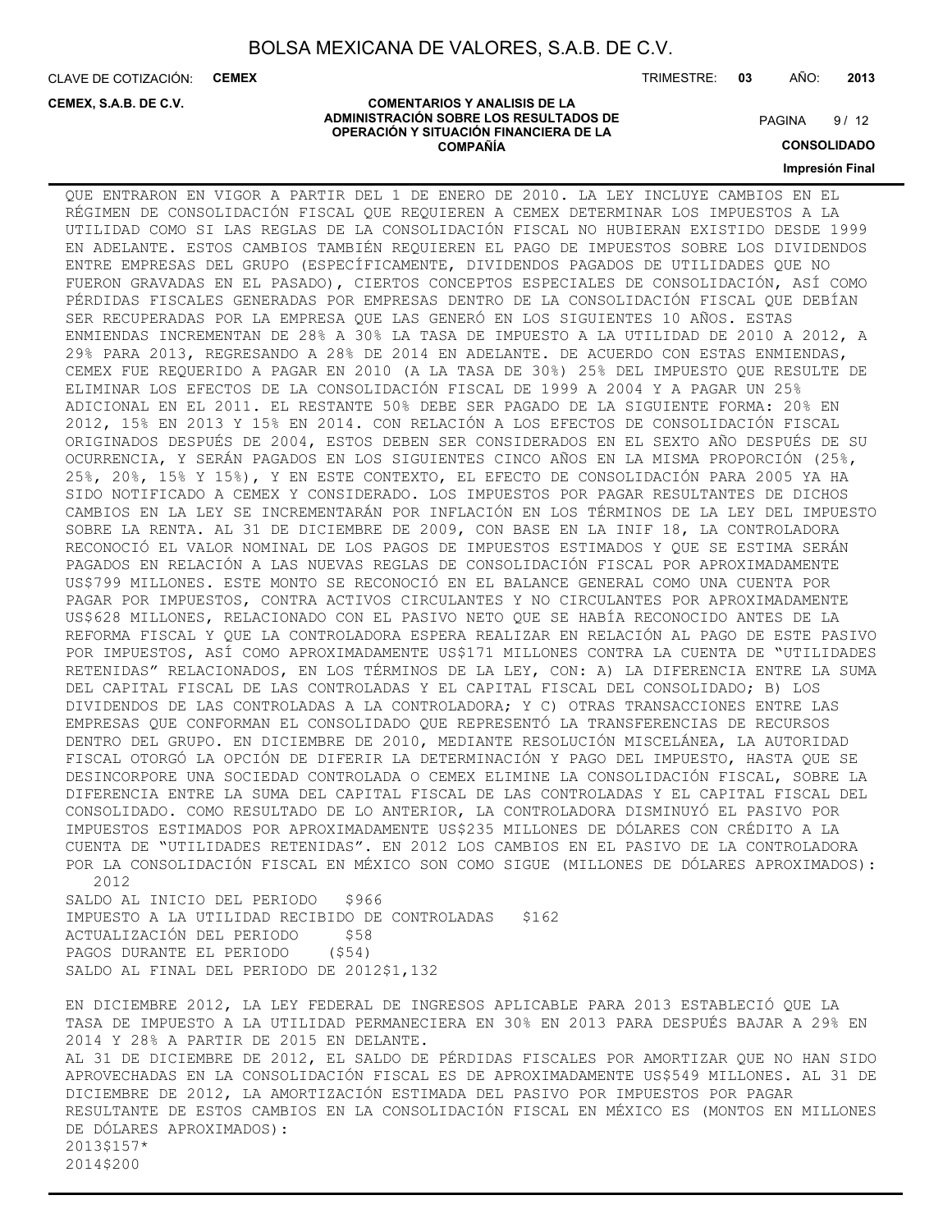**COMENTARIOS Y ANALISIS DE LA ADMINISTRACIÓN SOBRE LOS RESULTADOS DE OPERACIÓN Y SITUACIÓN FINANCIERA DE LA COMPAÑÍA**

CLAVE DE COTIZACIÓN: **CEMEX**

**CEMEX, S.A.B. DE C.V.**

TRIMESTRE: **03** AÑO: **2013**

#### $9/12$ **PAGINA**

**CONSOLIDADO**

**Impresión Final**

QUE ENTRARON EN VIGOR A PARTIR DEL 1 DE ENERO DE 2010. LA LEY INCLUYE CAMBIOS EN EL RÉGIMEN DE CONSOLIDACIÓN FISCAL QUE REQUIEREN A CEMEX DETERMINAR LOS IMPUESTOS A LA UTILIDAD COMO SI LAS REGLAS DE LA CONSOLIDACIÓN FISCAL NO HUBIERAN EXISTIDO DESDE 1999 EN ADELANTE. ESTOS CAMBIOS TAMBIÉN REQUIEREN EL PAGO DE IMPUESTOS SOBRE LOS DIVIDENDOS ENTRE EMPRESAS DEL GRUPO (ESPECÍFICAMENTE, DIVIDENDOS PAGADOS DE UTILIDADES QUE NO FUERON GRAVADAS EN EL PASADO), CIERTOS CONCEPTOS ESPECIALES DE CONSOLIDACIÓN, ASÍ COMO PÉRDIDAS FISCALES GENERADAS POR EMPRESAS DENTRO DE LA CONSOLIDACIÓN FISCAL QUE DEBÍAN SER RECUPERADAS POR LA EMPRESA QUE LAS GENERÓ EN LOS SIGUIENTES 10 AÑOS. ESTAS ENMIENDAS INCREMENTAN DE 28% A 30% LA TASA DE IMPUESTO A LA UTILIDAD DE 2010 A 2012, A 29% PARA 2013, REGRESANDO A 28% DE 2014 EN ADELANTE. DE ACUERDO CON ESTAS ENMIENDAS, CEMEX FUE REQUERIDO A PAGAR EN 2010 (A LA TASA DE 30%) 25% DEL IMPUESTO QUE RESULTE DE ELIMINAR LOS EFECTOS DE LA CONSOLIDACIÓN FISCAL DE 1999 A 2004 Y A PAGAR UN 25% ADICIONAL EN EL 2011. EL RESTANTE 50% DEBE SER PAGADO DE LA SIGUIENTE FORMA: 20% EN 2012, 15% EN 2013 Y 15% EN 2014. CON RELACIÓN A LOS EFECTOS DE CONSOLIDACIÓN FISCAL ORIGINADOS DESPUÉS DE 2004, ESTOS DEBEN SER CONSIDERADOS EN EL SEXTO AÑO DESPUÉS DE SU OCURRENCIA, Y SERÁN PAGADOS EN LOS SIGUIENTES CINCO AÑOS EN LA MISMA PROPORCIÓN (25%, 25%, 20%, 15% Y 15%), Y EN ESTE CONTEXTO, EL EFECTO DE CONSOLIDACIÓN PARA 2005 YA HA SIDO NOTIFICADO A CEMEX Y CONSIDERADO. LOS IMPUESTOS POR PAGAR RESULTANTES DE DICHOS CAMBIOS EN LA LEY SE INCREMENTARÁN POR INFLACIÓN EN LOS TÉRMINOS DE LA LEY DEL IMPUESTO SOBRE LA RENTA. AL 31 DE DICIEMBRE DE 2009, CON BASE EN LA INIF 18, LA CONTROLADORA RECONOCIÓ EL VALOR NOMINAL DE LOS PAGOS DE IMPUESTOS ESTIMADOS Y QUE SE ESTIMA SERÁN PAGADOS EN RELACIÓN A LAS NUEVAS REGLAS DE CONSOLIDACIÓN FISCAL POR APROXIMADAMENTE US\$799 MILLONES. ESTE MONTO SE RECONOCIÓ EN EL BALANCE GENERAL COMO UNA CUENTA POR PAGAR POR IMPUESTOS, CONTRA ACTIVOS CIRCULANTES Y NO CIRCULANTES POR APROXIMADAMENTE US\$628 MILLONES, RELACIONADO CON EL PASIVO NETO QUE SE HABÍA RECONOCIDO ANTES DE LA REFORMA FISCAL Y QUE LA CONTROLADORA ESPERA REALIZAR EN RELACIÓN AL PAGO DE ESTE PASIVO POR IMPUESTOS, ASÍ COMO APROXIMADAMENTE US\$171 MILLONES CONTRA LA CUENTA DE "UTILIDADES RETENIDAS" RELACIONADOS, EN LOS TÉRMINOS DE LA LEY, CON: A) LA DIFERENCIA ENTRE LA SUMA DEL CAPITAL FISCAL DE LAS CONTROLADAS Y EL CAPITAL FISCAL DEL CONSOLIDADO; B) LOS DIVIDENDOS DE LAS CONTROLADAS A LA CONTROLADORA; Y C) OTRAS TRANSACCIONES ENTRE LAS EMPRESAS QUE CONFORMAN EL CONSOLIDADO QUE REPRESENTÓ LA TRANSFERENCIAS DE RECURSOS DENTRO DEL GRUPO. EN DICIEMBRE DE 2010, MEDIANTE RESOLUCIÓN MISCELÁNEA, LA AUTORIDAD FISCAL OTORGÓ LA OPCIÓN DE DIFERIR LA DETERMINACIÓN Y PAGO DEL IMPUESTO, HASTA QUE SE DESINCORPORE UNA SOCIEDAD CONTROLADA O CEMEX ELIMINE LA CONSOLIDACIÓN FISCAL, SOBRE LA DIFERENCIA ENTRE LA SUMA DEL CAPITAL FISCAL DE LAS CONTROLADAS Y EL CAPITAL FISCAL DEL CONSOLIDADO. COMO RESULTADO DE LO ANTERIOR, LA CONTROLADORA DISMINUYÓ EL PASIVO POR IMPUESTOS ESTIMADOS POR APROXIMADAMENTE US\$235 MILLONES DE DÓLARES CON CRÉDITO A LA CUENTA DE "UTILIDADES RETENIDAS". EN 2012 LOS CAMBIOS EN EL PASIVO DE LA CONTROLADORA POR LA CONSOLIDACIÓN FISCAL EN MÉXICO SON COMO SIGUE (MILLONES DE DÓLARES APROXIMADOS): 2012 SALDO AL INICIO DEL PERIODO \$966

IMPUESTO A LA UTILIDAD RECIBIDO DE CONTROLADAS \$162 ACTUALIZACIÓN DEL PERIODO \$58 PAGOS DURANTE EL PERIODO (\$54) SALDO AL FINAL DEL PERIODO DE 2012\$1,132

EN DICIEMBRE 2012, LA LEY FEDERAL DE INGRESOS APLICABLE PARA 2013 ESTABLECIÓ QUE LA TASA DE IMPUESTO A LA UTILIDAD PERMANECIERA EN 30% EN 2013 PARA DESPUÉS BAJAR A 29% EN 2014 Y 28% A PARTIR DE 2015 EN DELANTE. AL 31 DE DICIEMBRE DE 2012, EL SALDO DE PÉRDIDAS FISCALES POR AMORTIZAR QUE NO HAN SIDO APROVECHADAS EN LA CONSOLIDACIÓN FISCAL ES DE APROXIMADAMENTE US\$549 MILLONES. AL 31 DE DICIEMBRE DE 2012, LA AMORTIZACIÓN ESTIMADA DEL PASIVO POR IMPUESTOS POR PAGAR RESULTANTE DE ESTOS CAMBIOS EN LA CONSOLIDACIÓN FISCAL EN MÉXICO ES (MONTOS EN MILLONES DE DÓLARES APROXIMADOS): 2013\$157\* 2014\$200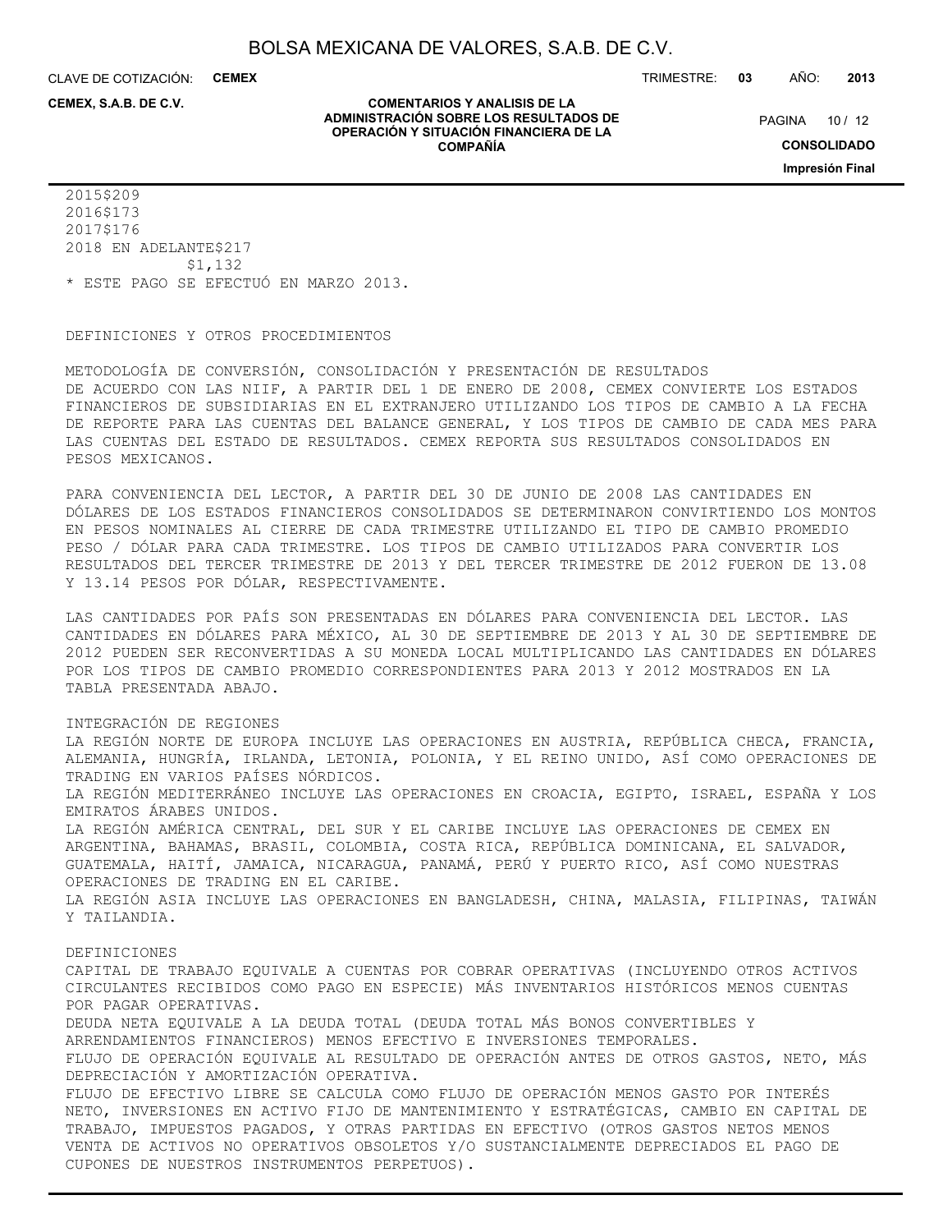**COMENTARIOS Y ANALISIS DE LA ADMINISTRACIÓN SOBRE LOS RESULTADOS DE OPERACIÓN Y SITUACIÓN FINANCIERA DE LA COMPAÑÍA**

CLAVE DE COTIZACIÓN: **CEMEX**

**CEMEX, S.A.B. DE C.V.**

TRIMESTRE: **03** AÑO: **2013**

PAGINA 10 / 12

**CONSOLIDADO**

**Impresión Final**

2015\$209 2016\$173 2017\$176 2018 EN ADELANTE\$217 \$1,132 \* ESTE PAGO SE EFECTUÓ EN MARZO 2013.

DEFINICIONES Y OTROS PROCEDIMIENTOS

METODOLOGÍA DE CONVERSIÓN, CONSOLIDACIÓN Y PRESENTACIÓN DE RESULTADOS DE ACUERDO CON LAS NIIF, A PARTIR DEL 1 DE ENERO DE 2008, CEMEX CONVIERTE LOS ESTADOS FINANCIEROS DE SUBSIDIARIAS EN EL EXTRANJERO UTILIZANDO LOS TIPOS DE CAMBIO A LA FECHA DE REPORTE PARA LAS CUENTAS DEL BALANCE GENERAL, Y LOS TIPOS DE CAMBIO DE CADA MES PARA LAS CUENTAS DEL ESTADO DE RESULTADOS. CEMEX REPORTA SUS RESULTADOS CONSOLIDADOS EN PESOS MEXICANOS.

PARA CONVENIENCIA DEL LECTOR, A PARTIR DEL 30 DE JUNIO DE 2008 LAS CANTIDADES EN DÓLARES DE LOS ESTADOS FINANCIEROS CONSOLIDADOS SE DETERMINARON CONVIRTIENDO LOS MONTOS EN PESOS NOMINALES AL CIERRE DE CADA TRIMESTRE UTILIZANDO EL TIPO DE CAMBIO PROMEDIO PESO / DÓLAR PARA CADA TRIMESTRE. LOS TIPOS DE CAMBIO UTILIZADOS PARA CONVERTIR LOS RESULTADOS DEL TERCER TRIMESTRE DE 2013 Y DEL TERCER TRIMESTRE DE 2012 FUERON DE 13.08 Y 13.14 PESOS POR DÓLAR, RESPECTIVAMENTE.

LAS CANTIDADES POR PAÍS SON PRESENTADAS EN DÓLARES PARA CONVENIENCIA DEL LECTOR. LAS CANTIDADES EN DÓLARES PARA MÉXICO, AL 30 DE SEPTIEMBRE DE 2013 Y AL 30 DE SEPTIEMBRE DE 2012 PUEDEN SER RECONVERTIDAS A SU MONEDA LOCAL MULTIPLICANDO LAS CANTIDADES EN DÓLARES POR LOS TIPOS DE CAMBIO PROMEDIO CORRESPONDIENTES PARA 2013 Y 2012 MOSTRADOS EN LA TABLA PRESENTADA ABAJO.

INTEGRACIÓN DE REGIONES

LA REGIÓN NORTE DE EUROPA INCLUYE LAS OPERACIONES EN AUSTRIA, REPÚBLICA CHECA, FRANCIA, ALEMANIA, HUNGRÍA, IRLANDA, LETONIA, POLONIA, Y EL REINO UNIDO, ASÍ COMO OPERACIONES DE TRADING EN VARIOS PAÍSES NÓRDICOS. LA REGIÓN MEDITERRÁNEO INCLUYE LAS OPERACIONES EN CROACIA, EGIPTO, ISRAEL, ESPAÑA Y LOS EMIRATOS ÁRABES UNIDOS. LA REGIÓN AMÉRICA CENTRAL, DEL SUR Y EL CARIBE INCLUYE LAS OPERACIONES DE CEMEX EN ARGENTINA, BAHAMAS, BRASIL, COLOMBIA, COSTA RICA, REPÚBLICA DOMINICANA, EL SALVADOR, GUATEMALA, HAITÍ, JAMAICA, NICARAGUA, PANAMÁ, PERÚ Y PUERTO RICO, ASÍ COMO NUESTRAS OPERACIONES DE TRADING EN EL CARIBE. LA REGIÓN ASIA INCLUYE LAS OPERACIONES EN BANGLADESH, CHINA, MALASIA, FILIPINAS, TAIWÁN Y TAILANDIA. DEFINICIONES CAPITAL DE TRABAJO EQUIVALE A CUENTAS POR COBRAR OPERATIVAS (INCLUYENDO OTROS ACTIVOS CIRCULANTES RECIBIDOS COMO PAGO EN ESPECIE) MÁS INVENTARIOS HISTÓRICOS MENOS CUENTAS POR PAGAR OPERATIVAS. DEUDA NETA EQUIVALE A LA DEUDA TOTAL (DEUDA TOTAL MÁS BONOS CONVERTIBLES Y ARRENDAMIENTOS FINANCIEROS) MENOS EFECTIVO E INVERSIONES TEMPORALES. FLUJO DE OPERACIÓN EQUIVALE AL RESULTADO DE OPERACIÓN ANTES DE OTROS GASTOS, NETO, MÁS DEPRECIACIÓN Y AMORTIZACIÓN OPERATIVA. FLUJO DE EFECTIVO LIBRE SE CALCULA COMO FLUJO DE OPERACIÓN MENOS GASTO POR INTERÉS NETO, INVERSIONES EN ACTIVO FIJO DE MANTENIMIENTO Y ESTRATÉGICAS, CAMBIO EN CAPITAL DE TRABAJO, IMPUESTOS PAGADOS, Y OTRAS PARTIDAS EN EFECTIVO (OTROS GASTOS NETOS MENOS VENTA DE ACTIVOS NO OPERATIVOS OBSOLETOS Y/O SUSTANCIALMENTE DEPRECIADOS EL PAGO DE CUPONES DE NUESTROS INSTRUMENTOS PERPETUOS).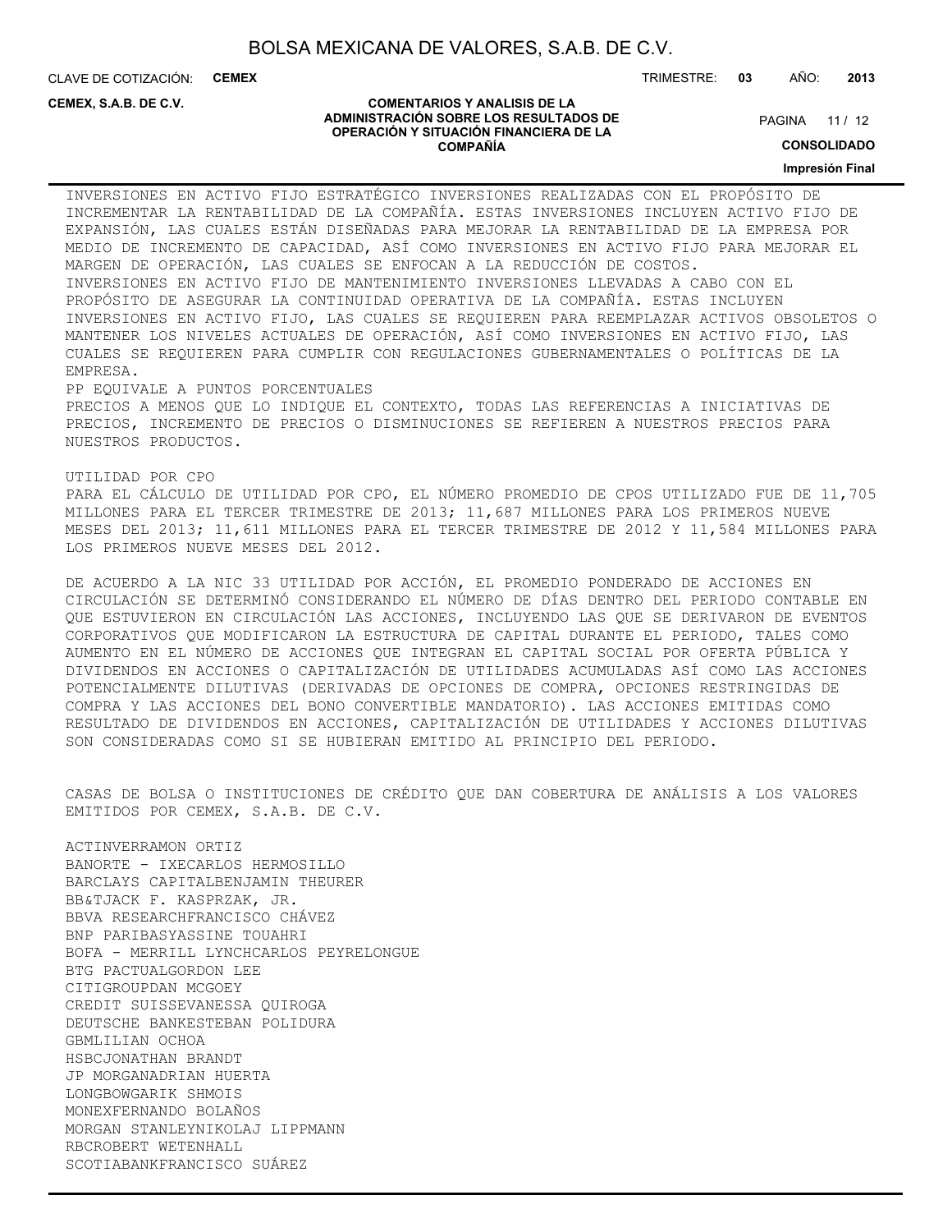**COMENTARIOS Y ANALISIS DE LA ADMINISTRACIÓN SOBRE LOS RESULTADOS DE OPERACIÓN Y SITUACIÓN FINANCIERA DE LA COMPAÑÍA**

CLAVE DE COTIZACIÓN: **CEMEX**

**CEMEX, S.A.B. DE C.V.**

#### TRIMESTRE: **03** AÑO: **2013**

PAGINA 11 / 12

**CONSOLIDADO**

**Impresión Final**

INVERSIONES EN ACTIVO FIJO ESTRATÉGICO INVERSIONES REALIZADAS CON EL PROPÓSITO DE INCREMENTAR LA RENTABILIDAD DE LA COMPAÑÍA. ESTAS INVERSIONES INCLUYEN ACTIVO FIJO DE EXPANSIÓN, LAS CUALES ESTÁN DISEÑADAS PARA MEJORAR LA RENTABILIDAD DE LA EMPRESA POR MEDIO DE INCREMENTO DE CAPACIDAD, ASÍ COMO INVERSIONES EN ACTIVO FIJO PARA MEJORAR EL MARGEN DE OPERACIÓN, LAS CUALES SE ENFOCAN A LA REDUCCIÓN DE COSTOS. INVERSIONES EN ACTIVO FIJO DE MANTENIMIENTO INVERSIONES LLEVADAS A CABO CON EL PROPÓSITO DE ASEGURAR LA CONTINUIDAD OPERATIVA DE LA COMPAÑÍA. ESTAS INCLUYEN INVERSIONES EN ACTIVO FIJO, LAS CUALES SE REQUIEREN PARA REEMPLAZAR ACTIVOS OBSOLETOS O MANTENER LOS NIVELES ACTUALES DE OPERACIÓN, ASÍ COMO INVERSIONES EN ACTIVO FIJO, LAS CUALES SE REQUIEREN PARA CUMPLIR CON REGULACIONES GUBERNAMENTALES O POLÍTICAS DE LA EMPRESA.

PP EQUIVALE A PUNTOS PORCENTUALES PRECIOS A MENOS QUE LO INDIQUE EL CONTEXTO, TODAS LAS REFERENCIAS A INICIATIVAS DE PRECIOS, INCREMENTO DE PRECIOS O DISMINUCIONES SE REFIEREN A NUESTROS PRECIOS PARA NUESTROS PRODUCTOS.

UTILIDAD POR CPO PARA EL CÁLCULO DE UTILIDAD POR CPO, EL NÚMERO PROMEDIO DE CPOS UTILIZADO FUE DE 11,705 MILLONES PARA EL TERCER TRIMESTRE DE 2013; 11,687 MILLONES PARA LOS PRIMEROS NUEVE MESES DEL 2013; 11,611 MILLONES PARA EL TERCER TRIMESTRE DE 2012 Y 11,584 MILLONES PARA LOS PRIMEROS NUEVE MESES DEL 2012.

DE ACUERDO A LA NIC 33 UTILIDAD POR ACCIÓN, EL PROMEDIO PONDERADO DE ACCIONES EN CIRCULACIÓN SE DETERMINÓ CONSIDERANDO EL NÚMERO DE DÍAS DENTRO DEL PERIODO CONTABLE EN QUE ESTUVIERON EN CIRCULACIÓN LAS ACCIONES, INCLUYENDO LAS QUE SE DERIVARON DE EVENTOS CORPORATIVOS QUE MODIFICARON LA ESTRUCTURA DE CAPITAL DURANTE EL PERIODO, TALES COMO AUMENTO EN EL NÚMERO DE ACCIONES QUE INTEGRAN EL CAPITAL SOCIAL POR OFERTA PÚBLICA Y DIVIDENDOS EN ACCIONES O CAPITALIZACIÓN DE UTILIDADES ACUMULADAS ASÍ COMO LAS ACCIONES POTENCIALMENTE DILUTIVAS (DERIVADAS DE OPCIONES DE COMPRA, OPCIONES RESTRINGIDAS DE COMPRA Y LAS ACCIONES DEL BONO CONVERTIBLE MANDATORIO). LAS ACCIONES EMITIDAS COMO RESULTADO DE DIVIDENDOS EN ACCIONES, CAPITALIZACIÓN DE UTILIDADES Y ACCIONES DILUTIVAS SON CONSIDERADAS COMO SI SE HUBIERAN EMITIDO AL PRINCIPIO DEL PERIODO.

CASAS DE BOLSA O INSTITUCIONES DE CRÉDITO QUE DAN COBERTURA DE ANÁLISIS A LOS VALORES EMITIDOS POR CEMEX, S.A.B. DE C.V.

ACTINVERRAMON ORTIZ BANORTE - IXECARLOS HERMOSILLO BARCLAYS CAPITALBENJAMIN THEURER BB&TJACK F. KASPRZAK, JR. BBVA RESEARCHFRANCISCO CHÁVEZ BNP PARIBASYASSINE TOUAHRI BOFA - MERRILL LYNCHCARLOS PEYRELONGUE BTG PACTUALGORDON LEE CITIGROUPDAN MCGOEY CREDIT SUISSEVANESSA QUIROGA DEUTSCHE BANKESTEBAN POLIDURA GBMLILIAN OCHOA HSBCJONATHAN BRANDT JP MORGANADRIAN HUERTA LONGBOWGARIK SHMOIS MONEXFERNANDO BOLAÑOS MORGAN STANLEYNIKOLAJ LIPPMANN RBCROBERT WETENHALL SCOTIABANKFRANCISCO SUÁREZ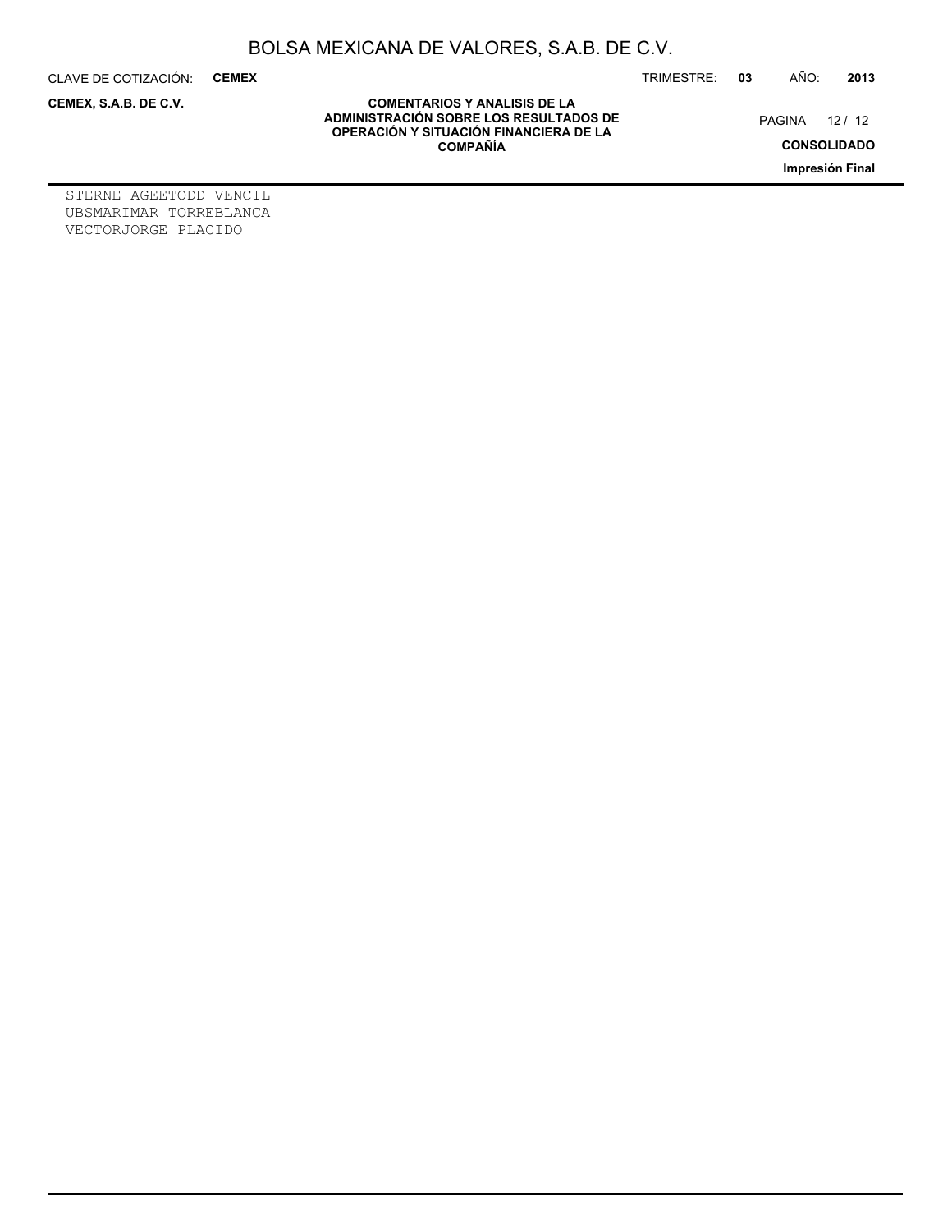CLAVE DE COTIZACIÓN: **CEMEX**

**CEMEX, S.A.B. DE C.V.**

TRIMESTRE: **03** AÑO: **2013**

PAGINA 12 / 12

**CONSOLIDADO**

**Impresión Final**

**COMENTARIOS Y ANALISIS DE LA ADMINISTRACIÓN SOBRE LOS RESULTADOS DE OPERACIÓN Y SITUACIÓN FINANCIERA DE LA COMPAÑÍA**

STERNE AGEETODD VENCIL UBSMARIMAR TORREBLANCA VECTORJORGE PLACIDO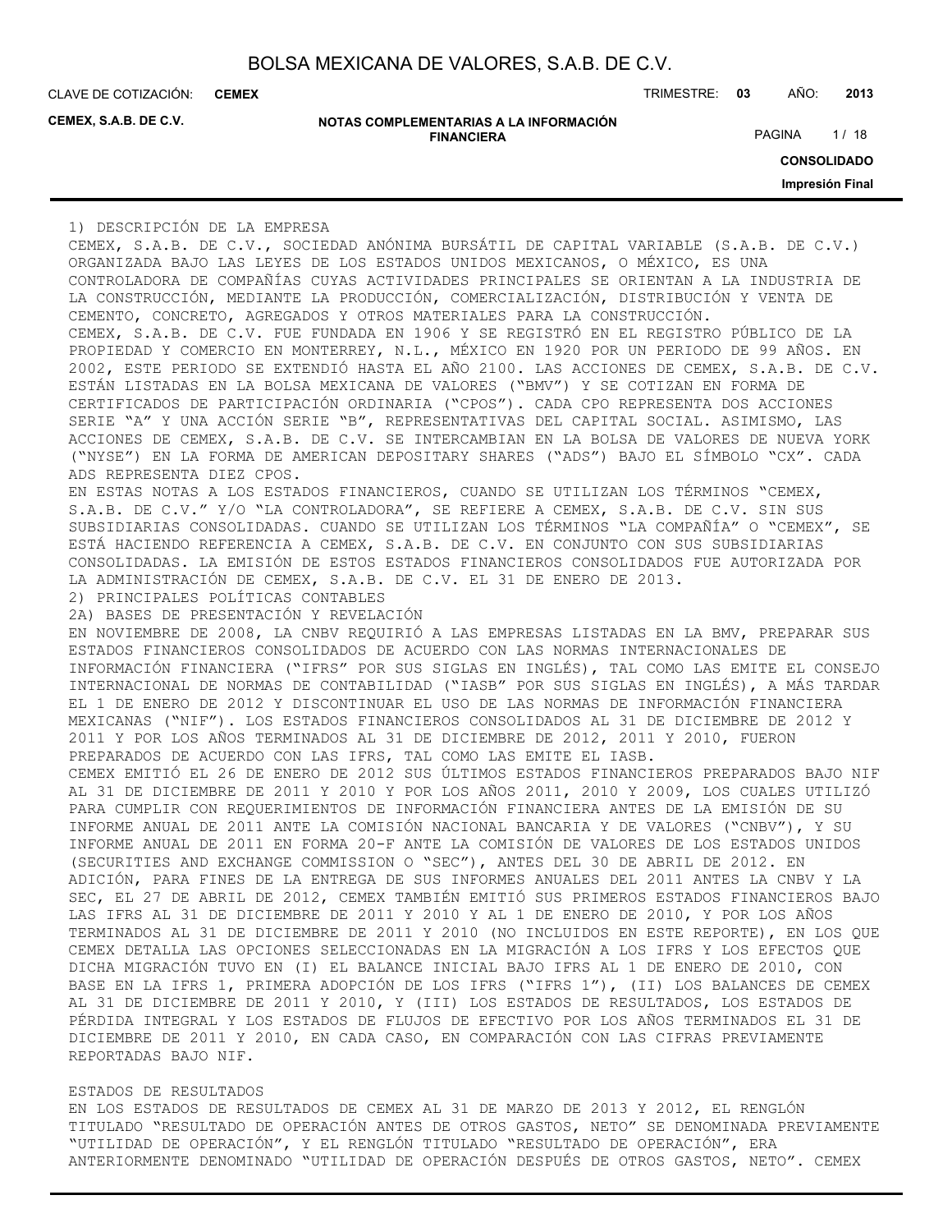**CEMEX**

**CEMEX, S.A.B. DE C.V.**

| NOTAS COMPLEMENTARIAS A LA INFORMACIÓN |
|----------------------------------------|
| <b>FINANCIERA</b>                      |

CLAVE DE COTIZACIÓN: TRIMESTRE: **03** AÑO: **2013**

PAGINA 1/18

**CONSOLIDADO**

**Impresión Final**

1) DESCRIPCIÓN DE LA EMPRESA

CEMEX, S.A.B. DE C.V., SOCIEDAD ANÓNIMA BURSÁTIL DE CAPITAL VARIABLE (S.A.B. DE C.V.) ORGANIZADA BAJO LAS LEYES DE LOS ESTADOS UNIDOS MEXICANOS, O MÉXICO, ES UNA CONTROLADORA DE COMPAÑÍAS CUYAS ACTIVIDADES PRINCIPALES SE ORIENTAN A LA INDUSTRIA DE LA CONSTRUCCIÓN, MEDIANTE LA PRODUCCIÓN, COMERCIALIZACIÓN, DISTRIBUCIÓN Y VENTA DE CEMENTO, CONCRETO, AGREGADOS Y OTROS MATERIALES PARA LA CONSTRUCCIÓN. CEMEX, S.A.B. DE C.V. FUE FUNDADA EN 1906 Y SE REGISTRÓ EN EL REGISTRO PÚBLICO DE LA PROPIEDAD Y COMERCIO EN MONTERREY, N.L., MÉXICO EN 1920 POR UN PERIODO DE 99 AÑOS. EN 2002, ESTE PERIODO SE EXTENDIÓ HASTA EL AÑO 2100. LAS ACCIONES DE CEMEX, S.A.B. DE C.V. ESTÁN LISTADAS EN LA BOLSA MEXICANA DE VALORES ("BMV") Y SE COTIZAN EN FORMA DE CERTIFICADOS DE PARTICIPACIÓN ORDINARIA ("CPOS"). CADA CPO REPRESENTA DOS ACCIONES SERIE "A" Y UNA ACCIÓN SERIE "B", REPRESENTATIVAS DEL CAPITAL SOCIAL. ASIMISMO, LAS ACCIONES DE CEMEX, S.A.B. DE C.V. SE INTERCAMBIAN EN LA BOLSA DE VALORES DE NUEVA YORK ("NYSE") EN LA FORMA DE AMERICAN DEPOSITARY SHARES ("ADS") BAJO EL SÍMBOLO "CX". CADA ADS REPRESENTA DIEZ CPOS. EN ESTAS NOTAS A LOS ESTADOS FINANCIEROS, CUANDO SE UTILIZAN LOS TÉRMINOS "CEMEX, S.A.B. DE C.V." Y/O "LA CONTROLADORA", SE REFIERE A CEMEX, S.A.B. DE C.V. SIN SUS SUBSIDIARIAS CONSOLIDADAS. CUANDO SE UTILIZAN LOS TÉRMINOS "LA COMPAÑÍA" O "CEMEX", SE ESTÁ HACIENDO REFERENCIA A CEMEX, S.A.B. DE C.V. EN CONJUNTO CON SUS SUBSIDIARIAS CONSOLIDADAS. LA EMISIÓN DE ESTOS ESTADOS FINANCIEROS CONSOLIDADOS FUE AUTORIZADA POR LA ADMINISTRACIÓN DE CEMEX, S.A.B. DE C.V. EL 31 DE ENERO DE 2013. 2) PRINCIPALES POLÍTICAS CONTABLES 2A) BASES DE PRESENTACIÓN Y REVELACIÓN EN NOVIEMBRE DE 2008, LA CNBV REQUIRIÓ A LAS EMPRESAS LISTADAS EN LA BMV, PREPARAR SUS ESTADOS FINANCIEROS CONSOLIDADOS DE ACUERDO CON LAS NORMAS INTERNACIONALES DE INFORMACIÓN FINANCIERA ("IFRS" POR SUS SIGLAS EN INGLÉS), TAL COMO LAS EMITE EL CONSEJO INTERNACIONAL DE NORMAS DE CONTABILIDAD ("IASB" POR SUS SIGLAS EN INGLÉS), A MÁS TARDAR EL 1 DE ENERO DE 2012 Y DISCONTINUAR EL USO DE LAS NORMAS DE INFORMACIÓN FINANCIERA MEXICANAS ("NIF"). LOS ESTADOS FINANCIEROS CONSOLIDADOS AL 31 DE DICIEMBRE DE 2012 Y 2011 Y POR LOS AÑOS TERMINADOS AL 31 DE DICIEMBRE DE 2012, 2011 Y 2010, FUERON PREPARADOS DE ACUERDO CON LAS IFRS, TAL COMO LAS EMITE EL IASB. CEMEX EMITIÓ EL 26 DE ENERO DE 2012 SUS ÚLTIMOS ESTADOS FINANCIEROS PREPARADOS BAJO NIF AL 31 DE DICIEMBRE DE 2011 Y 2010 Y POR LOS AÑOS 2011, 2010 Y 2009, LOS CUALES UTILIZÓ PARA CUMPLIR CON REQUERIMIENTOS DE INFORMACIÓN FINANCIERA ANTES DE LA EMISIÓN DE SU INFORME ANUAL DE 2011 ANTE LA COMISIÓN NACIONAL BANCARIA Y DE VALORES ("CNBV"), Y SU INFORME ANUAL DE 2011 EN FORMA 20-F ANTE LA COMISIÓN DE VALORES DE LOS ESTADOS UNIDOS (SECURITIES AND EXCHANGE COMMISSION O "SEC"), ANTES DEL 30 DE ABRIL DE 2012. EN ADICIÓN, PARA FINES DE LA ENTREGA DE SUS INFORMES ANUALES DEL 2011 ANTES LA CNBV Y LA SEC, EL 27 DE ABRIL DE 2012, CEMEX TAMBIÉN EMITIÓ SUS PRIMEROS ESTADOS FINANCIEROS BAJO LAS IFRS AL 31 DE DICIEMBRE DE 2011 Y 2010 Y AL 1 DE ENERO DE 2010, Y POR LOS AÑOS TERMINADOS AL 31 DE DICIEMBRE DE 2011 Y 2010 (NO INCLUIDOS EN ESTE REPORTE), EN LOS QUE CEMEX DETALLA LAS OPCIONES SELECCIONADAS EN LA MIGRACIÓN A LOS IFRS Y LOS EFECTOS QUE DICHA MIGRACIÓN TUVO EN (I) EL BALANCE INICIAL BAJO IFRS AL 1 DE ENERO DE 2010, CON BASE EN LA IFRS 1, PRIMERA ADOPCIÓN DE LOS IFRS ("IFRS 1"), (II) LOS BALANCES DE CEMEX AL 31 DE DICIEMBRE DE 2011 Y 2010, Y (III) LOS ESTADOS DE RESULTADOS, LOS ESTADOS DE PÉRDIDA INTEGRAL Y LOS ESTADOS DE FLUJOS DE EFECTIVO POR LOS AÑOS TERMINADOS EL 31 DE DICIEMBRE DE 2011 Y 2010, EN CADA CASO, EN COMPARACIÓN CON LAS CIFRAS PREVIAMENTE REPORTADAS BAJO NIF.

#### ESTADOS DE RESULTADOS

EN LOS ESTADOS DE RESULTADOS DE CEMEX AL 31 DE MARZO DE 2013 Y 2012, EL RENGLÓN TITULADO "RESULTADO DE OPERACIÓN ANTES DE OTROS GASTOS, NETO" SE DENOMINADA PREVIAMENTE "UTILIDAD DE OPERACIÓN", Y EL RENGLÓN TITULADO "RESULTADO DE OPERACIÓN", ERA ANTERIORMENTE DENOMINADO "UTILIDAD DE OPERACIÓN DESPUÉS DE OTROS GASTOS, NETO". CEMEX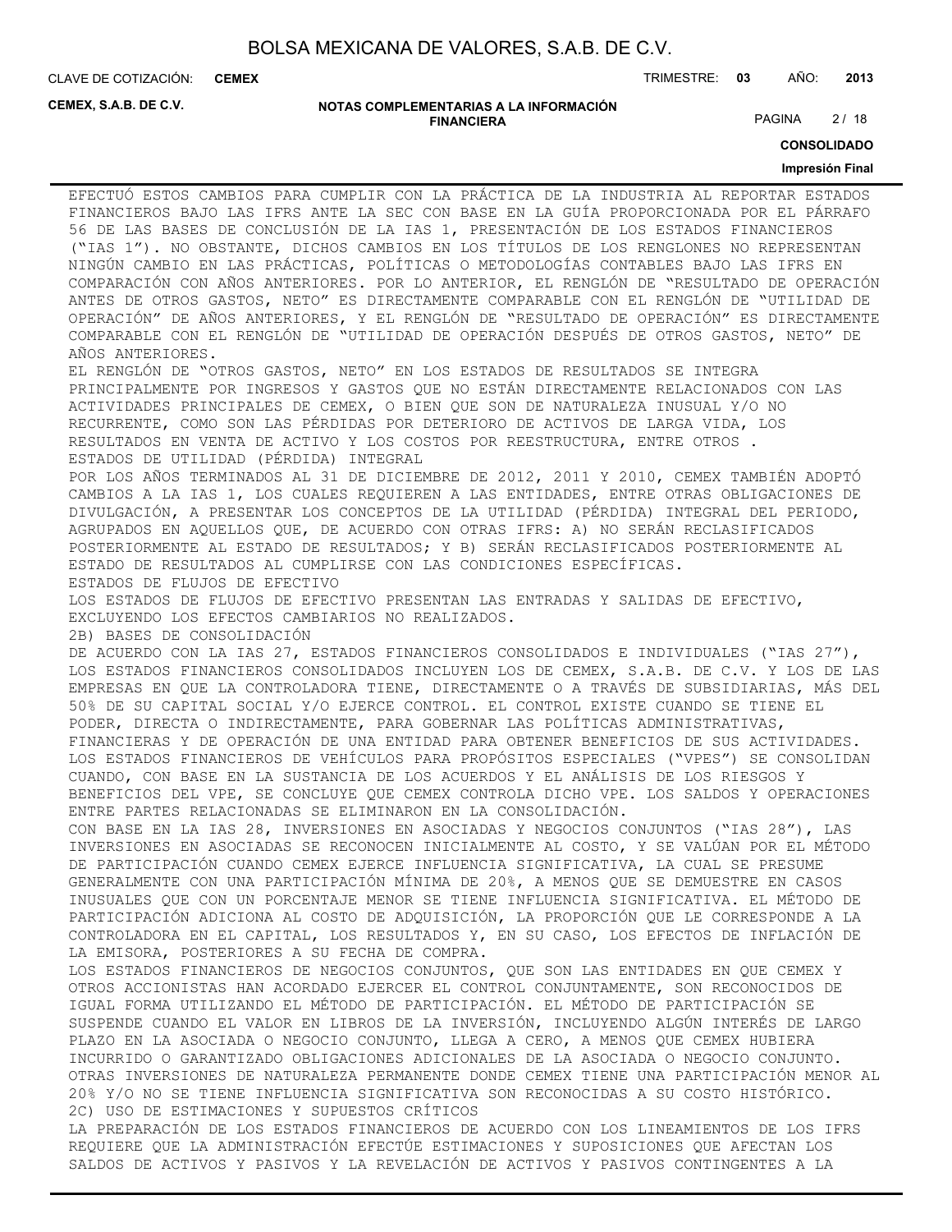**CEMEX**

CLAVE DE COTIZACIÓN: TRIMESTRE: **03** AÑO: **2013**

**CEMEX, S.A.B. DE C.V.**

**NOTAS COMPLEMENTARIAS A LA INFORMACIÓN FINANCIERA**

PAGINA 2/18

**CONSOLIDADO**

#### **Impresión Final**

EFECTUÓ ESTOS CAMBIOS PARA CUMPLIR CON LA PRÁCTICA DE LA INDUSTRIA AL REPORTAR ESTADOS FINANCIEROS BAJO LAS IFRS ANTE LA SEC CON BASE EN LA GUÍA PROPORCIONADA POR EL PÁRRAFO 56 DE LAS BASES DE CONCLUSIÓN DE LA IAS 1, PRESENTACIÓN DE LOS ESTADOS FINANCIEROS ("IAS 1"). NO OBSTANTE, DICHOS CAMBIOS EN LOS TÍTULOS DE LOS RENGLONES NO REPRESENTAN NINGÚN CAMBIO EN LAS PRÁCTICAS, POLÍTICAS O METODOLOGÍAS CONTABLES BAJO LAS IFRS EN COMPARACIÓN CON AÑOS ANTERIORES. POR LO ANTERIOR, EL RENGLÓN DE "RESULTADO DE OPERACIÓN ANTES DE OTROS GASTOS, NETO" ES DIRECTAMENTE COMPARABLE CON EL RENGLÓN DE "UTILIDAD DE OPERACIÓN" DE AÑOS ANTERIORES, Y EL RENGLÓN DE "RESULTADO DE OPERACIÓN" ES DIRECTAMENTE COMPARABLE CON EL RENGLÓN DE "UTILIDAD DE OPERACIÓN DESPUÉS DE OTROS GASTOS, NETO" DE AÑOS ANTERIORES. EL RENGLÓN DE "OTROS GASTOS, NETO" EN LOS ESTADOS DE RESULTADOS SE INTEGRA PRINCIPALMENTE POR INGRESOS Y GASTOS QUE NO ESTÁN DIRECTAMENTE RELACIONADOS CON LAS

ACTIVIDADES PRINCIPALES DE CEMEX, O BIEN QUE SON DE NATURALEZA INUSUAL Y/O NO RECURRENTE, COMO SON LAS PÉRDIDAS POR DETERIORO DE ACTIVOS DE LARGA VIDA, LOS RESULTADOS EN VENTA DE ACTIVO Y LOS COSTOS POR REESTRUCTURA, ENTRE OTROS . ESTADOS DE UTILIDAD (PÉRDIDA) INTEGRAL

POR LOS AÑOS TERMINADOS AL 31 DE DICIEMBRE DE 2012, 2011 Y 2010, CEMEX TAMBIÉN ADOPTÓ CAMBIOS A LA IAS 1, LOS CUALES REQUIEREN A LAS ENTIDADES, ENTRE OTRAS OBLIGACIONES DE DIVULGACIÓN, A PRESENTAR LOS CONCEPTOS DE LA UTILIDAD (PÉRDIDA) INTEGRAL DEL PERIODO, AGRUPADOS EN AQUELLOS QUE, DE ACUERDO CON OTRAS IFRS: A) NO SERÁN RECLASIFICADOS POSTERIORMENTE AL ESTADO DE RESULTADOS; Y B) SERÁN RECLASIFICADOS POSTERIORMENTE AL ESTADO DE RESULTADOS AL CUMPLIRSE CON LAS CONDICIONES ESPECÍFICAS. ESTADOS DE FLUJOS DE EFECTIVO

LOS ESTADOS DE FLUJOS DE EFECTIVO PRESENTAN LAS ENTRADAS Y SALIDAS DE EFECTIVO, EXCLUYENDO LOS EFECTOS CAMBIARIOS NO REALIZADOS.

2B) BASES DE CONSOLIDACIÓN

DE ACUERDO CON LA IAS 27, ESTADOS FINANCIEROS CONSOLIDADOS E INDIVIDUALES ("IAS 27"), LOS ESTADOS FINANCIEROS CONSOLIDADOS INCLUYEN LOS DE CEMEX, S.A.B. DE C.V. Y LOS DE LAS EMPRESAS EN QUE LA CONTROLADORA TIENE, DIRECTAMENTE O A TRAVÉS DE SUBSIDIARIAS, MÁS DEL 50% DE SU CAPITAL SOCIAL Y/O EJERCE CONTROL. EL CONTROL EXISTE CUANDO SE TIENE EL PODER, DIRECTA O INDIRECTAMENTE, PARA GOBERNAR LAS POLÍTICAS ADMINISTRATIVAS, FINANCIERAS Y DE OPERACIÓN DE UNA ENTIDAD PARA OBTENER BENEFICIOS DE SUS ACTIVIDADES. LOS ESTADOS FINANCIEROS DE VEHÍCULOS PARA PROPÓSITOS ESPECIALES ("VPES") SE CONSOLIDAN CUANDO, CON BASE EN LA SUSTANCIA DE LOS ACUERDOS Y EL ANÁLISIS DE LOS RIESGOS Y BENEFICIOS DEL VPE, SE CONCLUYE QUE CEMEX CONTROLA DICHO VPE. LOS SALDOS Y OPERACIONES ENTRE PARTES RELACIONADAS SE ELIMINARON EN LA CONSOLIDACIÓN.

CON BASE EN LA IAS 28, INVERSIONES EN ASOCIADAS Y NEGOCIOS CONJUNTOS ("IAS 28"), LAS INVERSIONES EN ASOCIADAS SE RECONOCEN INICIALMENTE AL COSTO, Y SE VALÚAN POR EL MÉTODO DE PARTICIPACIÓN CUANDO CEMEX EJERCE INFLUENCIA SIGNIFICATIVA, LA CUAL SE PRESUME GENERALMENTE CON UNA PARTICIPACIÓN MÍNIMA DE 20%, A MENOS QUE SE DEMUESTRE EN CASOS INUSUALES QUE CON UN PORCENTAJE MENOR SE TIENE INFLUENCIA SIGNIFICATIVA. EL MÉTODO DE PARTICIPACIÓN ADICIONA AL COSTO DE ADQUISICIÓN, LA PROPORCIÓN QUE LE CORRESPONDE A LA CONTROLADORA EN EL CAPITAL, LOS RESULTADOS Y, EN SU CASO, LOS EFECTOS DE INFLACIÓN DE LA EMISORA, POSTERIORES A SU FECHA DE COMPRA.

LOS ESTADOS FINANCIEROS DE NEGOCIOS CONJUNTOS, QUE SON LAS ENTIDADES EN QUE CEMEX Y OTROS ACCIONISTAS HAN ACORDADO EJERCER EL CONTROL CONJUNTAMENTE, SON RECONOCIDOS DE IGUAL FORMA UTILIZANDO EL MÉTODO DE PARTICIPACIÓN. EL MÉTODO DE PARTICIPACIÓN SE SUSPENDE CUANDO EL VALOR EN LIBROS DE LA INVERSIÓN, INCLUYENDO ALGÚN INTERÉS DE LARGO PLAZO EN LA ASOCIADA O NEGOCIO CONJUNTO, LLEGA A CERO, A MENOS QUE CEMEX HUBIERA INCURRIDO O GARANTIZADO OBLIGACIONES ADICIONALES DE LA ASOCIADA O NEGOCIO CONJUNTO. OTRAS INVERSIONES DE NATURALEZA PERMANENTE DONDE CEMEX TIENE UNA PARTICIPACIÓN MENOR AL 20% Y/O NO SE TIENE INFLUENCIA SIGNIFICATIVA SON RECONOCIDAS A SU COSTO HISTÓRICO. 2C) USO DE ESTIMACIONES Y SUPUESTOS CRÍTICOS

LA PREPARACIÓN DE LOS ESTADOS FINANCIEROS DE ACUERDO CON LOS LINEAMIENTOS DE LOS IFRS REQUIERE QUE LA ADMINISTRACIÓN EFECTÚE ESTIMACIONES Y SUPOSICIONES QUE AFECTAN LOS SALDOS DE ACTIVOS Y PASIVOS Y LA REVELACIÓN DE ACTIVOS Y PASIVOS CONTINGENTES A LA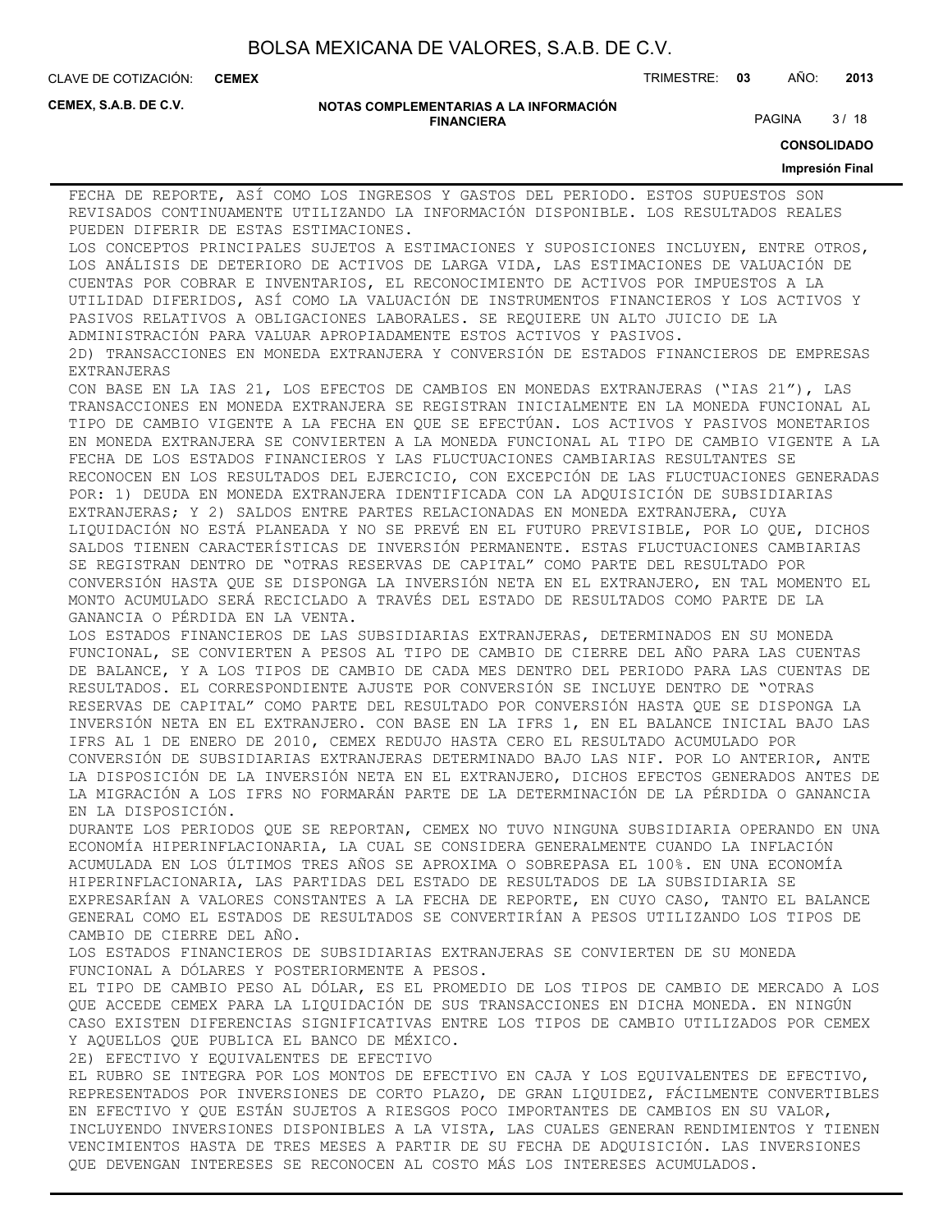**CEMEX**

CLAVE DE COTIZACIÓN: TRIMESTRE: **03** AÑO: **2013**

**CEMEX, S.A.B. DE C.V.**

#### **NOTAS COMPLEMENTARIAS A LA INFORMACIÓN FINANCIERA**

PAGINA 3/18

**CONSOLIDADO**

#### **Impresión Final**

FECHA DE REPORTE, ASÍ COMO LOS INGRESOS Y GASTOS DEL PERIODO. ESTOS SUPUESTOS SON REVISADOS CONTINUAMENTE UTILIZANDO LA INFORMACIÓN DISPONIBLE. LOS RESULTADOS REALES PUEDEN DIFERIR DE ESTAS ESTIMACIONES. LOS CONCEPTOS PRINCIPALES SUJETOS A ESTIMACIONES Y SUPOSICIONES INCLUYEN, ENTRE OTROS, LOS ANÁLISIS DE DETERIORO DE ACTIVOS DE LARGA VIDA, LAS ESTIMACIONES DE VALUACIÓN DE CUENTAS POR COBRAR E INVENTARIOS, EL RECONOCIMIENTO DE ACTIVOS POR IMPUESTOS A LA UTILIDAD DIFERIDOS, ASÍ COMO LA VALUACIÓN DE INSTRUMENTOS FINANCIEROS Y LOS ACTIVOS Y PASIVOS RELATIVOS A OBLIGACIONES LABORALES. SE REQUIERE UN ALTO JUICIO DE LA ADMINISTRACIÓN PARA VALUAR APROPIADAMENTE ESTOS ACTIVOS Y PASIVOS. 2D) TRANSACCIONES EN MONEDA EXTRANJERA Y CONVERSIÓN DE ESTADOS FINANCIEROS DE EMPRESAS EXTRANJERAS CON BASE EN LA IAS 21, LOS EFECTOS DE CAMBIOS EN MONEDAS EXTRANJERAS ("IAS 21"), LAS TRANSACCIONES EN MONEDA EXTRANJERA SE REGISTRAN INICIALMENTE EN LA MONEDA FUNCIONAL AL TIPO DE CAMBIO VIGENTE A LA FECHA EN QUE SE EFECTÚAN. LOS ACTIVOS Y PASIVOS MONETARIOS EN MONEDA EXTRANJERA SE CONVIERTEN A LA MONEDA FUNCIONAL AL TIPO DE CAMBIO VIGENTE A LA FECHA DE LOS ESTADOS FINANCIEROS Y LAS FLUCTUACIONES CAMBIARIAS RESULTANTES SE RECONOCEN EN LOS RESULTADOS DEL EJERCICIO, CON EXCEPCIÓN DE LAS FLUCTUACIONES GENERADAS POR: 1) DEUDA EN MONEDA EXTRANJERA IDENTIFICADA CON LA ADQUISICIÓN DE SUBSIDIARIAS EXTRANJERAS; Y 2) SALDOS ENTRE PARTES RELACIONADAS EN MONEDA EXTRANJERA, CUYA LIQUIDACIÓN NO ESTÁ PLANEADA Y NO SE PREVÉ EN EL FUTURO PREVISIBLE, POR LO QUE, DICHOS SALDOS TIENEN CARACTERÍSTICAS DE INVERSIÓN PERMANENTE. ESTAS FLUCTUACIONES CAMBIARIAS SE REGISTRAN DENTRO DE "OTRAS RESERVAS DE CAPITAL" COMO PARTE DEL RESULTADO POR CONVERSIÓN HASTA QUE SE DISPONGA LA INVERSIÓN NETA EN EL EXTRANJERO, EN TAL MOMENTO EL MONTO ACUMULADO SERÁ RECICLADO A TRAVÉS DEL ESTADO DE RESULTADOS COMO PARTE DE LA GANANCIA O PÉRDIDA EN LA VENTA. LOS ESTADOS FINANCIEROS DE LAS SUBSIDIARIAS EXTRANJERAS, DETERMINADOS EN SU MONEDA FUNCIONAL, SE CONVIERTEN A PESOS AL TIPO DE CAMBIO DE CIERRE DEL AÑO PARA LAS CUENTAS DE BALANCE, Y A LOS TIPOS DE CAMBIO DE CADA MES DENTRO DEL PERIODO PARA LAS CUENTAS DE RESULTADOS. EL CORRESPONDIENTE AJUSTE POR CONVERSIÓN SE INCLUYE DENTRO DE "OTRAS RESERVAS DE CAPITAL" COMO PARTE DEL RESULTADO POR CONVERSIÓN HASTA QUE SE DISPONGA LA INVERSIÓN NETA EN EL EXTRANJERO. CON BASE EN LA IFRS 1, EN EL BALANCE INICIAL BAJO LAS IFRS AL 1 DE ENERO DE 2010, CEMEX REDUJO HASTA CERO EL RESULTADO ACUMULADO POR CONVERSIÓN DE SUBSIDIARIAS EXTRANJERAS DETERMINADO BAJO LAS NIF. POR LO ANTERIOR, ANTE LA DISPOSICIÓN DE LA INVERSIÓN NETA EN EL EXTRANJERO, DICHOS EFECTOS GENERADOS ANTES DE LA MIGRACIÓN A LOS IFRS NO FORMARÁN PARTE DE LA DETERMINACIÓN DE LA PÉRDIDA O GANANCIA EN LA DISPOSICIÓN. DURANTE LOS PERIODOS QUE SE REPORTAN, CEMEX NO TUVO NINGUNA SUBSIDIARIA OPERANDO EN UNA ECONOMÍA HIPERINFLACIONARIA, LA CUAL SE CONSIDERA GENERALMENTE CUANDO LA INFLACIÓN ACUMULADA EN LOS ÚLTIMOS TRES AÑOS SE APROXIMA O SOBREPASA EL 100%. EN UNA ECONOMÍA HIPERINFLACIONARIA, LAS PARTIDAS DEL ESTADO DE RESULTADOS DE LA SUBSIDIARIA SE EXPRESARÍAN A VALORES CONSTANTES A LA FECHA DE REPORTE, EN CUYO CASO, TANTO EL BALANCE GENERAL COMO EL ESTADOS DE RESULTADOS SE CONVERTIRÍAN A PESOS UTILIZANDO LOS TIPOS DE CAMBIO DE CIERRE DEL AÑO. LOS ESTADOS FINANCIEROS DE SUBSIDIARIAS EXTRANJERAS SE CONVIERTEN DE SU MONEDA FUNCIONAL A DÓLARES Y POSTERIORMENTE A PESOS. EL TIPO DE CAMBIO PESO AL DÓLAR, ES EL PROMEDIO DE LOS TIPOS DE CAMBIO DE MERCADO A LOS QUE ACCEDE CEMEX PARA LA LIQUIDACIÓN DE SUS TRANSACCIONES EN DICHA MONEDA. EN NINGÚN CASO EXISTEN DIFERENCIAS SIGNIFICATIVAS ENTRE LOS TIPOS DE CAMBIO UTILIZADOS POR CEMEX Y AQUELLOS QUE PUBLICA EL BANCO DE MÉXICO. 2E) EFECTIVO Y EQUIVALENTES DE EFECTIVO EL RUBRO SE INTEGRA POR LOS MONTOS DE EFECTIVO EN CAJA Y LOS EQUIVALENTES DE EFECTIVO, REPRESENTADOS POR INVERSIONES DE CORTO PLAZO, DE GRAN LIQUIDEZ, FÁCILMENTE CONVERTIBLES EN EFECTIVO Y QUE ESTÁN SUJETOS A RIESGOS POCO IMPORTANTES DE CAMBIOS EN SU VALOR, INCLUYENDO INVERSIONES DISPONIBLES A LA VISTA, LAS CUALES GENERAN RENDIMIENTOS Y TIENEN VENCIMIENTOS HASTA DE TRES MESES A PARTIR DE SU FECHA DE ADQUISICIÓN. LAS INVERSIONES QUE DEVENGAN INTERESES SE RECONOCEN AL COSTO MÁS LOS INTERESES ACUMULADOS.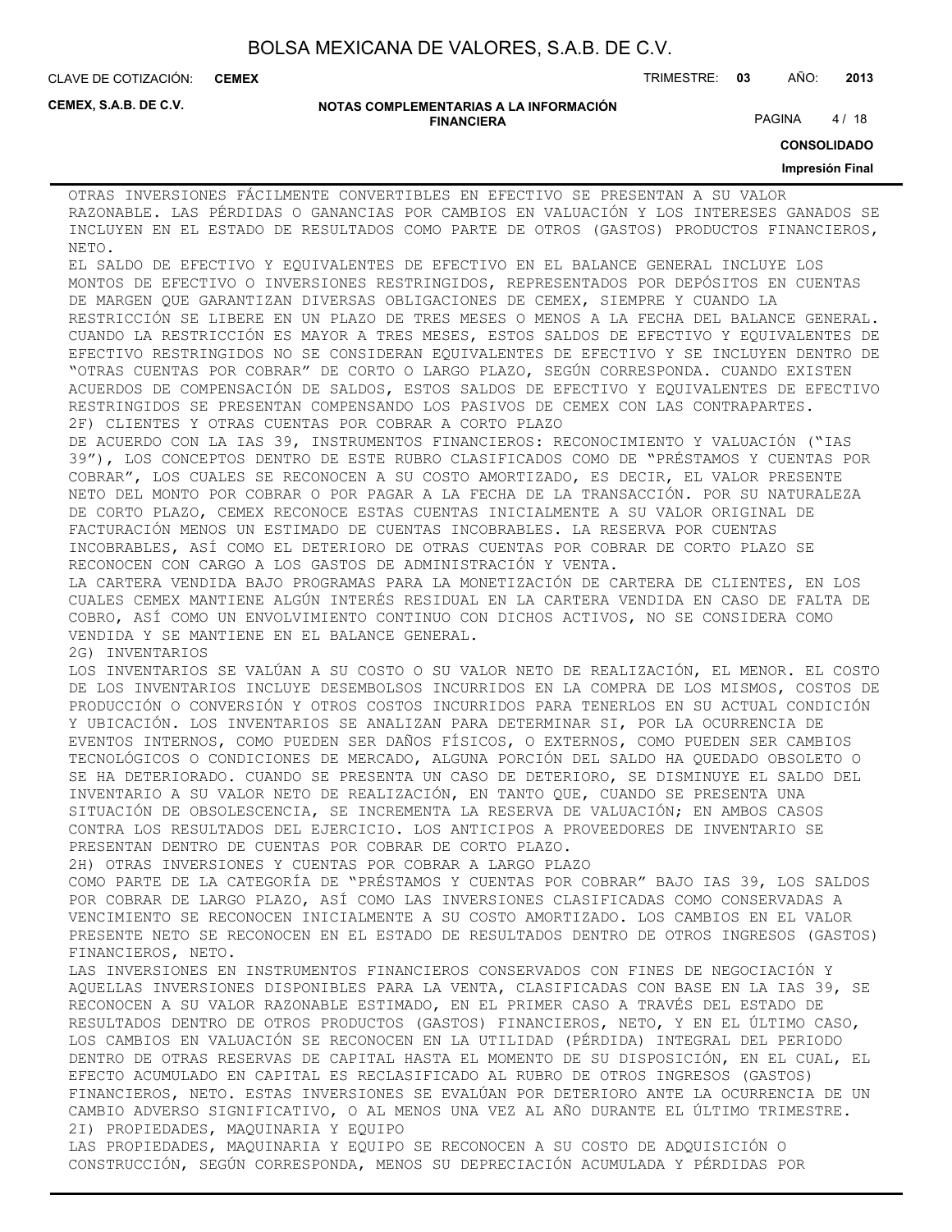**CEMEX**

CLAVE DE COTIZACIÓN: TRIMESTRE: **03** AÑO: **2013**

**CEMEX, S.A.B. DE C.V.**

#### **NOTAS COMPLEMENTARIAS A LA INFORMACIÓN FINANCIERA**

PAGINA 4/18

**CONSOLIDADO**

#### **Impresión Final**

OTRAS INVERSIONES FÁCILMENTE CONVERTIBLES EN EFECTIVO SE PRESENTAN A SU VALOR RAZONABLE. LAS PÉRDIDAS O GANANCIAS POR CAMBIOS EN VALUACIÓN Y LOS INTERESES GANADOS SE INCLUYEN EN EL ESTADO DE RESULTADOS COMO PARTE DE OTROS (GASTOS) PRODUCTOS FINANCIEROS, NETO.

EL SALDO DE EFECTIVO Y EQUIVALENTES DE EFECTIVO EN EL BALANCE GENERAL INCLUYE LOS MONTOS DE EFECTIVO O INVERSIONES RESTRINGIDOS, REPRESENTADOS POR DEPÓSITOS EN CUENTAS DE MARGEN QUE GARANTIZAN DIVERSAS OBLIGACIONES DE CEMEX, SIEMPRE Y CUANDO LA RESTRICCIÓN SE LIBERE EN UN PLAZO DE TRES MESES O MENOS A LA FECHA DEL BALANCE GENERAL. CUANDO LA RESTRICCIÓN ES MAYOR A TRES MESES, ESTOS SALDOS DE EFECTIVO Y EQUIVALENTES DE EFECTIVO RESTRINGIDOS NO SE CONSIDERAN EQUIVALENTES DE EFECTIVO Y SE INCLUYEN DENTRO DE "OTRAS CUENTAS POR COBRAR" DE CORTO O LARGO PLAZO, SEGÚN CORRESPONDA. CUANDO EXISTEN ACUERDOS DE COMPENSACIÓN DE SALDOS, ESTOS SALDOS DE EFECTIVO Y EQUIVALENTES DE EFECTIVO RESTRINGIDOS SE PRESENTAN COMPENSANDO LOS PASIVOS DE CEMEX CON LAS CONTRAPARTES. 2F) CLIENTES Y OTRAS CUENTAS POR COBRAR A CORTO PLAZO

DE ACUERDO CON LA IAS 39, INSTRUMENTOS FINANCIEROS: RECONOCIMIENTO Y VALUACIÓN ("IAS 39"), LOS CONCEPTOS DENTRO DE ESTE RUBRO CLASIFICADOS COMO DE "PRÉSTAMOS Y CUENTAS POR COBRAR", LOS CUALES SE RECONOCEN A SU COSTO AMORTIZADO, ES DECIR, EL VALOR PRESENTE NETO DEL MONTO POR COBRAR O POR PAGAR A LA FECHA DE LA TRANSACCIÓN. POR SU NATURALEZA DE CORTO PLAZO, CEMEX RECONOCE ESTAS CUENTAS INICIALMENTE A SU VALOR ORIGINAL DE FACTURACIÓN MENOS UN ESTIMADO DE CUENTAS INCOBRABLES. LA RESERVA POR CUENTAS INCOBRABLES, ASÍ COMO EL DETERIORO DE OTRAS CUENTAS POR COBRAR DE CORTO PLAZO SE RECONOCEN CON CARGO A LOS GASTOS DE ADMINISTRACIÓN Y VENTA.

LA CARTERA VENDIDA BAJO PROGRAMAS PARA LA MONETIZACIÓN DE CARTERA DE CLIENTES, EN LOS CUALES CEMEX MANTIENE ALGÚN INTERÉS RESIDUAL EN LA CARTERA VENDIDA EN CASO DE FALTA DE COBRO, ASÍ COMO UN ENVOLVIMIENTO CONTINUO CON DICHOS ACTIVOS, NO SE CONSIDERA COMO VENDIDA Y SE MANTIENE EN EL BALANCE GENERAL.

2G) INVENTARIOS

LOS INVENTARIOS SE VALÚAN A SU COSTO O SU VALOR NETO DE REALIZACIÓN, EL MENOR. EL COSTO DE LOS INVENTARIOS INCLUYE DESEMBOLSOS INCURRIDOS EN LA COMPRA DE LOS MISMOS, COSTOS DE PRODUCCIÓN O CONVERSIÓN Y OTROS COSTOS INCURRIDOS PARA TENERLOS EN SU ACTUAL CONDICIÓN Y UBICACIÓN. LOS INVENTARIOS SE ANALIZAN PARA DETERMINAR SI, POR LA OCURRENCIA DE EVENTOS INTERNOS, COMO PUEDEN SER DAÑOS FÍSICOS, O EXTERNOS, COMO PUEDEN SER CAMBIOS TECNOLÓGICOS O CONDICIONES DE MERCADO, ALGUNA PORCIÓN DEL SALDO HA QUEDADO OBSOLETO O SE HA DETERIORADO. CUANDO SE PRESENTA UN CASO DE DETERIORO, SE DISMINUYE EL SALDO DEL INVENTARIO A SU VALOR NETO DE REALIZACIÓN, EN TANTO QUE, CUANDO SE PRESENTA UNA SITUACIÓN DE OBSOLESCENCIA, SE INCREMENTA LA RESERVA DE VALUACIÓN; EN AMBOS CASOS CONTRA LOS RESULTADOS DEL EJERCICIO. LOS ANTICIPOS A PROVEEDORES DE INVENTARIO SE PRESENTAN DENTRO DE CUENTAS POR COBRAR DE CORTO PLAZO.

2H) OTRAS INVERSIONES Y CUENTAS POR COBRAR A LARGO PLAZO

COMO PARTE DE LA CATEGORÍA DE "PRÉSTAMOS Y CUENTAS POR COBRAR" BAJO IAS 39, LOS SALDOS POR COBRAR DE LARGO PLAZO, ASÍ COMO LAS INVERSIONES CLASIFICADAS COMO CONSERVADAS A VENCIMIENTO SE RECONOCEN INICIALMENTE A SU COSTO AMORTIZADO. LOS CAMBIOS EN EL VALOR PRESENTE NETO SE RECONOCEN EN EL ESTADO DE RESULTADOS DENTRO DE OTROS INGRESOS (GASTOS) FINANCIEROS, NETO.

LAS INVERSIONES EN INSTRUMENTOS FINANCIEROS CONSERVADOS CON FINES DE NEGOCIACIÓN Y AQUELLAS INVERSIONES DISPONIBLES PARA LA VENTA, CLASIFICADAS CON BASE EN LA IAS 39, SE RECONOCEN A SU VALOR RAZONABLE ESTIMADO, EN EL PRIMER CASO A TRAVÉS DEL ESTADO DE RESULTADOS DENTRO DE OTROS PRODUCTOS (GASTOS) FINANCIEROS, NETO, Y EN EL ÚLTIMO CASO, LOS CAMBIOS EN VALUACIÓN SE RECONOCEN EN LA UTILIDAD (PÉRDIDA) INTEGRAL DEL PERIODO DENTRO DE OTRAS RESERVAS DE CAPITAL HASTA EL MOMENTO DE SU DISPOSICIÓN, EN EL CUAL, EL EFECTO ACUMULADO EN CAPITAL ES RECLASIFICADO AL RUBRO DE OTROS INGRESOS (GASTOS) FINANCIEROS, NETO. ESTAS INVERSIONES SE EVALÚAN POR DETERIORO ANTE LA OCURRENCIA DE UN CAMBIO ADVERSO SIGNIFICATIVO, O AL MENOS UNA VEZ AL AÑO DURANTE EL ÚLTIMO TRIMESTRE. 2I) PROPIEDADES, MAQUINARIA Y EQUIPO LAS PROPIEDADES, MAQUINARIA Y EQUIPO SE RECONOCEN A SU COSTO DE ADQUISICIÓN O

CONSTRUCCIÓN, SEGÚN CORRESPONDA, MENOS SU DEPRECIACIÓN ACUMULADA Y PÉRDIDAS POR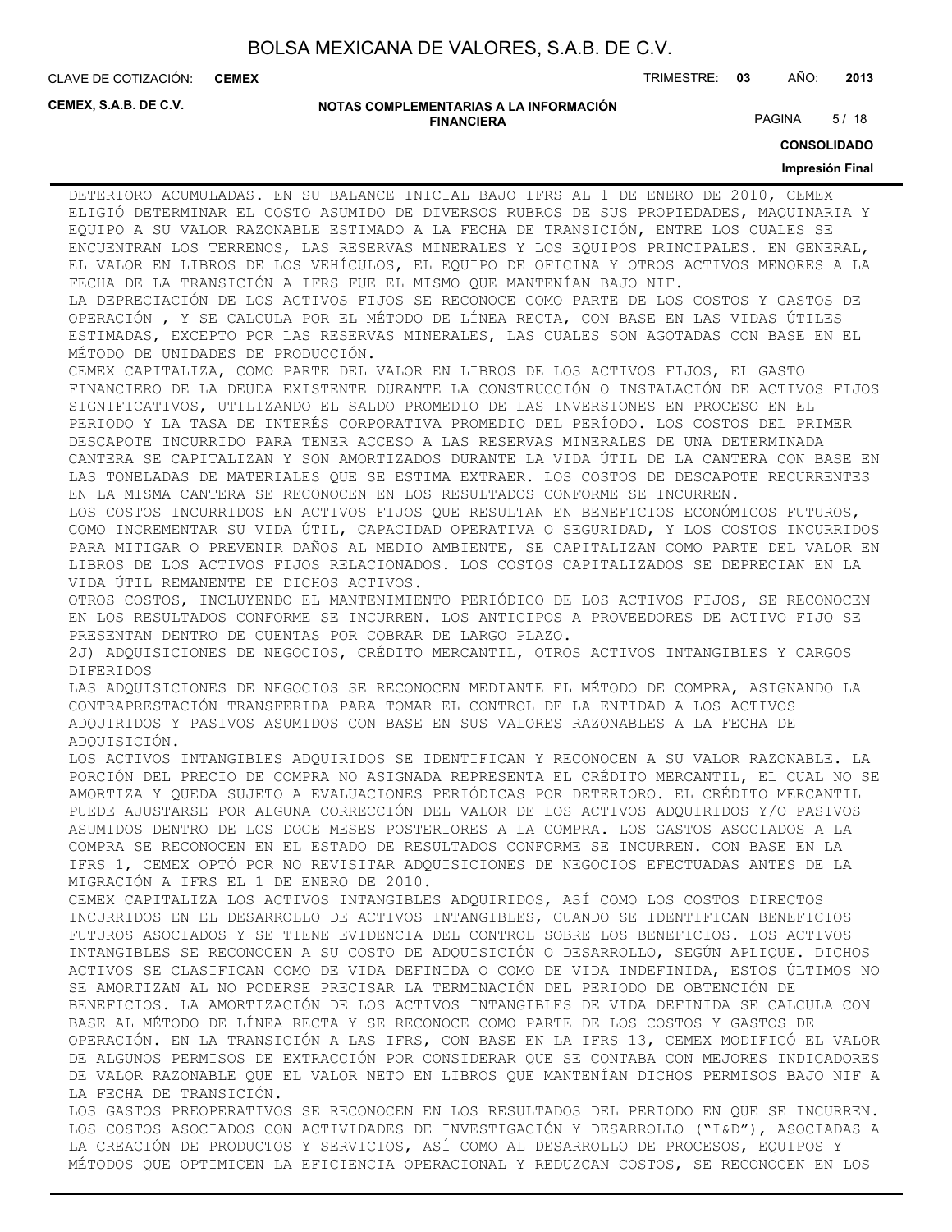**CEMEX**

CLAVE DE COTIZACIÓN: TRIMESTRE: **03** AÑO: **2013**

**CEMEX, S.A.B. DE C.V.**

#### **NOTAS COMPLEMENTARIAS A LA INFORMACIÓN FINANCIERA**

PAGINA 5/18

**CONSOLIDADO**

#### **Impresión Final**

DETERIORO ACUMULADAS. EN SU BALANCE INICIAL BAJO IFRS AL 1 DE ENERO DE 2010, CEMEX ELIGIÓ DETERMINAR EL COSTO ASUMIDO DE DIVERSOS RUBROS DE SUS PROPIEDADES, MAQUINARIA Y EQUIPO A SU VALOR RAZONABLE ESTIMADO A LA FECHA DE TRANSICIÓN, ENTRE LOS CUALES SE ENCUENTRAN LOS TERRENOS, LAS RESERVAS MINERALES Y LOS EQUIPOS PRINCIPALES. EN GENERAL, EL VALOR EN LIBROS DE LOS VEHÍCULOS, EL EQUIPO DE OFICINA Y OTROS ACTIVOS MENORES A LA FECHA DE LA TRANSICIÓN A IFRS FUE EL MISMO QUE MANTENÍAN BAJO NIF.

LA DEPRECIACIÓN DE LOS ACTIVOS FIJOS SE RECONOCE COMO PARTE DE LOS COSTOS Y GASTOS DE OPERACIÓN , Y SE CALCULA POR EL MÉTODO DE LÍNEA RECTA, CON BASE EN LAS VIDAS ÚTILES ESTIMADAS, EXCEPTO POR LAS RESERVAS MINERALES, LAS CUALES SON AGOTADAS CON BASE EN EL MÉTODO DE UNIDADES DE PRODUCCIÓN.

CEMEX CAPITALIZA, COMO PARTE DEL VALOR EN LIBROS DE LOS ACTIVOS FIJOS, EL GASTO FINANCIERO DE LA DEUDA EXISTENTE DURANTE LA CONSTRUCCIÓN O INSTALACIÓN DE ACTIVOS FIJOS SIGNIFICATIVOS, UTILIZANDO EL SALDO PROMEDIO DE LAS INVERSIONES EN PROCESO EN EL PERIODO Y LA TASA DE INTERÉS CORPORATIVA PROMEDIO DEL PERÍODO. LOS COSTOS DEL PRIMER DESCAPOTE INCURRIDO PARA TENER ACCESO A LAS RESERVAS MINERALES DE UNA DETERMINADA CANTERA SE CAPITALIZAN Y SON AMORTIZADOS DURANTE LA VIDA ÚTIL DE LA CANTERA CON BASE EN LAS TONELADAS DE MATERIALES QUE SE ESTIMA EXTRAER. LOS COSTOS DE DESCAPOTE RECURRENTES EN LA MISMA CANTERA SE RECONOCEN EN LOS RESULTADOS CONFORME SE INCURREN.

LOS COSTOS INCURRIDOS EN ACTIVOS FIJOS QUE RESULTAN EN BENEFICIOS ECONÓMICOS FUTUROS, COMO INCREMENTAR SU VIDA ÚTIL, CAPACIDAD OPERATIVA O SEGURIDAD, Y LOS COSTOS INCURRIDOS PARA MITIGAR O PREVENIR DAÑOS AL MEDIO AMBIENTE, SE CAPITALIZAN COMO PARTE DEL VALOR EN LIBROS DE LOS ACTIVOS FIJOS RELACIONADOS. LOS COSTOS CAPITALIZADOS SE DEPRECIAN EN LA VIDA ÚTIL REMANENTE DE DICHOS ACTIVOS.

OTROS COSTOS, INCLUYENDO EL MANTENIMIENTO PERIÓDICO DE LOS ACTIVOS FIJOS, SE RECONOCEN EN LOS RESULTADOS CONFORME SE INCURREN. LOS ANTICIPOS A PROVEEDORES DE ACTIVO FIJO SE PRESENTAN DENTRO DE CUENTAS POR COBRAR DE LARGO PLAZO.

2J) ADQUISICIONES DE NEGOCIOS, CRÉDITO MERCANTIL, OTROS ACTIVOS INTANGIBLES Y CARGOS DIFERIDOS

LAS ADQUISICIONES DE NEGOCIOS SE RECONOCEN MEDIANTE EL MÉTODO DE COMPRA, ASIGNANDO LA CONTRAPRESTACIÓN TRANSFERIDA PARA TOMAR EL CONTROL DE LA ENTIDAD A LOS ACTIVOS ADQUIRIDOS Y PASIVOS ASUMIDOS CON BASE EN SUS VALORES RAZONABLES A LA FECHA DE ADQUISICIÓN.

LOS ACTIVOS INTANGIBLES ADQUIRIDOS SE IDENTIFICAN Y RECONOCEN A SU VALOR RAZONABLE. LA PORCIÓN DEL PRECIO DE COMPRA NO ASIGNADA REPRESENTA EL CRÉDITO MERCANTIL, EL CUAL NO SE AMORTIZA Y QUEDA SUJETO A EVALUACIONES PERIÓDICAS POR DETERIORO. EL CRÉDITO MERCANTIL PUEDE AJUSTARSE POR ALGUNA CORRECCIÓN DEL VALOR DE LOS ACTIVOS ADQUIRIDOS Y/O PASIVOS ASUMIDOS DENTRO DE LOS DOCE MESES POSTERIORES A LA COMPRA. LOS GASTOS ASOCIADOS A LA COMPRA SE RECONOCEN EN EL ESTADO DE RESULTADOS CONFORME SE INCURREN. CON BASE EN LA IFRS 1, CEMEX OPTÓ POR NO REVISITAR ADQUISICIONES DE NEGOCIOS EFECTUADAS ANTES DE LA MIGRACIÓN A IFRS EL 1 DE ENERO DE 2010.

CEMEX CAPITALIZA LOS ACTIVOS INTANGIBLES ADQUIRIDOS, ASÍ COMO LOS COSTOS DIRECTOS INCURRIDOS EN EL DESARROLLO DE ACTIVOS INTANGIBLES, CUANDO SE IDENTIFICAN BENEFICIOS FUTUROS ASOCIADOS Y SE TIENE EVIDENCIA DEL CONTROL SOBRE LOS BENEFICIOS. LOS ACTIVOS INTANGIBLES SE RECONOCEN A SU COSTO DE ADQUISICIÓN O DESARROLLO, SEGÚN APLIQUE. DICHOS ACTIVOS SE CLASIFICAN COMO DE VIDA DEFINIDA O COMO DE VIDA INDEFINIDA, ESTOS ÚLTIMOS NO SE AMORTIZAN AL NO PODERSE PRECISAR LA TERMINACIÓN DEL PERIODO DE OBTENCIÓN DE BENEFICIOS. LA AMORTIZACIÓN DE LOS ACTIVOS INTANGIBLES DE VIDA DEFINIDA SE CALCULA CON BASE AL MÉTODO DE LÍNEA RECTA Y SE RECONOCE COMO PARTE DE LOS COSTOS Y GASTOS DE OPERACIÓN. EN LA TRANSICIÓN A LAS IFRS, CON BASE EN LA IFRS 13, CEMEX MODIFICÓ EL VALOR DE ALGUNOS PERMISOS DE EXTRACCIÓN POR CONSIDERAR QUE SE CONTABA CON MEJORES INDICADORES DE VALOR RAZONABLE QUE EL VALOR NETO EN LIBROS QUE MANTENÍAN DICHOS PERMISOS BAJO NIF A LA FECHA DE TRANSICIÓN.

LOS GASTOS PREOPERATIVOS SE RECONOCEN EN LOS RESULTADOS DEL PERIODO EN QUE SE INCURREN. LOS COSTOS ASOCIADOS CON ACTIVIDADES DE INVESTIGACIÓN Y DESARROLLO ("I&D"), ASOCIADAS A LA CREACIÓN DE PRODUCTOS Y SERVICIOS, ASÍ COMO AL DESARROLLO DE PROCESOS, EQUIPOS Y MÉTODOS QUE OPTIMICEN LA EFICIENCIA OPERACIONAL Y REDUZCAN COSTOS, SE RECONOCEN EN LOS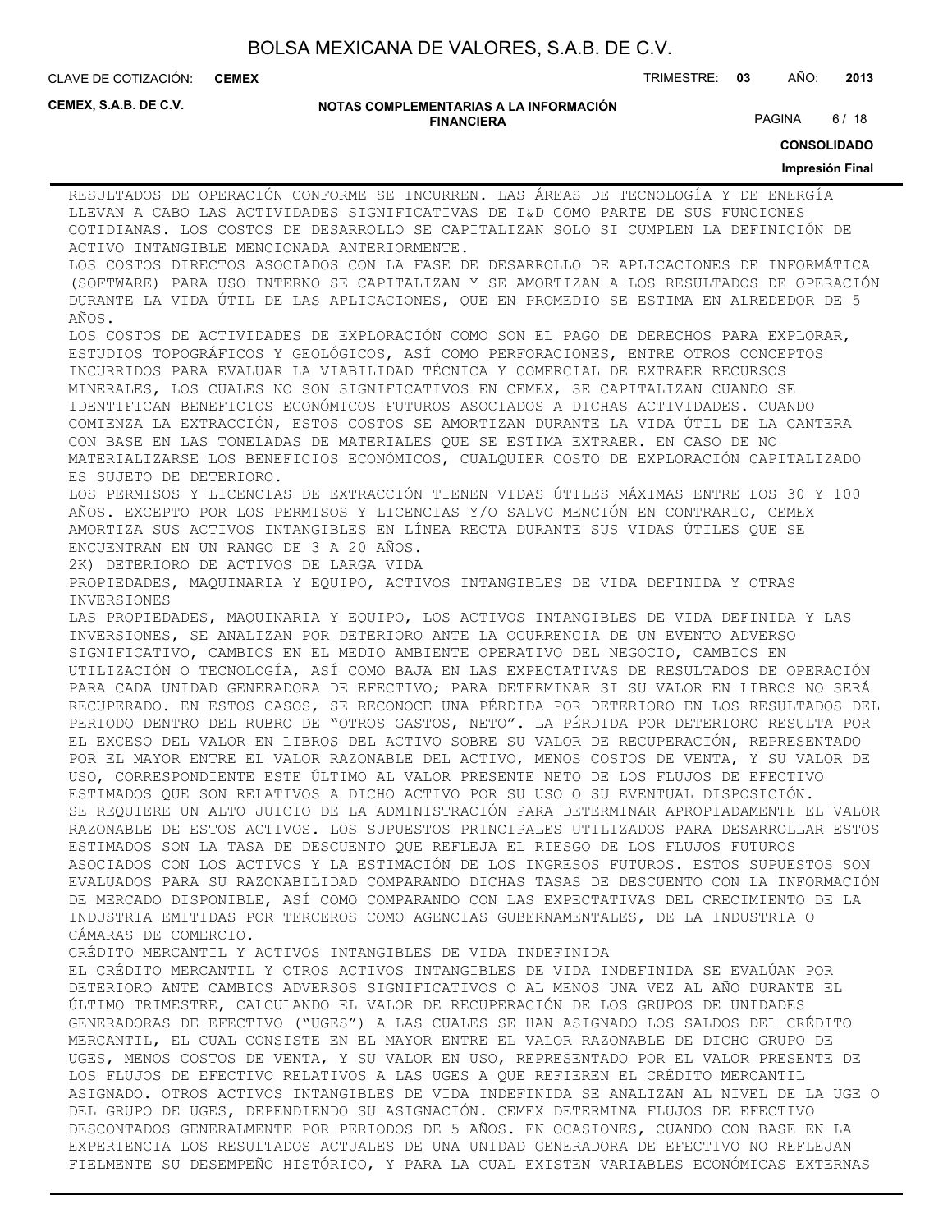**CEMEX**

CLAVE DE COTIZACIÓN: TRIMESTRE: **03** AÑO: **2013**

**CEMEX, S.A.B. DE C.V.**

#### **NOTAS COMPLEMENTARIAS A LA INFORMACIÓN FINANCIERA**

PAGINA 6/18

**CONSOLIDADO**

#### **Impresión Final**

RESULTADOS DE OPERACIÓN CONFORME SE INCURREN. LAS ÁREAS DE TECNOLOGÍA Y DE ENERGÍA LLEVAN A CABO LAS ACTIVIDADES SIGNIFICATIVAS DE I&D COMO PARTE DE SUS FUNCIONES COTIDIANAS. LOS COSTOS DE DESARROLLO SE CAPITALIZAN SOLO SI CUMPLEN LA DEFINICIÓN DE ACTIVO INTANGIBLE MENCIONADA ANTERIORMENTE. LOS COSTOS DIRECTOS ASOCIADOS CON LA FASE DE DESARROLLO DE APLICACIONES DE INFORMÁTICA (SOFTWARE) PARA USO INTERNO SE CAPITALIZAN Y SE AMORTIZAN A LOS RESULTADOS DE OPERACIÓN DURANTE LA VIDA ÚTIL DE LAS APLICACIONES, QUE EN PROMEDIO SE ESTIMA EN ALREDEDOR DE 5 AÑOS. LOS COSTOS DE ACTIVIDADES DE EXPLORACIÓN COMO SON EL PAGO DE DERECHOS PARA EXPLORAR, ESTUDIOS TOPOGRÁFICOS Y GEOLÓGICOS, ASÍ COMO PERFORACIONES, ENTRE OTROS CONCEPTOS INCURRIDOS PARA EVALUAR LA VIABILIDAD TÉCNICA Y COMERCIAL DE EXTRAER RECURSOS MINERALES, LOS CUALES NO SON SIGNIFICATIVOS EN CEMEX, SE CAPITALIZAN CUANDO SE IDENTIFICAN BENEFICIOS ECONÓMICOS FUTUROS ASOCIADOS A DICHAS ACTIVIDADES. CUANDO COMIENZA LA EXTRACCIÓN, ESTOS COSTOS SE AMORTIZAN DURANTE LA VIDA ÚTIL DE LA CANTERA CON BASE EN LAS TONELADAS DE MATERIALES QUE SE ESTIMA EXTRAER. EN CASO DE NO MATERIALIZARSE LOS BENEFICIOS ECONÓMICOS, CUALQUIER COSTO DE EXPLORACIÓN CAPITALIZADO ES SUJETO DE DETERIORO. LOS PERMISOS Y LICENCIAS DE EXTRACCIÓN TIENEN VIDAS ÚTILES MÁXIMAS ENTRE LOS 30 Y 100 AÑOS. EXCEPTO POR LOS PERMISOS Y LICENCIAS Y/O SALVO MENCIÓN EN CONTRARIO, CEMEX AMORTIZA SUS ACTIVOS INTANGIBLES EN LÍNEA RECTA DURANTE SUS VIDAS ÚTILES QUE SE ENCUENTRAN EN UN RANGO DE 3 A 20 AÑOS. 2K) DETERIORO DE ACTIVOS DE LARGA VIDA PROPIEDADES, MAQUINARIA Y EQUIPO, ACTIVOS INTANGIBLES DE VIDA DEFINIDA Y OTRAS INVERSIONES LAS PROPIEDADES, MAQUINARIA Y EQUIPO, LOS ACTIVOS INTANGIBLES DE VIDA DEFINIDA Y LAS INVERSIONES, SE ANALIZAN POR DETERIORO ANTE LA OCURRENCIA DE UN EVENTO ADVERSO SIGNIFICATIVO, CAMBIOS EN EL MEDIO AMBIENTE OPERATIVO DEL NEGOCIO, CAMBIOS EN UTILIZACIÓN O TECNOLOGÍA, ASÍ COMO BAJA EN LAS EXPECTATIVAS DE RESULTADOS DE OPERACIÓN PARA CADA UNIDAD GENERADORA DE EFECTIVO; PARA DETERMINAR SI SU VALOR EN LIBROS NO SERÁ RECUPERADO. EN ESTOS CASOS, SE RECONOCE UNA PÉRDIDA POR DETERIORO EN LOS RESULTADOS DEL PERIODO DENTRO DEL RUBRO DE "OTROS GASTOS, NETO". LA PÉRDIDA POR DETERIORO RESULTA POR EL EXCESO DEL VALOR EN LIBROS DEL ACTIVO SOBRE SU VALOR DE RECUPERACIÓN, REPRESENTADO POR EL MAYOR ENTRE EL VALOR RAZONABLE DEL ACTIVO, MENOS COSTOS DE VENTA, Y SU VALOR DE USO, CORRESPONDIENTE ESTE ÚLTIMO AL VALOR PRESENTE NETO DE LOS FLUJOS DE EFECTIVO ESTIMADOS QUE SON RELATIVOS A DICHO ACTIVO POR SU USO O SU EVENTUAL DISPOSICIÓN. SE REQUIERE UN ALTO JUICIO DE LA ADMINISTRACIÓN PARA DETERMINAR APROPIADAMENTE EL VALOR RAZONABLE DE ESTOS ACTIVOS. LOS SUPUESTOS PRINCIPALES UTILIZADOS PARA DESARROLLAR ESTOS ESTIMADOS SON LA TASA DE DESCUENTO QUE REFLEJA EL RIESGO DE LOS FLUJOS FUTUROS ASOCIADOS CON LOS ACTIVOS Y LA ESTIMACIÓN DE LOS INGRESOS FUTUROS. ESTOS SUPUESTOS SON EVALUADOS PARA SU RAZONABILIDAD COMPARANDO DICHAS TASAS DE DESCUENTO CON LA INFORMACIÓN DE MERCADO DISPONIBLE, ASÍ COMO COMPARANDO CON LAS EXPECTATIVAS DEL CRECIMIENTO DE LA INDUSTRIA EMITIDAS POR TERCEROS COMO AGENCIAS GUBERNAMENTALES, DE LA INDUSTRIA O CÁMARAS DE COMERCIO. CRÉDITO MERCANTIL Y ACTIVOS INTANGIBLES DE VIDA INDEFINIDA EL CRÉDITO MERCANTIL Y OTROS ACTIVOS INTANGIBLES DE VIDA INDEFINIDA SE EVALÚAN POR DETERIORO ANTE CAMBIOS ADVERSOS SIGNIFICATIVOS O AL MENOS UNA VEZ AL AÑO DURANTE EL ÚLTIMO TRIMESTRE, CALCULANDO EL VALOR DE RECUPERACIÓN DE LOS GRUPOS DE UNIDADES GENERADORAS DE EFECTIVO ("UGES") A LAS CUALES SE HAN ASIGNADO LOS SALDOS DEL CRÉDITO MERCANTIL, EL CUAL CONSISTE EN EL MAYOR ENTRE EL VALOR RAZONABLE DE DICHO GRUPO DE UGES, MENOS COSTOS DE VENTA, Y SU VALOR EN USO, REPRESENTADO POR EL VALOR PRESENTE DE LOS FLUJOS DE EFECTIVO RELATIVOS A LAS UGES A QUE REFIEREN EL CRÉDITO MERCANTIL ASIGNADO. OTROS ACTIVOS INTANGIBLES DE VIDA INDEFINIDA SE ANALIZAN AL NIVEL DE LA UGE O DEL GRUPO DE UGES, DEPENDIENDO SU ASIGNACIÓN. CEMEX DETERMINA FLUJOS DE EFECTIVO DESCONTADOS GENERALMENTE POR PERIODOS DE 5 AÑOS. EN OCASIONES, CUANDO CON BASE EN LA EXPERIENCIA LOS RESULTADOS ACTUALES DE UNA UNIDAD GENERADORA DE EFECTIVO NO REFLEJAN FIELMENTE SU DESEMPEÑO HISTÓRICO, Y PARA LA CUAL EXISTEN VARIABLES ECONÓMICAS EXTERNAS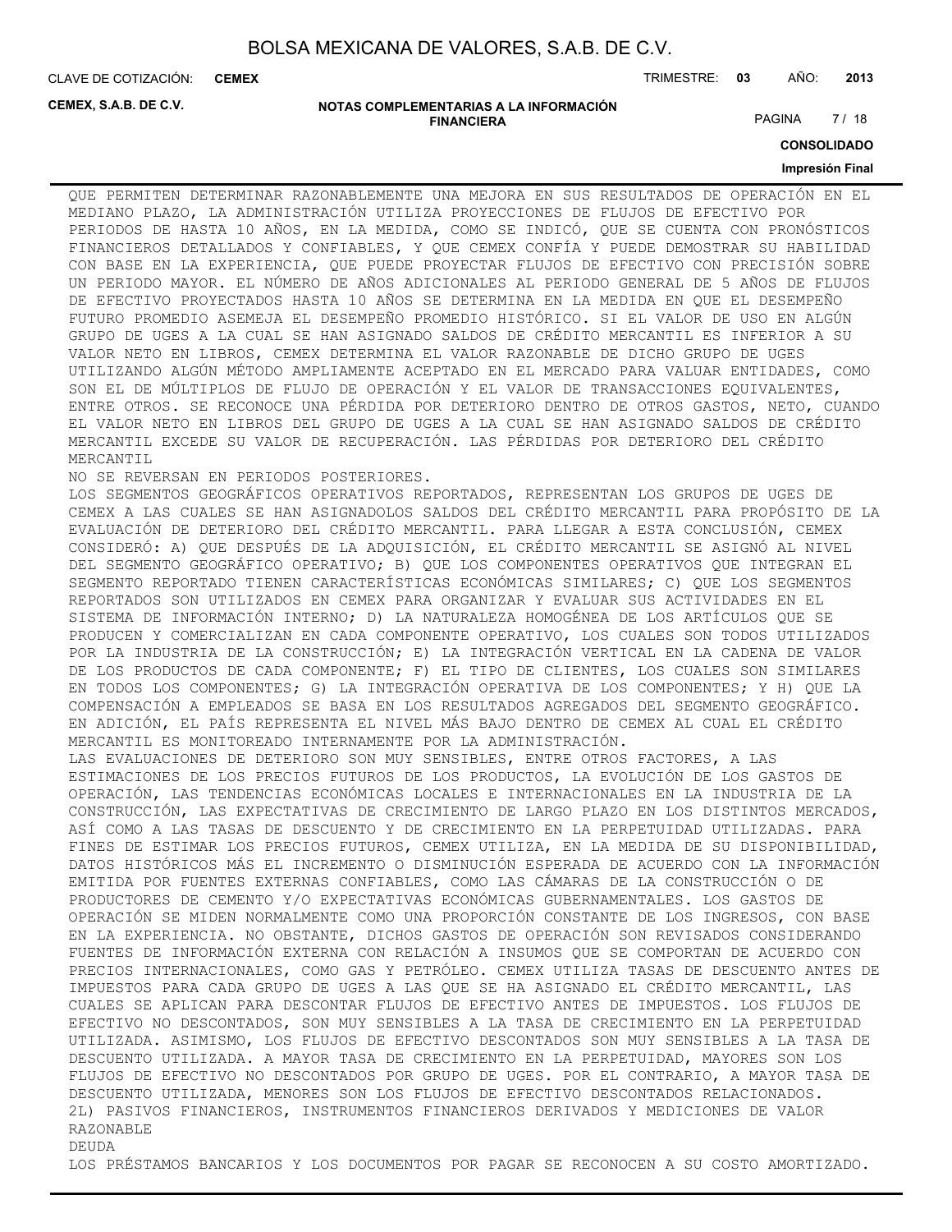CLAVE DE COTIZACIÓN: TRIMESTRE: **03** AÑO: **2013 CEMEX**

**CEMEX, S.A.B. DE C.V.**

#### **NOTAS COMPLEMENTARIAS A LA INFORMACIÓN FINANCIERA**

PAGINA 7 / 18

**CONSOLIDADO**

#### **Impresión Final**

QUE PERMITEN DETERMINAR RAZONABLEMENTE UNA MEJORA EN SUS RESULTADOS DE OPERACIÓN EN EL MEDIANO PLAZO, LA ADMINISTRACIÓN UTILIZA PROYECCIONES DE FLUJOS DE EFECTIVO POR PERIODOS DE HASTA 10 AÑOS, EN LA MEDIDA, COMO SE INDICÓ, QUE SE CUENTA CON PRONÓSTICOS FINANCIEROS DETALLADOS Y CONFIABLES, Y QUE CEMEX CONFÍA Y PUEDE DEMOSTRAR SU HABILIDAD CON BASE EN LA EXPERIENCIA, QUE PUEDE PROYECTAR FLUJOS DE EFECTIVO CON PRECISIÓN SOBRE UN PERIODO MAYOR. EL NÚMERO DE AÑOS ADICIONALES AL PERIODO GENERAL DE 5 AÑOS DE FLUJOS DE EFECTIVO PROYECTADOS HASTA 10 AÑOS SE DETERMINA EN LA MEDIDA EN QUE EL DESEMPEÑO FUTURO PROMEDIO ASEMEJA EL DESEMPEÑO PROMEDIO HISTÓRICO. SI EL VALOR DE USO EN ALGÚN GRUPO DE UGES A LA CUAL SE HAN ASIGNADO SALDOS DE CRÉDITO MERCANTIL ES INFERIOR A SU VALOR NETO EN LIBROS, CEMEX DETERMINA EL VALOR RAZONABLE DE DICHO GRUPO DE UGES UTILIZANDO ALGÚN MÉTODO AMPLIAMENTE ACEPTADO EN EL MERCADO PARA VALUAR ENTIDADES, COMO SON EL DE MÚLTIPLOS DE FLUJO DE OPERACIÓN Y EL VALOR DE TRANSACCIONES EQUIVALENTES, ENTRE OTROS. SE RECONOCE UNA PÉRDIDA POR DETERIORO DENTRO DE OTROS GASTOS, NETO, CUANDO EL VALOR NETO EN LIBROS DEL GRUPO DE UGES A LA CUAL SE HAN ASIGNADO SALDOS DE CRÉDITO MERCANTIL EXCEDE SU VALOR DE RECUPERACIÓN. LAS PÉRDIDAS POR DETERIORO DEL CRÉDITO MERCANTIL

NO SE REVERSAN EN PERIODOS POSTERIORES.

LOS SEGMENTOS GEOGRÁFICOS OPERATIVOS REPORTADOS, REPRESENTAN LOS GRUPOS DE UGES DE CEMEX A LAS CUALES SE HAN ASIGNADOLOS SALDOS DEL CRÉDITO MERCANTIL PARA PROPÓSITO DE LA EVALUACIÓN DE DETERIORO DEL CRÉDITO MERCANTIL. PARA LLEGAR A ESTA CONCLUSIÓN, CEMEX CONSIDERÓ: A) QUE DESPUÉS DE LA ADQUISICIÓN, EL CRÉDITO MERCANTIL SE ASIGNÓ AL NIVEL DEL SEGMENTO GEOGRÁFICO OPERATIVO; B) QUE LOS COMPONENTES OPERATIVOS QUE INTEGRAN EL SEGMENTO REPORTADO TIENEN CARACTERÍSTICAS ECONÓMICAS SIMILARES; C) QUE LOS SEGMENTOS REPORTADOS SON UTILIZADOS EN CEMEX PARA ORGANIZAR Y EVALUAR SUS ACTIVIDADES EN EL SISTEMA DE INFORMACIÓN INTERNO; D) LA NATURALEZA HOMOGÉNEA DE LOS ARTÍCULOS QUE SE PRODUCEN Y COMERCIALIZAN EN CADA COMPONENTE OPERATIVO, LOS CUALES SON TODOS UTILIZADOS POR LA INDUSTRIA DE LA CONSTRUCCIÓN; E) LA INTEGRACIÓN VERTICAL EN LA CADENA DE VALOR DE LOS PRODUCTOS DE CADA COMPONENTE; F) EL TIPO DE CLIENTES, LOS CUALES SON SIMILARES EN TODOS LOS COMPONENTES; G) LA INTEGRACIÓN OPERATIVA DE LOS COMPONENTES; Y H) QUE LA COMPENSACIÓN A EMPLEADOS SE BASA EN LOS RESULTADOS AGREGADOS DEL SEGMENTO GEOGRÁFICO. EN ADICIÓN, EL PAÍS REPRESENTA EL NIVEL MÁS BAJO DENTRO DE CEMEX AL CUAL EL CRÉDITO MERCANTIL ES MONITOREADO INTERNAMENTE POR LA ADMINISTRACIÓN. LAS EVALUACIONES DE DETERIORO SON MUY SENSIBLES, ENTRE OTROS FACTORES, A LAS ESTIMACIONES DE LOS PRECIOS FUTUROS DE LOS PRODUCTOS, LA EVOLUCIÓN DE LOS GASTOS DE OPERACIÓN, LAS TENDENCIAS ECONÓMICAS LOCALES E INTERNACIONALES EN LA INDUSTRIA DE LA CONSTRUCCIÓN, LAS EXPECTATIVAS DE CRECIMIENTO DE LARGO PLAZO EN LOS DISTINTOS MERCADOS, ASÍ COMO A LAS TASAS DE DESCUENTO Y DE CRECIMIENTO EN LA PERPETUIDAD UTILIZADAS. PARA FINES DE ESTIMAR LOS PRECIOS FUTUROS, CEMEX UTILIZA, EN LA MEDIDA DE SU DISPONIBILIDAD, DATOS HISTÓRICOS MÁS EL INCREMENTO O DISMINUCIÓN ESPERADA DE ACUERDO CON LA INFORMACIÓN EMITIDA POR FUENTES EXTERNAS CONFIABLES, COMO LAS CÁMARAS DE LA CONSTRUCCIÓN O DE PRODUCTORES DE CEMENTO Y/O EXPECTATIVAS ECONÓMICAS GUBERNAMENTALES. LOS GASTOS DE OPERACIÓN SE MIDEN NORMALMENTE COMO UNA PROPORCIÓN CONSTANTE DE LOS INGRESOS, CON BASE EN LA EXPERIENCIA. NO OBSTANTE, DICHOS GASTOS DE OPERACIÓN SON REVISADOS CONSIDERANDO FUENTES DE INFORMACIÓN EXTERNA CON RELACIÓN A INSUMOS QUE SE COMPORTAN DE ACUERDO CON PRECIOS INTERNACIONALES, COMO GAS Y PETRÓLEO. CEMEX UTILIZA TASAS DE DESCUENTO ANTES DE IMPUESTOS PARA CADA GRUPO DE UGES A LAS QUE SE HA ASIGNADO EL CRÉDITO MERCANTIL, LAS CUALES SE APLICAN PARA DESCONTAR FLUJOS DE EFECTIVO ANTES DE IMPUESTOS. LOS FLUJOS DE EFECTIVO NO DESCONTADOS, SON MUY SENSIBLES A LA TASA DE CRECIMIENTO EN LA PERPETUIDAD UTILIZADA. ASIMISMO, LOS FLUJOS DE EFECTIVO DESCONTADOS SON MUY SENSIBLES A LA TASA DE DESCUENTO UTILIZADA. A MAYOR TASA DE CRECIMIENTO EN LA PERPETUIDAD, MAYORES SON LOS FLUJOS DE EFECTIVO NO DESCONTADOS POR GRUPO DE UGES. POR EL CONTRARIO, A MAYOR TASA DE DESCUENTO UTILIZADA, MENORES SON LOS FLUJOS DE EFECTIVO DESCONTADOS RELACIONADOS. 2L) PASIVOS FINANCIEROS, INSTRUMENTOS FINANCIEROS DERIVADOS Y MEDICIONES DE VALOR RAZONABLE DEUDA

LOS PRÉSTAMOS BANCARIOS Y LOS DOCUMENTOS POR PAGAR SE RECONOCEN A SU COSTO AMORTIZADO.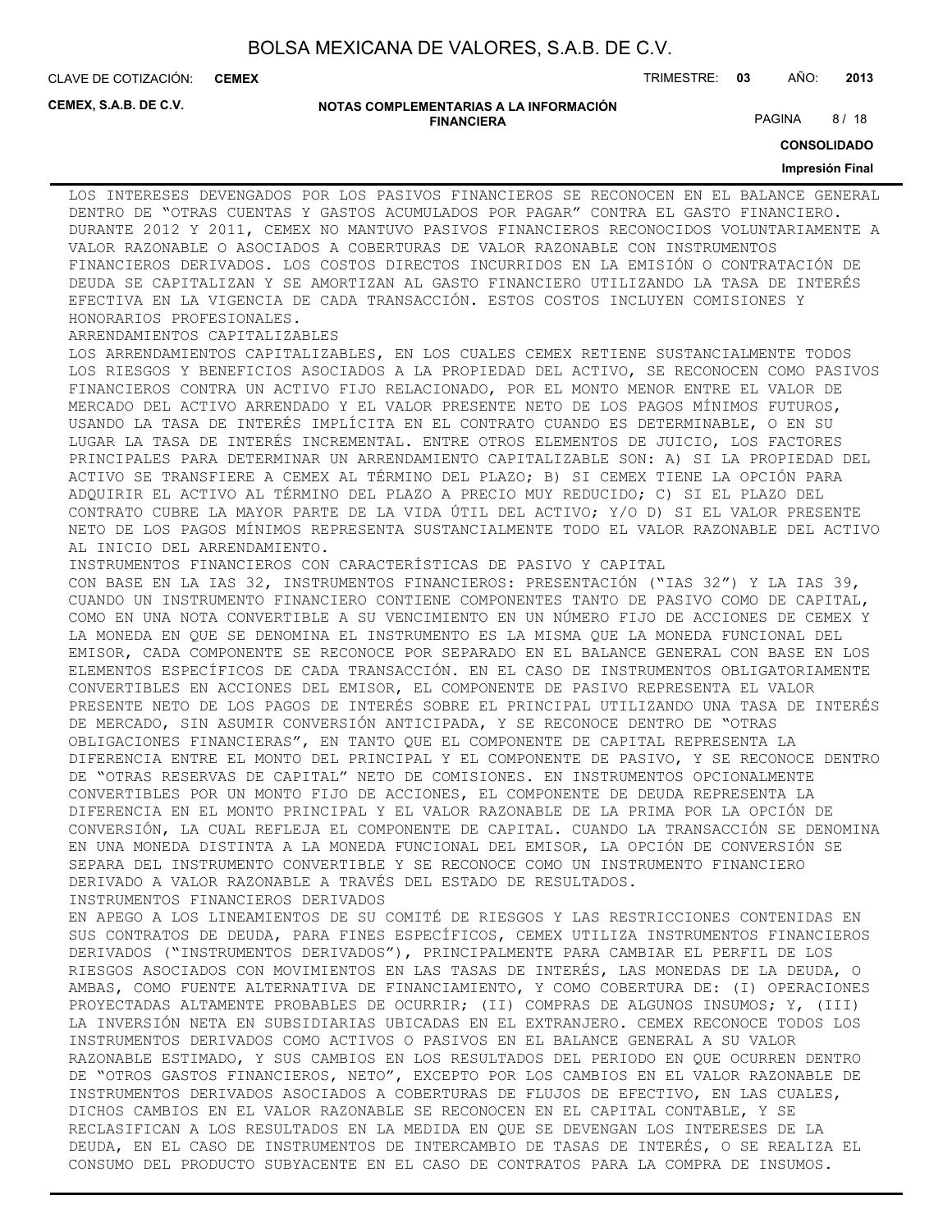**CEMEX**

CLAVE DE COTIZACIÓN: TRIMESTRE: **03** AÑO: **2013**

**CEMEX, S.A.B. DE C.V.**

#### **NOTAS COMPLEMENTARIAS A LA INFORMACIÓN FINANCIERA**

PAGINA 8/18

**CONSOLIDADO**

#### **Impresión Final**

LOS INTERESES DEVENGADOS POR LOS PASIVOS FINANCIEROS SE RECONOCEN EN EL BALANCE GENERAL DENTRO DE "OTRAS CUENTAS Y GASTOS ACUMULADOS POR PAGAR" CONTRA EL GASTO FINANCIERO. DURANTE 2012 Y 2011, CEMEX NO MANTUVO PASIVOS FINANCIEROS RECONOCIDOS VOLUNTARIAMENTE A VALOR RAZONABLE O ASOCIADOS A COBERTURAS DE VALOR RAZONABLE CON INSTRUMENTOS FINANCIEROS DERIVADOS. LOS COSTOS DIRECTOS INCURRIDOS EN LA EMISIÓN O CONTRATACIÓN DE DEUDA SE CAPITALIZAN Y SE AMORTIZAN AL GASTO FINANCIERO UTILIZANDO LA TASA DE INTERÉS EFECTIVA EN LA VIGENCIA DE CADA TRANSACCIÓN. ESTOS COSTOS INCLUYEN COMISIONES Y HONORARIOS PROFESIONALES.

#### ARRENDAMIENTOS CAPITALIZABLES

LOS ARRENDAMIENTOS CAPITALIZABLES, EN LOS CUALES CEMEX RETIENE SUSTANCIALMENTE TODOS LOS RIESGOS Y BENEFICIOS ASOCIADOS A LA PROPIEDAD DEL ACTIVO, SE RECONOCEN COMO PASIVOS FINANCIEROS CONTRA UN ACTIVO FIJO RELACIONADO, POR EL MONTO MENOR ENTRE EL VALOR DE MERCADO DEL ACTIVO ARRENDADO Y EL VALOR PRESENTE NETO DE LOS PAGOS MÍNIMOS FUTUROS, USANDO LA TASA DE INTERÉS IMPLÍCITA EN EL CONTRATO CUANDO ES DETERMINABLE, O EN SU LUGAR LA TASA DE INTERÉS INCREMENTAL. ENTRE OTROS ELEMENTOS DE JUICIO, LOS FACTORES PRINCIPALES PARA DETERMINAR UN ARRENDAMIENTO CAPITALIZABLE SON: A) SI LA PROPIEDAD DEL ACTIVO SE TRANSFIERE A CEMEX AL TÉRMINO DEL PLAZO; B) SI CEMEX TIENE LA OPCIÓN PARA ADQUIRIR EL ACTIVO AL TÉRMINO DEL PLAZO A PRECIO MUY REDUCIDO; C) SI EL PLAZO DEL CONTRATO CUBRE LA MAYOR PARTE DE LA VIDA ÚTIL DEL ACTIVO; Y/O D) SI EL VALOR PRESENTE NETO DE LOS PAGOS MÍNIMOS REPRESENTA SUSTANCIALMENTE TODO EL VALOR RAZONABLE DEL ACTIVO

AL INICIO DEL ARRENDAMIENTO. INSTRUMENTOS FINANCIEROS CON CARACTERÍSTICAS DE PASIVO Y CAPITAL CON BASE EN LA IAS 32, INSTRUMENTOS FINANCIEROS: PRESENTACIÓN ("IAS 32") Y LA IAS 39, CUANDO UN INSTRUMENTO FINANCIERO CONTIENE COMPONENTES TANTO DE PASIVO COMO DE CAPITAL, COMO EN UNA NOTA CONVERTIBLE A SU VENCIMIENTO EN UN NÚMERO FIJO DE ACCIONES DE CEMEX Y LA MONEDA EN QUE SE DENOMINA EL INSTRUMENTO ES LA MISMA QUE LA MONEDA FUNCIONAL DEL EMISOR, CADA COMPONENTE SE RECONOCE POR SEPARADO EN EL BALANCE GENERAL CON BASE EN LOS ELEMENTOS ESPECÍFICOS DE CADA TRANSACCIÓN. EN EL CASO DE INSTRUMENTOS OBLIGATORIAMENTE CONVERTIBLES EN ACCIONES DEL EMISOR, EL COMPONENTE DE PASIVO REPRESENTA EL VALOR PRESENTE NETO DE LOS PAGOS DE INTERÉS SOBRE EL PRINCIPAL UTILIZANDO UNA TASA DE INTERÉS DE MERCADO, SIN ASUMIR CONVERSIÓN ANTICIPADA, Y SE RECONOCE DENTRO DE "OTRAS OBLIGACIONES FINANCIERAS", EN TANTO QUE EL COMPONENTE DE CAPITAL REPRESENTA LA DIFERENCIA ENTRE EL MONTO DEL PRINCIPAL Y EL COMPONENTE DE PASIVO, Y SE RECONOCE DENTRO DE "OTRAS RESERVAS DE CAPITAL" NETO DE COMISIONES. EN INSTRUMENTOS OPCIONALMENTE CONVERTIBLES POR UN MONTO FIJO DE ACCIONES, EL COMPONENTE DE DEUDA REPRESENTA LA DIFERENCIA EN EL MONTO PRINCIPAL Y EL VALOR RAZONABLE DE LA PRIMA POR LA OPCIÓN DE CONVERSIÓN, LA CUAL REFLEJA EL COMPONENTE DE CAPITAL. CUANDO LA TRANSACCIÓN SE DENOMINA EN UNA MONEDA DISTINTA A LA MONEDA FUNCIONAL DEL EMISOR, LA OPCIÓN DE CONVERSIÓN SE

SEPARA DEL INSTRUMENTO CONVERTIBLE Y SE RECONOCE COMO UN INSTRUMENTO FINANCIERO

DERIVADO A VALOR RAZONABLE A TRAVÉS DEL ESTADO DE RESULTADOS.

INSTRUMENTOS FINANCIEROS DERIVADOS EN APEGO A LOS LINEAMIENTOS DE SU COMITÉ DE RIESGOS Y LAS RESTRICCIONES CONTENIDAS EN SUS CONTRATOS DE DEUDA, PARA FINES ESPECÍFICOS, CEMEX UTILIZA INSTRUMENTOS FINANCIEROS DERIVADOS ("INSTRUMENTOS DERIVADOS"), PRINCIPALMENTE PARA CAMBIAR EL PERFIL DE LOS RIESGOS ASOCIADOS CON MOVIMIENTOS EN LAS TASAS DE INTERÉS, LAS MONEDAS DE LA DEUDA, O AMBAS, COMO FUENTE ALTERNATIVA DE FINANCIAMIENTO, Y COMO COBERTURA DE: (I) OPERACIONES PROYECTADAS ALTAMENTE PROBABLES DE OCURRIR; (II) COMPRAS DE ALGUNOS INSUMOS; Y, (III)

LA INVERSIÓN NETA EN SUBSIDIARIAS UBICADAS EN EL EXTRANJERO. CEMEX RECONOCE TODOS LOS INSTRUMENTOS DERIVADOS COMO ACTIVOS O PASIVOS EN EL BALANCE GENERAL A SU VALOR RAZONABLE ESTIMADO, Y SUS CAMBIOS EN LOS RESULTADOS DEL PERIODO EN QUE OCURREN DENTRO DE "OTROS GASTOS FINANCIEROS, NETO", EXCEPTO POR LOS CAMBIOS EN EL VALOR RAZONABLE DE INSTRUMENTOS DERIVADOS ASOCIADOS A COBERTURAS DE FLUJOS DE EFECTIVO, EN LAS CUALES, DICHOS CAMBIOS EN EL VALOR RAZONABLE SE RECONOCEN EN EL CAPITAL CONTABLE, Y SE RECLASIFICAN A LOS RESULTADOS EN LA MEDIDA EN QUE SE DEVENGAN LOS INTERESES DE LA DEUDA, EN EL CASO DE INSTRUMENTOS DE INTERCAMBIO DE TASAS DE INTERÉS, O SE REALIZA EL CONSUMO DEL PRODUCTO SUBYACENTE EN EL CASO DE CONTRATOS PARA LA COMPRA DE INSUMOS.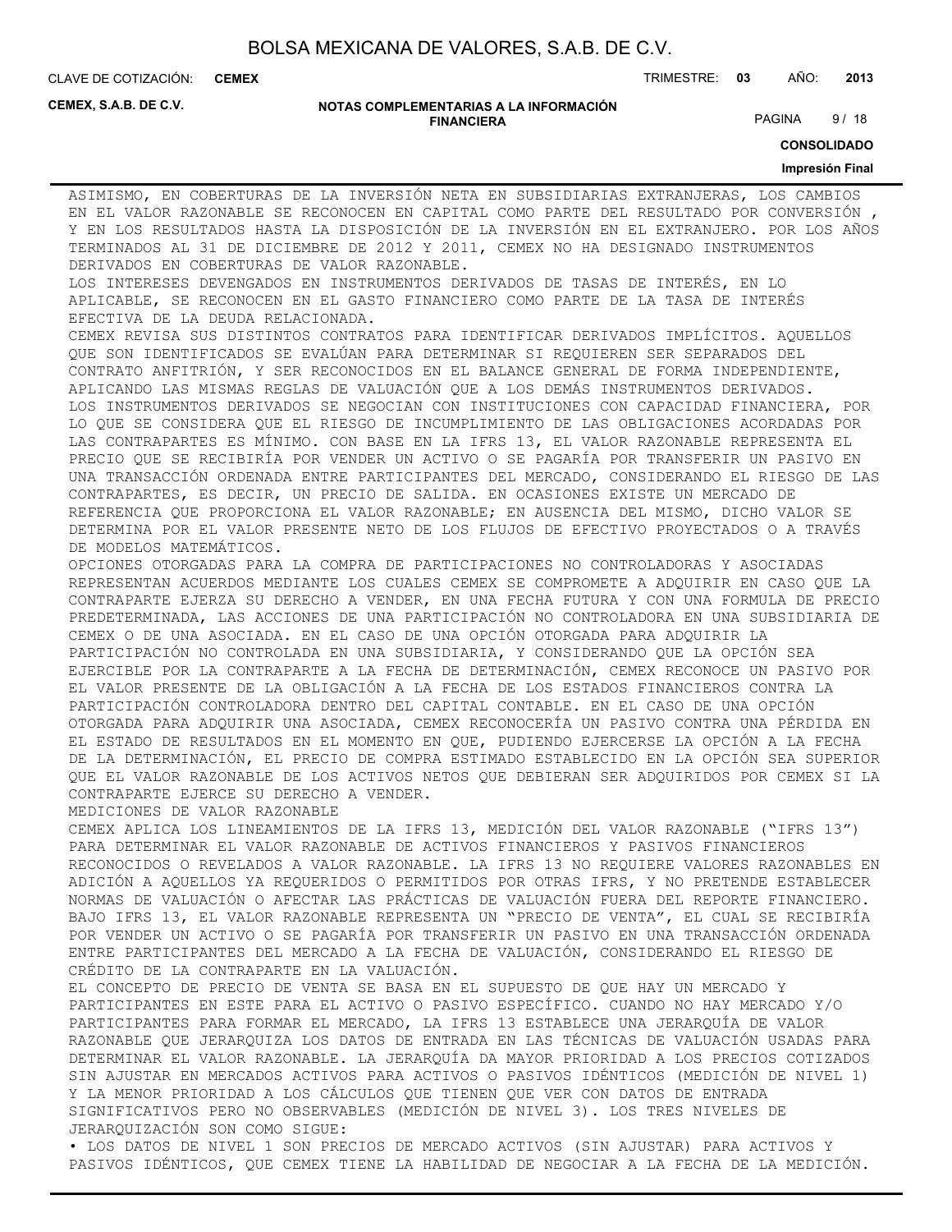**CEMEX**

CLAVE DE COTIZACIÓN: TRIMESTRE: **03** AÑO: **2013**

**CEMEX, S.A.B. DE C.V.**

#### **NOTAS COMPLEMENTARIAS A LA INFORMACIÓN FINANCIERA**

PAGINA 9/18

**CONSOLIDADO**

#### **Impresión Final**

ASIMISMO, EN COBERTURAS DE LA INVERSIÓN NETA EN SUBSIDIARIAS EXTRANJERAS, LOS CAMBIOS EN EL VALOR RAZONABLE SE RECONOCEN EN CAPITAL COMO PARTE DEL RESULTADO POR CONVERSIÓN , Y EN LOS RESULTADOS HASTA LA DISPOSICIÓN DE LA INVERSIÓN EN EL EXTRANJERO. POR LOS AÑOS TERMINADOS AL 31 DE DICIEMBRE DE 2012 Y 2011, CEMEX NO HA DESIGNADO INSTRUMENTOS DERIVADOS EN COBERTURAS DE VALOR RAZONABLE.

LOS INTERESES DEVENGADOS EN INSTRUMENTOS DERIVADOS DE TASAS DE INTERÉS, EN LO APLICABLE, SE RECONOCEN EN EL GASTO FINANCIERO COMO PARTE DE LA TASA DE INTERÉS EFECTIVA DE LA DEUDA RELACIONADA.

CEMEX REVISA SUS DISTINTOS CONTRATOS PARA IDENTIFICAR DERIVADOS IMPLÍCITOS. AQUELLOS QUE SON IDENTIFICADOS SE EVALÚAN PARA DETERMINAR SI REQUIEREN SER SEPARADOS DEL CONTRATO ANFITRIÓN, Y SER RECONOCIDOS EN EL BALANCE GENERAL DE FORMA INDEPENDIENTE, APLICANDO LAS MISMAS REGLAS DE VALUACIÓN QUE A LOS DEMÁS INSTRUMENTOS DERIVADOS. LOS INSTRUMENTOS DERIVADOS SE NEGOCIAN CON INSTITUCIONES CON CAPACIDAD FINANCIERA, POR LO QUE SE CONSIDERA QUE EL RIESGO DE INCUMPLIMIENTO DE LAS OBLIGACIONES ACORDADAS POR LAS CONTRAPARTES ES MÍNIMO. CON BASE EN LA IFRS 13, EL VALOR RAZONABLE REPRESENTA EL PRECIO QUE SE RECIBIRÍA POR VENDER UN ACTIVO O SE PAGARÍA POR TRANSFERIR UN PASIVO EN UNA TRANSACCIÓN ORDENADA ENTRE PARTICIPANTES DEL MERCADO, CONSIDERANDO EL RIESGO DE LAS CONTRAPARTES, ES DECIR, UN PRECIO DE SALIDA. EN OCASIONES EXISTE UN MERCADO DE REFERENCIA QUE PROPORCIONA EL VALOR RAZONABLE; EN AUSENCIA DEL MISMO, DICHO VALOR SE DETERMINA POR EL VALOR PRESENTE NETO DE LOS FLUJOS DE EFECTIVO PROYECTADOS O A TRAVÉS DE MODELOS MATEMÁTICOS.

OPCIONES OTORGADAS PARA LA COMPRA DE PARTICIPACIONES NO CONTROLADORAS Y ASOCIADAS REPRESENTAN ACUERDOS MEDIANTE LOS CUALES CEMEX SE COMPROMETE A ADQUIRIR EN CASO QUE LA CONTRAPARTE EJERZA SU DERECHO A VENDER, EN UNA FECHA FUTURA Y CON UNA FORMULA DE PRECIO PREDETERMINADA, LAS ACCIONES DE UNA PARTICIPACIÓN NO CONTROLADORA EN UNA SUBSIDIARIA DE CEMEX O DE UNA ASOCIADA. EN EL CASO DE UNA OPCIÓN OTORGADA PARA ADQUIRIR LA PARTICIPACIÓN NO CONTROLADA EN UNA SUBSIDIARIA, Y CONSIDERANDO QUE LA OPCIÓN SEA EJERCIBLE POR LA CONTRAPARTE A LA FECHA DE DETERMINACIÓN, CEMEX RECONOCE UN PASIVO POR EL VALOR PRESENTE DE LA OBLIGACIÓN A LA FECHA DE LOS ESTADOS FINANCIEROS CONTRA LA PARTICIPACIÓN CONTROLADORA DENTRO DEL CAPITAL CONTABLE. EN EL CASO DE UNA OPCIÓN OTORGADA PARA ADQUIRIR UNA ASOCIADA, CEMEX RECONOCERÍA UN PASIVO CONTRA UNA PÉRDIDA EN EL ESTADO DE RESULTADOS EN EL MOMENTO EN QUE, PUDIENDO EJERCERSE LA OPCIÓN A LA FECHA DE LA DETERMINACIÓN, EL PRECIO DE COMPRA ESTIMADO ESTABLECIDO EN LA OPCIÓN SEA SUPERIOR QUE EL VALOR RAZONABLE DE LOS ACTIVOS NETOS QUE DEBIERAN SER ADQUIRIDOS POR CEMEX SI LA CONTRAPARTE EJERCE SU DERECHO A VENDER.

MEDICIONES DE VALOR RAZONABLE

CEMEX APLICA LOS LINEAMIENTOS DE LA IFRS 13, MEDICIÓN DEL VALOR RAZONABLE ("IFRS 13") PARA DETERMINAR EL VALOR RAZONABLE DE ACTIVOS FINANCIEROS Y PASIVOS FINANCIEROS RECONOCIDOS O REVELADOS A VALOR RAZONABLE. LA IFRS 13 NO REQUIERE VALORES RAZONABLES EN ADICIÓN A AQUELLOS YA REQUERIDOS O PERMITIDOS POR OTRAS IFRS, Y NO PRETENDE ESTABLECER NORMAS DE VALUACIÓN O AFECTAR LAS PRÁCTICAS DE VALUACIÓN FUERA DEL REPORTE FINANCIERO. BAJO IFRS 13, EL VALOR RAZONABLE REPRESENTA UN "PRECIO DE VENTA", EL CUAL SE RECIBIRÍA POR VENDER UN ACTIVO O SE PAGARÍA POR TRANSFERIR UN PASIVO EN UNA TRANSACCIÓN ORDENADA ENTRE PARTICIPANTES DEL MERCADO A LA FECHA DE VALUACIÓN, CONSIDERANDO EL RIESGO DE CRÉDITO DE LA CONTRAPARTE EN LA VALUACIÓN.

EL CONCEPTO DE PRECIO DE VENTA SE BASA EN EL SUPUESTO DE QUE HAY UN MERCADO Y PARTICIPANTES EN ESTE PARA EL ACTIVO O PASIVO ESPECÍFICO. CUANDO NO HAY MERCADO Y/O PARTICIPANTES PARA FORMAR EL MERCADO, LA IFRS 13 ESTABLECE UNA JERARQUÍA DE VALOR RAZONABLE QUE JERARQUIZA LOS DATOS DE ENTRADA EN LAS TÉCNICAS DE VALUACIÓN USADAS PARA DETERMINAR EL VALOR RAZONABLE. LA JERARQUÍA DA MAYOR PRIORIDAD A LOS PRECIOS COTIZADOS SIN AJUSTAR EN MERCADOS ACTIVOS PARA ACTIVOS O PASIVOS IDÉNTICOS (MEDICIÓN DE NIVEL 1) Y LA MENOR PRIORIDAD A LOS CÁLCULOS QUE TIENEN QUE VER CON DATOS DE ENTRADA SIGNIFICATIVOS PERO NO OBSERVABLES (MEDICIÓN DE NIVEL 3). LOS TRES NIVELES DE JERARQUIZACIÓN SON COMO SIGUE:

• LOS DATOS DE NIVEL 1 SON PRECIOS DE MERCADO ACTIVOS (SIN AJUSTAR) PARA ACTIVOS Y PASIVOS IDÉNTICOS, QUE CEMEX TIENE LA HABILIDAD DE NEGOCIAR A LA FECHA DE LA MEDICIÓN.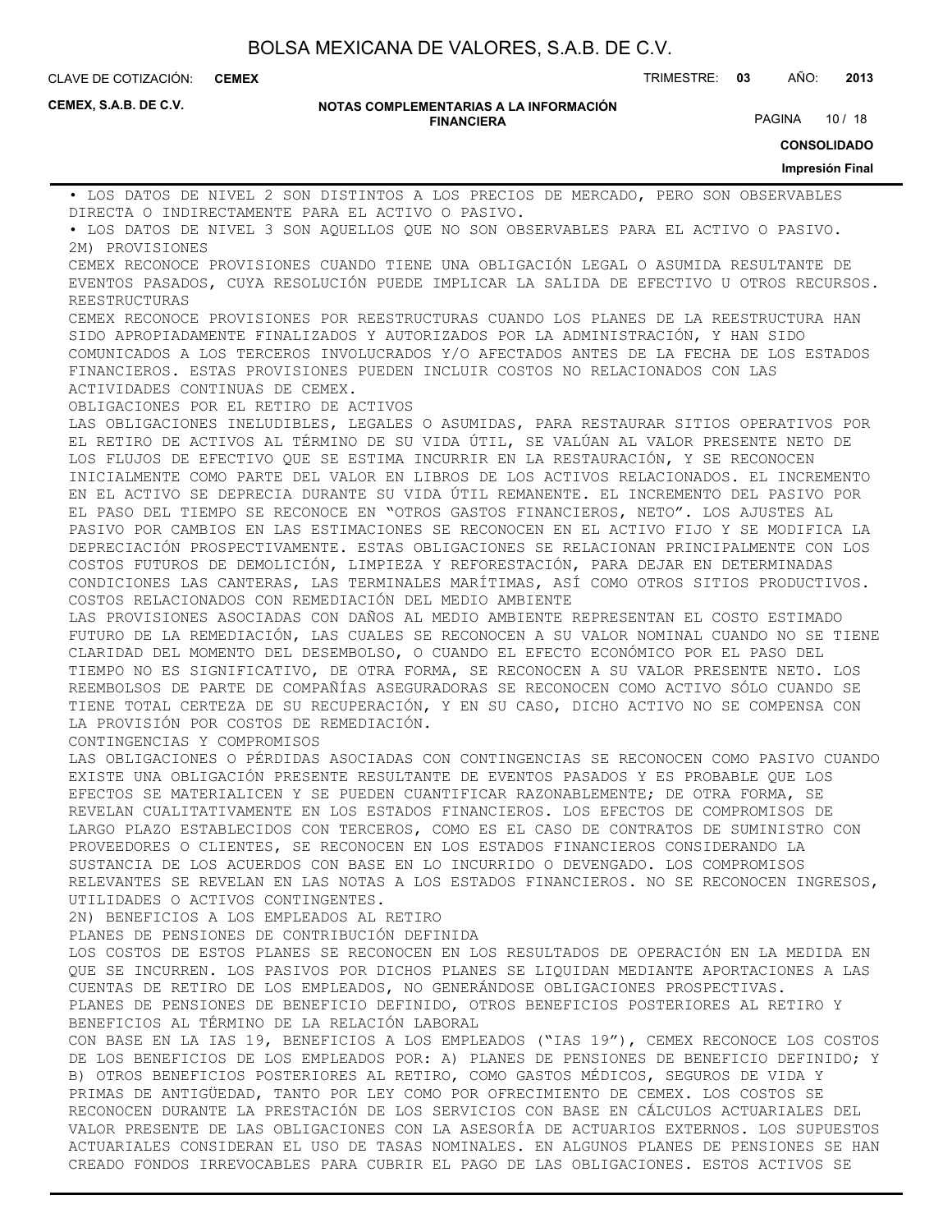**CEMEX**

CLAVE DE COTIZACIÓN: TRIMESTRE: **03** AÑO: **2013**

**CEMEX, S.A.B. DE C.V.**

#### **NOTAS COMPLEMENTARIAS A LA INFORMACIÓN FINANCIERA**

PAGINA 10 / 18

**CONSOLIDADO**

**Impresión Final**

• LOS DATOS DE NIVEL 2 SON DISTINTOS A LOS PRECIOS DE MERCADO, PERO SON OBSERVABLES DIRECTA O INDIRECTAMENTE PARA EL ACTIVO O PASIVO. • LOS DATOS DE NIVEL 3 SON AQUELLOS QUE NO SON OBSERVABLES PARA EL ACTIVO O PASIVO. 2M) PROVISIONES CEMEX RECONOCE PROVISIONES CUANDO TIENE UNA OBLIGACIÓN LEGAL O ASUMIDA RESULTANTE DE EVENTOS PASADOS, CUYA RESOLUCIÓN PUEDE IMPLICAR LA SALIDA DE EFECTIVO U OTROS RECURSOS. REESTRUCTURAS CEMEX RECONOCE PROVISIONES POR REESTRUCTURAS CUANDO LOS PLANES DE LA REESTRUCTURA HAN SIDO APROPIADAMENTE FINALIZADOS Y AUTORIZADOS POR LA ADMINISTRACIÓN, Y HAN SIDO COMUNICADOS A LOS TERCEROS INVOLUCRADOS Y/O AFECTADOS ANTES DE LA FECHA DE LOS ESTADOS FINANCIEROS. ESTAS PROVISIONES PUEDEN INCLUIR COSTOS NO RELACIONADOS CON LAS ACTIVIDADES CONTINUAS DE CEMEX. OBLIGACIONES POR EL RETIRO DE ACTIVOS LAS OBLIGACIONES INELUDIBLES, LEGALES O ASUMIDAS, PARA RESTAURAR SITIOS OPERATIVOS POR EL RETIRO DE ACTIVOS AL TÉRMINO DE SU VIDA ÚTIL, SE VALÚAN AL VALOR PRESENTE NETO DE LOS FLUJOS DE EFECTIVO QUE SE ESTIMA INCURRIR EN LA RESTAURACIÓN, Y SE RECONOCEN INICIALMENTE COMO PARTE DEL VALOR EN LIBROS DE LOS ACTIVOS RELACIONADOS. EL INCREMENTO EN EL ACTIVO SE DEPRECIA DURANTE SU VIDA ÚTIL REMANENTE. EL INCREMENTO DEL PASIVO POR EL PASO DEL TIEMPO SE RECONOCE EN "OTROS GASTOS FINANCIEROS, NETO". LOS AJUSTES AL PASIVO POR CAMBIOS EN LAS ESTIMACIONES SE RECONOCEN EN EL ACTIVO FIJO Y SE MODIFICA LA DEPRECIACIÓN PROSPECTIVAMENTE. ESTAS OBLIGACIONES SE RELACIONAN PRINCIPALMENTE CON LOS COSTOS FUTUROS DE DEMOLICIÓN, LIMPIEZA Y REFORESTACIÓN, PARA DEJAR EN DETERMINADAS CONDICIONES LAS CANTERAS, LAS TERMINALES MARÍTIMAS, ASÍ COMO OTROS SITIOS PRODUCTIVOS. COSTOS RELACIONADOS CON REMEDIACIÓN DEL MEDIO AMBIENTE LAS PROVISIONES ASOCIADAS CON DAÑOS AL MEDIO AMBIENTE REPRESENTAN EL COSTO ESTIMADO FUTURO DE LA REMEDIACIÓN, LAS CUALES SE RECONOCEN A SU VALOR NOMINAL CUANDO NO SE TIENE CLARIDAD DEL MOMENTO DEL DESEMBOLSO, O CUANDO EL EFECTO ECONÓMICO POR EL PASO DEL TIEMPO NO ES SIGNIFICATIVO, DE OTRA FORMA, SE RECONOCEN A SU VALOR PRESENTE NETO. LOS REEMBOLSOS DE PARTE DE COMPAÑÍAS ASEGURADORAS SE RECONOCEN COMO ACTIVO SÓLO CUANDO SE TIENE TOTAL CERTEZA DE SU RECUPERACIÓN, Y EN SU CASO, DICHO ACTIVO NO SE COMPENSA CON LA PROVISIÓN POR COSTOS DE REMEDIACIÓN. CONTINGENCIAS Y COMPROMISOS LAS OBLIGACIONES O PÉRDIDAS ASOCIADAS CON CONTINGENCIAS SE RECONOCEN COMO PASIVO CUANDO EXISTE UNA OBLIGACIÓN PRESENTE RESULTANTE DE EVENTOS PASADOS Y ES PROBABLE QUE LOS EFECTOS SE MATERIALICEN Y SE PUEDEN CUANTIFICAR RAZONABLEMENTE; DE OTRA FORMA, SE REVELAN CUALITATIVAMENTE EN LOS ESTADOS FINANCIEROS. LOS EFECTOS DE COMPROMISOS DE LARGO PLAZO ESTABLECIDOS CON TERCEROS, COMO ES EL CASO DE CONTRATOS DE SUMINISTRO CON PROVEEDORES O CLIENTES, SE RECONOCEN EN LOS ESTADOS FINANCIEROS CONSIDERANDO LA SUSTANCIA DE LOS ACUERDOS CON BASE EN LO INCURRIDO O DEVENGADO. LOS COMPROMISOS RELEVANTES SE REVELAN EN LAS NOTAS A LOS ESTADOS FINANCIEROS. NO SE RECONOCEN INGRESOS, UTILIDADES O ACTIVOS CONTINGENTES. 2N) BENEFICIOS A LOS EMPLEADOS AL RETIRO PLANES DE PENSIONES DE CONTRIBUCIÓN DEFINIDA LOS COSTOS DE ESTOS PLANES SE RECONOCEN EN LOS RESULTADOS DE OPERACIÓN EN LA MEDIDA EN QUE SE INCURREN. LOS PASIVOS POR DICHOS PLANES SE LIQUIDAN MEDIANTE APORTACIONES A LAS CUENTAS DE RETIRO DE LOS EMPLEADOS, NO GENERÁNDOSE OBLIGACIONES PROSPECTIVAS. PLANES DE PENSIONES DE BENEFICIO DEFINIDO, OTROS BENEFICIOS POSTERIORES AL RETIRO Y BENEFICIOS AL TÉRMINO DE LA RELACIÓN LABORAL CON BASE EN LA IAS 19, BENEFICIOS A LOS EMPLEADOS ("IAS 19"), CEMEX RECONOCE LOS COSTOS DE LOS BENEFICIOS DE LOS EMPLEADOS POR: A) PLANES DE PENSIONES DE BENEFICIO DEFINIDO; Y B) OTROS BENEFICIOS POSTERIORES AL RETIRO, COMO GASTOS MÉDICOS, SEGUROS DE VIDA Y PRIMAS DE ANTIGÜEDAD, TANTO POR LEY COMO POR OFRECIMIENTO DE CEMEX. LOS COSTOS SE RECONOCEN DURANTE LA PRESTACIÓN DE LOS SERVICIOS CON BASE EN CÁLCULOS ACTUARIALES DEL VALOR PRESENTE DE LAS OBLIGACIONES CON LA ASESORÍA DE ACTUARIOS EXTERNOS. LOS SUPUESTOS ACTUARIALES CONSIDERAN EL USO DE TASAS NOMINALES. EN ALGUNOS PLANES DE PENSIONES SE HAN CREADO FONDOS IRREVOCABLES PARA CUBRIR EL PAGO DE LAS OBLIGACIONES. ESTOS ACTIVOS SE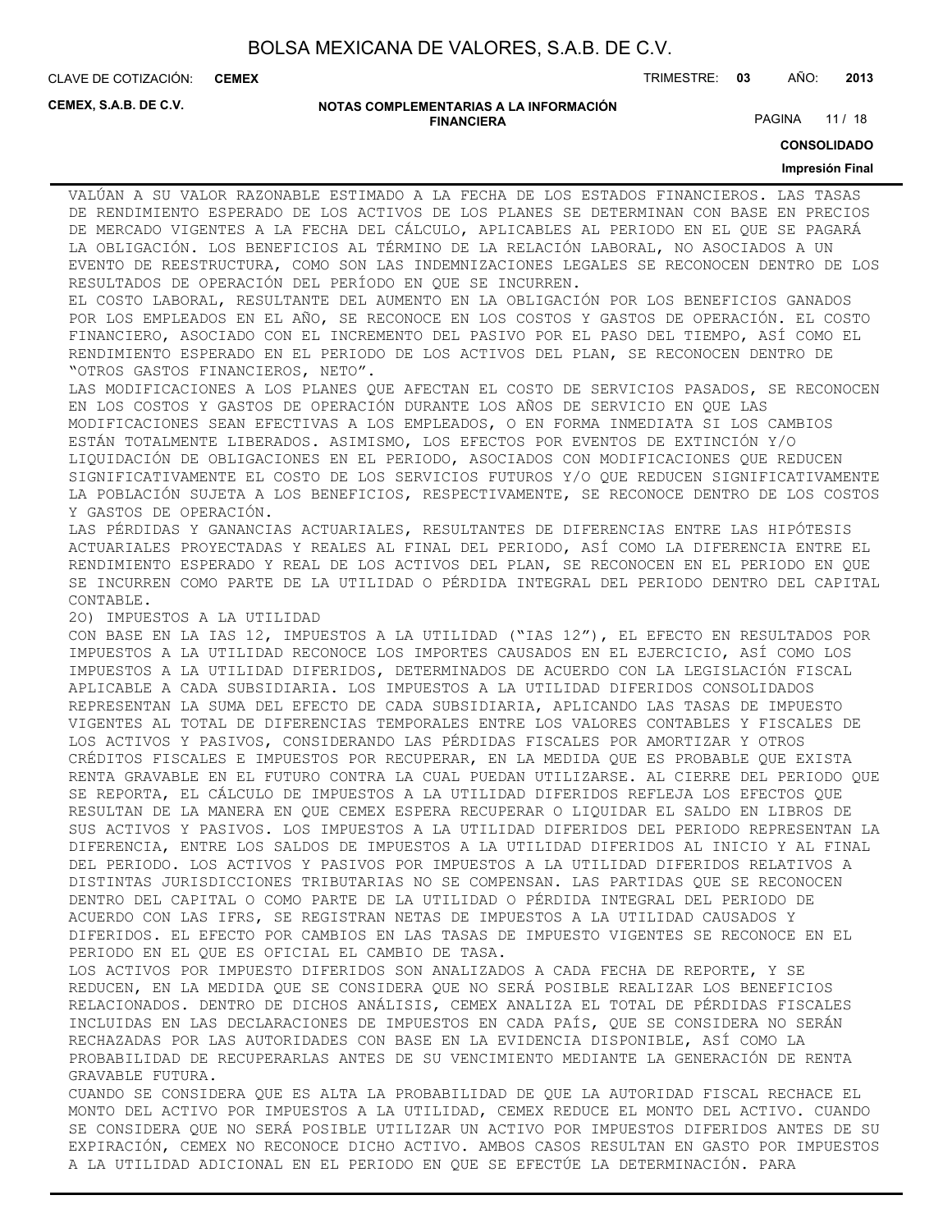**CEMEX**

CLAVE DE COTIZACIÓN: TRIMESTRE: **03** AÑO: **2013**

**CEMEX, S.A.B. DE C.V.**

#### **NOTAS COMPLEMENTARIAS A LA INFORMACIÓN FINANCIERA**

PAGINA 11 / 18

**CONSOLIDADO**

#### **Impresión Final**

VALÚAN A SU VALOR RAZONABLE ESTIMADO A LA FECHA DE LOS ESTADOS FINANCIEROS. LAS TASAS DE RENDIMIENTO ESPERADO DE LOS ACTIVOS DE LOS PLANES SE DETERMINAN CON BASE EN PRECIOS DE MERCADO VIGENTES A LA FECHA DEL CÁLCULO, APLICABLES AL PERIODO EN EL QUE SE PAGARÁ LA OBLIGACIÓN. LOS BENEFICIOS AL TÉRMINO DE LA RELACIÓN LABORAL, NO ASOCIADOS A UN EVENTO DE REESTRUCTURA, COMO SON LAS INDEMNIZACIONES LEGALES SE RECONOCEN DENTRO DE LOS RESULTADOS DE OPERACIÓN DEL PERÍODO EN QUE SE INCURREN.

EL COSTO LABORAL, RESULTANTE DEL AUMENTO EN LA OBLIGACIÓN POR LOS BENEFICIOS GANADOS POR LOS EMPLEADOS EN EL AÑO, SE RECONOCE EN LOS COSTOS Y GASTOS DE OPERACIÓN. EL COSTO FINANCIERO, ASOCIADO CON EL INCREMENTO DEL PASIVO POR EL PASO DEL TIEMPO, ASÍ COMO EL RENDIMIENTO ESPERADO EN EL PERIODO DE LOS ACTIVOS DEL PLAN, SE RECONOCEN DENTRO DE "OTROS GASTOS FINANCIEROS, NETO".

LAS MODIFICACIONES A LOS PLANES QUE AFECTAN EL COSTO DE SERVICIOS PASADOS, SE RECONOCEN EN LOS COSTOS Y GASTOS DE OPERACIÓN DURANTE LOS AÑOS DE SERVICIO EN QUE LAS MODIFICACIONES SEAN EFECTIVAS A LOS EMPLEADOS, O EN FORMA INMEDIATA SI LOS CAMBIOS ESTÁN TOTALMENTE LIBERADOS. ASIMISMO, LOS EFECTOS POR EVENTOS DE EXTINCIÓN Y/O LIQUIDACIÓN DE OBLIGACIONES EN EL PERIODO, ASOCIADOS CON MODIFICACIONES QUE REDUCEN SIGNIFICATIVAMENTE EL COSTO DE LOS SERVICIOS FUTUROS Y/O QUE REDUCEN SIGNIFICATIVAMENTE LA POBLACIÓN SUJETA A LOS BENEFICIOS, RESPECTIVAMENTE, SE RECONOCE DENTRO DE LOS COSTOS Y GASTOS DE OPERACIÓN.

LAS PÉRDIDAS Y GANANCIAS ACTUARIALES, RESULTANTES DE DIFERENCIAS ENTRE LAS HIPÓTESIS ACTUARIALES PROYECTADAS Y REALES AL FINAL DEL PERIODO, ASÍ COMO LA DIFERENCIA ENTRE EL RENDIMIENTO ESPERADO Y REAL DE LOS ACTIVOS DEL PLAN, SE RECONOCEN EN EL PERIODO EN QUE SE INCURREN COMO PARTE DE LA UTILIDAD O PÉRDIDA INTEGRAL DEL PERIODO DENTRO DEL CAPITAL CONTABLE.

2O) IMPUESTOS A LA UTILIDAD

CON BASE EN LA IAS 12, IMPUESTOS A LA UTILIDAD ("IAS 12"), EL EFECTO EN RESULTADOS POR IMPUESTOS A LA UTILIDAD RECONOCE LOS IMPORTES CAUSADOS EN EL EJERCICIO, ASÍ COMO LOS IMPUESTOS A LA UTILIDAD DIFERIDOS, DETERMINADOS DE ACUERDO CON LA LEGISLACIÓN FISCAL APLICABLE A CADA SUBSIDIARIA. LOS IMPUESTOS A LA UTILIDAD DIFERIDOS CONSOLIDADOS REPRESENTAN LA SUMA DEL EFECTO DE CADA SUBSIDIARIA, APLICANDO LAS TASAS DE IMPUESTO VIGENTES AL TOTAL DE DIFERENCIAS TEMPORALES ENTRE LOS VALORES CONTABLES Y FISCALES DE LOS ACTIVOS Y PASIVOS, CONSIDERANDO LAS PÉRDIDAS FISCALES POR AMORTIZAR Y OTROS CRÉDITOS FISCALES E IMPUESTOS POR RECUPERAR, EN LA MEDIDA QUE ES PROBABLE QUE EXISTA RENTA GRAVABLE EN EL FUTURO CONTRA LA CUAL PUEDAN UTILIZARSE. AL CIERRE DEL PERIODO QUE SE REPORTA, EL CÁLCULO DE IMPUESTOS A LA UTILIDAD DIFERIDOS REFLEJA LOS EFECTOS QUE RESULTAN DE LA MANERA EN QUE CEMEX ESPERA RECUPERAR O LIQUIDAR EL SALDO EN LIBROS DE SUS ACTIVOS Y PASIVOS. LOS IMPUESTOS A LA UTILIDAD DIFERIDOS DEL PERIODO REPRESENTAN LA DIFERENCIA, ENTRE LOS SALDOS DE IMPUESTOS A LA UTILIDAD DIFERIDOS AL INICIO Y AL FINAL DEL PERIODO. LOS ACTIVOS Y PASIVOS POR IMPUESTOS A LA UTILIDAD DIFERIDOS RELATIVOS A DISTINTAS JURISDICCIONES TRIBUTARIAS NO SE COMPENSAN. LAS PARTIDAS QUE SE RECONOCEN DENTRO DEL CAPITAL O COMO PARTE DE LA UTILIDAD O PÉRDIDA INTEGRAL DEL PERIODO DE ACUERDO CON LAS IFRS, SE REGISTRAN NETAS DE IMPUESTOS A LA UTILIDAD CAUSADOS Y DIFERIDOS. EL EFECTO POR CAMBIOS EN LAS TASAS DE IMPUESTO VIGENTES SE RECONOCE EN EL PERIODO EN EL QUE ES OFICIAL EL CAMBIO DE TASA.

LOS ACTIVOS POR IMPUESTO DIFERIDOS SON ANALIZADOS A CADA FECHA DE REPORTE, Y SE REDUCEN, EN LA MEDIDA QUE SE CONSIDERA QUE NO SERÁ POSIBLE REALIZAR LOS BENEFICIOS RELACIONADOS. DENTRO DE DICHOS ANÁLISIS, CEMEX ANALIZA EL TOTAL DE PÉRDIDAS FISCALES INCLUIDAS EN LAS DECLARACIONES DE IMPUESTOS EN CADA PAÍS, QUE SE CONSIDERA NO SERÁN RECHAZADAS POR LAS AUTORIDADES CON BASE EN LA EVIDENCIA DISPONIBLE, ASÍ COMO LA PROBABILIDAD DE RECUPERARLAS ANTES DE SU VENCIMIENTO MEDIANTE LA GENERACIÓN DE RENTA GRAVABLE FUTURA.

CUANDO SE CONSIDERA QUE ES ALTA LA PROBABILIDAD DE QUE LA AUTORIDAD FISCAL RECHACE EL MONTO DEL ACTIVO POR IMPUESTOS A LA UTILIDAD, CEMEX REDUCE EL MONTO DEL ACTIVO. CUANDO SE CONSIDERA QUE NO SERÁ POSIBLE UTILIZAR UN ACTIVO POR IMPUESTOS DIFERIDOS ANTES DE SU EXPIRACIÓN, CEMEX NO RECONOCE DICHO ACTIVO. AMBOS CASOS RESULTAN EN GASTO POR IMPUESTOS A LA UTILIDAD ADICIONAL EN EL PERIODO EN QUE SE EFECTÚE LA DETERMINACIÓN. PARA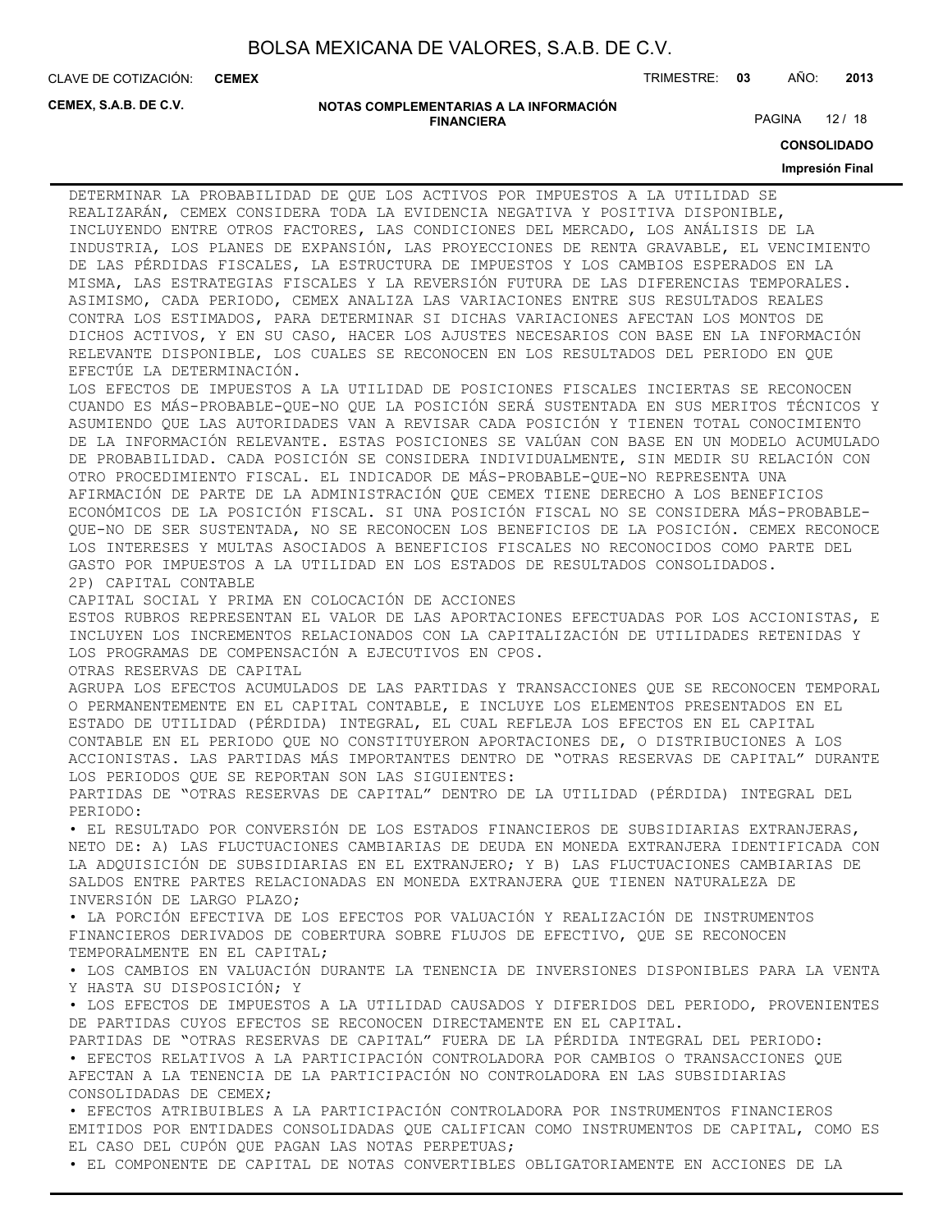**CEMEX**

CLAVE DE COTIZACIÓN: TRIMESTRE: **03** AÑO: **2013**

**CEMEX, S.A.B. DE C.V.**

#### **NOTAS COMPLEMENTARIAS A LA INFORMACIÓN FINANCIERA**

PAGINA 12 / 18

**CONSOLIDADO**

#### **Impresión Final**

DETERMINAR LA PROBABILIDAD DE QUE LOS ACTIVOS POR IMPUESTOS A LA UTILIDAD SE REALIZARÁN, CEMEX CONSIDERA TODA LA EVIDENCIA NEGATIVA Y POSITIVA DISPONIBLE, INCLUYENDO ENTRE OTROS FACTORES, LAS CONDICIONES DEL MERCADO, LOS ANÁLISIS DE LA INDUSTRIA, LOS PLANES DE EXPANSIÓN, LAS PROYECCIONES DE RENTA GRAVABLE, EL VENCIMIENTO DE LAS PÉRDIDAS FISCALES, LA ESTRUCTURA DE IMPUESTOS Y LOS CAMBIOS ESPERADOS EN LA MISMA, LAS ESTRATEGIAS FISCALES Y LA REVERSIÓN FUTURA DE LAS DIFERENCIAS TEMPORALES. ASIMISMO, CADA PERIODO, CEMEX ANALIZA LAS VARIACIONES ENTRE SUS RESULTADOS REALES CONTRA LOS ESTIMADOS, PARA DETERMINAR SI DICHAS VARIACIONES AFECTAN LOS MONTOS DE DICHOS ACTIVOS, Y EN SU CASO, HACER LOS AJUSTES NECESARIOS CON BASE EN LA INFORMACIÓN RELEVANTE DISPONIBLE, LOS CUALES SE RECONOCEN EN LOS RESULTADOS DEL PERIODO EN QUE EFECTÚE LA DETERMINACIÓN. LOS EFECTOS DE IMPUESTOS A LA UTILIDAD DE POSICIONES FISCALES INCIERTAS SE RECONOCEN CUANDO ES MÁS-PROBABLE-QUE-NO QUE LA POSICIÓN SERÁ SUSTENTADA EN SUS MERITOS TÉCNICOS Y ASUMIENDO QUE LAS AUTORIDADES VAN A REVISAR CADA POSICIÓN Y TIENEN TOTAL CONOCIMIENTO DE LA INFORMACIÓN RELEVANTE. ESTAS POSICIONES SE VALÚAN CON BASE EN UN MODELO ACUMULADO DE PROBABILIDAD. CADA POSICIÓN SE CONSIDERA INDIVIDUALMENTE, SIN MEDIR SU RELACIÓN CON OTRO PROCEDIMIENTO FISCAL. EL INDICADOR DE MÁS-PROBABLE-QUE-NO REPRESENTA UNA AFIRMACIÓN DE PARTE DE LA ADMINISTRACIÓN QUE CEMEX TIENE DERECHO A LOS BENEFICIOS ECONÓMICOS DE LA POSICIÓN FISCAL. SI UNA POSICIÓN FISCAL NO SE CONSIDERA MÁS-PROBABLE-QUE-NO DE SER SUSTENTADA, NO SE RECONOCEN LOS BENEFICIOS DE LA POSICIÓN. CEMEX RECONOCE LOS INTERESES Y MULTAS ASOCIADOS A BENEFICIOS FISCALES NO RECONOCIDOS COMO PARTE DEL GASTO POR IMPUESTOS A LA UTILIDAD EN LOS ESTADOS DE RESULTADOS CONSOLIDADOS. 2P) CAPITAL CONTABLE CAPITAL SOCIAL Y PRIMA EN COLOCACIÓN DE ACCIONES ESTOS RUBROS REPRESENTAN EL VALOR DE LAS APORTACIONES EFECTUADAS POR LOS ACCIONISTAS, E INCLUYEN LOS INCREMENTOS RELACIONADOS CON LA CAPITALIZACIÓN DE UTILIDADES RETENIDAS Y LOS PROGRAMAS DE COMPENSACIÓN A EJECUTIVOS EN CPOS. OTRAS RESERVAS DE CAPITAL AGRUPA LOS EFECTOS ACUMULADOS DE LAS PARTIDAS Y TRANSACCIONES QUE SE RECONOCEN TEMPORAL O PERMANENTEMENTE EN EL CAPITAL CONTABLE, E INCLUYE LOS ELEMENTOS PRESENTADOS EN EL ESTADO DE UTILIDAD (PÉRDIDA) INTEGRAL, EL CUAL REFLEJA LOS EFECTOS EN EL CAPITAL CONTABLE EN EL PERIODO QUE NO CONSTITUYERON APORTACIONES DE, O DISTRIBUCIONES A LOS ACCIONISTAS. LAS PARTIDAS MÁS IMPORTANTES DENTRO DE "OTRAS RESERVAS DE CAPITAL" DURANTE LOS PERIODOS QUE SE REPORTAN SON LAS SIGUIENTES: PARTIDAS DE "OTRAS RESERVAS DE CAPITAL" DENTRO DE LA UTILIDAD (PÉRDIDA) INTEGRAL DEL PERIODO: • EL RESULTADO POR CONVERSIÓN DE LOS ESTADOS FINANCIEROS DE SUBSIDIARIAS EXTRANJERAS, NETO DE: A) LAS FLUCTUACIONES CAMBIARIAS DE DEUDA EN MONEDA EXTRANJERA IDENTIFICADA CON LA ADQUISICIÓN DE SUBSIDIARIAS EN EL EXTRANJERO; Y B) LAS FLUCTUACIONES CAMBIARIAS DE SALDOS ENTRE PARTES RELACIONADAS EN MONEDA EXTRANJERA QUE TIENEN NATURALEZA DE INVERSIÓN DE LARGO PLAZO; • LA PORCIÓN EFECTIVA DE LOS EFECTOS POR VALUACIÓN Y REALIZACIÓN DE INSTRUMENTOS FINANCIEROS DERIVADOS DE COBERTURA SOBRE FLUJOS DE EFECTIVO, QUE SE RECONOCEN TEMPORALMENTE EN EL CAPITAL; • LOS CAMBIOS EN VALUACIÓN DURANTE LA TENENCIA DE INVERSIONES DISPONIBLES PARA LA VENTA Y HASTA SU DISPOSICIÓN; Y • LOS EFECTOS DE IMPUESTOS A LA UTILIDAD CAUSADOS Y DIFERIDOS DEL PERIODO, PROVENIENTES DE PARTIDAS CUYOS EFECTOS SE RECONOCEN DIRECTAMENTE EN EL CAPITAL. PARTIDAS DE "OTRAS RESERVAS DE CAPITAL" FUERA DE LA PÉRDIDA INTEGRAL DEL PERIODO: • EFECTOS RELATIVOS A LA PARTICIPACIÓN CONTROLADORA POR CAMBIOS O TRANSACCIONES QUE AFECTAN A LA TENENCIA DE LA PARTICIPACIÓN NO CONTROLADORA EN LAS SUBSIDIARIAS CONSOLIDADAS DE CEMEX; • EFECTOS ATRIBUIBLES A LA PARTICIPACIÓN CONTROLADORA POR INSTRUMENTOS FINANCIEROS EMITIDOS POR ENTIDADES CONSOLIDADAS QUE CALIFICAN COMO INSTRUMENTOS DE CAPITAL, COMO ES EL CASO DEL CUPÓN QUE PAGAN LAS NOTAS PERPETUAS;

• EL COMPONENTE DE CAPITAL DE NOTAS CONVERTIBLES OBLIGATORIAMENTE EN ACCIONES DE LA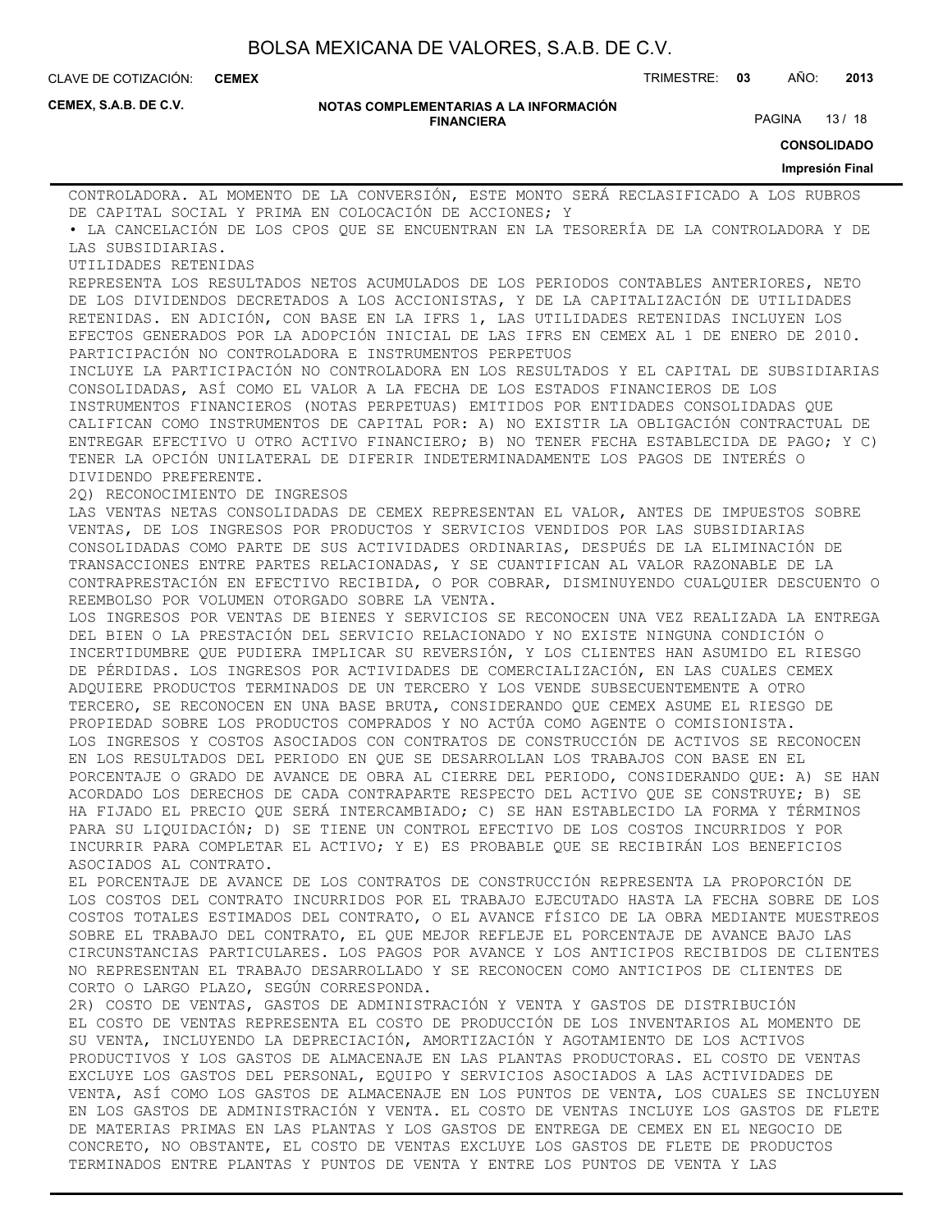**CEMEX**

CLAVE DE COTIZACIÓN: TRIMESTRE: **03** AÑO: **2013**

**CEMEX, S.A.B. DE C.V.**

#### **NOTAS COMPLEMENTARIAS A LA INFORMACIÓN FINANCIERA**

PAGINA 13 / 18

**CONSOLIDADO**

#### **Impresión Final**

CONTROLADORA. AL MOMENTO DE LA CONVERSIÓN, ESTE MONTO SERÁ RECLASIFICADO A LOS RUBROS DE CAPITAL SOCIAL Y PRIMA EN COLOCACIÓN DE ACCIONES; Y • LA CANCELACIÓN DE LOS CPOS QUE SE ENCUENTRAN EN LA TESORERÍA DE LA CONTROLADORA Y DE LAS SUBSIDIARIAS. UTILIDADES RETENIDAS REPRESENTA LOS RESULTADOS NETOS ACUMULADOS DE LOS PERIODOS CONTABLES ANTERIORES, NETO DE LOS DIVIDENDOS DECRETADOS A LOS ACCIONISTAS, Y DE LA CAPITALIZACIÓN DE UTILIDADES RETENIDAS. EN ADICIÓN, CON BASE EN LA IFRS 1, LAS UTILIDADES RETENIDAS INCLUYEN LOS EFECTOS GENERADOS POR LA ADOPCIÓN INICIAL DE LAS IFRS EN CEMEX AL 1 DE ENERO DE 2010. PARTICIPACIÓN NO CONTROLADORA E INSTRUMENTOS PERPETUOS INCLUYE LA PARTICIPACIÓN NO CONTROLADORA EN LOS RESULTADOS Y EL CAPITAL DE SUBSIDIARIAS CONSOLIDADAS, ASÍ COMO EL VALOR A LA FECHA DE LOS ESTADOS FINANCIEROS DE LOS INSTRUMENTOS FINANCIEROS (NOTAS PERPETUAS) EMITIDOS POR ENTIDADES CONSOLIDADAS QUE CALIFICAN COMO INSTRUMENTOS DE CAPITAL POR: A) NO EXISTIR LA OBLIGACIÓN CONTRACTUAL DE ENTREGAR EFECTIVO U OTRO ACTIVO FINANCIERO; B) NO TENER FECHA ESTABLECIDA DE PAGO; Y C) TENER LA OPCIÓN UNILATERAL DE DIFERIR INDETERMINADAMENTE LOS PAGOS DE INTERÉS O DIVIDENDO PREFERENTE. 2Q) RECONOCIMIENTO DE INGRESOS LAS VENTAS NETAS CONSOLIDADAS DE CEMEX REPRESENTAN EL VALOR, ANTES DE IMPUESTOS SOBRE VENTAS, DE LOS INGRESOS POR PRODUCTOS Y SERVICIOS VENDIDOS POR LAS SUBSIDIARIAS CONSOLIDADAS COMO PARTE DE SUS ACTIVIDADES ORDINARIAS, DESPUÉS DE LA ELIMINACIÓN DE TRANSACCIONES ENTRE PARTES RELACIONADAS, Y SE CUANTIFICAN AL VALOR RAZONABLE DE LA CONTRAPRESTACIÓN EN EFECTIVO RECIBIDA, O POR COBRAR, DISMINUYENDO CUALQUIER DESCUENTO O REEMBOLSO POR VOLUMEN OTORGADO SOBRE LA VENTA. LOS INGRESOS POR VENTAS DE BIENES Y SERVICIOS SE RECONOCEN UNA VEZ REALIZADA LA ENTREGA DEL BIEN O LA PRESTACIÓN DEL SERVICIO RELACIONADO Y NO EXISTE NINGUNA CONDICIÓN O INCERTIDUMBRE QUE PUDIERA IMPLICAR SU REVERSIÓN, Y LOS CLIENTES HAN ASUMIDO EL RIESGO DE PÉRDIDAS. LOS INGRESOS POR ACTIVIDADES DE COMERCIALIZACIÓN, EN LAS CUALES CEMEX ADQUIERE PRODUCTOS TERMINADOS DE UN TERCERO Y LOS VENDE SUBSECUENTEMENTE A OTRO TERCERO, SE RECONOCEN EN UNA BASE BRUTA, CONSIDERANDO QUE CEMEX ASUME EL RIESGO DE PROPIEDAD SOBRE LOS PRODUCTOS COMPRADOS Y NO ACTÚA COMO AGENTE O COMISIONISTA. LOS INGRESOS Y COSTOS ASOCIADOS CON CONTRATOS DE CONSTRUCCIÓN DE ACTIVOS SE RECONOCEN EN LOS RESULTADOS DEL PERIODO EN QUE SE DESARROLLAN LOS TRABAJOS CON BASE EN EL PORCENTAJE O GRADO DE AVANCE DE OBRA AL CIERRE DEL PERIODO, CONSIDERANDO QUE: A) SE HAN ACORDADO LOS DERECHOS DE CADA CONTRAPARTE RESPECTO DEL ACTIVO QUE SE CONSTRUYE; B) SE HA FIJADO EL PRECIO QUE SERÁ INTERCAMBIADO; C) SE HAN ESTABLECIDO LA FORMA Y TÉRMINOS PARA SU LIQUIDACIÓN; D) SE TIENE UN CONTROL EFECTIVO DE LOS COSTOS INCURRIDOS Y POR INCURRIR PARA COMPLETAR EL ACTIVO; Y E) ES PROBABLE QUE SE RECIBIRÁN LOS BENEFICIOS ASOCIADOS AL CONTRATO. EL PORCENTAJE DE AVANCE DE LOS CONTRATOS DE CONSTRUCCIÓN REPRESENTA LA PROPORCIÓN DE LOS COSTOS DEL CONTRATO INCURRIDOS POR EL TRABAJO EJECUTADO HASTA LA FECHA SOBRE DE LOS COSTOS TOTALES ESTIMADOS DEL CONTRATO, O EL AVANCE FÍSICO DE LA OBRA MEDIANTE MUESTREOS SOBRE EL TRABAJO DEL CONTRATO, EL QUE MEJOR REFLEJE EL PORCENTAJE DE AVANCE BAJO LAS CIRCUNSTANCIAS PARTICULARES. LOS PAGOS POR AVANCE Y LOS ANTICIPOS RECIBIDOS DE CLIENTES NO REPRESENTAN EL TRABAJO DESARROLLADO Y SE RECONOCEN COMO ANTICIPOS DE CLIENTES DE CORTO O LARGO PLAZO, SEGÚN CORRESPONDA. 2R) COSTO DE VENTAS, GASTOS DE ADMINISTRACIÓN Y VENTA Y GASTOS DE DISTRIBUCIÓN EL COSTO DE VENTAS REPRESENTA EL COSTO DE PRODUCCIÓN DE LOS INVENTARIOS AL MOMENTO DE SU VENTA, INCLUYENDO LA DEPRECIACIÓN, AMORTIZACIÓN Y AGOTAMIENTO DE LOS ACTIVOS PRODUCTIVOS Y LOS GASTOS DE ALMACENAJE EN LAS PLANTAS PRODUCTORAS. EL COSTO DE VENTAS EXCLUYE LOS GASTOS DEL PERSONAL, EQUIPO Y SERVICIOS ASOCIADOS A LAS ACTIVIDADES DE VENTA, ASÍ COMO LOS GASTOS DE ALMACENAJE EN LOS PUNTOS DE VENTA, LOS CUALES SE INCLUYEN EN LOS GASTOS DE ADMINISTRACIÓN Y VENTA. EL COSTO DE VENTAS INCLUYE LOS GASTOS DE FLETE DE MATERIAS PRIMAS EN LAS PLANTAS Y LOS GASTOS DE ENTREGA DE CEMEX EN EL NEGOCIO DE CONCRETO, NO OBSTANTE, EL COSTO DE VENTAS EXCLUYE LOS GASTOS DE FLETE DE PRODUCTOS

TERMINADOS ENTRE PLANTAS Y PUNTOS DE VENTA Y ENTRE LOS PUNTOS DE VENTA Y LAS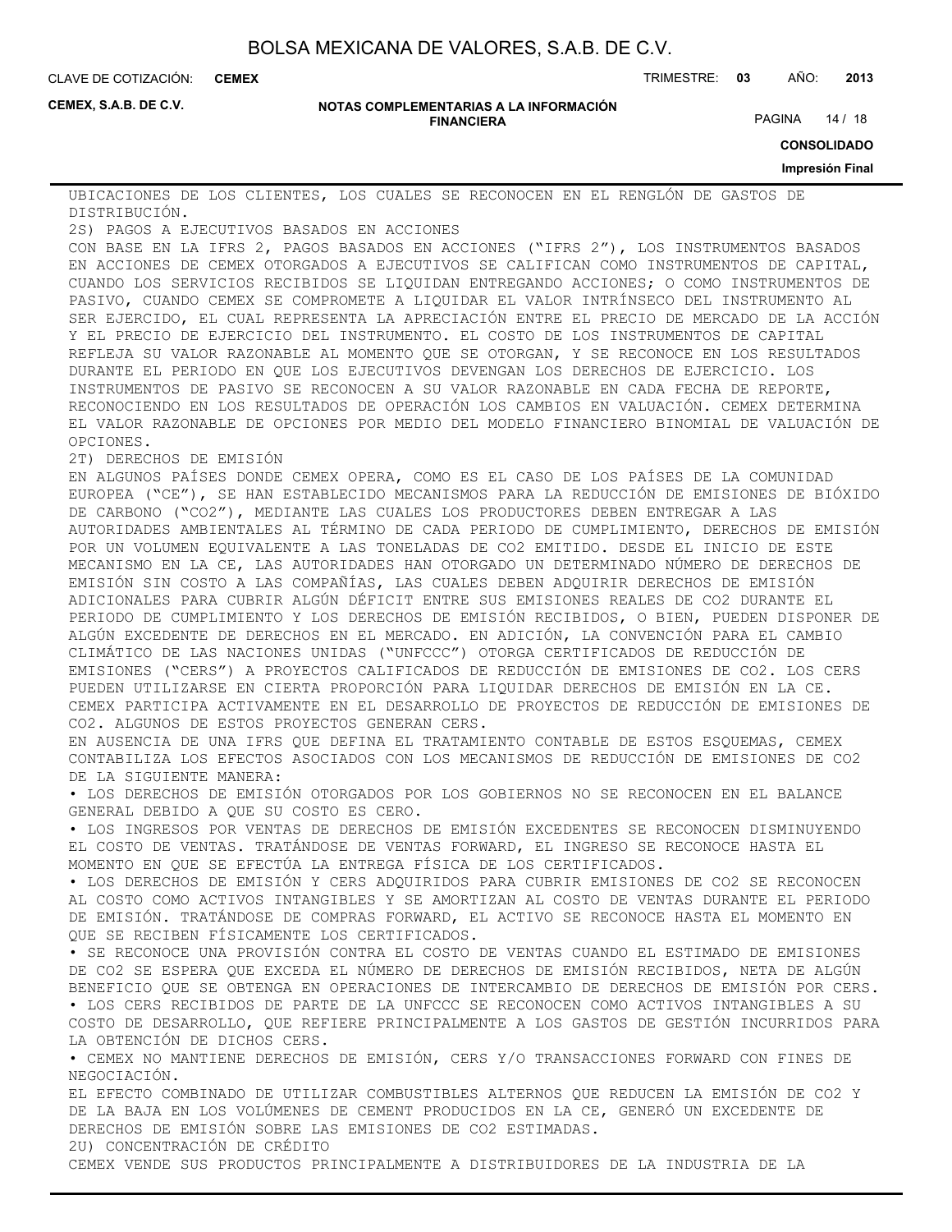**CEMEX**

CLAVE DE COTIZACIÓN: TRIMESTRE: **03** AÑO: **2013**

**CEMEX, S.A.B. DE C.V.**

#### **NOTAS COMPLEMENTARIAS A LA INFORMACIÓN FINANCIERA**

PAGINA 14 / 18

**CONSOLIDADO**

#### **Impresión Final**

UBICACIONES DE LOS CLIENTES, LOS CUALES SE RECONOCEN EN EL RENGLÓN DE GASTOS DE DISTRIBUCIÓN.

2S) PAGOS A EJECUTIVOS BASADOS EN ACCIONES

CON BASE EN LA IFRS 2, PAGOS BASADOS EN ACCIONES ("IFRS 2"), LOS INSTRUMENTOS BASADOS EN ACCIONES DE CEMEX OTORGADOS A EJECUTIVOS SE CALIFICAN COMO INSTRUMENTOS DE CAPITAL, CUANDO LOS SERVICIOS RECIBIDOS SE LIQUIDAN ENTREGANDO ACCIONES; O COMO INSTRUMENTOS DE PASIVO, CUANDO CEMEX SE COMPROMETE A LIQUIDAR EL VALOR INTRÍNSECO DEL INSTRUMENTO AL SER EJERCIDO, EL CUAL REPRESENTA LA APRECIACIÓN ENTRE EL PRECIO DE MERCADO DE LA ACCIÓN Y EL PRECIO DE EJERCICIO DEL INSTRUMENTO. EL COSTO DE LOS INSTRUMENTOS DE CAPITAL REFLEJA SU VALOR RAZONABLE AL MOMENTO QUE SE OTORGAN, Y SE RECONOCE EN LOS RESULTADOS DURANTE EL PERIODO EN QUE LOS EJECUTIVOS DEVENGAN LOS DERECHOS DE EJERCICIO. LOS INSTRUMENTOS DE PASIVO SE RECONOCEN A SU VALOR RAZONABLE EN CADA FECHA DE REPORTE, RECONOCIENDO EN LOS RESULTADOS DE OPERACIÓN LOS CAMBIOS EN VALUACIÓN. CEMEX DETERMINA EL VALOR RAZONABLE DE OPCIONES POR MEDIO DEL MODELO FINANCIERO BINOMIAL DE VALUACIÓN DE OPCIONES.

2T) DERECHOS DE EMISIÓN

EN ALGUNOS PAÍSES DONDE CEMEX OPERA, COMO ES EL CASO DE LOS PAÍSES DE LA COMUNIDAD EUROPEA ("CE"), SE HAN ESTABLECIDO MECANISMOS PARA LA REDUCCIÓN DE EMISIONES DE BIÓXIDO DE CARBONO ("CO2"), MEDIANTE LAS CUALES LOS PRODUCTORES DEBEN ENTREGAR A LAS AUTORIDADES AMBIENTALES AL TÉRMINO DE CADA PERIODO DE CUMPLIMIENTO, DERECHOS DE EMISIÓN POR UN VOLUMEN EQUIVALENTE A LAS TONELADAS DE CO2 EMITIDO. DESDE EL INICIO DE ESTE MECANISMO EN LA CE, LAS AUTORIDADES HAN OTORGADO UN DETERMINADO NÚMERO DE DERECHOS DE EMISIÓN SIN COSTO A LAS COMPAÑÍAS, LAS CUALES DEBEN ADQUIRIR DERECHOS DE EMISIÓN ADICIONALES PARA CUBRIR ALGÚN DÉFICIT ENTRE SUS EMISIONES REALES DE CO2 DURANTE EL PERIODO DE CUMPLIMIENTO Y LOS DERECHOS DE EMISIÓN RECIBIDOS, O BIEN, PUEDEN DISPONER DE ALGÚN EXCEDENTE DE DERECHOS EN EL MERCADO. EN ADICIÓN, LA CONVENCIÓN PARA EL CAMBIO CLIMÁTICO DE LAS NACIONES UNIDAS ("UNFCCC") OTORGA CERTIFICADOS DE REDUCCIÓN DE EMISIONES ("CERS") A PROYECTOS CALIFICADOS DE REDUCCIÓN DE EMISIONES DE CO2. LOS CERS PUEDEN UTILIZARSE EN CIERTA PROPORCIÓN PARA LIQUIDAR DERECHOS DE EMISIÓN EN LA CE. CEMEX PARTICIPA ACTIVAMENTE EN EL DESARROLLO DE PROYECTOS DE REDUCCIÓN DE EMISIONES DE CO2. ALGUNOS DE ESTOS PROYECTOS GENERAN CERS.

EN AUSENCIA DE UNA IFRS QUE DEFINA EL TRATAMIENTO CONTABLE DE ESTOS ESQUEMAS, CEMEX CONTABILIZA LOS EFECTOS ASOCIADOS CON LOS MECANISMOS DE REDUCCIÓN DE EMISIONES DE CO2 DE LA SIGUIENTE MANERA:

• LOS DERECHOS DE EMISIÓN OTORGADOS POR LOS GOBIERNOS NO SE RECONOCEN EN EL BALANCE GENERAL DEBIDO A QUE SU COSTO ES CERO.

• LOS INGRESOS POR VENTAS DE DERECHOS DE EMISIÓN EXCEDENTES SE RECONOCEN DISMINUYENDO EL COSTO DE VENTAS. TRATÁNDOSE DE VENTAS FORWARD, EL INGRESO SE RECONOCE HASTA EL MOMENTO EN QUE SE EFECTÚA LA ENTREGA FÍSICA DE LOS CERTIFICADOS.

• LOS DERECHOS DE EMISIÓN Y CERS ADQUIRIDOS PARA CUBRIR EMISIONES DE CO2 SE RECONOCEN AL COSTO COMO ACTIVOS INTANGIBLES Y SE AMORTIZAN AL COSTO DE VENTAS DURANTE EL PERIODO DE EMISIÓN. TRATÁNDOSE DE COMPRAS FORWARD, EL ACTIVO SE RECONOCE HASTA EL MOMENTO EN QUE SE RECIBEN FÍSICAMENTE LOS CERTIFICADOS.

• SE RECONOCE UNA PROVISIÓN CONTRA EL COSTO DE VENTAS CUANDO EL ESTIMADO DE EMISIONES DE CO2 SE ESPERA QUE EXCEDA EL NÚMERO DE DERECHOS DE EMISIÓN RECIBIDOS, NETA DE ALGÚN BENEFICIO QUE SE OBTENGA EN OPERACIONES DE INTERCAMBIO DE DERECHOS DE EMISIÓN POR CERS. • LOS CERS RECIBIDOS DE PARTE DE LA UNFCCC SE RECONOCEN COMO ACTIVOS INTANGIBLES A SU

COSTO DE DESARROLLO, QUE REFIERE PRINCIPALMENTE A LOS GASTOS DE GESTIÓN INCURRIDOS PARA LA OBTENCIÓN DE DICHOS CERS.

• CEMEX NO MANTIENE DERECHOS DE EMISIÓN, CERS Y/O TRANSACCIONES FORWARD CON FINES DE NEGOCIACIÓN.

EL EFECTO COMBINADO DE UTILIZAR COMBUSTIBLES ALTERNOS QUE REDUCEN LA EMISIÓN DE CO2 Y DE LA BAJA EN LOS VOLÚMENES DE CEMENT PRODUCIDOS EN LA CE, GENERÓ UN EXCEDENTE DE DERECHOS DE EMISIÓN SOBRE LAS EMISIONES DE CO2 ESTIMADAS.

2U) CONCENTRACIÓN DE CRÉDITO

CEMEX VENDE SUS PRODUCTOS PRINCIPALMENTE A DISTRIBUIDORES DE LA INDUSTRIA DE LA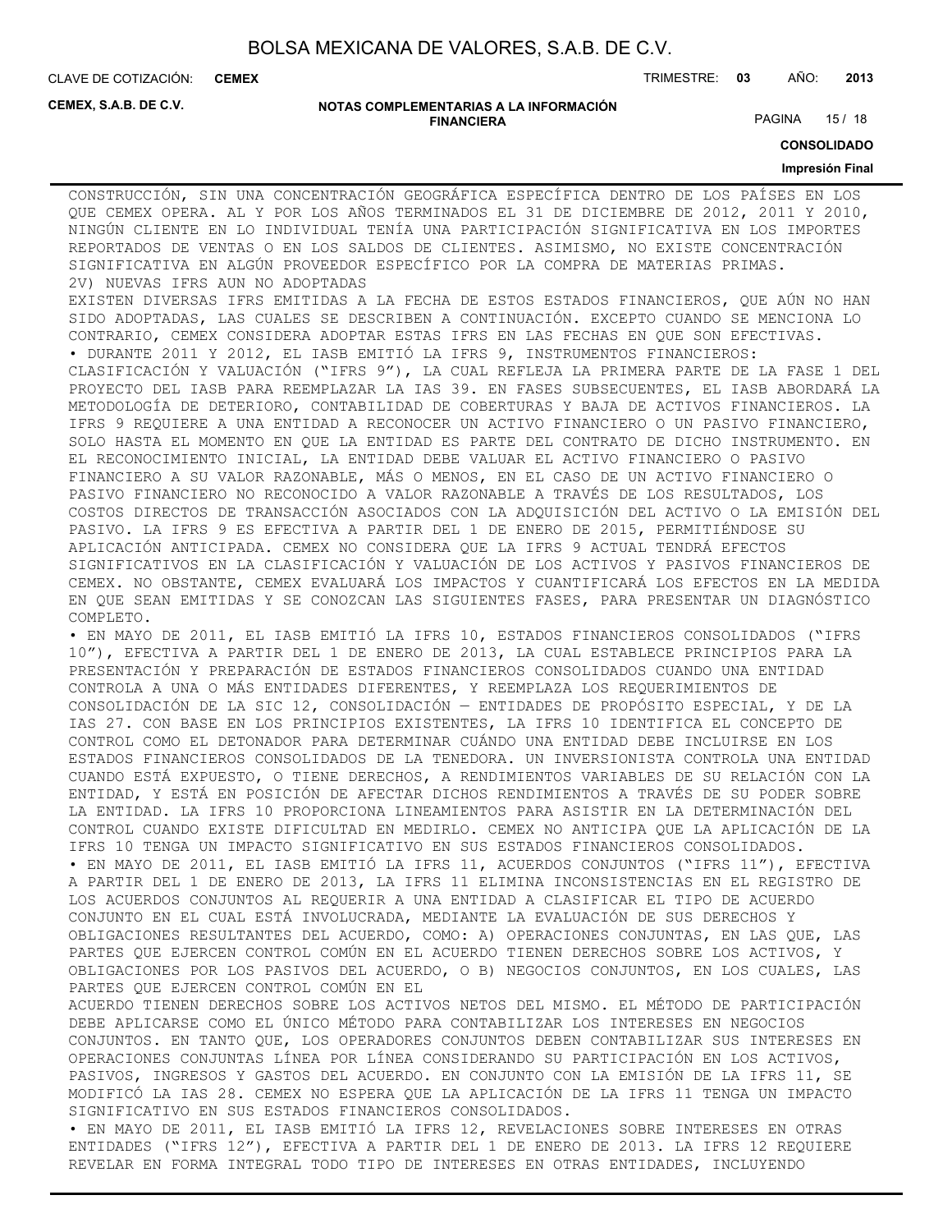**CEMEX**

CLAVE DE COTIZACIÓN: TRIMESTRE: **03** AÑO: **2013**

**CEMEX, S.A.B. DE C.V.**

#### **NOTAS COMPLEMENTARIAS A LA INFORMACIÓN FINANCIERA**

PAGINA 15 / 18

**CONSOLIDADO**

#### **Impresión Final**

CONSTRUCCIÓN, SIN UNA CONCENTRACIÓN GEOGRÁFICA ESPECÍFICA DENTRO DE LOS PAÍSES EN LOS QUE CEMEX OPERA. AL Y POR LOS AÑOS TERMINADOS EL 31 DE DICIEMBRE DE 2012, 2011 Y 2010, NINGÚN CLIENTE EN LO INDIVIDUAL TENÍA UNA PARTICIPACIÓN SIGNIFICATIVA EN LOS IMPORTES REPORTADOS DE VENTAS O EN LOS SALDOS DE CLIENTES. ASIMISMO, NO EXISTE CONCENTRACIÓN SIGNIFICATIVA EN ALGÚN PROVEEDOR ESPECÍFICO POR LA COMPRA DE MATERIAS PRIMAS. 2V) NUEVAS IFRS AUN NO ADOPTADAS

EXISTEN DIVERSAS IFRS EMITIDAS A LA FECHA DE ESTOS ESTADOS FINANCIEROS, QUE AÚN NO HAN SIDO ADOPTADAS, LAS CUALES SE DESCRIBEN A CONTINUACIÓN. EXCEPTO CUANDO SE MENCIONA LO CONTRARIO, CEMEX CONSIDERA ADOPTAR ESTAS IFRS EN LAS FECHAS EN QUE SON EFECTIVAS.

• DURANTE 2011 Y 2012, EL IASB EMITIÓ LA IFRS 9, INSTRUMENTOS FINANCIEROS: CLASIFICACIÓN Y VALUACIÓN ("IFRS 9"), LA CUAL REFLEJA LA PRIMERA PARTE DE LA FASE 1 DEL PROYECTO DEL IASB PARA REEMPLAZAR LA IAS 39. EN FASES SUBSECUENTES, EL IASB ABORDARÁ LA METODOLOGÍA DE DETERIORO, CONTABILIDAD DE COBERTURAS Y BAJA DE ACTIVOS FINANCIEROS. LA IFRS 9 REQUIERE A UNA ENTIDAD A RECONOCER UN ACTIVO FINANCIERO O UN PASIVO FINANCIERO, SOLO HASTA EL MOMENTO EN QUE LA ENTIDAD ES PARTE DEL CONTRATO DE DICHO INSTRUMENTO. EN EL RECONOCIMIENTO INICIAL, LA ENTIDAD DEBE VALUAR EL ACTIVO FINANCIERO O PASIVO FINANCIERO A SU VALOR RAZONABLE, MÁS O MENOS, EN EL CASO DE UN ACTIVO FINANCIERO O PASIVO FINANCIERO NO RECONOCIDO A VALOR RAZONABLE A TRAVÉS DE LOS RESULTADOS, LOS COSTOS DIRECTOS DE TRANSACCIÓN ASOCIADOS CON LA ADQUISICIÓN DEL ACTIVO O LA EMISIÓN DEL PASIVO. LA IFRS 9 ES EFECTIVA A PARTIR DEL 1 DE ENERO DE 2015, PERMITIÉNDOSE SU APLICACIÓN ANTICIPADA. CEMEX NO CONSIDERA QUE LA IFRS 9 ACTUAL TENDRÁ EFECTOS SIGNIFICATIVOS EN LA CLASIFICACIÓN Y VALUACIÓN DE LOS ACTIVOS Y PASIVOS FINANCIEROS DE CEMEX. NO OBSTANTE, CEMEX EVALUARÁ LOS IMPACTOS Y CUANTIFICARÁ LOS EFECTOS EN LA MEDIDA EN QUE SEAN EMITIDAS Y SE CONOZCAN LAS SIGUIENTES FASES, PARA PRESENTAR UN DIAGNÓSTICO COMPLETO.

• EN MAYO DE 2011, EL IASB EMITIÓ LA IFRS 10, ESTADOS FINANCIEROS CONSOLIDADOS ("IFRS 10"), EFECTIVA A PARTIR DEL 1 DE ENERO DE 2013, LA CUAL ESTABLECE PRINCIPIOS PARA LA PRESENTACIÓN Y PREPARACIÓN DE ESTADOS FINANCIEROS CONSOLIDADOS CUANDO UNA ENTIDAD CONTROLA A UNA O MÁS ENTIDADES DIFERENTES, Y REEMPLAZA LOS REQUERIMIENTOS DE CONSOLIDACIÓN DE LA SIC 12, CONSOLIDACIÓN — ENTIDADES DE PROPÓSITO ESPECIAL, Y DE LA IAS 27. CON BASE EN LOS PRINCIPIOS EXISTENTES, LA IFRS 10 IDENTIFICA EL CONCEPTO DE CONTROL COMO EL DETONADOR PARA DETERMINAR CUÁNDO UNA ENTIDAD DEBE INCLUIRSE EN LOS ESTADOS FINANCIEROS CONSOLIDADOS DE LA TENEDORA. UN INVERSIONISTA CONTROLA UNA ENTIDAD CUANDO ESTÁ EXPUESTO, O TIENE DERECHOS, A RENDIMIENTOS VARIABLES DE SU RELACIÓN CON LA ENTIDAD, Y ESTÁ EN POSICIÓN DE AFECTAR DICHOS RENDIMIENTOS A TRAVÉS DE SU PODER SOBRE LA ENTIDAD. LA IFRS 10 PROPORCIONA LINEAMIENTOS PARA ASISTIR EN LA DETERMINACIÓN DEL CONTROL CUANDO EXISTE DIFICULTAD EN MEDIRLO. CEMEX NO ANTICIPA QUE LA APLICACIÓN DE LA IFRS 10 TENGA UN IMPACTO SIGNIFICATIVO EN SUS ESTADOS FINANCIEROS CONSOLIDADOS. • EN MAYO DE 2011, EL IASB EMITIÓ LA IFRS 11, ACUERDOS CONJUNTOS ("IFRS 11"), EFECTIVA A PARTIR DEL 1 DE ENERO DE 2013, LA IFRS 11 ELIMINA INCONSISTENCIAS EN EL REGISTRO DE LOS ACUERDOS CONJUNTOS AL REQUERIR A UNA ENTIDAD A CLASIFICAR EL TIPO DE ACUERDO CONJUNTO EN EL CUAL ESTÁ INVOLUCRADA, MEDIANTE LA EVALUACIÓN DE SUS DERECHOS Y OBLIGACIONES RESULTANTES DEL ACUERDO, COMO: A) OPERACIONES CONJUNTAS, EN LAS QUE, LAS PARTES QUE EJERCEN CONTROL COMÚN EN EL ACUERDO TIENEN DERECHOS SOBRE LOS ACTIVOS, Y OBLIGACIONES POR LOS PASIVOS DEL ACUERDO, O B) NEGOCIOS CONJUNTOS, EN LOS CUALES, LAS PARTES QUE EJERCEN CONTROL COMÚN EN EL

ACUERDO TIENEN DERECHOS SOBRE LOS ACTIVOS NETOS DEL MISMO. EL MÉTODO DE PARTICIPACIÓN DEBE APLICARSE COMO EL ÚNICO MÉTODO PARA CONTABILIZAR LOS INTERESES EN NEGOCIOS CONJUNTOS. EN TANTO QUE, LOS OPERADORES CONJUNTOS DEBEN CONTABILIZAR SUS INTERESES EN OPERACIONES CONJUNTAS LÍNEA POR LÍNEA CONSIDERANDO SU PARTICIPACIÓN EN LOS ACTIVOS, PASIVOS, INGRESOS Y GASTOS DEL ACUERDO. EN CONJUNTO CON LA EMISIÓN DE LA IFRS 11, SE MODIFICÓ LA IAS 28. CEMEX NO ESPERA QUE LA APLICACIÓN DE LA IFRS 11 TENGA UN IMPACTO SIGNIFICATIVO EN SUS ESTADOS FINANCIEROS CONSOLIDADOS.

• EN MAYO DE 2011, EL IASB EMITIÓ LA IFRS 12, REVELACIONES SOBRE INTERESES EN OTRAS ENTIDADES ("IFRS 12"), EFECTIVA A PARTIR DEL 1 DE ENERO DE 2013. LA IFRS 12 REQUIERE REVELAR EN FORMA INTEGRAL TODO TIPO DE INTERESES EN OTRAS ENTIDADES, INCLUYENDO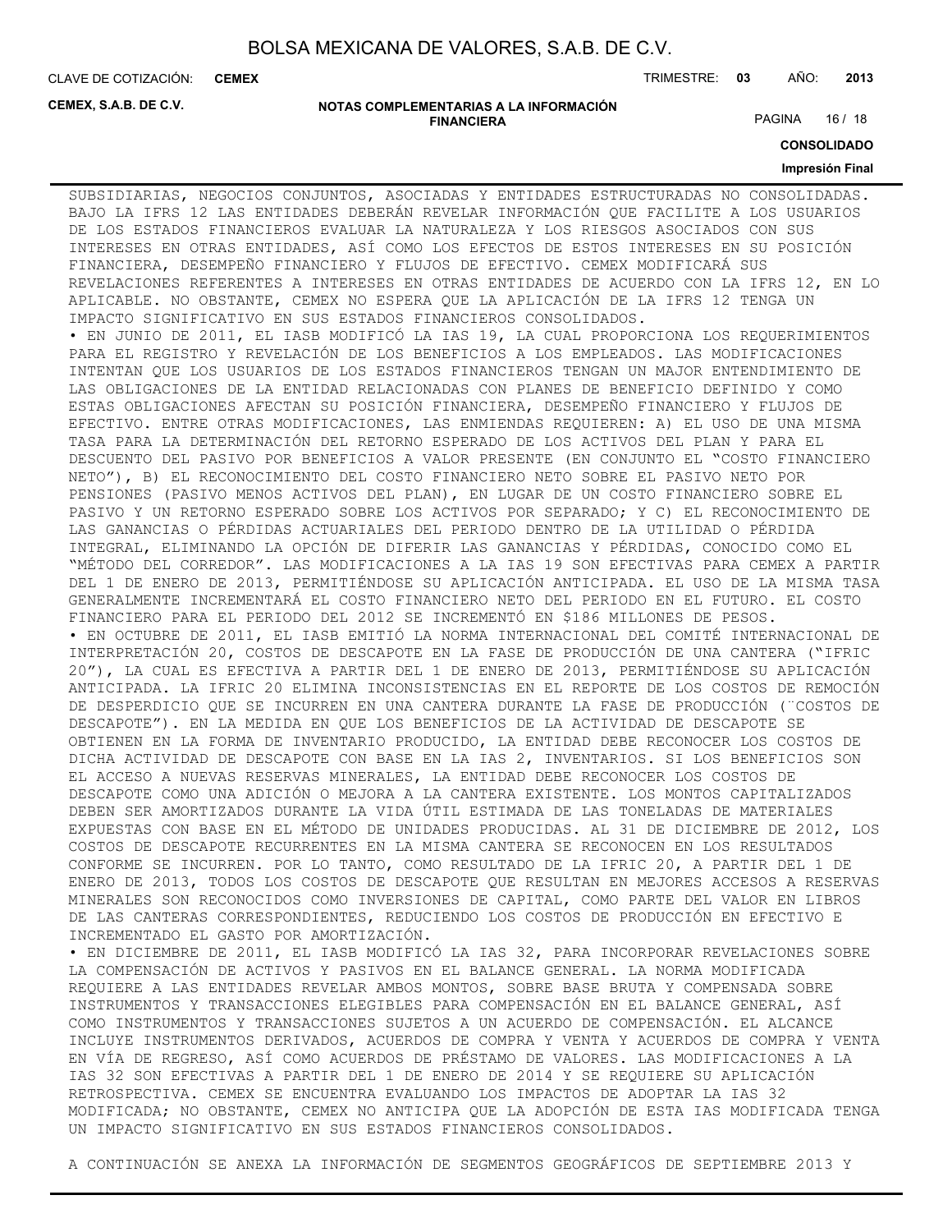**CEMEX**

CLAVE DE COTIZACIÓN: TRIMESTRE: **03** AÑO: **2013**

**CEMEX, S.A.B. DE C.V.**

#### **NOTAS COMPLEMENTARIAS A LA INFORMACIÓN FINANCIERA**

PAGINA 16 / 18

**CONSOLIDADO**

#### **Impresión Final**

SUBSIDIARIAS, NEGOCIOS CONJUNTOS, ASOCIADAS Y ENTIDADES ESTRUCTURADAS NO CONSOLIDADAS. BAJO LA IFRS 12 LAS ENTIDADES DEBERÁN REVELAR INFORMACIÓN QUE FACILITE A LOS USUARIOS DE LOS ESTADOS FINANCIEROS EVALUAR LA NATURALEZA Y LOS RIESGOS ASOCIADOS CON SUS INTERESES EN OTRAS ENTIDADES, ASÍ COMO LOS EFECTOS DE ESTOS INTERESES EN SU POSICIÓN FINANCIERA, DESEMPEÑO FINANCIERO Y FLUJOS DE EFECTIVO. CEMEX MODIFICARÁ SUS REVELACIONES REFERENTES A INTERESES EN OTRAS ENTIDADES DE ACUERDO CON LA IFRS 12, EN LO APLICABLE. NO OBSTANTE, CEMEX NO ESPERA QUE LA APLICACIÓN DE LA IFRS 12 TENGA UN IMPACTO SIGNIFICATIVO EN SUS ESTADOS FINANCIEROS CONSOLIDADOS. • EN JUNIO DE 2011, EL IASB MODIFICÓ LA IAS 19, LA CUAL PROPORCIONA LOS REQUERIMIENTOS PARA EL REGISTRO Y REVELACIÓN DE LOS BENEFICIOS A LOS EMPLEADOS. LAS MODIFICACIONES INTENTAN QUE LOS USUARIOS DE LOS ESTADOS FINANCIEROS TENGAN UN MAJOR ENTENDIMIENTO DE LAS OBLIGACIONES DE LA ENTIDAD RELACIONADAS CON PLANES DE BENEFICIO DEFINIDO Y COMO ESTAS OBLIGACIONES AFECTAN SU POSICIÓN FINANCIERA, DESEMPEÑO FINANCIERO Y FLUJOS DE EFECTIVO. ENTRE OTRAS MODIFICACIONES, LAS ENMIENDAS REQUIEREN: A) EL USO DE UNA MISMA TASA PARA LA DETERMINACIÓN DEL RETORNO ESPERADO DE LOS ACTIVOS DEL PLAN Y PARA EL DESCUENTO DEL PASIVO POR BENEFICIOS A VALOR PRESENTE (EN CONJUNTO EL "COSTO FINANCIERO NETO"), B) EL RECONOCIMIENTO DEL COSTO FINANCIERO NETO SOBRE EL PASIVO NETO POR PENSIONES (PASIVO MENOS ACTIVOS DEL PLAN), EN LUGAR DE UN COSTO FINANCIERO SOBRE EL PASIVO Y UN RETORNO ESPERADO SOBRE LOS ACTIVOS POR SEPARADO; Y C) EL RECONOCIMIENTO DE LAS GANANCIAS O PÉRDIDAS ACTUARIALES DEL PERIODO DENTRO DE LA UTILIDAD O PÉRDIDA INTEGRAL, ELIMINANDO LA OPCIÓN DE DIFERIR LAS GANANCIAS Y PÉRDIDAS, CONOCIDO COMO EL "MÉTODO DEL CORREDOR". LAS MODIFICACIONES A LA IAS 19 SON EFECTIVAS PARA CEMEX A PARTIR DEL 1 DE ENERO DE 2013, PERMITIÉNDOSE SU APLICACIÓN ANTICIPADA. EL USO DE LA MISMA TASA GENERALMENTE INCREMENTARÁ EL COSTO FINANCIERO NETO DEL PERIODO EN EL FUTURO. EL COSTO FINANCIERO PARA EL PERIODO DEL 2012 SE INCREMENTÓ EN \$186 MILLONES DE PESOS. • EN OCTUBRE DE 2011, EL IASB EMITIÓ LA NORMA INTERNACIONAL DEL COMITÉ INTERNACIONAL DE INTERPRETACIÓN 20, COSTOS DE DESCAPOTE EN LA FASE DE PRODUCCIÓN DE UNA CANTERA ("IFRIC 20"), LA CUAL ES EFECTIVA A PARTIR DEL 1 DE ENERO DE 2013, PERMITIÉNDOSE SU APLICACIÓN ANTICIPADA. LA IFRIC 20 ELIMINA INCONSISTENCIAS EN EL REPORTE DE LOS COSTOS DE REMOCIÓN DE DESPERDICIO QUE SE INCURREN EN UNA CANTERA DURANTE LA FASE DE PRODUCCIÓN (¨COSTOS DE DESCAPOTE"). EN LA MEDIDA EN QUE LOS BENEFICIOS DE LA ACTIVIDAD DE DESCAPOTE SE OBTIENEN EN LA FORMA DE INVENTARIO PRODUCIDO, LA ENTIDAD DEBE RECONOCER LOS COSTOS DE DICHA ACTIVIDAD DE DESCAPOTE CON BASE EN LA IAS 2, INVENTARIOS. SI LOS BENEFICIOS SON EL ACCESO A NUEVAS RESERVAS MINERALES, LA ENTIDAD DEBE RECONOCER LOS COSTOS DE DESCAPOTE COMO UNA ADICIÓN O MEJORA A LA CANTERA EXISTENTE. LOS MONTOS CAPITALIZADOS DEBEN SER AMORTIZADOS DURANTE LA VIDA ÚTIL ESTIMADA DE LAS TONELADAS DE MATERIALES EXPUESTAS CON BASE EN EL MÉTODO DE UNIDADES PRODUCIDAS. AL 31 DE DICIEMBRE DE 2012, LOS COSTOS DE DESCAPOTE RECURRENTES EN LA MISMA CANTERA SE RECONOCEN EN LOS RESULTADOS CONFORME SE INCURREN. POR LO TANTO, COMO RESULTADO DE LA IFRIC 20, A PARTIR DEL 1 DE ENERO DE 2013, TODOS LOS COSTOS DE DESCAPOTE QUE RESULTAN EN MEJORES ACCESOS A RESERVAS MINERALES SON RECONOCIDOS COMO INVERSIONES DE CAPITAL, COMO PARTE DEL VALOR EN LIBROS DE LAS CANTERAS CORRESPONDIENTES, REDUCIENDO LOS COSTOS DE PRODUCCIÓN EN EFECTIVO E INCREMENTADO EL GASTO POR AMORTIZACIÓN. • EN DICIEMBRE DE 2011, EL IASB MODIFICÓ LA IAS 32, PARA INCORPORAR REVELACIONES SOBRE

LA COMPENSACIÓN DE ACTIVOS Y PASIVOS EN EL BALANCE GENERAL. LA NORMA MODIFICADA REQUIERE A LAS ENTIDADES REVELAR AMBOS MONTOS, SOBRE BASE BRUTA Y COMPENSADA SOBRE INSTRUMENTOS Y TRANSACCIONES ELEGIBLES PARA COMPENSACIÓN EN EL BALANCE GENERAL, ASÍ COMO INSTRUMENTOS Y TRANSACCIONES SUJETOS A UN ACUERDO DE COMPENSACIÓN. EL ALCANCE INCLUYE INSTRUMENTOS DERIVADOS, ACUERDOS DE COMPRA Y VENTA Y ACUERDOS DE COMPRA Y VENTA EN VÍA DE REGRESO, ASÍ COMO ACUERDOS DE PRÉSTAMO DE VALORES. LAS MODIFICACIONES A LA IAS 32 SON EFECTIVAS A PARTIR DEL 1 DE ENERO DE 2014 Y SE REQUIERE SU APLICACIÓN RETROSPECTIVA. CEMEX SE ENCUENTRA EVALUANDO LOS IMPACTOS DE ADOPTAR LA IAS 32 MODIFICADA; NO OBSTANTE, CEMEX NO ANTICIPA QUE LA ADOPCIÓN DE ESTA IAS MODIFICADA TENGA UN IMPACTO SIGNIFICATIVO EN SUS ESTADOS FINANCIEROS CONSOLIDADOS.

A CONTINUACIÓN SE ANEXA LA INFORMACIÓN DE SEGMENTOS GEOGRÁFICOS DE SEPTIEMBRE 2013 Y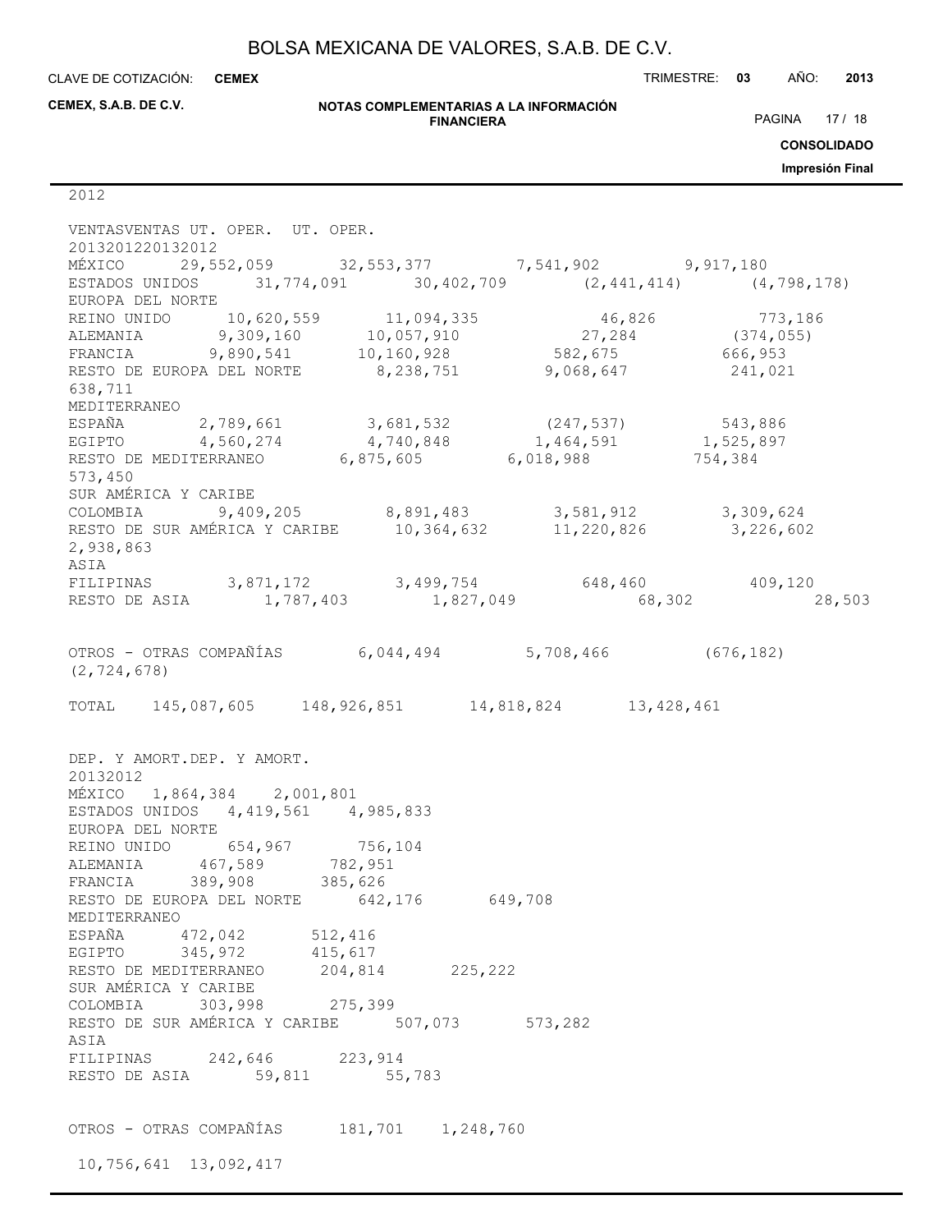**CEMEX**

CLAVE DE COTIZACIÓN: TRIMESTRE: **03** AÑO: **2013**

**CEMEX, S.A.B. DE C.V.**

#### **NOTAS COMPLEMENTARIAS A LA INFORMACIÓN FINANCIERA**

PAGINA 17 / 18

**CONSOLIDADO**

**Impresión Final**

2012

| VENTASVENTAS UT. OPER. UT. OPER.<br>2013201220132012                                                                                                |  |         |
|-----------------------------------------------------------------------------------------------------------------------------------------------------|--|---------|
| MÉXICO 29,552,059 32,553,377 7,541,902 9,917,180                                                                                                    |  |         |
| ESTADOS UNIDOS 31,774,091 30,402,709 (2,441,414) (4,798,178)<br>EUROPA DEL NORTE                                                                    |  |         |
|                                                                                                                                                     |  |         |
| REINO UNIDO 10,620,559 11,094,335 46,826 773,186<br>ALEMANIA 9,309,160 10,057,910 27,284 (374,055)                                                  |  |         |
| FRANCIA 9,890,541 10,160,928 582,675 666,953                                                                                                        |  |         |
| RESTO DE EUROPA DEL NORTE 8,238,751 9,068,647                                                                                                       |  | 241,021 |
| 638,711                                                                                                                                             |  |         |
|                                                                                                                                                     |  |         |
| MEDITERRANEO                                                                                                                                        |  |         |
| ESPAÑA 2,789,661 3,681,532 (247,537) 543,886<br>EGIPTO 4,560,274 4,740,848 1,464,591 1,525,897<br>RESTO DE MEDITERRANEO 6,875,605 6,018,988 754,384 |  |         |
|                                                                                                                                                     |  |         |
|                                                                                                                                                     |  |         |
| 573,450                                                                                                                                             |  |         |
| SUR AMÉRICA Y CARIBE                                                                                                                                |  |         |
| COLOMBIA 9,409,205 8,891,483 3,581,912 3,309,624                                                                                                    |  |         |
| RESTO DE SUR AMÉRICA Y CARIBE 10,364,632 11,220,826 3,226,602                                                                                       |  |         |
| 2,938,863                                                                                                                                           |  |         |
| ASIA                                                                                                                                                |  |         |
| FILIPINAS 3,871,172 3,499,754 648,460 409,120<br>RESTO DE ASIA 1,787,403 1,827,049 68,302 2                                                         |  |         |
|                                                                                                                                                     |  | 28,503  |
|                                                                                                                                                     |  |         |
| OTROS - OTRAS COMPAÑÍAS 6,044,494 5,708,466 (676,182)                                                                                               |  |         |
| (2, 724, 678)                                                                                                                                       |  |         |
|                                                                                                                                                     |  |         |
| TOTAL 145,087,605 148,926,851 14,818,824 13,428,461                                                                                                 |  |         |
|                                                                                                                                                     |  |         |
|                                                                                                                                                     |  |         |
| DEP. Y AMORT.DEP. Y AMORT.                                                                                                                          |  |         |
| 20132012                                                                                                                                            |  |         |
| MÉXICO 1,864,384 2,001,801                                                                                                                          |  |         |
|                                                                                                                                                     |  |         |
| ESTADOS UNIDOS 4,419,561 4,985,833                                                                                                                  |  |         |
| EUROPA DEL NORTE                                                                                                                                    |  |         |
|                                                                                                                                                     |  |         |
|                                                                                                                                                     |  |         |
|                                                                                                                                                     |  |         |
| REINO UNIDO 654,967 756,104<br>ALEMANIA 467,589 782,951<br>FRANCIA 389,908 385,626                                                                  |  |         |
| RESTO DE EUROPA DEL NORTE 642,176 649,708<br>MEDITERRANEO                                                                                           |  |         |
|                                                                                                                                                     |  |         |
| ESPAÑA 472,042 512,416                                                                                                                              |  |         |
| EGIPTO 345, 972 415, 617                                                                                                                            |  |         |
| RESTO DE MEDITERRANEO 204,814 225,222                                                                                                               |  |         |
| SUR AMÉRICA Y CARIBE                                                                                                                                |  |         |
| COLOMBIA 303,998 275,399                                                                                                                            |  |         |
| RESTO DE SUR AMÉRICA Y CARIBE 507,073 573,282                                                                                                       |  |         |
| ASIA                                                                                                                                                |  |         |
| FILIPINAS 242,646 223,914                                                                                                                           |  |         |
| RESTO DE ASIA 59,811 55,783                                                                                                                         |  |         |
|                                                                                                                                                     |  |         |
|                                                                                                                                                     |  |         |
| OTROS - OTRAS COMPAÑÍAS 181,701 1,248,760                                                                                                           |  |         |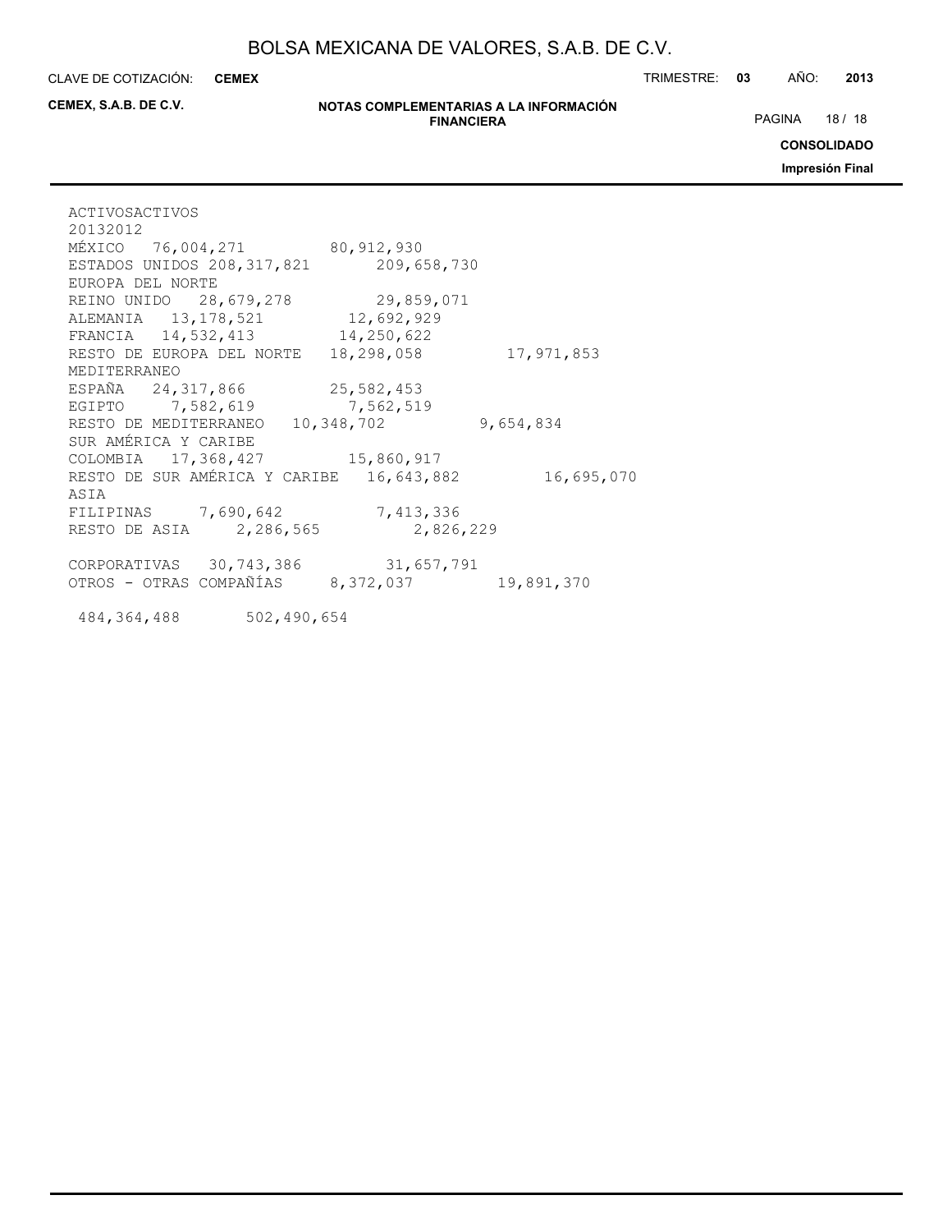**CEMEX**

CLAVE DE COTIZACIÓN: TRIMESTRE: **03** AÑO: **2013**

**CEMEX, S.A.B. DE C.V.**

#### **NOTAS COMPLEMENTARIAS A LA INFORMACIÓN FINANCIERA**

PAGINA 18 / 18

**CONSOLIDADO**

**Impresión Final**

| ACTIVOSACTIVOS                                                                     |           |
|------------------------------------------------------------------------------------|-----------|
| 20132012                                                                           |           |
| MÉXICO 76,004,271 80,912,930                                                       |           |
| ESTADOS UNIDOS 208, 317, 821 209, 658, 730                                         |           |
| EUROPA DEL NORTE                                                                   |           |
| REINO UNIDO 28, 679, 278 29, 859, 071                                              |           |
| ALEMANIA 13, 178, 521 12, 692, 929                                                 |           |
| FRANCIA 14,532,413 14,250,622                                                      |           |
| RESTO DE EUROPA DEL NORTE 18,298,058 17,971,853                                    |           |
| MEDITERRANEO                                                                       |           |
| ESPAÑA 24, 317, 866 25, 582, 453                                                   |           |
| EGIPTO 7,582,619 7,562,519                                                         |           |
| RESTO DE MEDITERRANEO 10,348,702                                                   | 9,654,834 |
| SUR AMÉRICA Y CARIBE                                                               |           |
| COLOMBIA 17, 368, 427 15, 860, 917                                                 |           |
| RESTO DE SUR AMÉRICA Y CARIBE 16, 643, 882 16, 695, 070                            |           |
| ASIA                                                                               |           |
| FILIPINAS 7,690,642 7,413,336                                                      |           |
| RESTO DE ASIA 2,286,565 2,826,229                                                  |           |
|                                                                                    |           |
| CORPORATIVAS 30,743,386 31,657,791<br>OTROS - OTRAS COMPAÑÍAS 8,372,037 19,891,370 |           |
|                                                                                    |           |
|                                                                                    |           |
| 484, 364, 488 502, 490, 654                                                        |           |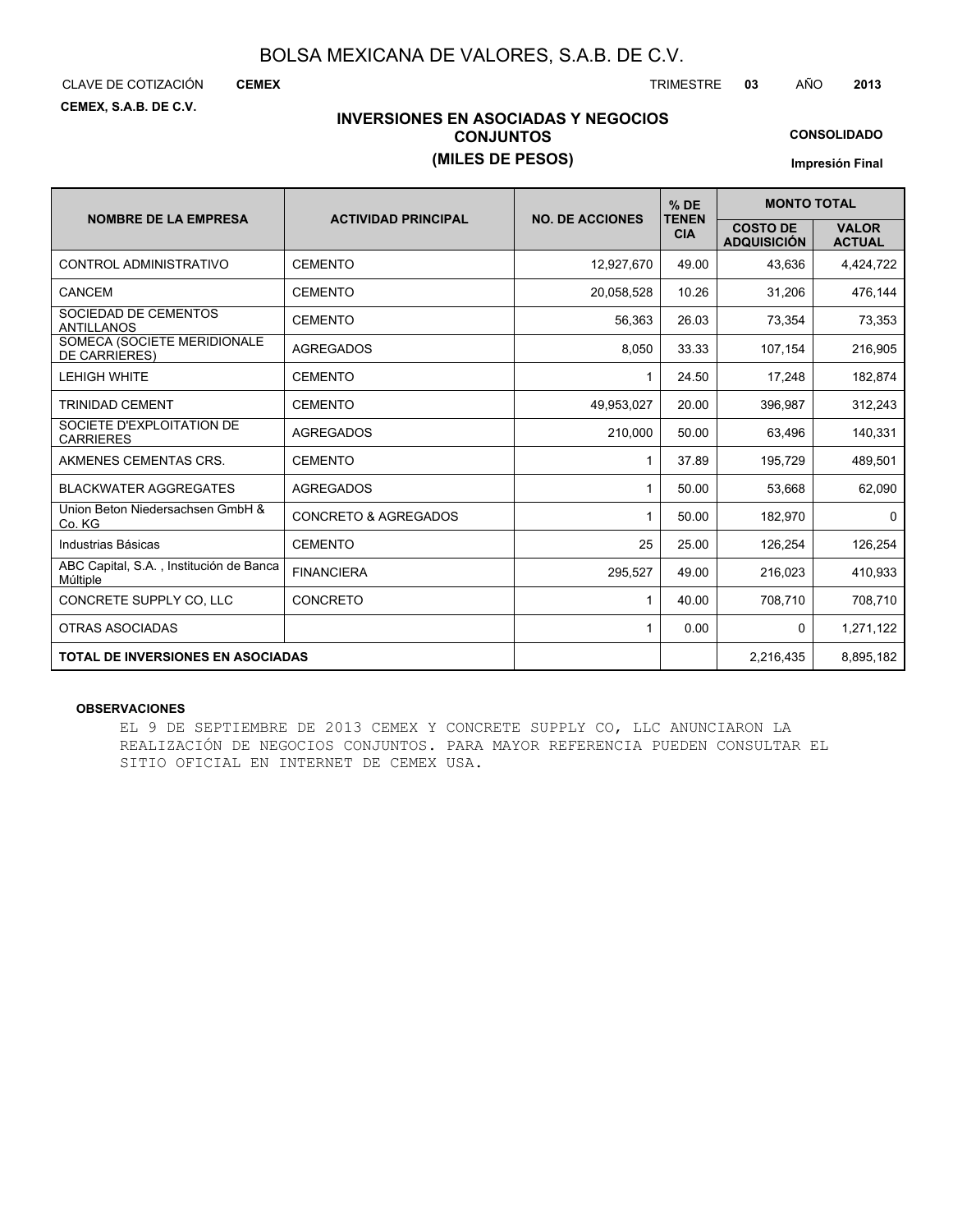CLAVE DE COTIZACIÓN TRIMESTRE **03** AÑO **2013**

**CEMEX**

**CEMEX, S.A.B. DE C.V.**

### **INVERSIONES EN ASOCIADAS Y NEGOCIOS CONJUNTOS (MILES DE PESOS)**

**CONSOLIDADO**

**Impresión Final**

|                                                     |                                 |                        | $%$ DE                     | <b>MONTO TOTAL</b>                    |                               |
|-----------------------------------------------------|---------------------------------|------------------------|----------------------------|---------------------------------------|-------------------------------|
| <b>NOMBRE DE LA EMPRESA</b>                         | <b>ACTIVIDAD PRINCIPAL</b>      | <b>NO. DE ACCIONES</b> | <b>TENEN</b><br><b>CIA</b> | <b>COSTO DE</b><br><b>ADQUISICIÓN</b> | <b>VALOR</b><br><b>ACTUAL</b> |
| CONTROL ADMINISTRATIVO                              | <b>CEMENTO</b>                  | 12,927,670             | 49.00                      | 43,636                                | 4,424,722                     |
| CANCEM                                              | <b>CEMENTO</b>                  | 20,058,528             | 10.26                      | 31,206                                | 476,144                       |
| SOCIEDAD DE CEMENTOS<br><b>ANTILLANOS</b>           | <b>CEMENTO</b>                  | 56,363                 | 26.03                      | 73,354                                | 73,353                        |
| SOMECA (SOCIETE MERIDIONALE<br><b>DE CARRIERES)</b> | <b>AGREGADOS</b>                | 8,050                  | 33.33                      | 107,154                               | 216,905                       |
| <b>LEHIGH WHITE</b>                                 | <b>CEMENTO</b>                  | 1                      | 24.50                      | 17,248                                | 182,874                       |
| <b>TRINIDAD CEMENT</b>                              | <b>CEMENTO</b>                  | 49,953,027             | 20.00                      | 396,987                               | 312,243                       |
| SOCIETE D'EXPLOITATION DE<br><b>CARRIERES</b>       | <b>AGREGADOS</b>                | 210,000                | 50.00                      | 63,496                                | 140,331                       |
| AKMENES CEMENTAS CRS.                               | <b>CEMENTO</b>                  | 1                      | 37.89                      | 195,729                               | 489,501                       |
| <b>BLACKWATER AGGREGATES</b>                        | <b>AGREGADOS</b>                | 1                      | 50.00                      | 53,668                                | 62,090                        |
| Union Beton Niedersachsen GmbH &<br>Co. KG          | <b>CONCRETO &amp; AGREGADOS</b> | 1                      | 50.00                      | 182.970                               | $\Omega$                      |
| Industrias Básicas                                  | <b>CEMENTO</b>                  | 25                     | 25.00                      | 126,254                               | 126,254                       |
| ABC Capital, S.A., Institución de Banca<br>Múltiple | <b>FINANCIERA</b>               | 295,527                | 49.00                      | 216,023                               | 410,933                       |
| CONCRETE SUPPLY CO. LLC                             | <b>CONCRETO</b>                 | 1                      | 40.00                      | 708,710                               | 708,710                       |
| <b>OTRAS ASOCIADAS</b>                              |                                 | 1                      | 0.00                       | $\mathbf{0}$                          | 1,271,122                     |
| <b>TOTAL DE INVERSIONES EN ASOCIADAS</b>            |                                 |                        |                            | 2.216.435                             | 8,895,182                     |

#### **OBSERVACIONES**

EL 9 DE SEPTIEMBRE DE 2013 CEMEX Y CONCRETE SUPPLY CO, LLC ANUNCIARON LA REALIZACIÓN DE NEGOCIOS CONJUNTOS. PARA MAYOR REFERENCIA PUEDEN CONSULTAR EL SITIO OFICIAL EN INTERNET DE CEMEX USA.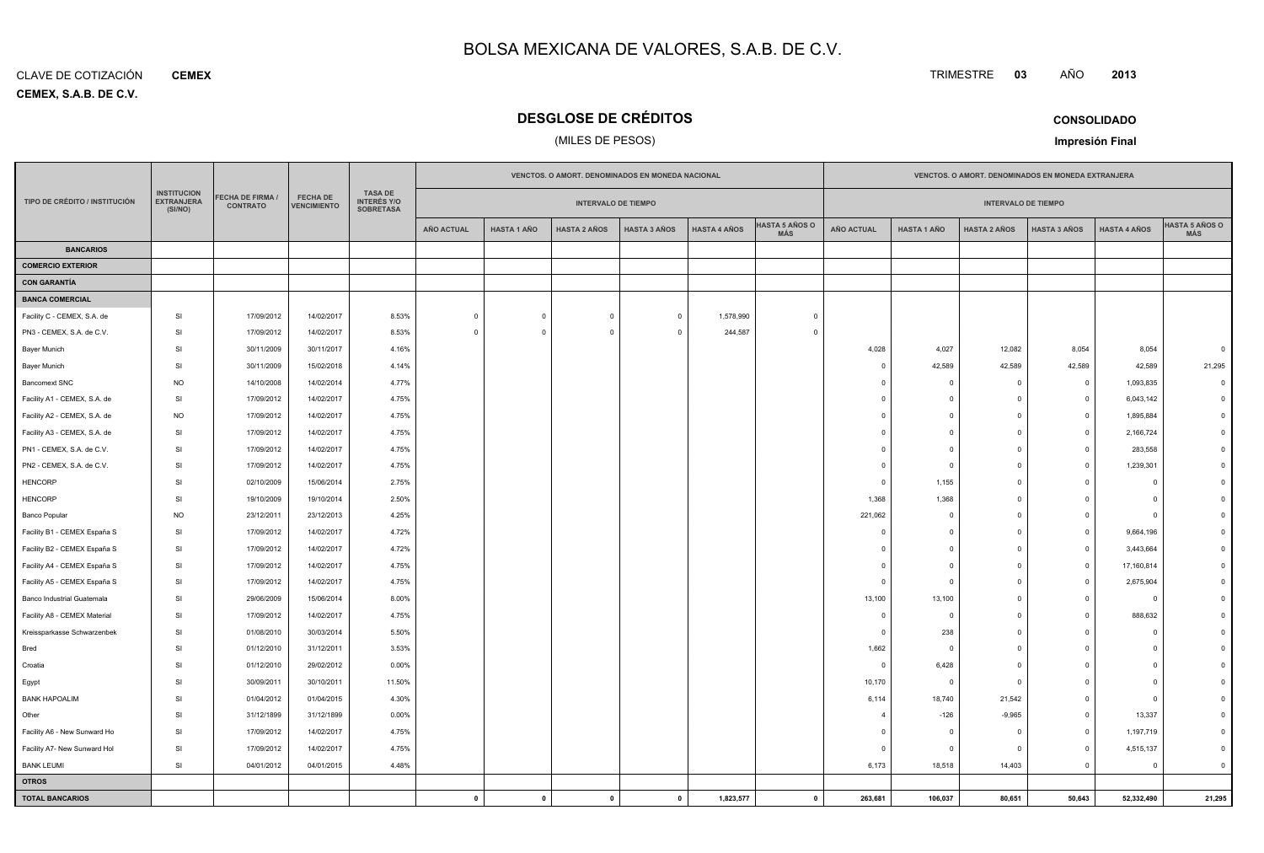**CEMEX, S.A.B. DE C.V.** CLAVE DE COTIZACIÓN**CEMEX**

# **DESGLOSE DE CRÉDITOS**

### (MILES DE PESOS)

TRIMESTRE **<sup>03</sup>** AÑO

**CONSOLIDADOImpresión Final**

**<sup>2013</sup>**

|                               |                                                    |                                     |                                       |                                                          |                   |                    | VENCTOS. O AMORT. DENOMINADOS EN MONEDA NACIONAL |                     |                     |                                     | VENCTOS. O AMORT. DENOMINADOS EN MONEDA EXTRANJERA |                            |                     |                     |                         |                                     |
|-------------------------------|----------------------------------------------------|-------------------------------------|---------------------------------------|----------------------------------------------------------|-------------------|--------------------|--------------------------------------------------|---------------------|---------------------|-------------------------------------|----------------------------------------------------|----------------------------|---------------------|---------------------|-------------------------|-------------------------------------|
| TIPO DE CRÉDITO / INSTITUCIÓN | <b>INSTITUCION</b><br><b>EXTRANJERA</b><br>(SI/NO) | FECHA DE FIRMA /<br><b>CONTRATO</b> | <b>FECHA DE</b><br><b>VENCIMIENTO</b> | <b>TASA DE</b><br><b>INTERÉS Y/O</b><br><b>SOBRETASA</b> |                   |                    | <b>INTERVALO DE TIEMPO</b>                       |                     |                     |                                     |                                                    | <b>INTERVALO DE TIEMPO</b> |                     |                     |                         |                                     |
|                               |                                                    |                                     |                                       |                                                          | <b>AÑO ACTUAL</b> | <b>HASTA 1 AÑO</b> | <b>HASTA 2 AÑOS</b>                              | <b>HASTA 3 AÑOS</b> | <b>HASTA 4 AÑOS</b> | <b>HASTA 5 AÑOS O</b><br><b>MÁS</b> | <b>AÑO ACTUAL</b>                                  | <b>HASTA 1 AÑO</b>         | <b>HASTA 2 AÑOS</b> | <b>HASTA 3 AÑOS</b> | <b>HASTA 4 AÑOS</b>     | <b>HASTA 5 AÑOS O</b><br><b>MÁS</b> |
| <b>BANCARIOS</b>              |                                                    |                                     |                                       |                                                          |                   |                    |                                                  |                     |                     |                                     |                                                    |                            |                     |                     |                         |                                     |
| <b>COMERCIO EXTERIOR</b>      |                                                    |                                     |                                       |                                                          |                   |                    |                                                  |                     |                     |                                     |                                                    |                            |                     |                     |                         |                                     |
| <b>CON GARANTÍA</b>           |                                                    |                                     |                                       |                                                          |                   |                    |                                                  |                     |                     |                                     |                                                    |                            |                     |                     |                         |                                     |
| <b>BANCA COMERCIAL</b>        |                                                    |                                     |                                       |                                                          |                   |                    |                                                  |                     |                     |                                     |                                                    |                            |                     |                     |                         |                                     |
| Facility C - CEMEX, S.A. de   | SI                                                 | 17/09/2012                          | 14/02/2017                            | 8.53%                                                    | $\circ$           | $\mathbf 0$        | $\overline{0}$                                   | $\overline{0}$      | 1,578,990           | $\Omega$                            |                                                    |                            |                     |                     |                         |                                     |
| PN3 - CEMEX, S.A. de C.V.     | SI                                                 | 17/09/2012                          | 14/02/2017                            | 8.53%                                                    | $\Omega$          | $\mathbf 0$        | $\Omega$                                         | $\Omega$            | 244,587             | $\Omega$                            |                                                    |                            |                     |                     |                         |                                     |
| Bayer Munich                  | <b>SI</b>                                          | 30/11/2009                          | 30/11/2017                            | 4.16%                                                    |                   |                    |                                                  |                     |                     |                                     | 4,028                                              | 4,027                      | 12,082              | 8,054               | 8,054                   | $\overline{\mathbf{0}}$             |
| Bayer Munich                  | SI                                                 | 30/11/2009                          | 15/02/2018                            | 4.14%                                                    |                   |                    |                                                  |                     |                     |                                     | $\Omega$                                           | 42,589                     | 42,589              | 42,589              | 42,589                  | 21,295                              |
| <b>Bancomext SNC</b>          | <b>NO</b>                                          | 14/10/2008                          | 14/02/2014                            | 4.77%                                                    |                   |                    |                                                  |                     |                     |                                     | $\Omega$                                           | $\overline{0}$             | $\overline{0}$      | $\mathbf 0$         | 1,093,835               | $\overline{0}$                      |
| Facility A1 - CEMEX, S.A. de  | SI                                                 | 17/09/2012                          | 14/02/2017                            | 4.75%                                                    |                   |                    |                                                  |                     |                     |                                     |                                                    | $\circ$                    | 0                   | $\mathbf 0$         | 6,043,142               | $\Omega$                            |
| Facility A2 - CEMEX, S.A. de  | <b>NO</b>                                          | 17/09/2012                          | 14/02/2017                            | 4.75%                                                    |                   |                    |                                                  |                     |                     |                                     | $\Omega$                                           | $\overline{0}$             | $\overline{0}$      | $\mathbf 0$         | 1,895,884               | $\Omega$                            |
| Facility A3 - CEMEX, S.A. de  | SI                                                 | 17/09/2012                          | 14/02/2017                            | 4.75%                                                    |                   |                    |                                                  |                     |                     |                                     |                                                    | $\Omega$                   | $\Omega$            | $\mathbf 0$         | 2,166,724               |                                     |
| PN1 - CEMEX, S.A. de C.V.     | SI                                                 | 17/09/2012                          | 14/02/2017                            | 4.75%                                                    |                   |                    |                                                  |                     |                     |                                     | $\Omega$                                           | $\overline{0}$             | $\Omega$            | $\mathbf 0$         | 283,558                 |                                     |
| PN2 - CEMEX, S.A. de C.V.     | SI                                                 | 17/09/2012                          | 14/02/2017                            | 4.75%                                                    |                   |                    |                                                  |                     |                     |                                     | $\Omega$                                           | $\overline{0}$             | $\overline{0}$      | $\mathbf 0$         | 1,239,301               |                                     |
| <b>HENCORP</b>                | SI                                                 | 02/10/2009                          | 15/06/2014                            | 2.75%                                                    |                   |                    |                                                  |                     |                     |                                     | $\mathbf 0$                                        | 1,155                      | $\overline{0}$      | $\mathbf 0$         | $\overline{\mathbf{0}}$ |                                     |
| <b>HENCORP</b>                | <b>SI</b>                                          | 19/10/2009                          | 19/10/2014                            | 2.50%                                                    |                   |                    |                                                  |                     |                     |                                     | 1,368                                              | 1,368                      | $\overline{0}$      | $\mathbf 0$         | $\overline{0}$          |                                     |
| Banco Popular                 | <b>NO</b>                                          | 23/12/2011                          | 23/12/2013                            | 4.25%                                                    |                   |                    |                                                  |                     |                     |                                     | 221,062                                            | $\overline{0}$             | $\Omega$            | $\Omega$            | $\Omega$                |                                     |
| Facility B1 - CEMEX España S  | SI                                                 | 17/09/2012                          | 14/02/2017                            | 4.72%                                                    |                   |                    |                                                  |                     |                     |                                     | $\Omega$                                           | $\overline{0}$             | $\Omega$            | $\Omega$            | 9,664,196               |                                     |
| Facility B2 - CEMEX España S  | SI                                                 | 17/09/2012                          | 14/02/2017                            | 4.72%                                                    |                   |                    |                                                  |                     |                     |                                     |                                                    | $\overline{0}$             | $\overline{0}$      | $\mathbf 0$         | 3,443,664               |                                     |
| Facility A4 - CEMEX España S  | SI                                                 | 17/09/2012                          | 14/02/2017                            | 4.75%                                                    |                   |                    |                                                  |                     |                     |                                     |                                                    | $\overline{0}$             | 0                   | $\mathbf 0$         | 17,160,814              |                                     |
| Facility A5 - CEMEX España S  | SI                                                 | 17/09/2012                          | 14/02/2017                            | 4.75%                                                    |                   |                    |                                                  |                     |                     |                                     | $\Omega$                                           | $\overline{0}$             | $\Omega$            | $\mathbf 0$         | 2,675,904               |                                     |
| Banco Industrial Guatemala    | SI                                                 | 29/06/2009                          | 15/06/2014                            | 8.00%                                                    |                   |                    |                                                  |                     |                     |                                     | 13,100                                             | 13,100                     | $\Omega$            | $\Omega$            | $\overline{0}$          |                                     |
| Facility A8 - CEMEX Material  | SI                                                 | 17/09/2012                          | 14/02/2017                            | 4.75%                                                    |                   |                    |                                                  |                     |                     |                                     | $\Omega$                                           | $\overline{0}$             | $\overline{0}$      | $\mathbf 0$         | 888,632                 |                                     |
| Kreissparkasse Schwarzenbek   | SI                                                 | 01/08/2010                          | 30/03/2014                            | 5.50%                                                    |                   |                    |                                                  |                     |                     |                                     | $\Omega$                                           | 238                        | 0                   | $\mathbf 0$         | $\overline{0}$          |                                     |
| Bred                          | SI                                                 | 01/12/2010                          | 31/12/2011                            | 3.53%                                                    |                   |                    |                                                  |                     |                     |                                     | 1,662                                              | $\Omega$                   | 0                   | $\mathbf 0$         | $\overline{0}$          |                                     |
| Croatia                       | SI                                                 | 01/12/2010                          | 29/02/2012                            | $0.00\%$                                                 |                   |                    |                                                  |                     |                     |                                     | $\Omega$                                           | 6,428                      | $\Omega$            | $\Omega$            | $\circ$                 |                                     |
| Egypt                         | SI                                                 | 30/09/2011                          | 30/10/2011                            | 11.50%                                                   |                   |                    |                                                  |                     |                     |                                     | 10,170                                             | $\overline{0}$             | $\overline{0}$      | $\mathbf 0$         | $\overline{0}$          |                                     |
| <b>BANK HAPOALIM</b>          | SI                                                 | 01/04/2012                          | 01/04/2015                            | 4.30%                                                    |                   |                    |                                                  |                     |                     |                                     | 6,114                                              | 18,740                     | 21,542              | $\mathbf 0$         | $\overline{\mathbf{0}}$ |                                     |
| Other                         | SI                                                 | 31/12/1899                          | 31/12/1899                            | 0.00%                                                    |                   |                    |                                                  |                     |                     |                                     |                                                    | $-126$                     | $-9,965$            | $\mathbf 0$         | 13,337                  |                                     |
| Facility A6 - New Sunward Ho  | SI                                                 | 17/09/2012                          | 14/02/2017                            | 4.75%                                                    |                   |                    |                                                  |                     |                     |                                     | $\Omega$                                           | $\Omega$                   | $\Omega$            | $\Omega$            | 1,197,719               |                                     |
| Facility A7- New Sunward Hol  | SI                                                 | 17/09/2012                          | 14/02/2017                            | 4.75%                                                    |                   |                    |                                                  |                     |                     |                                     | $\Omega$                                           | $\overline{0}$             | $\Omega$            | $\Omega$            | 4,515,137               |                                     |
| <b>BANK LEUMI</b>             | SI                                                 | 04/01/2012                          | 04/01/2015                            | 4.48%                                                    |                   |                    |                                                  |                     |                     |                                     | 6,173                                              | 18,518                     | 14,403              | $\circ$             | $\overline{0}$          | $\Omega$                            |
| <b>OTROS</b>                  |                                                    |                                     |                                       |                                                          |                   |                    |                                                  |                     |                     |                                     |                                                    |                            |                     |                     |                         |                                     |
| <b>TOTAL BANCARIOS</b>        |                                                    |                                     |                                       |                                                          | $\mathbf 0$       | $\mathbf 0$        | $\mathbf{0}$                                     | $\mathbf{0}$        | 1,823,577           | $\overline{\mathbf{0}}$             | 263,681                                            | 106,037                    | 80,651              | 50,643              | 52,332,490              | 21,295                              |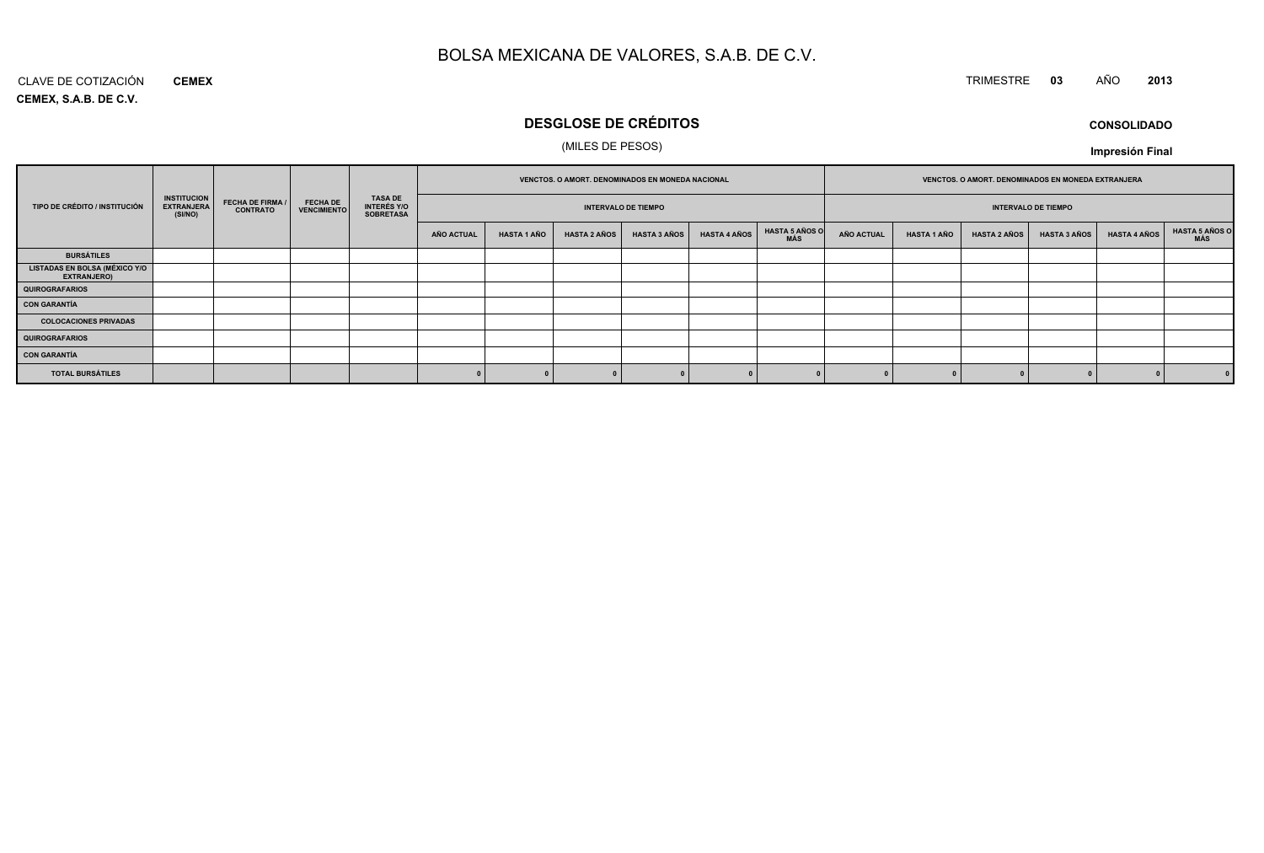#### CLAVE DE COTIZACIÓN TRIMESTRE **<sup>03</sup>** AÑO **<sup>2013</sup> CEMEX**

**CEMEX, S.A.B. DE C.V.**

### **DESGLOSE DE CRÉDITOS**

### (MILES DE PESOS)

| <b>CONSOLIDADO</b> |
|--------------------|
|--------------------|

**Impresión Final**

|                                                            |                                                    |                                            |                                       |                                            |            |             |                     | VENCTOS. O AMORT. DENOMINADOS EN MONEDA NACIONAL |                     |                              | VENCTOS. O AMORT. DENOMINADOS EN MONEDA EXTRANJERA |                    |                     |                            |                     |                              |
|------------------------------------------------------------|----------------------------------------------------|--------------------------------------------|---------------------------------------|--------------------------------------------|------------|-------------|---------------------|--------------------------------------------------|---------------------|------------------------------|----------------------------------------------------|--------------------|---------------------|----------------------------|---------------------|------------------------------|
| TIPO DE CRÉDITO / INSTITUCIÓN                              | <b>INSTITUCION</b><br><b>EXTRANJERA</b><br>(SI/NO) | <b>FECHA DE FIRMA /</b><br><b>CONTRATO</b> | <b>FECHA DE</b><br><b>VENCIMIENTO</b> | TASA DE<br>INTERÉS Y/O<br><b>SOBRETASA</b> |            |             |                     | <b>INTERVALO DE TIEMPO</b>                       |                     |                              |                                                    |                    |                     | <b>INTERVALO DE TIEMPO</b> |                     |                              |
|                                                            |                                                    |                                            |                                       |                                            | AÑO ACTUAL | HASTA 1 AÑO | <b>HASTA 2 AÑOS</b> | <b>HASTA 3 AÑOS</b>                              | <b>HASTA 4 AÑOS</b> | <b>HASTA 5 AÑOS O</b><br>MÁS | <b>AÑO ACTUAL</b>                                  | <b>HASTA 1 AÑO</b> | <b>HASTA 2 AÑOS</b> | <b>HASTA 3 AÑOS</b>        | <b>HASTA 4 AÑOS</b> | <b>HASTA 5 AÑOS O</b><br>MÁS |
| <b>BURSÁTILES</b>                                          |                                                    |                                            |                                       |                                            |            |             |                     |                                                  |                     |                              |                                                    |                    |                     |                            |                     |                              |
| <b>LISTADAS EN BOLSA (MÉXICO Y/O</b><br><b>EXTRANJERO)</b> |                                                    |                                            |                                       |                                            |            |             |                     |                                                  |                     |                              |                                                    |                    |                     |                            |                     |                              |
| QUIROGRAFARIOS                                             |                                                    |                                            |                                       |                                            |            |             |                     |                                                  |                     |                              |                                                    |                    |                     |                            |                     |                              |
| <b>CON GARANTÍA</b>                                        |                                                    |                                            |                                       |                                            |            |             |                     |                                                  |                     |                              |                                                    |                    |                     |                            |                     |                              |
| <b>COLOCACIONES PRIVADAS</b>                               |                                                    |                                            |                                       |                                            |            |             |                     |                                                  |                     |                              |                                                    |                    |                     |                            |                     |                              |
| <b>QUIROGRAFARIOS</b>                                      |                                                    |                                            |                                       |                                            |            |             |                     |                                                  |                     |                              |                                                    |                    |                     |                            |                     |                              |
| <b>CON GARANTÍA</b>                                        |                                                    |                                            |                                       |                                            |            |             |                     |                                                  |                     |                              |                                                    |                    |                     |                            |                     |                              |
| <b>TOTAL BURSÁTILES</b>                                    |                                                    |                                            |                                       |                                            |            |             |                     |                                                  |                     |                              |                                                    |                    |                     |                            |                     |                              |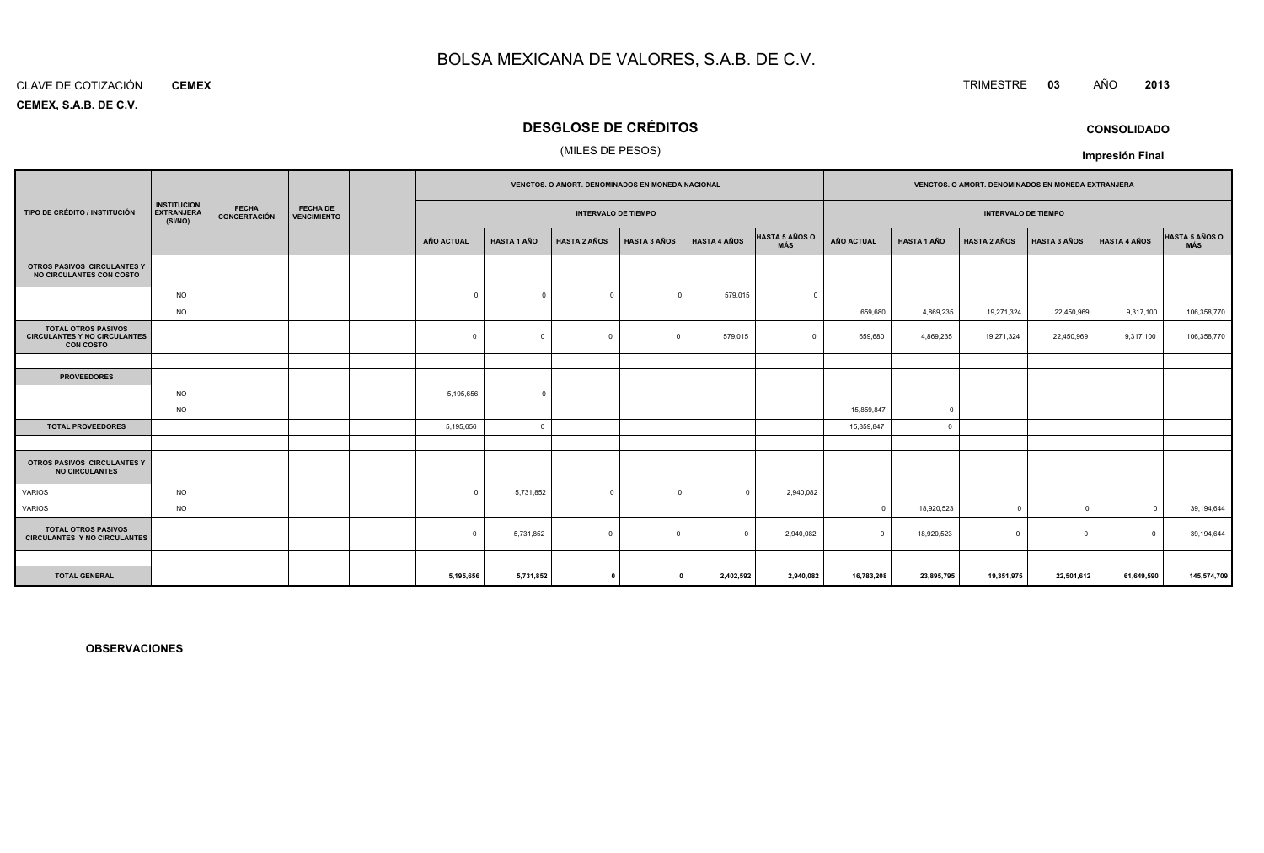#### CLAVE DE COTIZACIÓN**CEMEX**

**CEMEX, S.A.B. DE C.V.**

### **DESGLOSE DE CRÉDITOS**

### (MILES DE PESOS)

|                                                                                       |                                                    |                              |                                       |                   |                    | VENCTOS. O AMORT. DENOMINADOS EN MONEDA NACIONAL |                     |                     |                                     |            |                            | VENCTOS. O AMORT. DENOMINADOS EN MONEDA EXTRANJERA |                     |                     |                              |  |  |
|---------------------------------------------------------------------------------------|----------------------------------------------------|------------------------------|---------------------------------------|-------------------|--------------------|--------------------------------------------------|---------------------|---------------------|-------------------------------------|------------|----------------------------|----------------------------------------------------|---------------------|---------------------|------------------------------|--|--|
| TIPO DE CRÉDITO / INSTITUCIÓN                                                         | <b>INSTITUCION</b><br><b>EXTRANJERA</b><br>(SI/NO) | <b>FECHA</b><br>CONCERTACIÓN | <b>FECHA DE</b><br><b>VENCIMIENTO</b> |                   |                    | <b>INTERVALO DE TIEMPO</b>                       |                     |                     |                                     |            | <b>INTERVALO DE TIEMPO</b> |                                                    |                     |                     |                              |  |  |
|                                                                                       |                                                    |                              |                                       | <b>AÑO ACTUAL</b> | <b>HASTA 1 AÑO</b> | <b>HASTA 2 AÑOS</b>                              | <b>HASTA 3 AÑOS</b> | <b>HASTA 4 AÑOS</b> | <b>HASTA 5 AÑOS O</b><br><b>MÁS</b> | AÑO ACTUAL | <b>HASTA 1 AÑO</b>         | <b>HASTA 2 AÑOS</b>                                | <b>HASTA 3 AÑOS</b> | <b>HASTA 4 AÑOS</b> | <b>HASTA 5 AÑOS O</b><br>MÁS |  |  |
| OTROS PASIVOS CIRCULANTES Y<br>NO CIRCULANTES CON COSTO                               |                                                    |                              |                                       |                   |                    |                                                  |                     |                     |                                     |            |                            |                                                    |                     |                     |                              |  |  |
|                                                                                       | <b>NO</b>                                          |                              |                                       | $\Omega$          | $\Omega$           | $^{\circ}$                                       | $\Omega$            | 579,015             | $\Omega$                            |            |                            |                                                    |                     |                     |                              |  |  |
|                                                                                       | <b>NO</b>                                          |                              |                                       |                   |                    |                                                  |                     |                     |                                     | 659,680    | 4,869,235                  | 19,271,324                                         | 22,450,969          | 9,317,100           | 106,358,770                  |  |  |
| <b>TOTAL OTROS PASIVOS</b><br><b>CIRCULANTES Y NO CIRCULANTES</b><br><b>CON COSTO</b> |                                                    |                              |                                       | $\mathbf 0$       | $\Omega$           | $\mathbf 0$                                      | $\overline{0}$      | 579,015             | $\Omega$                            | 659,680    | 4,869,235                  | 19,271,324                                         | 22,450,969          | 9,317,100           | 106,358,770                  |  |  |
|                                                                                       |                                                    |                              |                                       |                   |                    |                                                  |                     |                     |                                     |            |                            |                                                    |                     |                     |                              |  |  |
| <b>PROVEEDORES</b>                                                                    |                                                    |                              |                                       |                   |                    |                                                  |                     |                     |                                     |            |                            |                                                    |                     |                     |                              |  |  |
|                                                                                       | <b>NO</b>                                          |                              |                                       | 5,195,656         | $\Omega$           |                                                  |                     |                     |                                     |            |                            |                                                    |                     |                     |                              |  |  |
|                                                                                       | <b>NO</b>                                          |                              |                                       |                   |                    |                                                  |                     |                     |                                     | 15,859,847 | $\overline{0}$             |                                                    |                     |                     |                              |  |  |
| <b>TOTAL PROVEEDORES</b>                                                              |                                                    |                              |                                       | 5,195,656         | $\Omega$           |                                                  |                     |                     |                                     | 15,859,847 | $\overline{0}$             |                                                    |                     |                     |                              |  |  |
|                                                                                       |                                                    |                              |                                       |                   |                    |                                                  |                     |                     |                                     |            |                            |                                                    |                     |                     |                              |  |  |
| OTROS PASIVOS CIRCULANTES Y<br><b>NO CIRCULANTES</b>                                  |                                                    |                              |                                       |                   |                    |                                                  |                     |                     |                                     |            |                            |                                                    |                     |                     |                              |  |  |
| <b>VARIOS</b>                                                                         | <b>NO</b>                                          |                              |                                       | $\Omega$          | 5,731,852          | $\mathbf{0}$                                     | $^{\circ}$          | $\mathbf{0}$        | 2,940,082                           |            |                            |                                                    |                     |                     |                              |  |  |
| VARIOS                                                                                | <b>NO</b>                                          |                              |                                       |                   |                    |                                                  |                     |                     |                                     | $\Omega$   | 18,920,523                 | $\mathbf 0$                                        | $^{\circ}$          | $\Omega$            | 39,194,644                   |  |  |
| <b>TOTAL OTROS PASIVOS</b><br><b>CIRCULANTES Y NO CIRCULANTES</b>                     |                                                    |                              |                                       | $\Omega$          | 5,731,852          | $\mathbf 0$                                      | $\Omega$            | $\Omega$            | 2,940,082                           | $\Omega$   | 18,920,523                 | $\Omega$                                           | $\mathbf 0$         | $\Omega$            | 39,194,644                   |  |  |
|                                                                                       |                                                    |                              |                                       |                   |                    |                                                  |                     |                     |                                     |            |                            |                                                    |                     |                     |                              |  |  |
| <b>TOTAL GENERAL</b>                                                                  |                                                    |                              |                                       | 5,195,656         | 5,731,852          | $\mathbf{r}$                                     |                     | 2,402,592           | 2,940,082                           | 16,783,208 | 23,895,795                 | 19,351,975                                         | 22,501,612          | 61,649,590          | 145,574,709                  |  |  |

**OBSERVACIONES**

### TRIMESTRE **<sup>03</sup>** AÑO **<sup>2013</sup>**

**CONSOLIDADOImpresión Final**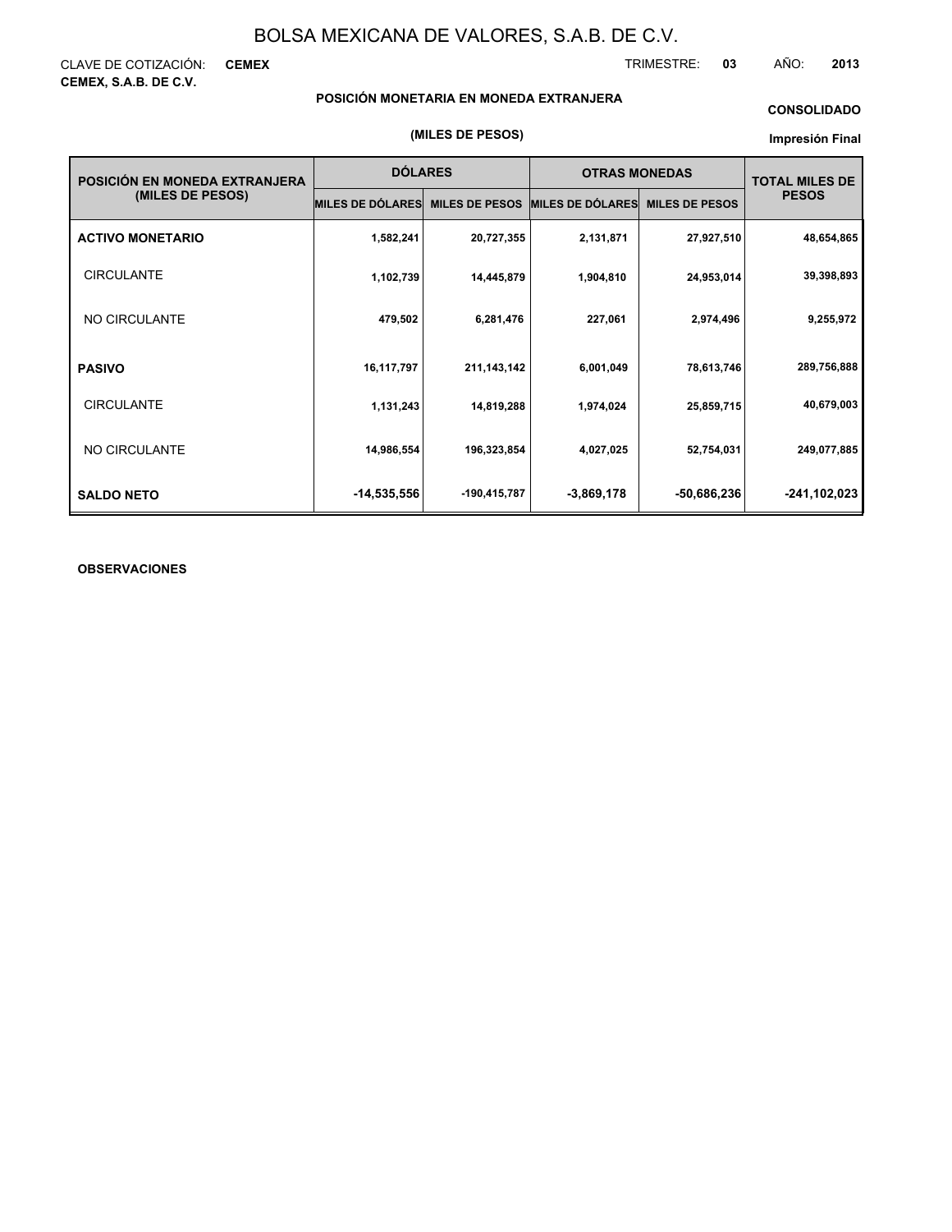CLAVE DE COTIZACIÓN: **CEMEX CEMEX, S.A.B. DE C.V.**

TRIMESTRE: **03** AÑO: **2013**

### **POSICIÓN MONETARIA EN MONEDA EXTRANJERA**

### **CONSOLIDADO**

#### **Impresión Final**

| POSICIÓN EN MONEDA EXTRANJERA | <b>DÓLARES</b>   |                       | <b>OTRAS MONEDAS</b>    |                       | <b>TOTAL MILES DE</b> |
|-------------------------------|------------------|-----------------------|-------------------------|-----------------------|-----------------------|
| (MILES DE PESOS)              | MILES DE DÓLARES | <b>MILES DE PESOS</b> | <b>MILES DE DÓLARES</b> | <b>MILES DE PESOS</b> | <b>PESOS</b>          |
| <b>ACTIVO MONETARIO</b>       | 1,582,241        | 20,727,355            | 2,131,871               | 27,927,510            | 48,654,865            |
| <b>CIRCULANTE</b>             | 1,102,739        | 14,445,879            | 1,904,810               | 24,953,014            | 39,398,893            |
| NO CIRCULANTE                 | 479,502          | 6,281,476             | 227,061                 | 2,974,496             | 9,255,972             |
| <b>PASIVO</b>                 | 16,117,797       | 211, 143, 142         | 6,001,049               | 78,613,746            | 289,756,888           |
| <b>CIRCULANTE</b>             | 1,131,243        | 14,819,288            | 1,974,024               | 25,859,715            | 40,679,003            |
| NO CIRCULANTE                 | 14,986,554       | 196,323,854           | 4,027,025               | 52,754,031            | 249,077,885           |
| <b>SALDO NETO</b>             | $-14,535,556$    | -190,415,787          | $-3,869,178$            | $-50,686,236$         | -241,102,023          |

### **OBSERVACIONES**

#### **(MILES DE PESOS)**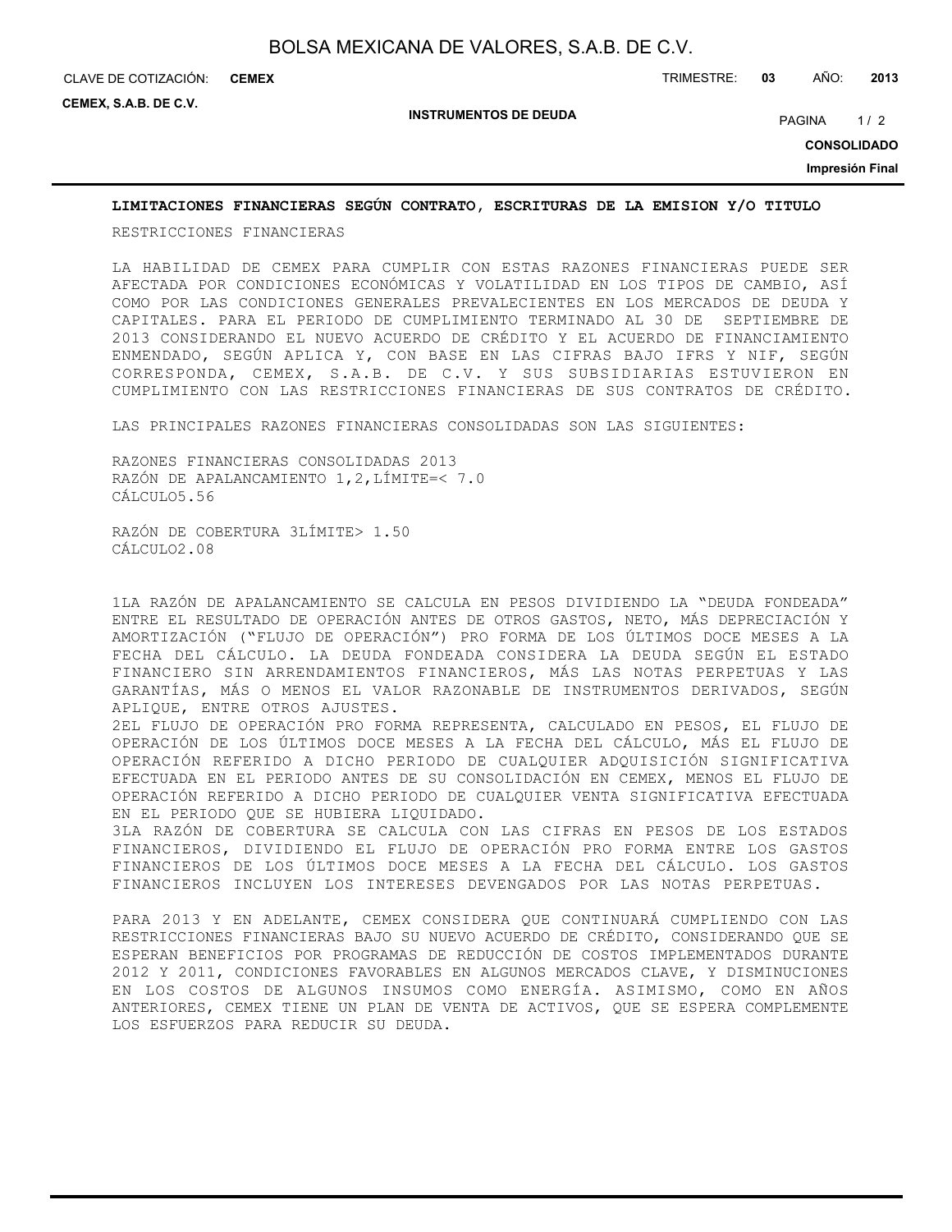**CEMEX**

**CEMEX, S.A.B. DE C.V.**

**INSTRUMENTOS DE DEUDA**

PAGINA 1/2

**CONSOLIDADO**

**Impresión Final**

### **LIMITACIONES FINANCIERAS SEGÚN CONTRATO, ESCRITURAS DE LA EMISION Y/O TITULO**

RESTRICCIONES FINANCIERAS

LA HABILIDAD DE CEMEX PARA CUMPLIR CON ESTAS RAZONES FINANCIERAS PUEDE SER AFECTADA POR CONDICIONES ECONÓMICAS Y VOLATILIDAD EN LOS TIPOS DE CAMBIO, ASÍ COMO POR LAS CONDICIONES GENERALES PREVALECIENTES EN LOS MERCADOS DE DEUDA Y CAPITALES. PARA EL PERIODO DE CUMPLIMIENTO TERMINADO AL 30 DE SEPTIEMBRE DE 2013 CONSIDERANDO EL NUEVO ACUERDO DE CRÉDITO Y EL ACUERDO DE FINANCIAMIENTO ENMENDADO, SEGÚN APLICA Y, CON BASE EN LAS CIFRAS BAJO IFRS Y NIF, SEGÚN CORRESPONDA, CEMEX, S.A.B. DE C.V. Y SUS SUBSIDIARIAS ESTUVIERON EN CUMPLIMIENTO CON LAS RESTRICCIONES FINANCIERAS DE SUS CONTRATOS DE CRÉDITO.

LAS PRINCIPALES RAZONES FINANCIERAS CONSOLIDADAS SON LAS SIGUIENTES:

RAZONES FINANCIERAS CONSOLIDADAS 2013 RAZÓN DE APALANCAMIENTO 1,2,LÍMITE=< 7.0 CÁLCULO5.56

RAZÓN DE COBERTURA 3LÍMITE> 1.50 CÁLCULO2.08

1LA RAZÓN DE APALANCAMIENTO SE CALCULA EN PESOS DIVIDIENDO LA "DEUDA FONDEADA" ENTRE EL RESULTADO DE OPERACIÓN ANTES DE OTROS GASTOS, NETO, MÁS DEPRECIACIÓN Y AMORTIZACIÓN ("FLUJO DE OPERACIÓN") PRO FORMA DE LOS ÚLTIMOS DOCE MESES A LA FECHA DEL CÁLCULO. LA DEUDA FONDEADA CONSIDERA LA DEUDA SEGÚN EL ESTADO FINANCIERO SIN ARRENDAMIENTOS FINANCIEROS, MÁS LAS NOTAS PERPETUAS Y LAS GARANTÍAS, MÁS O MENOS EL VALOR RAZONABLE DE INSTRUMENTOS DERIVADOS, SEGÚN APLIQUE, ENTRE OTROS AJUSTES.

2EL FLUJO DE OPERACIÓN PRO FORMA REPRESENTA, CALCULADO EN PESOS, EL FLUJO DE OPERACIÓN DE LOS ÚLTIMOS DOCE MESES A LA FECHA DEL CÁLCULO, MÁS EL FLUJO DE OPERACIÓN REFERIDO A DICHO PERIODO DE CUALQUIER ADQUISICIÓN SIGNIFICATIVA EFECTUADA EN EL PERIODO ANTES DE SU CONSOLIDACIÓN EN CEMEX, MENOS EL FLUJO DE OPERACIÓN REFERIDO A DICHO PERIODO DE CUALQUIER VENTA SIGNIFICATIVA EFECTUADA EN EL PERIODO QUE SE HUBIERA LIQUIDADO.

3LA RAZÓN DE COBERTURA SE CALCULA CON LAS CIFRAS EN PESOS DE LOS ESTADOS FINANCIEROS, DIVIDIENDO EL FLUJO DE OPERACIÓN PRO FORMA ENTRE LOS GASTOS FINANCIEROS DE LOS ÚLTIMOS DOCE MESES A LA FECHA DEL CÁLCULO. LOS GASTOS FINANCIEROS INCLUYEN LOS INTERESES DEVENGADOS POR LAS NOTAS PERPETUAS.

PARA 2013 Y EN ADELANTE, CEMEX CONSIDERA QUE CONTINUARÁ CUMPLIENDO CON LAS RESTRICCIONES FINANCIERAS BAJO SU NUEVO ACUERDO DE CRÉDITO, CONSIDERANDO QUE SE ESPERAN BENEFICIOS POR PROGRAMAS DE REDUCCIÓN DE COSTOS IMPLEMENTADOS DURANTE 2012 Y 2011, CONDICIONES FAVORABLES EN ALGUNOS MERCADOS CLAVE, Y DISMINUCIONES EN LOS COSTOS DE ALGUNOS INSUMOS COMO ENERGÍA. ASIMISMO, COMO EN AÑOS ANTERIORES, CEMEX TIENE UN PLAN DE VENTA DE ACTIVOS, QUE SE ESPERA COMPLEMENTE LOS ESFUERZOS PARA REDUCIR SU DEUDA.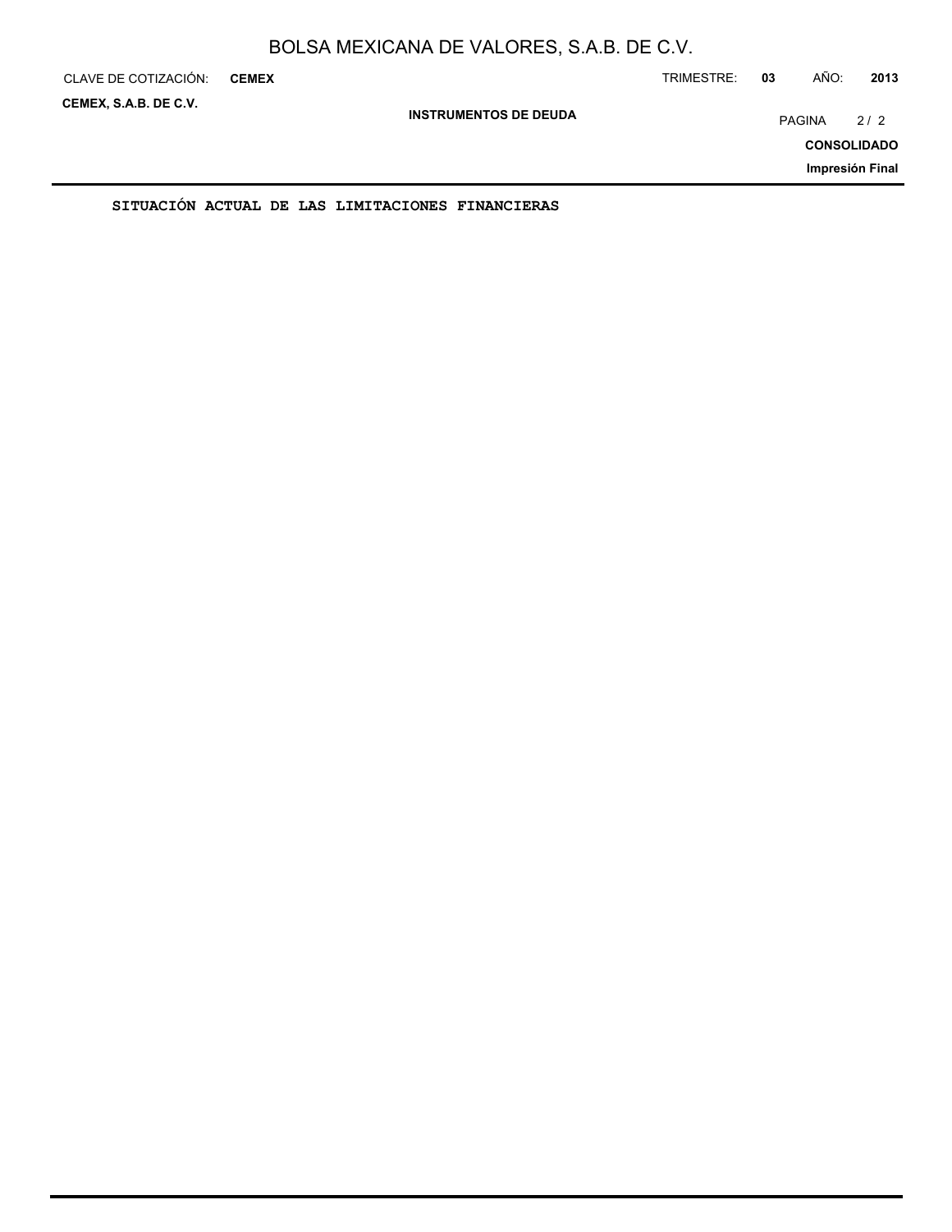| CLAVE DE COTIZACIÓN:  | <b>CEMEX</b> |                                                  |                              | TRIMESTRE: | 03 | AÑO:          | 2013               |
|-----------------------|--------------|--------------------------------------------------|------------------------------|------------|----|---------------|--------------------|
| CEMEX, S.A.B. DE C.V. |              |                                                  | <b>INSTRUMENTOS DE DEUDA</b> |            |    | <b>PAGINA</b> | 2/2                |
|                       |              |                                                  |                              |            |    |               | <b>CONSOLIDADO</b> |
|                       |              |                                                  |                              |            |    |               | Impresión Final    |
|                       |              | SITUACIÓN ACTUAL DE LAS LIMITACIONES FINANCIERAS |                              |            |    |               |                    |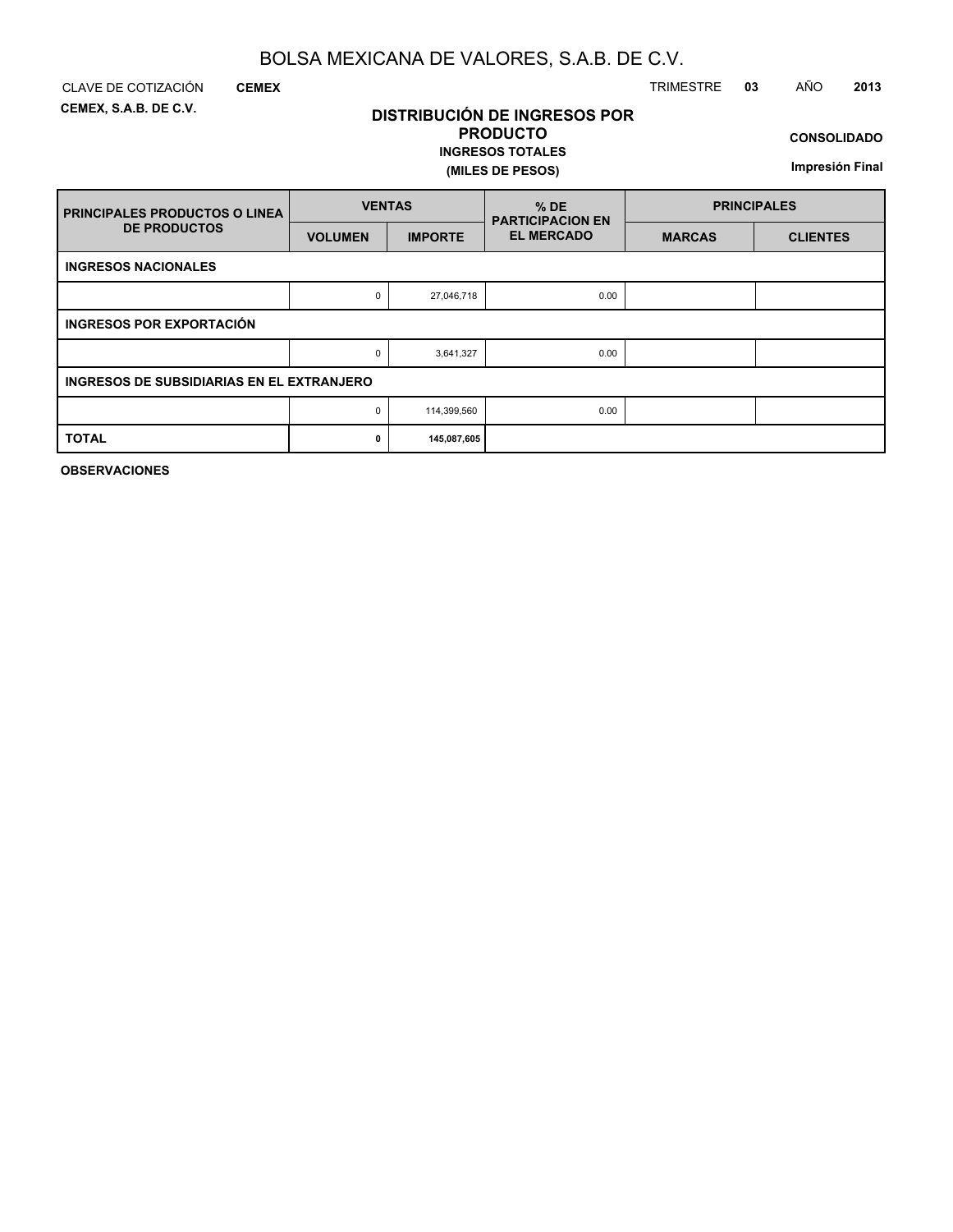**DISTRIBUCIÓN DE INGRESOS POR PRODUCTO**

**INGRESOS TOTALES**

**(MILES DE PESOS)**

**CEMEX, S.A.B. DE C.V.**

**CEMEX**

### CLAVE DE COTIZACIÓN TRIMESTRE **03** AÑO **2013**

**CONSOLIDADO**

**Impresión Final**

| <b>PRINCIPALES PRODUCTOS O LINEA</b>             | <b>VENTAS</b>  |                | $%$ DE<br><b>PARTICIPACION EN</b> | <b>PRINCIPALES</b> |                 |  |
|--------------------------------------------------|----------------|----------------|-----------------------------------|--------------------|-----------------|--|
| <b>DE PRODUCTOS</b>                              | <b>VOLUMEN</b> | <b>IMPORTE</b> | <b>EL MERCADO</b>                 | <b>MARCAS</b>      | <b>CLIENTES</b> |  |
| <b>INGRESOS NACIONALES</b>                       |                |                |                                   |                    |                 |  |
|                                                  | 0              | 27,046,718     | 0.00                              |                    |                 |  |
| <b>INGRESOS POR EXPORTACIÓN</b>                  |                |                |                                   |                    |                 |  |
|                                                  | 0              | 3,641,327      | 0.00                              |                    |                 |  |
| <b>INGRESOS DE SUBSIDIARIAS EN EL EXTRANJERO</b> |                |                |                                   |                    |                 |  |
|                                                  | 0              | 114,399,560    | 0.00                              |                    |                 |  |
| <b>TOTAL</b>                                     | 0              | 145,087,605    |                                   |                    |                 |  |

**OBSERVACIONES**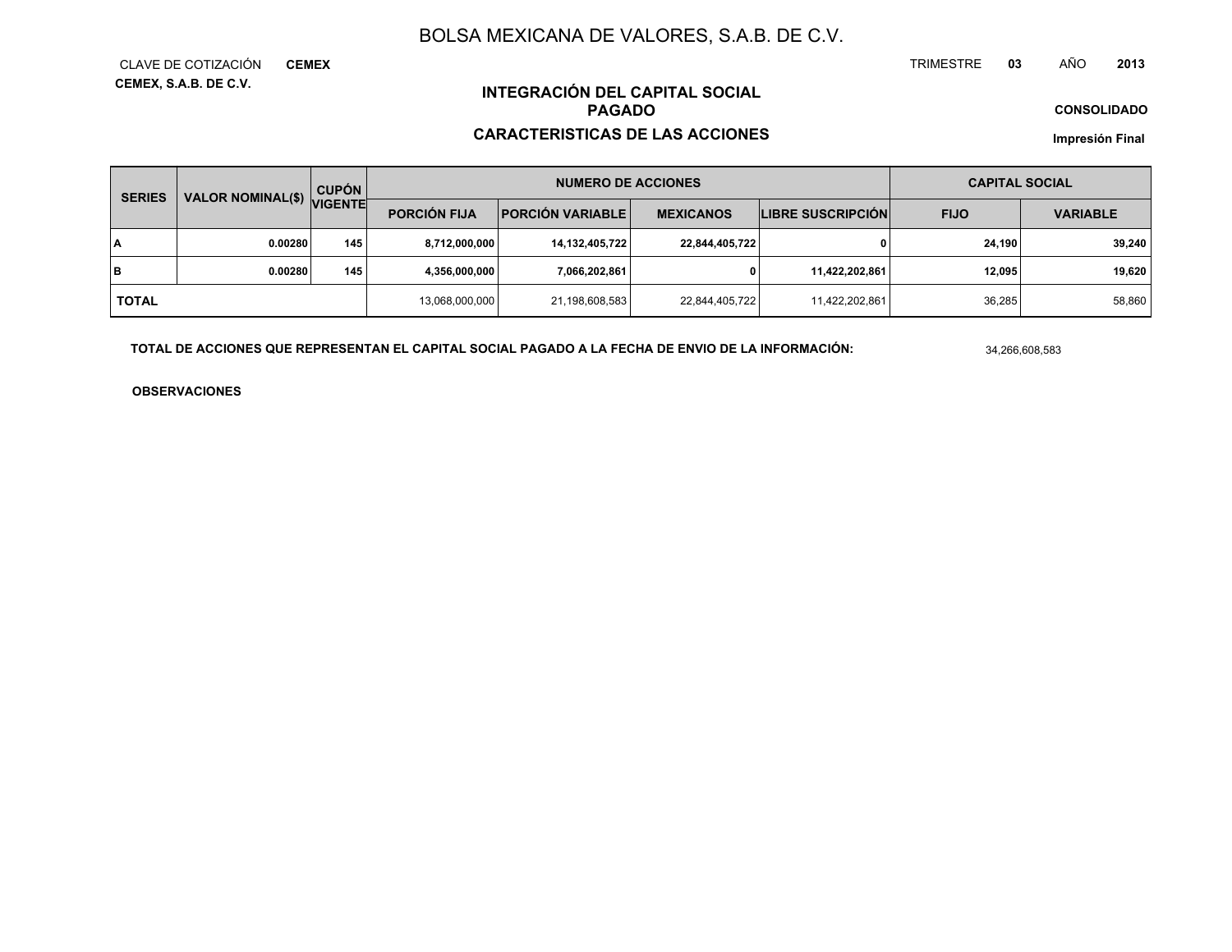TRIMESTRE **<sup>03</sup>** AÑO**<sup>2013</sup>**

**CONSOLIDADO**

### **INTEGRACIÓN DEL CAPITAL SOCIALPAGADO**

### **CARACTERISTICAS DE LAS ACCIONES**

**Impresión Final**

|              | <b>CUPÓN</b><br><b>SERIES</b> |                                                  |                | <b>NUMERO DE ACCIONES</b> |                  | <b>CAPITAL SOCIAL</b>    |             |                 |  |
|--------------|-------------------------------|--------------------------------------------------|----------------|---------------------------|------------------|--------------------------|-------------|-----------------|--|
|              |                               | VALOR NOMINAL(\$) VIGENTE<br><b>PORCIÓN FIJA</b> |                | <b>PORCIÓN VARIABLE</b>   | <b>MEXICANOS</b> | <b>LIBRE SUSCRIPCIÓN</b> | <b>FIJO</b> | <b>VARIABLE</b> |  |
| I٨           | 0.00280                       | 145                                              | 8,712,000,000  | 14,132,405,722            | 22,844,405,722   | 0                        | 24.190      | 39,240          |  |
| lв           | 0.00280                       | 145                                              | 4,356,000,000  | 7,066,202,861             | 0                | 11,422,202,861           | 12,095      | 19,620          |  |
| <b>TOTAL</b> |                               |                                                  | 13,068,000,000 | 21,198,608,583            | 22,844,405,722   | 11,422,202,861           | 36,285      | 58,860          |  |

**TOTAL DE ACCIONES QUE REPRESENTAN EL CAPITAL SOCIAL PAGADO A LA FECHA DE ENVIO DE LA INFORMACIÓN:**

34,266,608,583

**OBSERVACIONES**

**CEMEX, S.A.B. DE C.V.** CLAVE DE COTIZACIÓN**CEMEX**